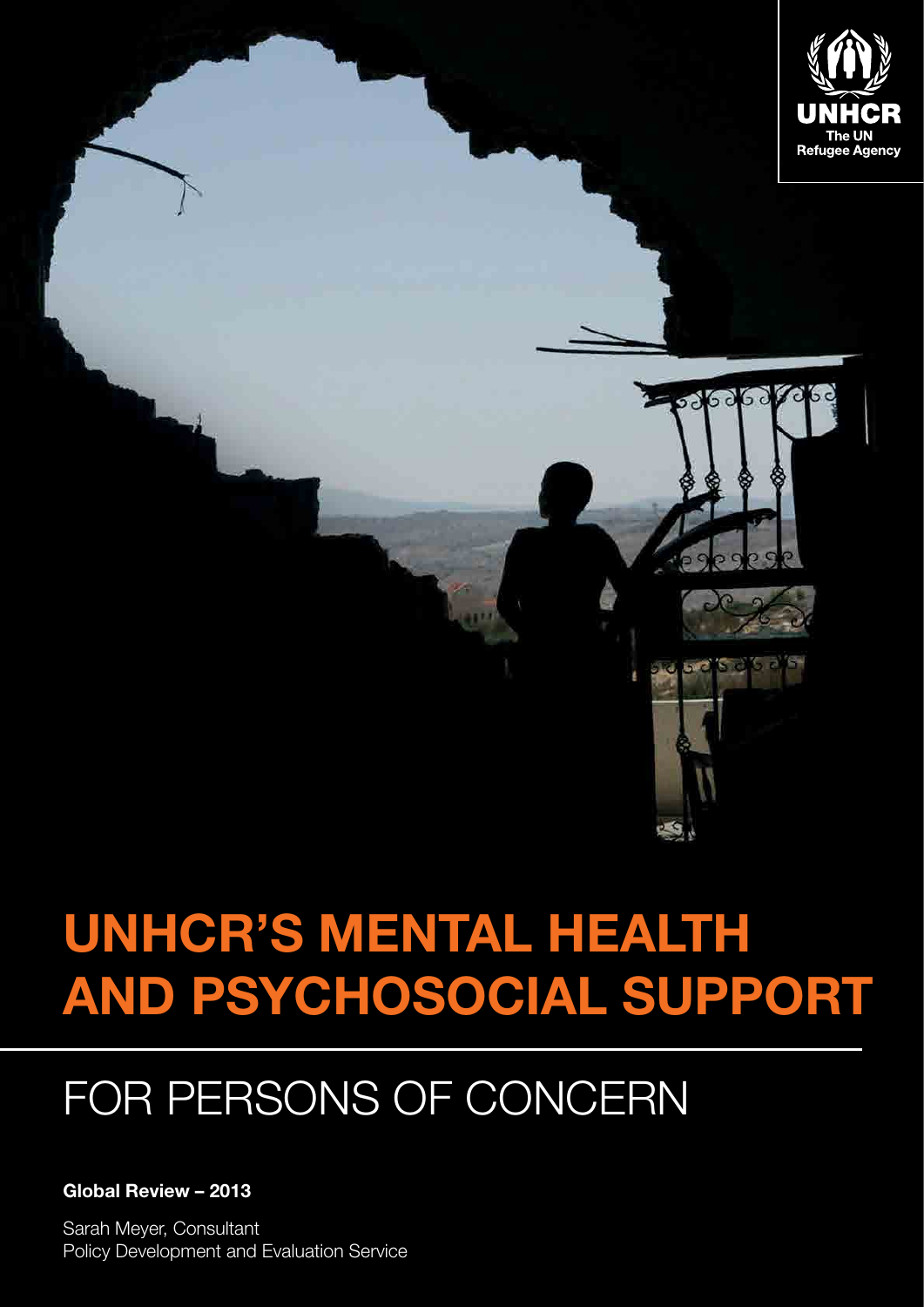

# **UNHCR's mental health and psychosocial support**

## for Persons of Concern

#### **Global Review – 2013**

Sarah Meyer, Consultant **Policy Development and Evaluation Service**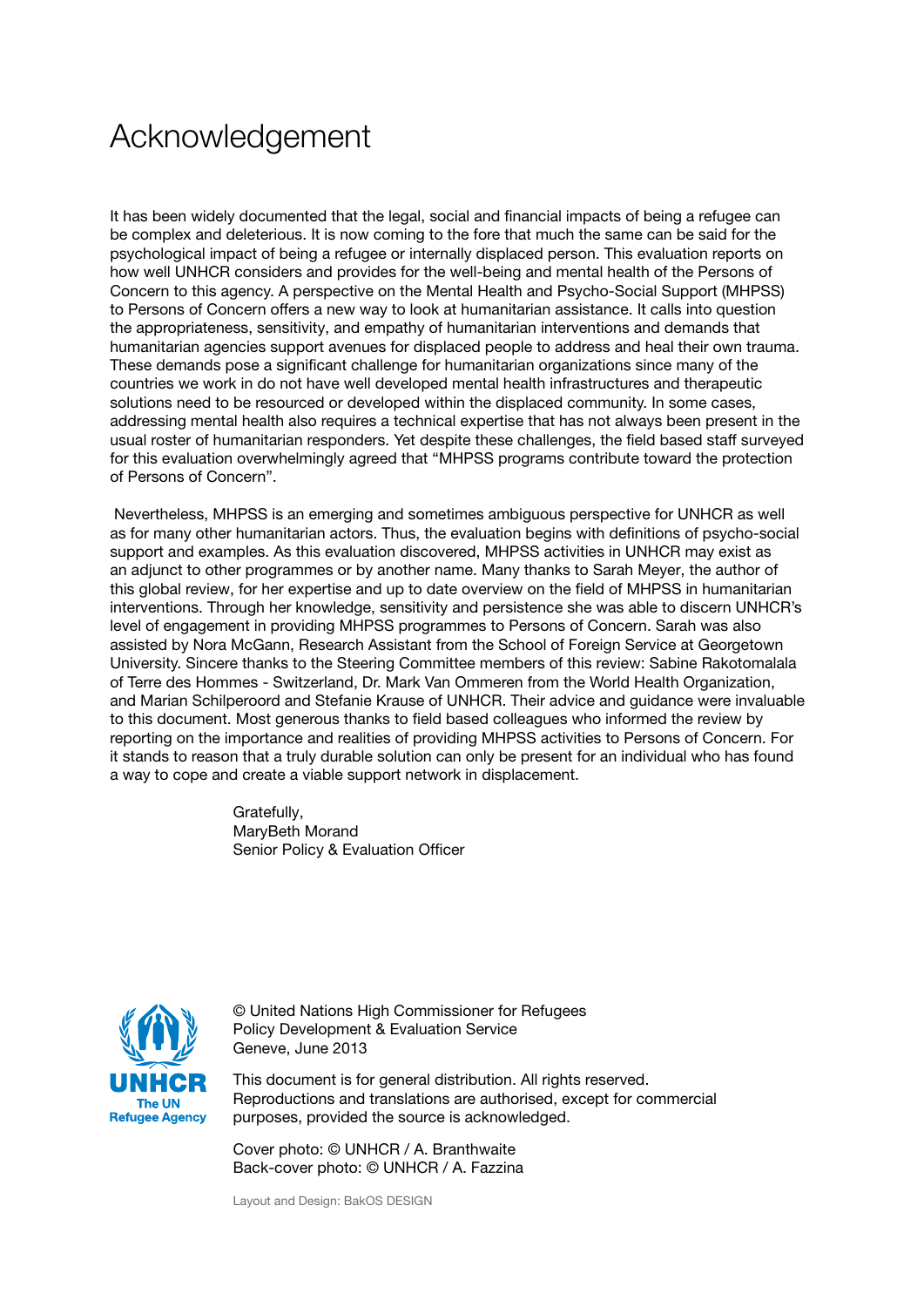## <span id="page-2-0"></span>Acknowledgement

It has been widely documented that the legal, social and financial impacts of being a refugee can be complex and deleterious. It is now coming to the fore that much the same can be said for the psychological impact of being a refugee or internally displaced person. This evaluation reports on how well UNHCR considers and provides for the well-being and mental health of the Persons of Concern to this agency. A perspective on the Mental Health and Psycho-Social Support (MHPSS) to Persons of Concern offers a new way to look at humanitarian assistance. It calls into question the appropriateness, sensitivity, and empathy of humanitarian interventions and demands that humanitarian agencies support avenues for displaced people to address and heal their own trauma. These demands pose a significant challenge for humanitarian organizations since many of the countries we work in do not have well developed mental health infrastructures and therapeutic solutions need to be resourced or developed within the displaced community. In some cases, addressing mental health also requires a technical expertise that has not always been present in the usual roster of humanitarian responders. Yet despite these challenges, the field based staff surveyed for this evaluation overwhelmingly agreed that "MHPSS programs contribute toward the protection of Persons of Concern".

 Nevertheless, MHPSS is an emerging and sometimes ambiguous perspective for UNHCR as well as for many other humanitarian actors. Thus, the evaluation begins with definitions of psycho-social support and examples. As this evaluation discovered, MHPSS activities in UNHCR may exist as an adjunct to other programmes or by another name. Many thanks to Sarah Meyer, the author of this global review, for her expertise and up to date overview on the field of MHPSS in humanitarian interventions. Through her knowledge, sensitivity and persistence she was able to discern UNHCR's level of engagement in providing MHPSS programmes to Persons of Concern. Sarah was also assisted by Nora McGann, Research Assistant from the School of Foreign Service at Georgetown University. Sincere thanks to the Steering Committee members of this review: Sabine Rakotomalala of Terre des Hommes - Switzerland, Dr. Mark Van Ommeren from the World Health Organization, and Marian Schilperoord and Stefanie Krause of UNHCR. Their advice and guidance were invaluable to this document. Most generous thanks to field based colleagues who informed the review by reporting on the importance and realities of providing MHPSS activities to Persons of Concern. For it stands to reason that a truly durable solution can only be present for an individual who has found a way to cope and create a viable support network in displacement.

> Gratefully, MaryBeth Morand Senior Policy & Evaluation Officer



© United Nations High Commissioner for Refugees Policy Development & Evaluation Service Geneve, June 2013

This document is for general distribution. All rights reserved. Reproductions and translations are authorised, except for commercial purposes, provided the source is acknowledged.

Cover photo: © UNHCR / A. Branthwaite Back-cover photo: © UNHCR / A. Fazzina

Layout and Design: BakOS DESIGN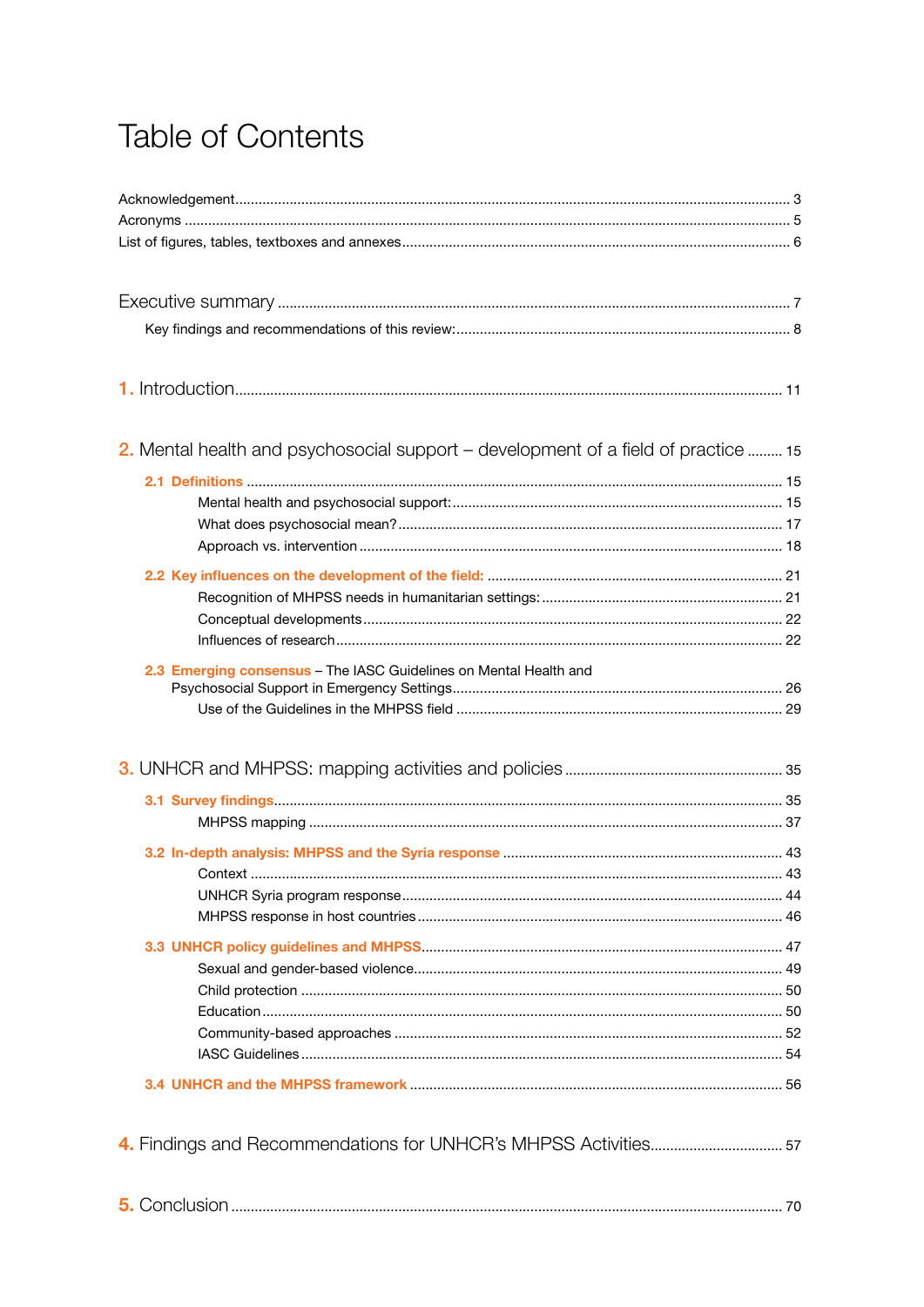## **Table of Contents**

| 2. Mental health and psychosocial support – development of a field of practice  15 |  |
|------------------------------------------------------------------------------------|--|
|                                                                                    |  |
|                                                                                    |  |
|                                                                                    |  |
|                                                                                    |  |
|                                                                                    |  |
|                                                                                    |  |
|                                                                                    |  |
| 2.3 Emerging consensus - The IASC Guidelines on Mental Health and                  |  |
|                                                                                    |  |
|                                                                                    |  |
|                                                                                    |  |
|                                                                                    |  |
|                                                                                    |  |
|                                                                                    |  |
| Context.                                                                           |  |
|                                                                                    |  |
|                                                                                    |  |
|                                                                                    |  |
|                                                                                    |  |
|                                                                                    |  |
|                                                                                    |  |
|                                                                                    |  |
|                                                                                    |  |
|                                                                                    |  |
|                                                                                    |  |
|                                                                                    |  |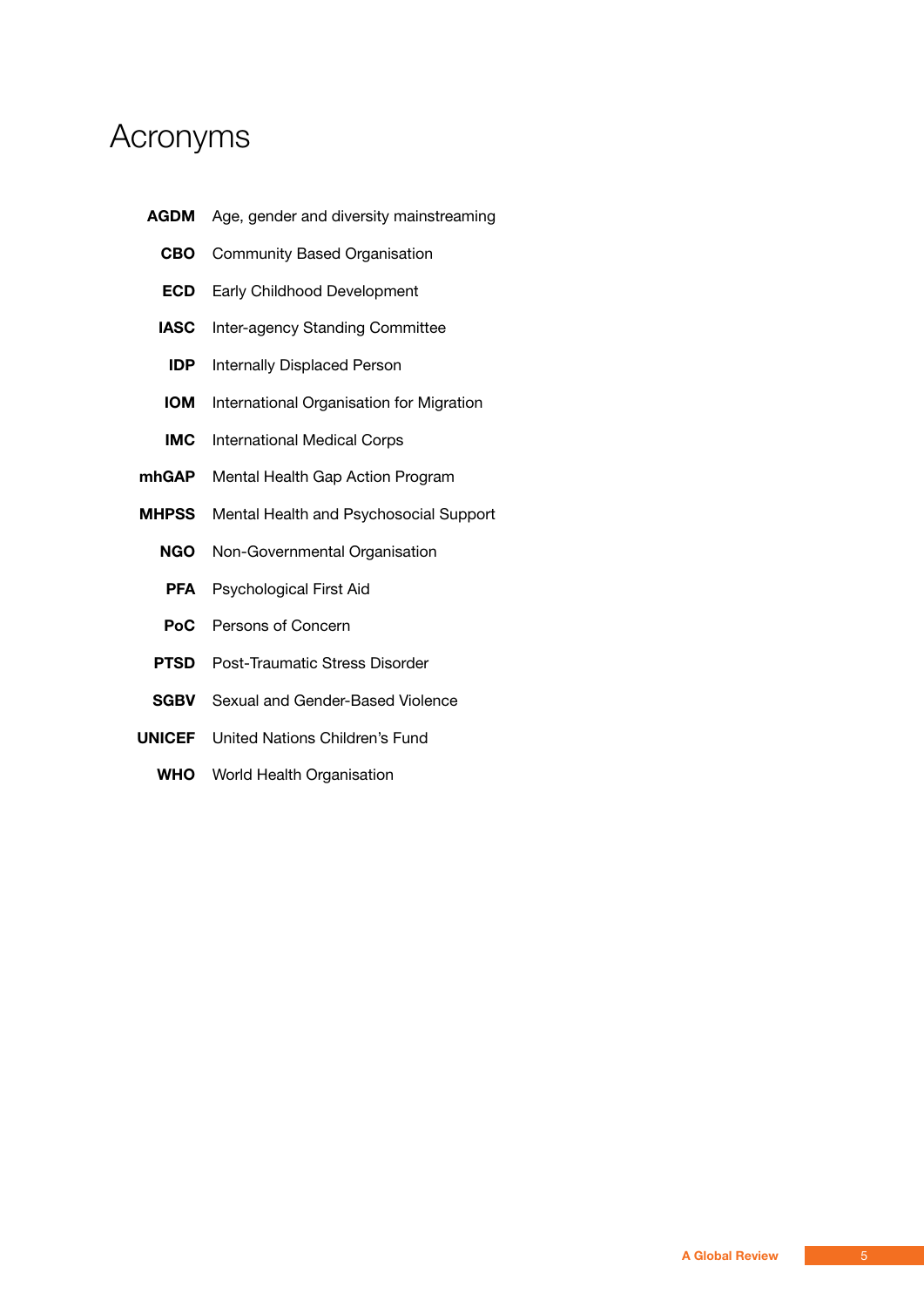### Acronyms

- **AGDM** Age, gender and diversity mainstreaming
	- **CBO** Community Based Organisation
	- **ECD** Early Childhood Development
	- **IASC** Inter-agency Standing Committee
	- **IDP** Internally Displaced Person
	- **IOM** International Organisation for Migration
	- **IMC** International Medical Corps
- **mhGAP** Mental Health Gap Action Program
- **MHPSS** Mental Health and Psychosocial Support
	- **NGO** Non-Governmental Organisation
	- **PFA** Psychological First Aid
	- **PoC** Persons of Concern
	- **PTSD** Post-Traumatic Stress Disorder
	- **SGBV** Sexual and Gender-Based Violence
- **UNICEF** United Nations Children's Fund
	- **WHO** World Health Organisation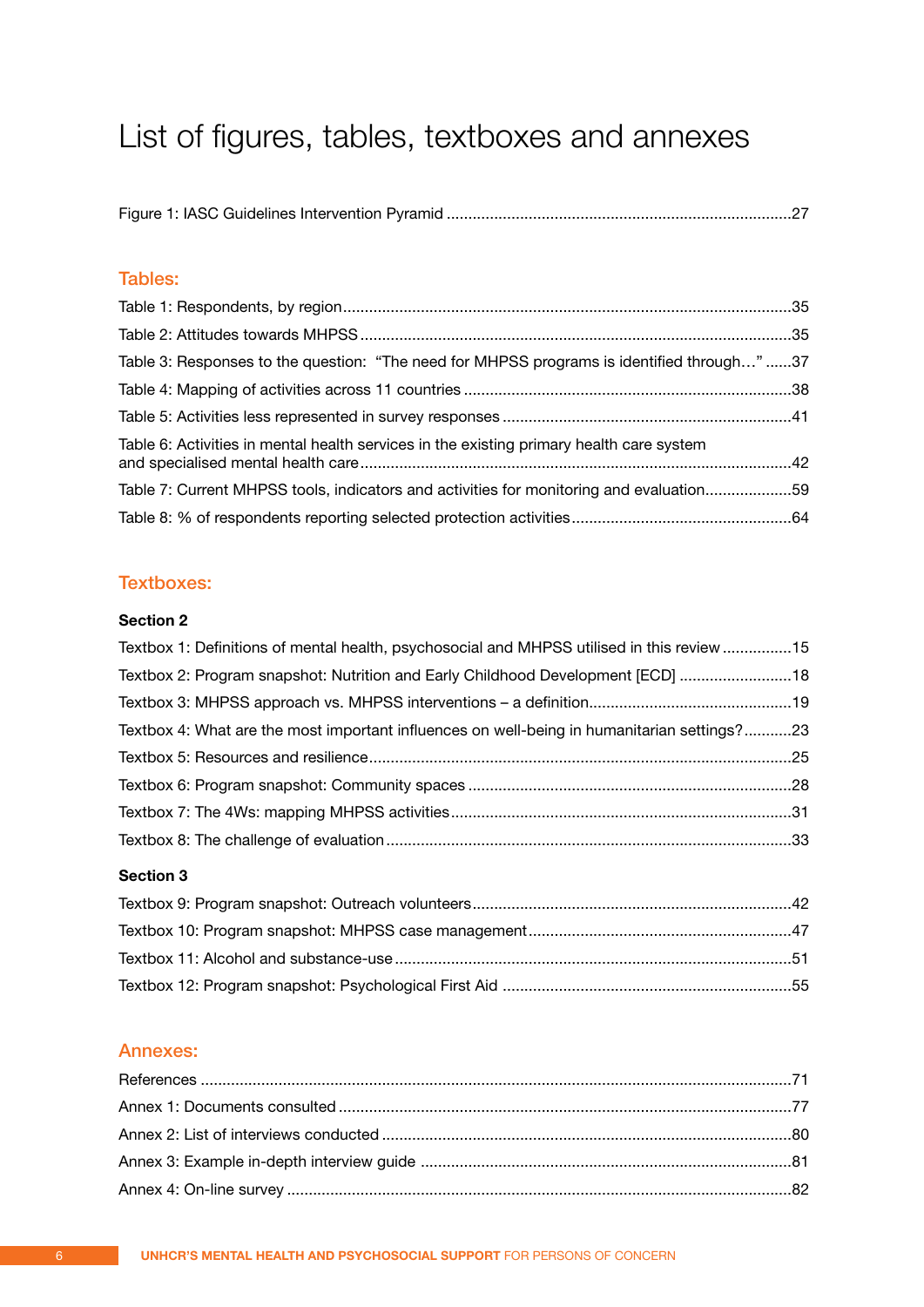## <span id="page-5-0"></span>List of figures, tables, textboxes and annexes

|--|--|--|--|

#### Tables:

| Table 3: Responses to the question: "The need for MHPSS programs is identified through"37 |  |
|-------------------------------------------------------------------------------------------|--|
|                                                                                           |  |
|                                                                                           |  |
| Table 6: Activities in mental health services in the existing primary health care system  |  |
| Table 7: Current MHPSS tools, indicators and activities for monitoring and evaluation59   |  |
|                                                                                           |  |

#### Textboxes:

#### **Section 2**

| Textbox 1: Definitions of mental health, psychosocial and MHPSS utilised in this review 15  |  |
|---------------------------------------------------------------------------------------------|--|
| Textbox 2: Program snapshot: Nutrition and Early Childhood Development [ECD]  18            |  |
|                                                                                             |  |
| Textbox 4: What are the most important influences on well-being in humanitarian settings?23 |  |
|                                                                                             |  |
|                                                                                             |  |
|                                                                                             |  |
|                                                                                             |  |
|                                                                                             |  |

#### **Section 3**

#### Annexes: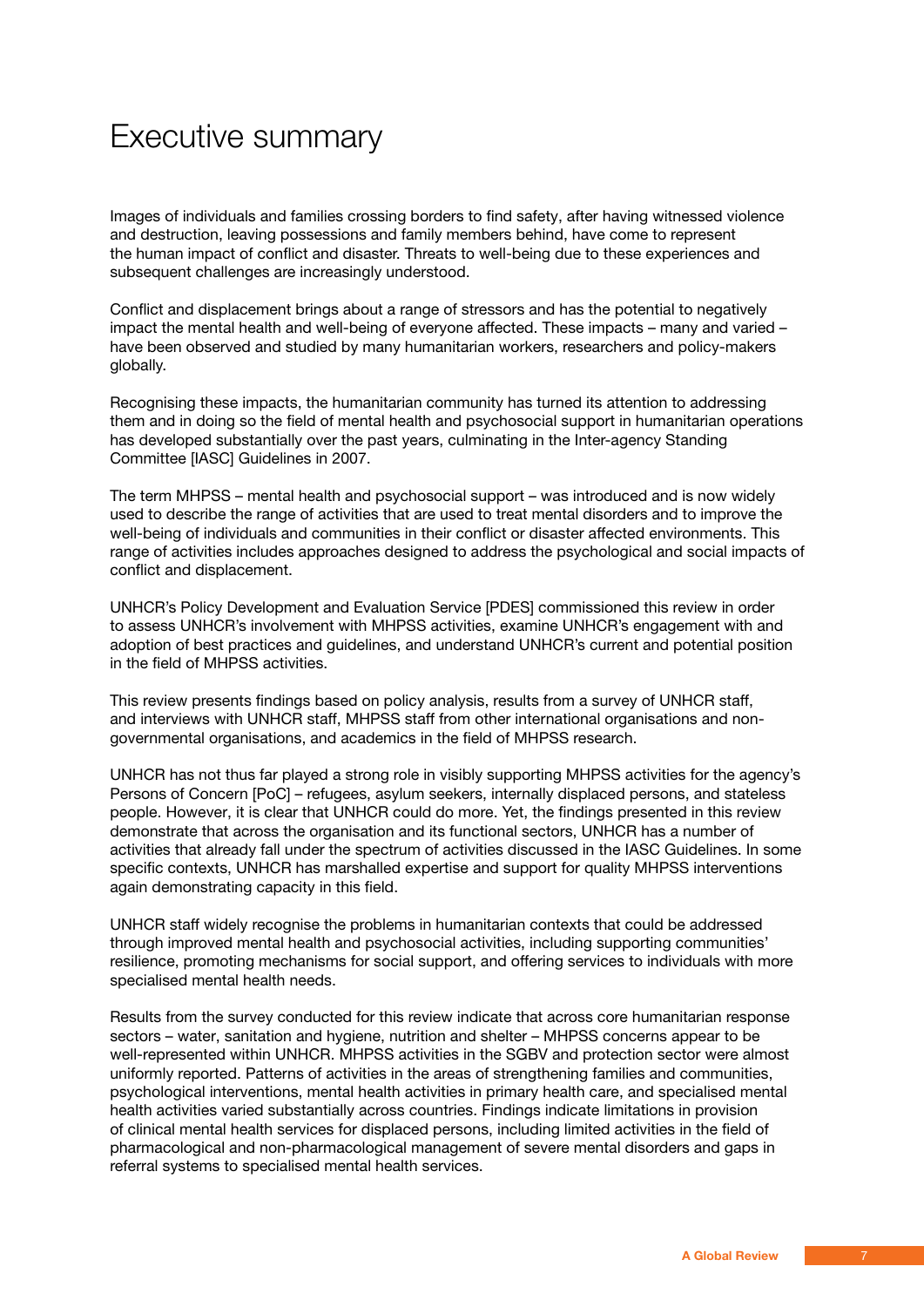## <span id="page-6-0"></span>Executive summary

Images of individuals and families crossing borders to find safety, after having witnessed violence and destruction, leaving possessions and family members behind, have come to represent the human impact of conflict and disaster. Threats to well-being due to these experiences and subsequent challenges are increasingly understood.

Conflict and displacement brings about a range of stressors and has the potential to negatively impact the mental health and well-being of everyone affected. These impacts – many and varied – have been observed and studied by many humanitarian workers, researchers and policy-makers globally.

Recognising these impacts, the humanitarian community has turned its attention to addressing them and in doing so the field of mental health and psychosocial support in humanitarian operations has developed substantially over the past years, culminating in the Inter-agency Standing Committee [IASC] Guidelines in 2007.

The term MHPSS – mental health and psychosocial support – was introduced and is now widely used to describe the range of activities that are used to treat mental disorders and to improve the well-being of individuals and communities in their conflict or disaster affected environments. This range of activities includes approaches designed to address the psychological and social impacts of conflict and displacement.

UNHCR's Policy Development and Evaluation Service [PDES] commissioned this review in order to assess UNHCR's involvement with MHPSS activities, examine UNHCR's engagement with and adoption of best practices and guidelines, and understand UNHCR's current and potential position in the field of MHPSS activities.

This review presents findings based on policy analysis, results from a survey of UNHCR staff, and interviews with UNHCR staff, MHPSS staff from other international organisations and nongovernmental organisations, and academics in the field of MHPSS research.

UNHCR has not thus far played a strong role in visibly supporting MHPSS activities for the agency's Persons of Concern [PoC] – refugees, asylum seekers, internally displaced persons, and stateless people. However, it is clear that UNHCR could do more. Yet, the findings presented in this review demonstrate that across the organisation and its functional sectors, UNHCR has a number of activities that already fall under the spectrum of activities discussed in the IASC Guidelines. In some specific contexts, UNHCR has marshalled expertise and support for quality MHPSS interventions again demonstrating capacity in this field.

UNHCR staff widely recognise the problems in humanitarian contexts that could be addressed through improved mental health and psychosocial activities, including supporting communities' resilience, promoting mechanisms for social support, and offering services to individuals with more specialised mental health needs.

Results from the survey conducted for this review indicate that across core humanitarian response sectors – water, sanitation and hygiene, nutrition and shelter – MHPSS concerns appear to be well-represented within UNHCR. MHPSS activities in the SGBV and protection sector were almost uniformly reported. Patterns of activities in the areas of strengthening families and communities, psychological interventions, mental health activities in primary health care, and specialised mental health activities varied substantially across countries. Findings indicate limitations in provision of clinical mental health services for displaced persons, including limited activities in the field of pharmacological and non-pharmacological management of severe mental disorders and gaps in referral systems to specialised mental health services.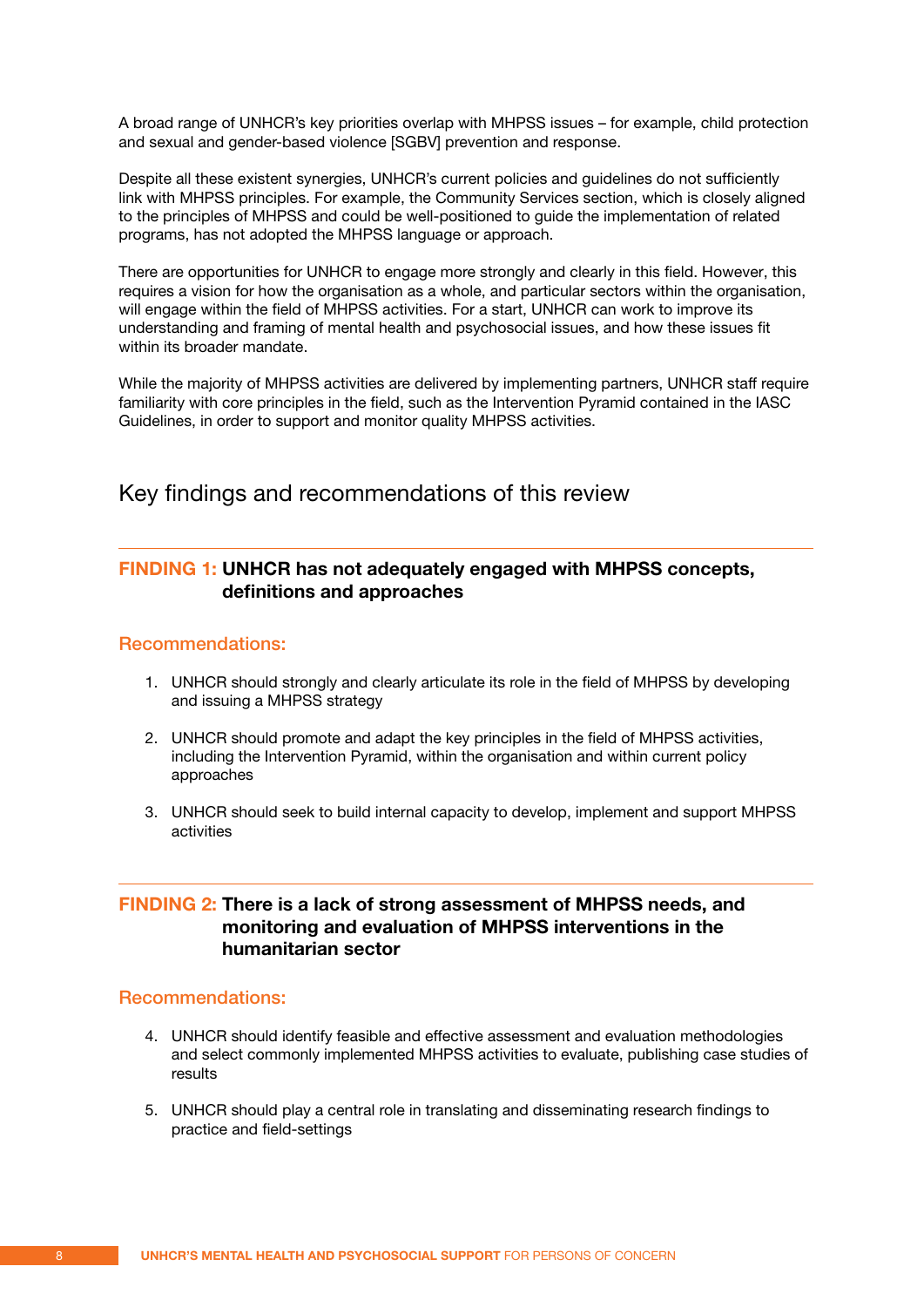<span id="page-7-0"></span>A broad range of UNHCR's key priorities overlap with MHPSS issues – for example, child protection and sexual and gender-based violence [SGBV] prevention and response.

Despite all these existent synergies, UNHCR's current policies and guidelines do not sufficiently link with MHPSS principles. For example, the Community Services section, which is closely aligned to the principles of MHPSS and could be well-positioned to guide the implementation of related programs, has not adopted the MHPSS language or approach.

There are opportunities for UNHCR to engage more strongly and clearly in this field. However, this requires a vision for how the organisation as a whole, and particular sectors within the organisation, will engage within the field of MHPSS activities. For a start, UNHCR can work to improve its understanding and framing of mental health and psychosocial issues, and how these issues fit within its broader mandate.

While the majority of MHPSS activities are delivered by implementing partners, UNHCR staff require familiarity with core principles in the field, such as the Intervention Pyramid contained in the IASC Guidelines, in order to support and monitor quality MHPSS activities.

Key findings and recommendations of this review

#### **Finding 1: UNHCR has not adequately engaged with MHPSS concepts, definitions and approaches**

#### Recommendations:

- 1. UNHCR should strongly and clearly articulate its role in the field of MHPSS by developing and issuing a MHPSS strategy
- 2. UNHCR should promote and adapt the key principles in the field of MHPSS activities, including the Intervention Pyramid, within the organisation and within current policy approaches
- 3. UNHCR should seek to build internal capacity to develop, implement and support MHPSS activities

#### **Finding 2: There is a lack of strong assessment of MHPSS needs, and monitoring and evaluation of MHPSS interventions in the humanitarian sector**

#### Recommendations:

- 4. UNHCR should identify feasible and effective assessment and evaluation methodologies and select commonly implemented MHPSS activities to evaluate, publishing case studies of results
- 5. UNHCR should play a central role in translating and disseminating research findings to practice and field-settings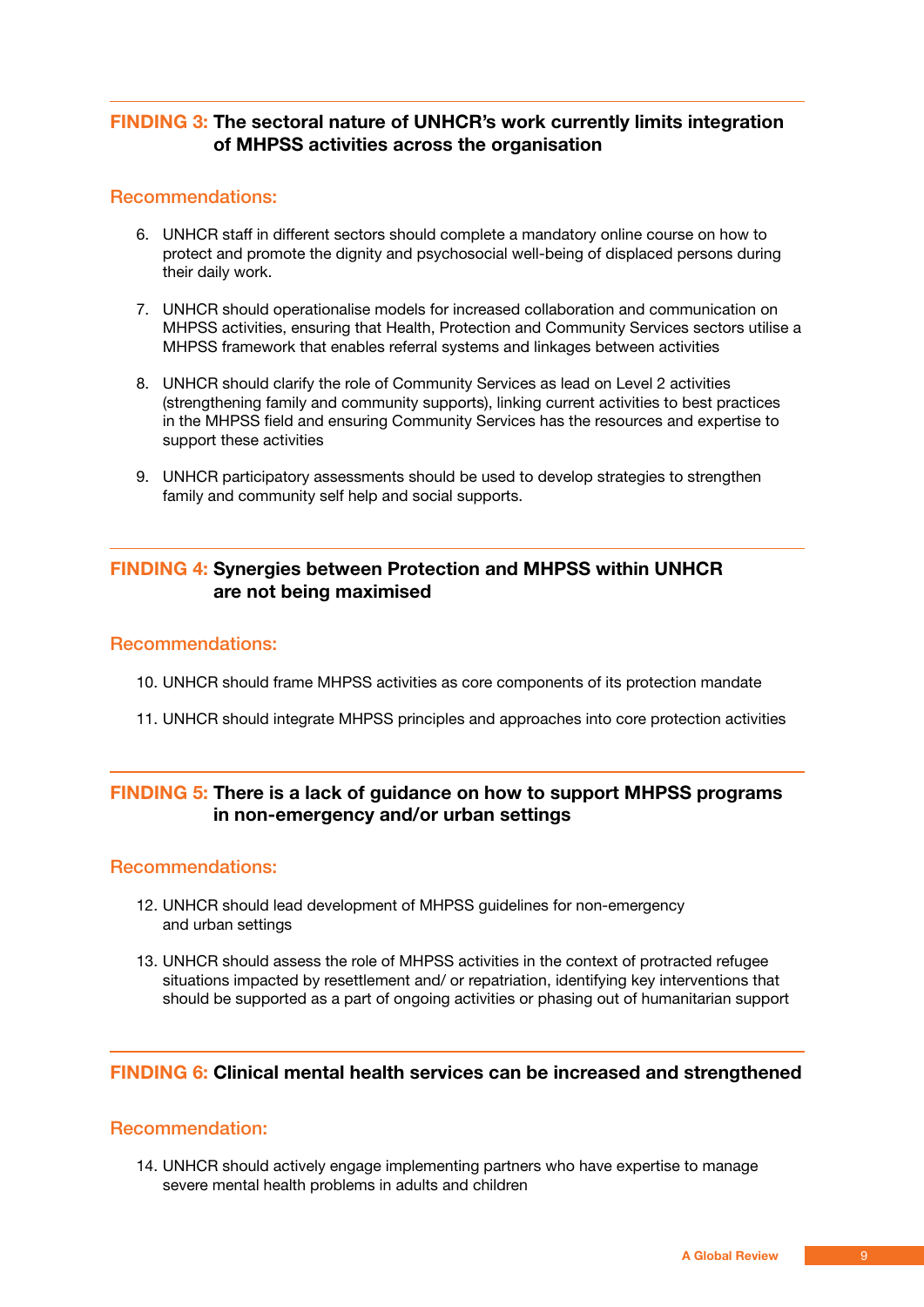#### <span id="page-8-0"></span>**Finding 3: The sectoral nature of UNHCR's work currently limits integration of MHPSS activities across the organisation**

#### Recommendations:

- 6. UNHCR staff in different sectors should complete a mandatory online course on how to protect and promote the dignity and psychosocial well-being of displaced persons during their daily work.
- 7. UNHCR should operationalise models for increased collaboration and communication on MHPSS activities, ensuring that Health, Protection and Community Services sectors utilise a MHPSS framework that enables referral systems and linkages between activities
- 8. UNHCR should clarify the role of Community Services as lead on Level 2 activities (strengthening family and community supports), linking current activities to best practices in the MHPSS field and ensuring Community Services has the resources and expertise to support these activities
- 9. UNHCR participatory assessments should be used to develop strategies to strengthen family and community self help and social supports.

#### **Finding 4: Synergies between Protection and MHPSS within UNHCR are not being maximised**

#### Recommendations:

- 10. UNHCR should frame MHPSS activities as core components of its protection mandate
- 11. UNHCR should integrate MHPSS principles and approaches into core protection activities

#### **Finding 5: There is a lack of guidance on how to support MHPSS programs in non-emergency and/or urban settings**

#### Recommendations:

- 12. UNHCR should lead development of MHPSS guidelines for non-emergency and urban settings
- 13. UNHCR should assess the role of MHPSS activities in the context of protracted refugee situations impacted by resettlement and/ or repatriation, identifying key interventions that should be supported as a part of ongoing activities or phasing out of humanitarian support

#### **Finding 6: Clinical mental health services can be increased and strengthened**

#### Recommendation:

14. UNHCR should actively engage implementing partners who have expertise to manage severe mental health problems in adults and children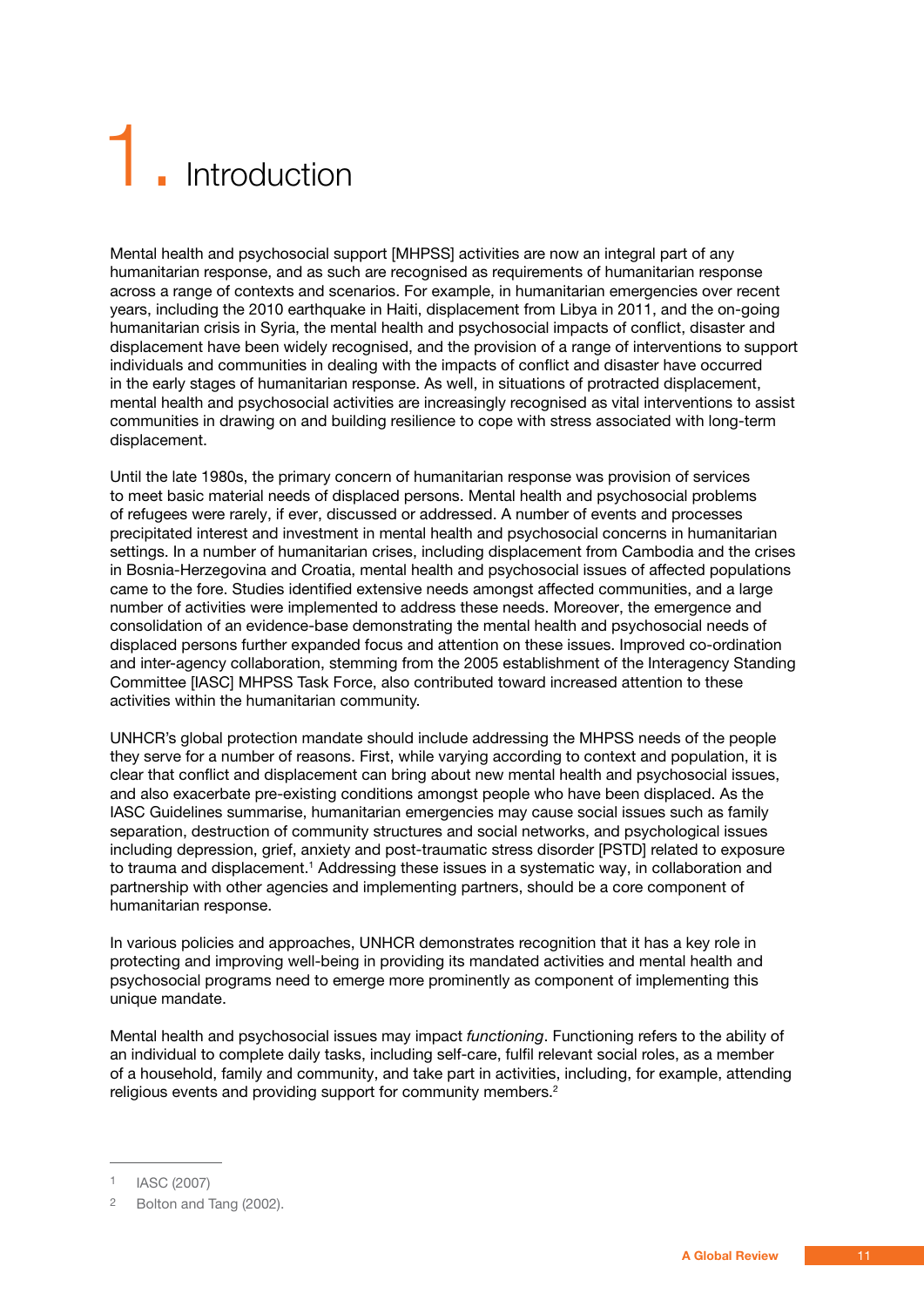# <span id="page-10-0"></span>**Introduction**

Mental health and psychosocial support [MHPSS] activities are now an integral part of any humanitarian response, and as such are recognised as requirements of humanitarian response across a range of contexts and scenarios. For example, in humanitarian emergencies over recent years, including the 2010 earthquake in Haiti, displacement from Libya in 2011, and the on-going humanitarian crisis in Syria, the mental health and psychosocial impacts of conflict, disaster and displacement have been widely recognised, and the provision of a range of interventions to support individuals and communities in dealing with the impacts of conflict and disaster have occurred in the early stages of humanitarian response. As well, in situations of protracted displacement, mental health and psychosocial activities are increasingly recognised as vital interventions to assist communities in drawing on and building resilience to cope with stress associated with long-term displacement.

Until the late 1980s, the primary concern of humanitarian response was provision of services to meet basic material needs of displaced persons. Mental health and psychosocial problems of refugees were rarely, if ever, discussed or addressed. A number of events and processes precipitated interest and investment in mental health and psychosocial concerns in humanitarian settings. In a number of humanitarian crises, including displacement from Cambodia and the crises in Bosnia-Herzegovina and Croatia, mental health and psychosocial issues of affected populations came to the fore. Studies identified extensive needs amongst affected communities, and a large number of activities were implemented to address these needs. Moreover, the emergence and consolidation of an evidence-base demonstrating the mental health and psychosocial needs of displaced persons further expanded focus and attention on these issues. Improved co-ordination and inter-agency collaboration, stemming from the 2005 establishment of the Interagency Standing Committee [IASC] MHPSS Task Force, also contributed toward increased attention to these activities within the humanitarian community.

UNHCR's global protection mandate should include addressing the MHPSS needs of the people they serve for a number of reasons. First, while varying according to context and population, it is clear that conflict and displacement can bring about new mental health and psychosocial issues, and also exacerbate pre-existing conditions amongst people who have been displaced. As the IASC Guidelines summarise, humanitarian emergencies may cause social issues such as family separation, destruction of community structures and social networks, and psychological issues including depression, grief, anxiety and post-traumatic stress disorder [PSTD] related to exposure to trauma and displacement.<sup>1</sup> Addressing these issues in a systematic way, in collaboration and partnership with other agencies and implementing partners, should be a core component of humanitarian response.

In various policies and approaches, UNHCR demonstrates recognition that it has a key role in protecting and improving well-being in providing its mandated activities and mental health and psychosocial programs need to emerge more prominently as component of implementing this unique mandate.

Mental health and psychosocial issues may impact *functioning*. Functioning refers to the ability of an individual to complete daily tasks, including self-care, fulfil relevant social roles, as a member of a household, family and community, and take part in activities, including, for example, attending religious events and providing support for community members.<sup>2</sup>

**IASC (2007)** 

<sup>2</sup> Bolton and Tang (2002).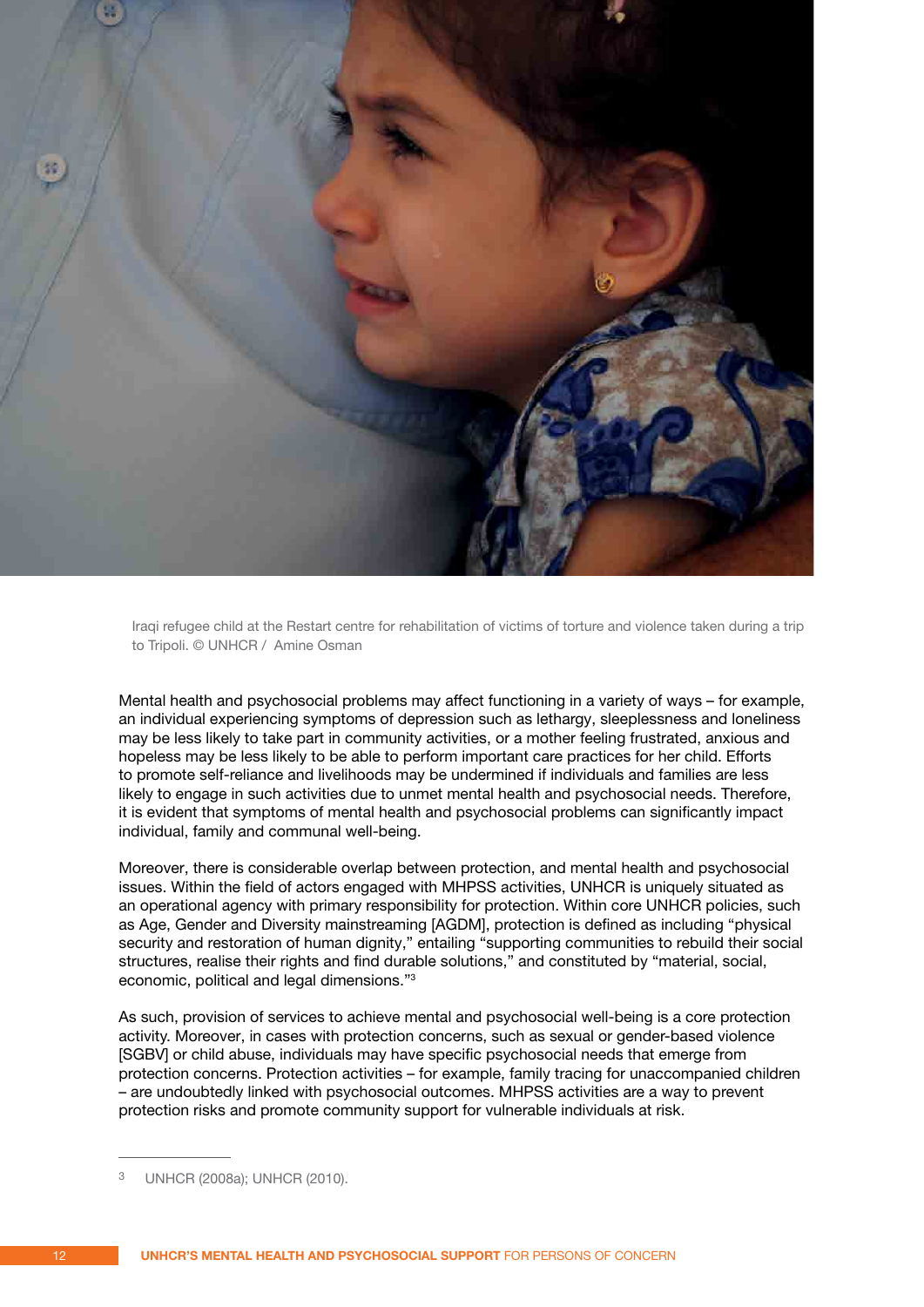

Iraqi refugee child at the Restart centre for rehabilitation of victims of torture and violence taken during a trip to Tripoli. © UNHCR / Amine Osman

Mental health and psychosocial problems may affect functioning in a variety of ways – for example, an individual experiencing symptoms of depression such as lethargy, sleeplessness and loneliness may be less likely to take part in community activities, or a mother feeling frustrated, anxious and hopeless may be less likely to be able to perform important care practices for her child. Efforts to promote self-reliance and livelihoods may be undermined if individuals and families are less likely to engage in such activities due to unmet mental health and psychosocial needs. Therefore, it is evident that symptoms of mental health and psychosocial problems can significantly impact individual, family and communal well-being.

Moreover, there is considerable overlap between protection, and mental health and psychosocial issues. Within the field of actors engaged with MHPSS activities, UNHCR is uniquely situated as an operational agency with primary responsibility for protection. Within core UNHCR policies, such as Age, Gender and Diversity mainstreaming [AGDM], protection is defined as including "physical security and restoration of human dignity," entailing "supporting communities to rebuild their social structures, realise their rights and find durable solutions," and constituted by "material, social, economic, political and legal dimensions."3

As such, provision of services to achieve mental and psychosocial well-being is a core protection activity. Moreover, in cases with protection concerns, such as sexual or gender-based violence [SGBV] or child abuse, individuals may have specific psychosocial needs that emerge from protection concerns. Protection activities – for example, family tracing for unaccompanied children – are undoubtedly linked with psychosocial outcomes. MHPSS activities are a way to prevent protection risks and promote community support for vulnerable individuals at risk.

UNHCR (2008a); UNHCR (2010).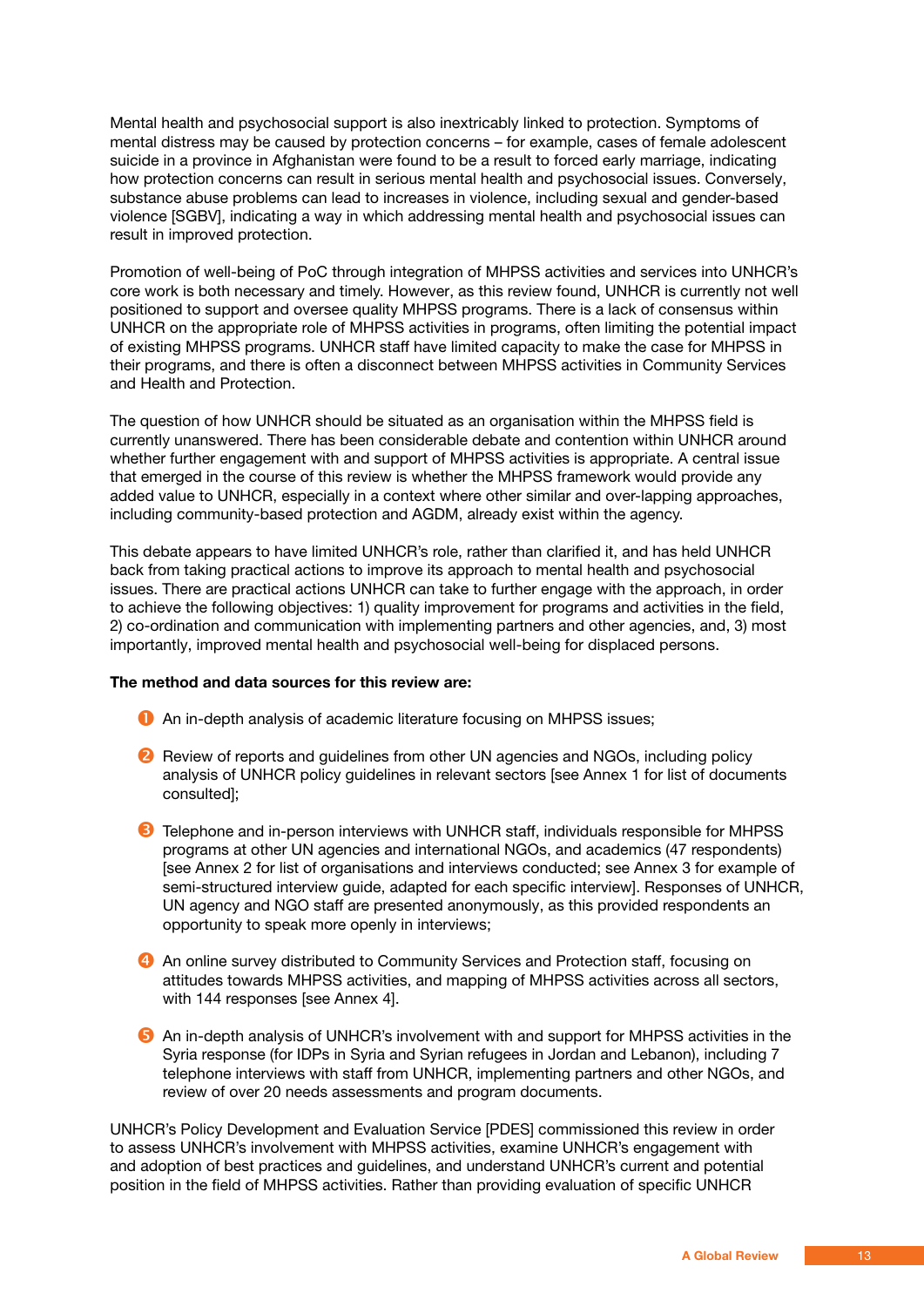Mental health and psychosocial support is also inextricably linked to protection. Symptoms of mental distress may be caused by protection concerns – for example, cases of female adolescent suicide in a province in Afghanistan were found to be a result to forced early marriage, indicating how protection concerns can result in serious mental health and psychosocial issues. Conversely, substance abuse problems can lead to increases in violence, including sexual and gender-based violence [SGBV], indicating a way in which addressing mental health and psychosocial issues can result in improved protection.

Promotion of well-being of PoC through integration of MHPSS activities and services into UNHCR's core work is both necessary and timely. However, as this review found, UNHCR is currently not well positioned to support and oversee quality MHPSS programs. There is a lack of consensus within UNHCR on the appropriate role of MHPSS activities in programs, often limiting the potential impact of existing MHPSS programs. UNHCR staff have limited capacity to make the case for MHPSS in their programs, and there is often a disconnect between MHPSS activities in Community Services and Health and Protection.

The question of how UNHCR should be situated as an organisation within the MHPSS field is currently unanswered. There has been considerable debate and contention within UNHCR around whether further engagement with and support of MHPSS activities is appropriate. A central issue that emerged in the course of this review is whether the MHPSS framework would provide any added value to UNHCR, especially in a context where other similar and over-lapping approaches, including community-based protection and AGDM, already exist within the agency.

This debate appears to have limited UNHCR's role, rather than clarified it, and has held UNHCR back from taking practical actions to improve its approach to mental health and psychosocial issues. There are practical actions UNHCR can take to further engage with the approach, in order to achieve the following objectives: 1) quality improvement for programs and activities in the field, 2) co-ordination and communication with implementing partners and other agencies, and, 3) most importantly, improved mental health and psychosocial well-being for displaced persons.

#### **The method and data sources for this review are:**

- An in-depth analysis of academic literature focusing on MHPSS issues;
- **2** Review of reports and quidelines from other UN agencies and NGOs, including policy analysis of UNHCR policy guidelines in relevant sectors [see Annex 1 for list of documents consulted];
- **B** Telephone and in-person interviews with UNHCR staff, individuals responsible for MHPSS programs at other UN agencies and international NGOs, and academics (47 respondents) [see Annex 2 for list of organisations and interviews conducted; see Annex 3 for example of semi-structured interview guide, adapted for each specific interview]. Responses of UNHCR, UN agency and NGO staff are presented anonymously, as this provided respondents an opportunity to speak more openly in interviews;
- **4** An online survey distributed to Community Services and Protection staff, focusing on attitudes towards MHPSS activities, and mapping of MHPSS activities across all sectors, with 144 responses [see Annex 4].
- **B** An in-depth analysis of UNHCR's involvement with and support for MHPSS activities in the Syria response (for IDPs in Syria and Syrian refugees in Jordan and Lebanon), including 7 telephone interviews with staff from UNHCR, implementing partners and other NGOs, and review of over 20 needs assessments and program documents.

UNHCR's Policy Development and Evaluation Service [PDES] commissioned this review in order to assess UNHCR's involvement with MHPSS activities, examine UNHCR's engagement with and adoption of best practices and guidelines, and understand UNHCR's current and potential position in the field of MHPSS activities. Rather than providing evaluation of specific UNHCR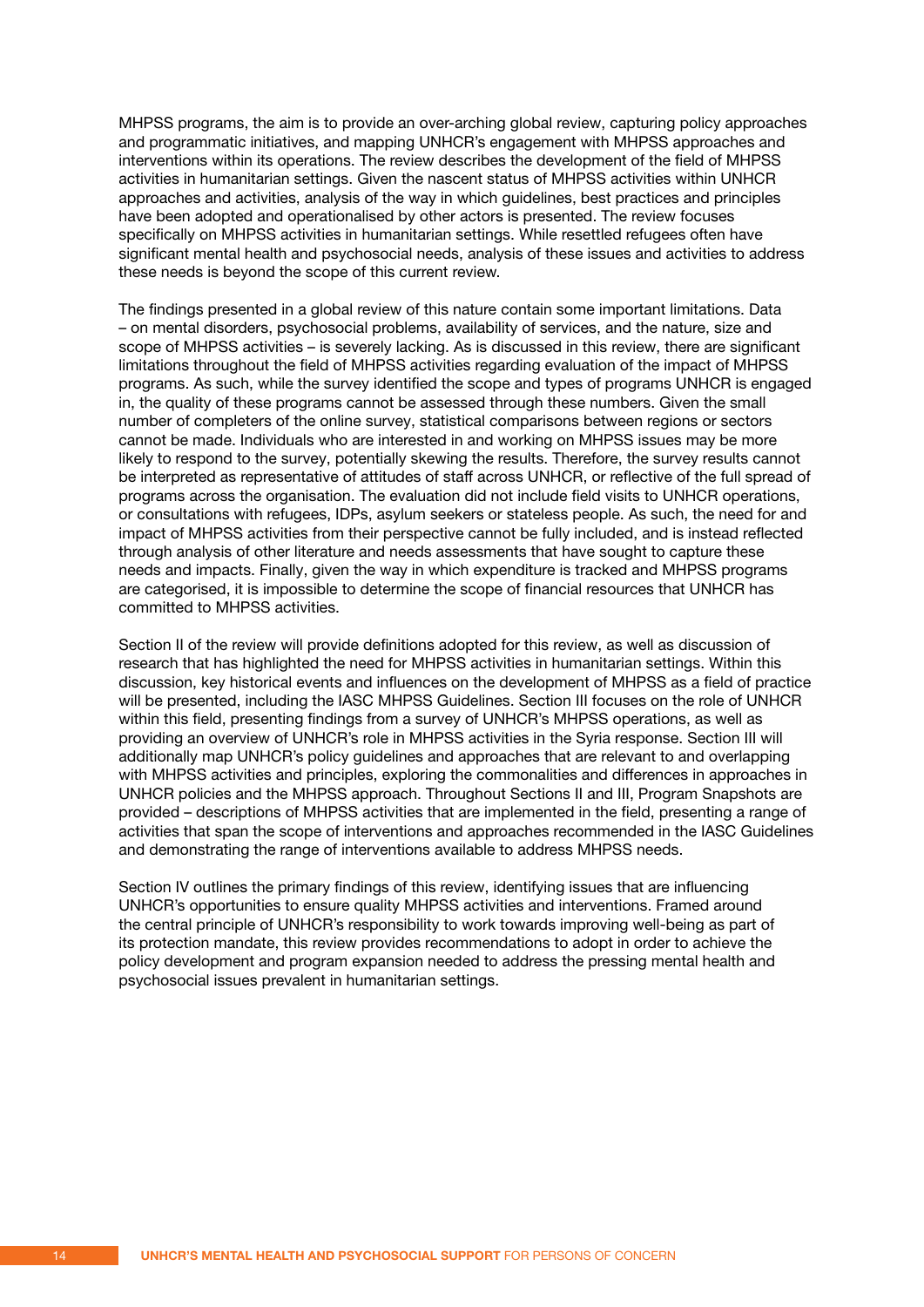MHPSS programs, the aim is to provide an over-arching global review, capturing policy approaches and programmatic initiatives, and mapping UNHCR's engagement with MHPSS approaches and interventions within its operations. The review describes the development of the field of MHPSS activities in humanitarian settings. Given the nascent status of MHPSS activities within UNHCR approaches and activities, analysis of the way in which guidelines, best practices and principles have been adopted and operationalised by other actors is presented. The review focuses specifically on MHPSS activities in humanitarian settings. While resettled refugees often have significant mental health and psychosocial needs, analysis of these issues and activities to address these needs is beyond the scope of this current review.

The findings presented in a global review of this nature contain some important limitations. Data – on mental disorders, psychosocial problems, availability of services, and the nature, size and scope of MHPSS activities – is severely lacking. As is discussed in this review, there are significant limitations throughout the field of MHPSS activities regarding evaluation of the impact of MHPSS programs. As such, while the survey identified the scope and types of programs UNHCR is engaged in, the quality of these programs cannot be assessed through these numbers. Given the small number of completers of the online survey, statistical comparisons between regions or sectors cannot be made. Individuals who are interested in and working on MHPSS issues may be more likely to respond to the survey, potentially skewing the results. Therefore, the survey results cannot be interpreted as representative of attitudes of staff across UNHCR, or reflective of the full spread of programs across the organisation. The evaluation did not include field visits to UNHCR operations, or consultations with refugees, IDPs, asylum seekers or stateless people. As such, the need for and impact of MHPSS activities from their perspective cannot be fully included, and is instead reflected through analysis of other literature and needs assessments that have sought to capture these needs and impacts. Finally, given the way in which expenditure is tracked and MHPSS programs are categorised, it is impossible to determine the scope of financial resources that UNHCR has committed to MHPSS activities.

Section II of the review will provide definitions adopted for this review, as well as discussion of research that has highlighted the need for MHPSS activities in humanitarian settings. Within this discussion, key historical events and influences on the development of MHPSS as a field of practice will be presented, including the IASC MHPSS Guidelines. Section III focuses on the role of UNHCR within this field, presenting findings from a survey of UNHCR's MHPSS operations, as well as providing an overview of UNHCR's role in MHPSS activities in the Syria response. Section III will additionally map UNHCR's policy guidelines and approaches that are relevant to and overlapping with MHPSS activities and principles, exploring the commonalities and differences in approaches in UNHCR policies and the MHPSS approach. Throughout Sections II and III, Program Snapshots are provided – descriptions of MHPSS activities that are implemented in the field, presenting a range of activities that span the scope of interventions and approaches recommended in the IASC Guidelines and demonstrating the range of interventions available to address MHPSS needs.

Section IV outlines the primary findings of this review, identifying issues that are influencing UNHCR's opportunities to ensure quality MHPSS activities and interventions. Framed around the central principle of UNHCR's responsibility to work towards improving well-being as part of its protection mandate, this review provides recommendations to adopt in order to achieve the policy development and program expansion needed to address the pressing mental health and psychosocial issues prevalent in humanitarian settings.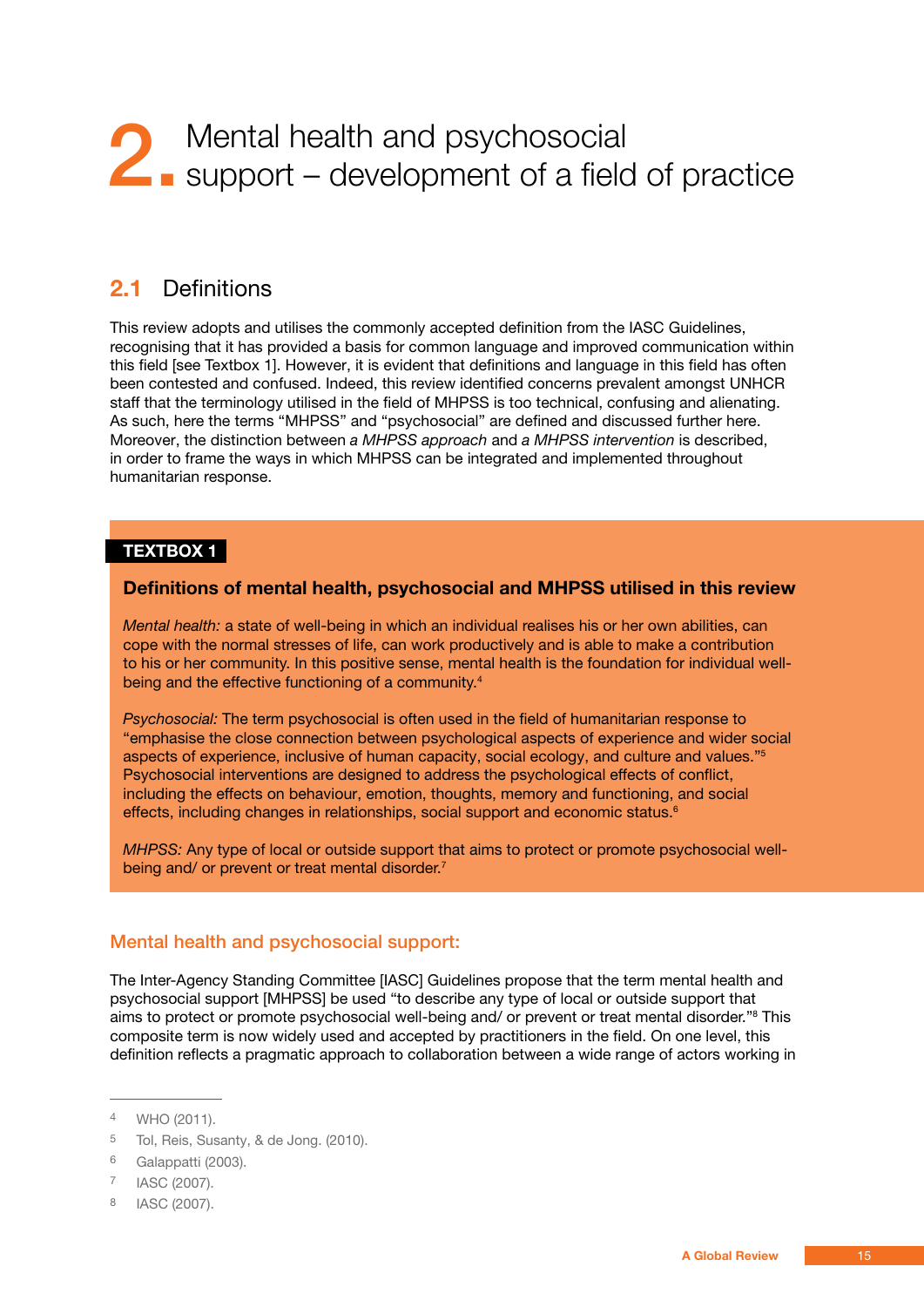## <span id="page-14-0"></span>2. Mental health and psychosocial<br>
support – development of a field support – development of a field of practice

#### **2.1** Definitions

This review adopts and utilises the commonly accepted definition from the IASC Guidelines, recognising that it has provided a basis for common language and improved communication within this field [see Textbox 1]. However, it is evident that definitions and language in this field has often been contested and confused. Indeed, this review identified concerns prevalent amongst UNHCR staff that the terminology utilised in the field of MHPSS is too technical, confusing and alienating. As such, here the terms "MHPSS" and "psychosocial" are defined and discussed further here. Moreover, the distinction between *a MHPSS approach* and *a MHPSS intervention* is described, in order to frame the ways in which MHPSS can be integrated and implemented throughout humanitarian response.

#### **Textbox 1**

#### **Definitions of mental health, psychosocial and MHPSS utilised in this review**

*Mental health:* a state of well-being in which an individual realises his or her own abilities, can cope with the normal stresses of life, can work productively and is able to make a contribution to his or her community. In this positive sense, mental health is the foundation for individual wellbeing and the effective functioning of a community.<sup>4</sup>

*Psychosocial:* The term psychosocial is often used in the field of humanitarian response to "emphasise the close connection between psychological aspects of experience and wider social aspects of experience, inclusive of human capacity, social ecology, and culture and values."5 Psychosocial interventions are designed to address the psychological effects of conflict, including the effects on behaviour, emotion, thoughts, memory and functioning, and social effects, including changes in relationships, social support and economic status.<sup>6</sup>

*MHPSS:* Any type of local or outside support that aims to protect or promote psychosocial wellbeing and/ or prevent or treat mental disorder.<sup>7</sup>

#### Mental health and psychosocial support:

The Inter-Agency Standing Committee [IASC] Guidelines propose that the term mental health and psychosocial support [MHPSS] be used "to describe any type of local or outside support that aims to protect or promote psychosocial well-being and/ or prevent or treat mental disorder."<sup>8</sup> This composite term is now widely used and accepted by practitioners in the field. On one level, this definition reflects a pragmatic approach to collaboration between a wide range of actors working in

<sup>4</sup> WHO (2011).

<sup>5</sup> Tol, Reis, Susanty, & de Jong. (2010).

<sup>6</sup> Galappatti (2003).

<sup>7</sup> IASC (2007).

<sup>8</sup> IASC (2007).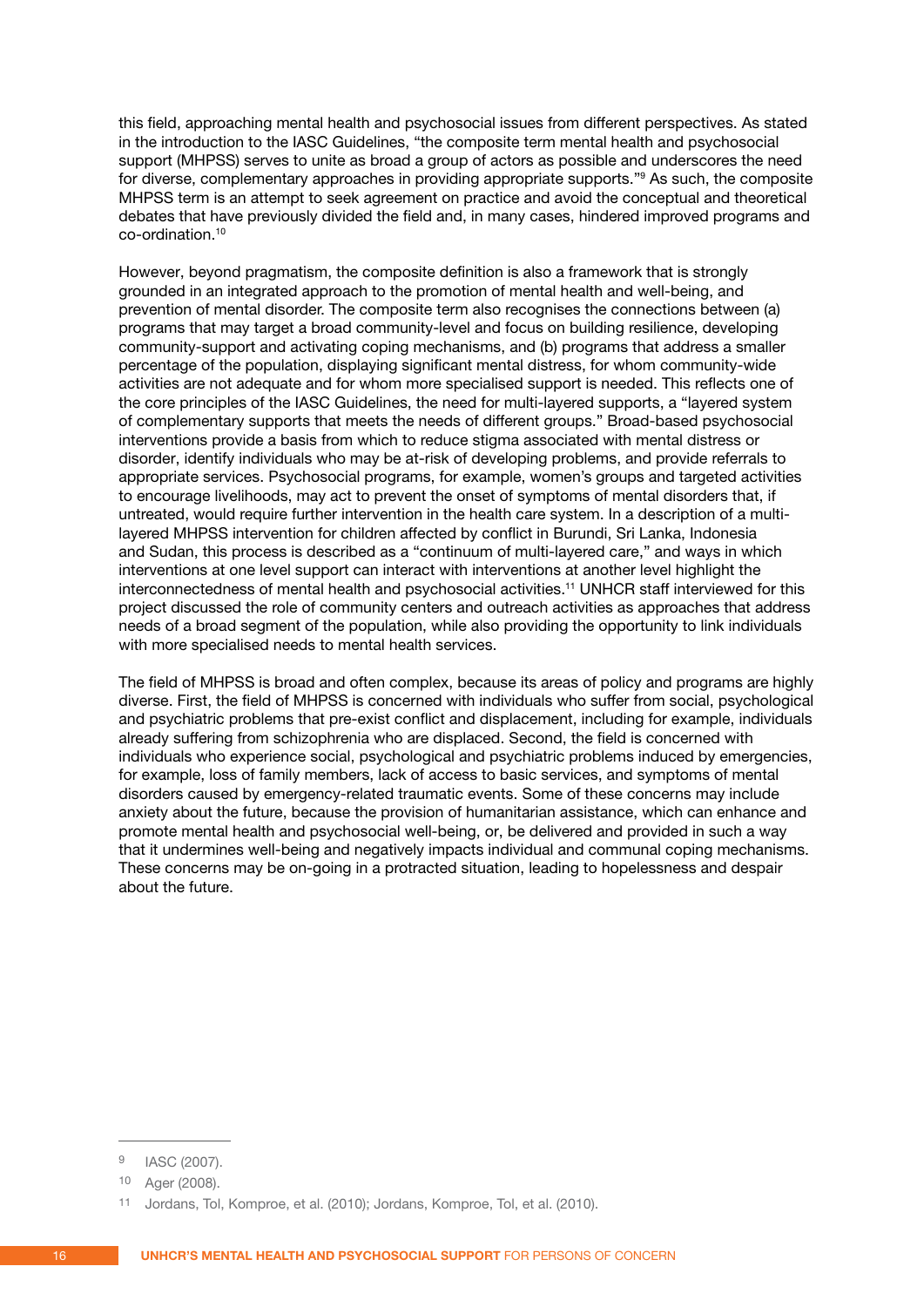this field, approaching mental health and psychosocial issues from different perspectives. As stated in the introduction to the IASC Guidelines, "the composite term mental health and psychosocial support (MHPSS) serves to unite as broad a group of actors as possible and underscores the need for diverse, complementary approaches in providing appropriate supports."9 As such, the composite MHPSS term is an attempt to seek agreement on practice and avoid the conceptual and theoretical debates that have previously divided the field and, in many cases, hindered improved programs and co-ordination.10

However, beyond pragmatism, the composite definition is also a framework that is strongly grounded in an integrated approach to the promotion of mental health and well-being, and prevention of mental disorder. The composite term also recognises the connections between (a) programs that may target a broad community-level and focus on building resilience, developing community-support and activating coping mechanisms, and (b) programs that address a smaller percentage of the population, displaying significant mental distress, for whom community-wide activities are not adequate and for whom more specialised support is needed. This reflects one of the core principles of the IASC Guidelines, the need for multi-layered supports, a "layered system of complementary supports that meets the needs of different groups." Broad-based psychosocial interventions provide a basis from which to reduce stigma associated with mental distress or disorder, identify individuals who may be at-risk of developing problems, and provide referrals to appropriate services. Psychosocial programs, for example, women's groups and targeted activities to encourage livelihoods, may act to prevent the onset of symptoms of mental disorders that, if untreated, would require further intervention in the health care system. In a description of a multilayered MHPSS intervention for children affected by conflict in Burundi, Sri Lanka, Indonesia and Sudan, this process is described as a "continuum of multi-layered care," and ways in which interventions at one level support can interact with interventions at another level highlight the interconnectedness of mental health and psychosocial activities.<sup>11</sup> UNHCR staff interviewed for this project discussed the role of community centers and outreach activities as approaches that address needs of a broad segment of the population, while also providing the opportunity to link individuals with more specialised needs to mental health services.

The field of MHPSS is broad and often complex, because its areas of policy and programs are highly diverse. First, the field of MHPSS is concerned with individuals who suffer from social, psychological and psychiatric problems that pre-exist conflict and displacement, including for example, individuals already suffering from schizophrenia who are displaced. Second, the field is concerned with individuals who experience social, psychological and psychiatric problems induced by emergencies, for example, loss of family members, lack of access to basic services, and symptoms of mental disorders caused by emergency-related traumatic events. Some of these concerns may include anxiety about the future, because the provision of humanitarian assistance, which can enhance and promote mental health and psychosocial well-being, or, be delivered and provided in such a way that it undermines well-being and negatively impacts individual and communal coping mechanisms. These concerns may be on-going in a protracted situation, leading to hopelessness and despair about the future.

<sup>9</sup> IASC (2007).

<sup>10</sup> Ager (2008).

<sup>11</sup> Jordans, Tol, Komproe, et al. (2010); Jordans, Komproe, Tol, et al. (2010).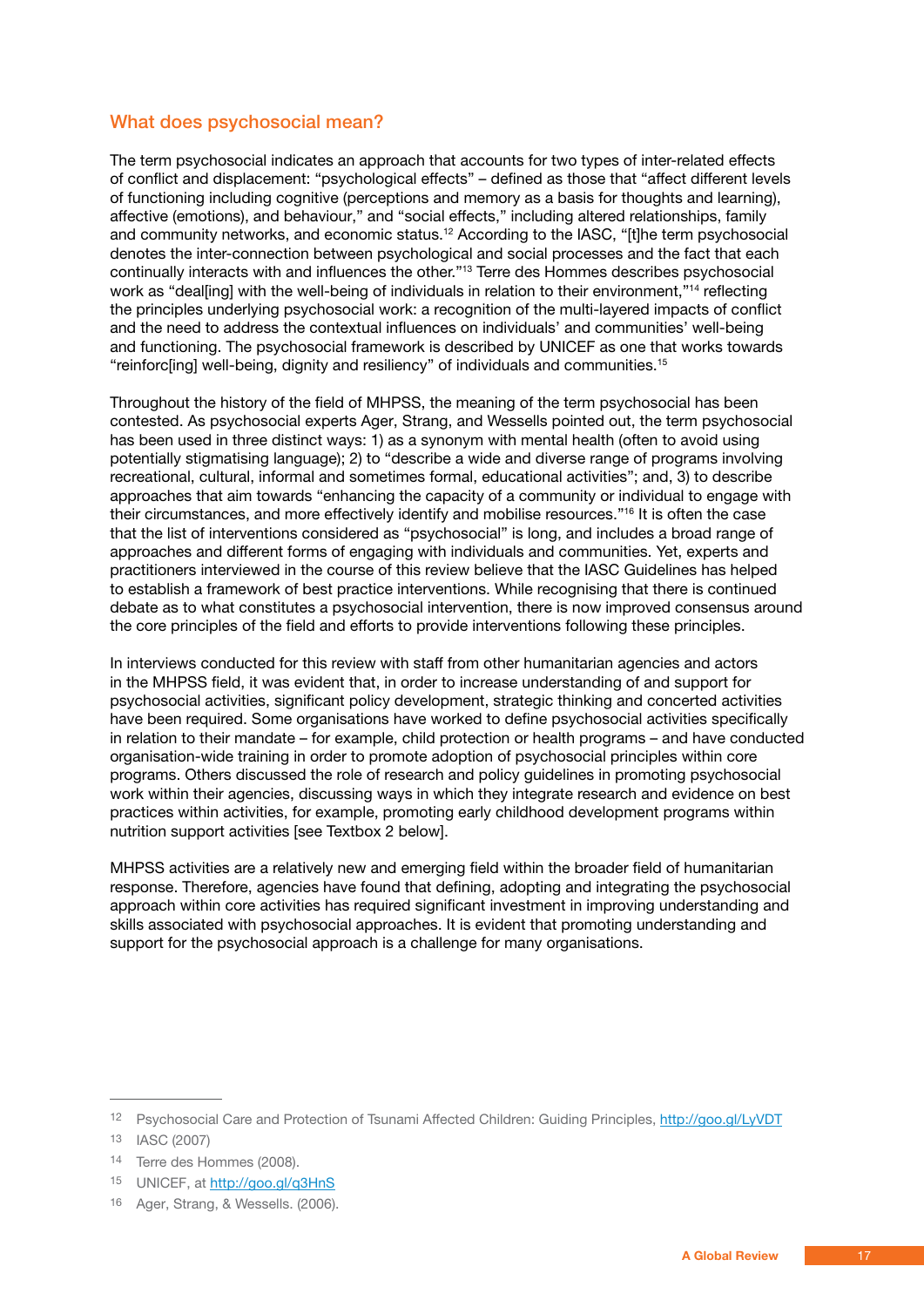#### <span id="page-16-0"></span>What does psychosocial mean?

The term psychosocial indicates an approach that accounts for two types of inter-related effects of conflict and displacement: "psychological effects" – defined as those that "affect different levels of functioning including cognitive (perceptions and memory as a basis for thoughts and learning), affective (emotions), and behaviour," and "social effects," including altered relationships, family and community networks, and economic status.<sup>12</sup> According to the IASC, "[t]he term psychosocial denotes the inter-connection between psychological and social processes and the fact that each continually interacts with and influences the other."13 Terre des Hommes describes psychosocial work as "deal[ing] with the well-being of individuals in relation to their environment,"<sup>14</sup> reflecting the principles underlying psychosocial work: a recognition of the multi-layered impacts of conflict and the need to address the contextual influences on individuals' and communities' well-being and functioning. The psychosocial framework is described by UNICEF as one that works towards "reinforc[ing] well-being, dignity and resiliency" of individuals and communities.15

Throughout the history of the field of MHPSS, the meaning of the term psychosocial has been contested. As psychosocial experts Ager, Strang, and Wessells pointed out, the term psychosocial has been used in three distinct ways: 1) as a synonym with mental health (often to avoid using potentially stigmatising language); 2) to "describe a wide and diverse range of programs involving recreational, cultural, informal and sometimes formal, educational activities"; and, 3) to describe approaches that aim towards "enhancing the capacity of a community or individual to engage with their circumstances, and more effectively identify and mobilise resources."16 It is often the case that the list of interventions considered as "psychosocial" is long, and includes a broad range of approaches and different forms of engaging with individuals and communities. Yet, experts and practitioners interviewed in the course of this review believe that the IASC Guidelines has helped to establish a framework of best practice interventions. While recognising that there is continued debate as to what constitutes a psychosocial intervention, there is now improved consensus around the core principles of the field and efforts to provide interventions following these principles.

In interviews conducted for this review with staff from other humanitarian agencies and actors in the MHPSS field, it was evident that, in order to increase understanding of and support for psychosocial activities, significant policy development, strategic thinking and concerted activities have been required. Some organisations have worked to define psychosocial activities specifically in relation to their mandate – for example, child protection or health programs – and have conducted organisation-wide training in order to promote adoption of psychosocial principles within core programs. Others discussed the role of research and policy guidelines in promoting psychosocial work within their agencies, discussing ways in which they integrate research and evidence on best practices within activities, for example, promoting early childhood development programs within nutrition support activities [see Textbox 2 below].

MHPSS activities are a relatively new and emerging field within the broader field of humanitarian response. Therefore, agencies have found that defining, adopting and integrating the psychosocial approach within core activities has required significant investment in improving understanding and skills associated with psychosocial approaches. It is evident that promoting understanding and support for the psychosocial approach is a challenge for many organisations.

<sup>12</sup> Psychosocial Care and Protection of Tsunami Affected Children: Guiding Principles, http://goo.gl/LyVDT

<sup>13</sup> IASC (2007)

<sup>14</sup> Terre des Hommes (2008).

<sup>15</sup> UNICEF, at http://goo.gl/q3HnS

<sup>16</sup> Ager, Strang, & Wessells. (2006).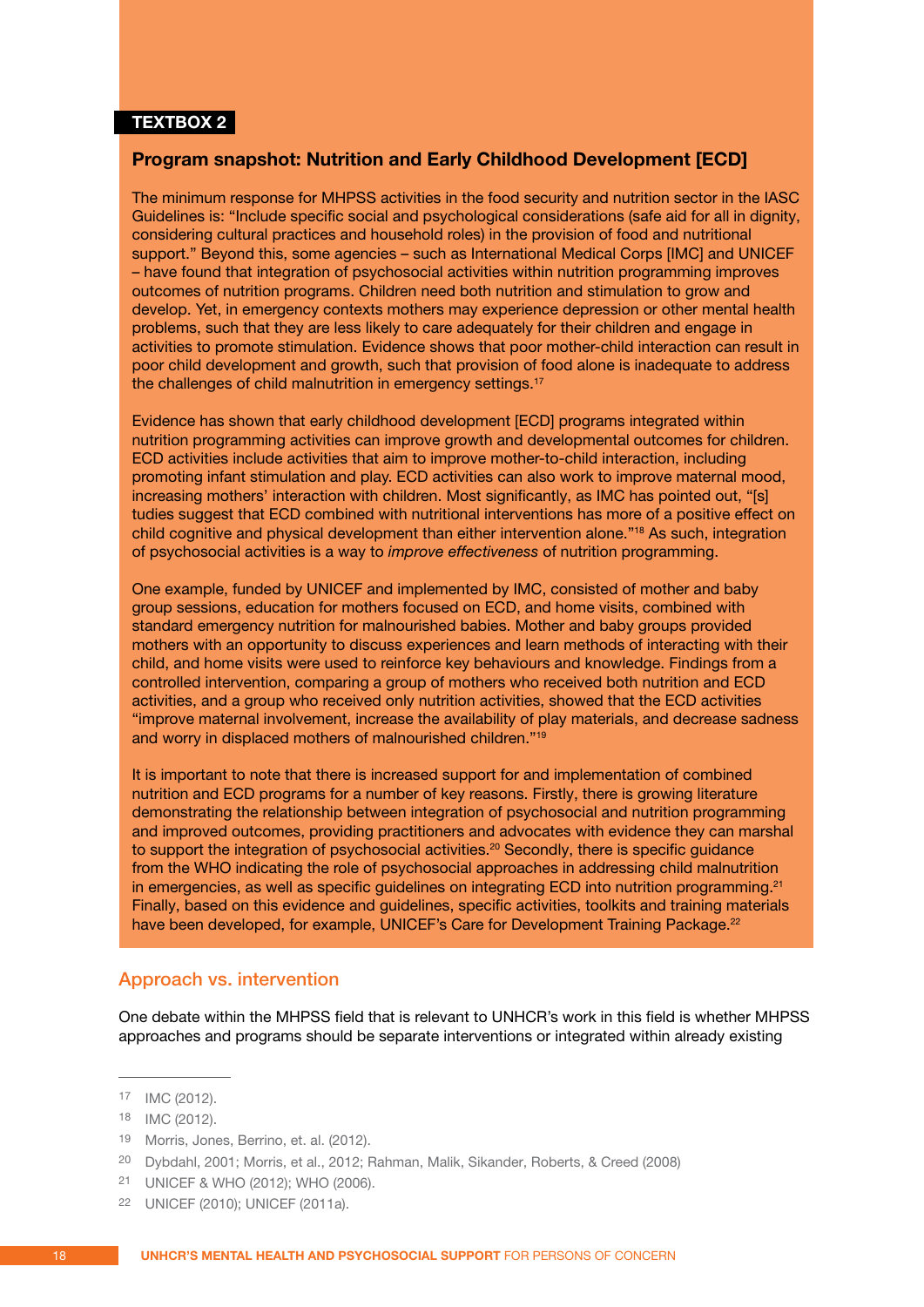#### <span id="page-17-0"></span>**TEXTBOX 2**

#### **Program snapshot: Nutrition and Early Childhood Development [ECD]**

The minimum response for MHPSS activities in the food security and nutrition sector in the IASC Guidelines is: "Include specific social and psychological considerations (safe aid for all in dignity, considering cultural practices and household roles) in the provision of food and nutritional support." Beyond this, some agencies – such as International Medical Corps [IMC] and UNICEF – have found that integration of psychosocial activities within nutrition programming improves outcomes of nutrition programs. Children need both nutrition and stimulation to grow and develop. Yet, in emergency contexts mothers may experience depression or other mental health problems, such that they are less likely to care adequately for their children and engage in activities to promote stimulation. Evidence shows that poor mother-child interaction can result in poor child development and growth, such that provision of food alone is inadequate to address the challenges of child malnutrition in emergency settings.<sup>17</sup>

Evidence has shown that early childhood development [ECD] programs integrated within nutrition programming activities can improve growth and developmental outcomes for children. ECD activities include activities that aim to improve mother-to-child interaction, including promoting infant stimulation and play. ECD activities can also work to improve maternal mood, increasing mothers' interaction with children. Most significantly, as IMC has pointed out, "[s] tudies suggest that ECD combined with nutritional interventions has more of a positive effect on child cognitive and physical development than either intervention alone."18 As such, integration of psychosocial activities is a way to *improve effectiveness* of nutrition programming.

One example, funded by UNICEF and implemented by IMC, consisted of mother and baby group sessions, education for mothers focused on ECD, and home visits, combined with standard emergency nutrition for malnourished babies. Mother and baby groups provided mothers with an opportunity to discuss experiences and learn methods of interacting with their child, and home visits were used to reinforce key behaviours and knowledge. Findings from a controlled intervention, comparing a group of mothers who received both nutrition and ECD activities, and a group who received only nutrition activities, showed that the ECD activities "improve maternal involvement, increase the availability of play materials, and decrease sadness and worry in displaced mothers of malnourished children."19

It is important to note that there is increased support for and implementation of combined nutrition and ECD programs for a number of key reasons. Firstly, there is growing literature demonstrating the relationship between integration of psychosocial and nutrition programming and improved outcomes, providing practitioners and advocates with evidence they can marshal to support the integration of psychosocial activities.<sup>20</sup> Secondly, there is specific guidance from the WHO indicating the role of psychosocial approaches in addressing child malnutrition in emergencies, as well as specific guidelines on integrating ECD into nutrition programming.<sup>21</sup> Finally, based on this evidence and guidelines, specific activities, toolkits and training materials have been developed, for example, UNICEF's Care for Development Training Package.<sup>22</sup>

#### Approach vs. intervention

One debate within the MHPSS field that is relevant to UNHCR's work in this field is whether MHPSS approaches and programs should be separate interventions or integrated within already existing

<sup>17</sup> IMC (2012).

<sup>18</sup> IMC (2012).

<sup>19</sup> Morris, Jones, Berrino, et. al. (2012).

<sup>20</sup> Dybdahl, 2001; Morris, et al., 2012; Rahman, Malik, Sikander, Roberts, & Creed (2008)

<sup>21</sup> UNICEF & WHO (2012); WHO (2006).

<sup>22</sup> UNICEF (2010); UNICEF (2011a).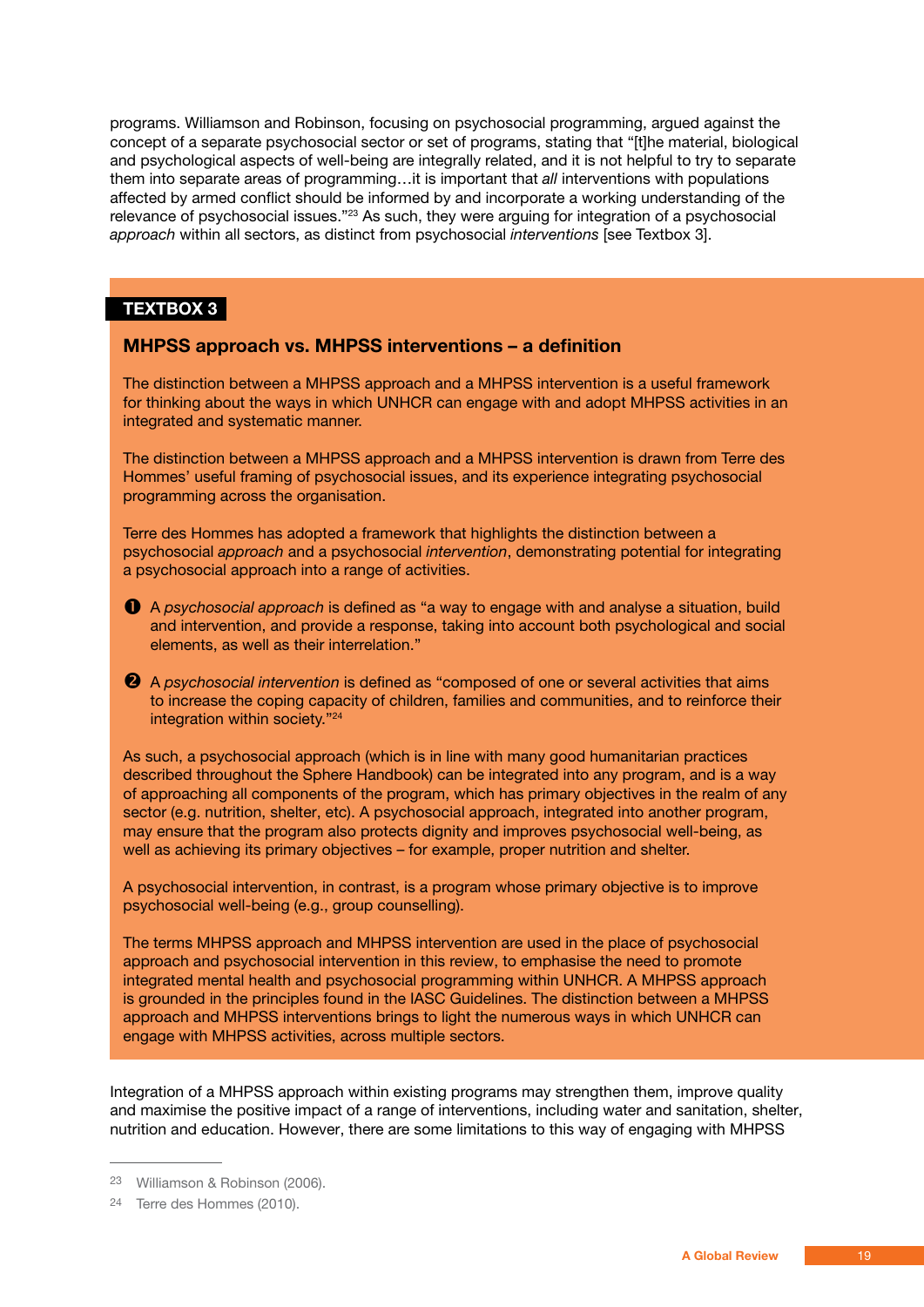programs. Williamson and Robinson, focusing on psychosocial programming, argued against the concept of a separate psychosocial sector or set of programs, stating that "[t]he material, biological and psychological aspects of well-being are integrally related, and it is not helpful to try to separate them into separate areas of programming…it is important that *all* interventions with populations affected by armed conflict should be informed by and incorporate a working understanding of the relevance of psychosocial issues."23 As such, they were arguing for integration of a psychosocial *approach* within all sectors, as distinct from psychosocial *interventions* [see Textbox 3].

#### **TEXTBOX 3**

#### **MHPSS approach vs. MHPSS interventions – a definition**

The distinction between a MHPSS approach and a MHPSS intervention is a useful framework for thinking about the ways in which UNHCR can engage with and adopt MHPSS activities in an integrated and systematic manner.

The distinction between a MHPSS approach and a MHPSS intervention is drawn from Terre des Hommes' useful framing of psychosocial issues, and its experience integrating psychosocial programming across the organisation.

Terre des Hommes has adopted a framework that highlights the distinction between a psychosocial *approach* and a psychosocial *intervention*, demonstrating potential for integrating a psychosocial approach into a range of activities.

- A *psychosocial approach* is defined as "a way to engage with and analyse a situation, build and intervention, and provide a response, taking into account both psychological and social elements, as well as their interrelation."
- A *psychosocial intervention* is defined as "composed of one or several activities that aims to increase the coping capacity of children, families and communities, and to reinforce their integration within society."24

As such, a psychosocial approach (which is in line with many good humanitarian practices described throughout the Sphere Handbook) can be integrated into any program, and is a way of approaching all components of the program, which has primary objectives in the realm of any sector (e.g. nutrition, shelter, etc). A psychosocial approach, integrated into another program, may ensure that the program also protects dignity and improves psychosocial well-being, as well as achieving its primary objectives – for example, proper nutrition and shelter.

A psychosocial intervention, in contrast, is a program whose primary objective is to improve psychosocial well-being (e.g., group counselling).

The terms MHPSS approach and MHPSS intervention are used in the place of psychosocial approach and psychosocial intervention in this review, to emphasise the need to promote integrated mental health and psychosocial programming within UNHCR. A MHPSS approach is grounded in the principles found in the IASC Guidelines. The distinction between a MHPSS approach and MHPSS interventions brings to light the numerous ways in which UNHCR can engage with MHPSS activities, across multiple sectors.

Integration of a MHPSS approach within existing programs may strengthen them, improve quality and maximise the positive impact of a range of interventions, including water and sanitation, shelter, nutrition and education. However, there are some limitations to this way of engaging with MHPSS

<sup>23</sup> Williamson & Robinson (2006).

<sup>24</sup> Terre des Hommes (2010).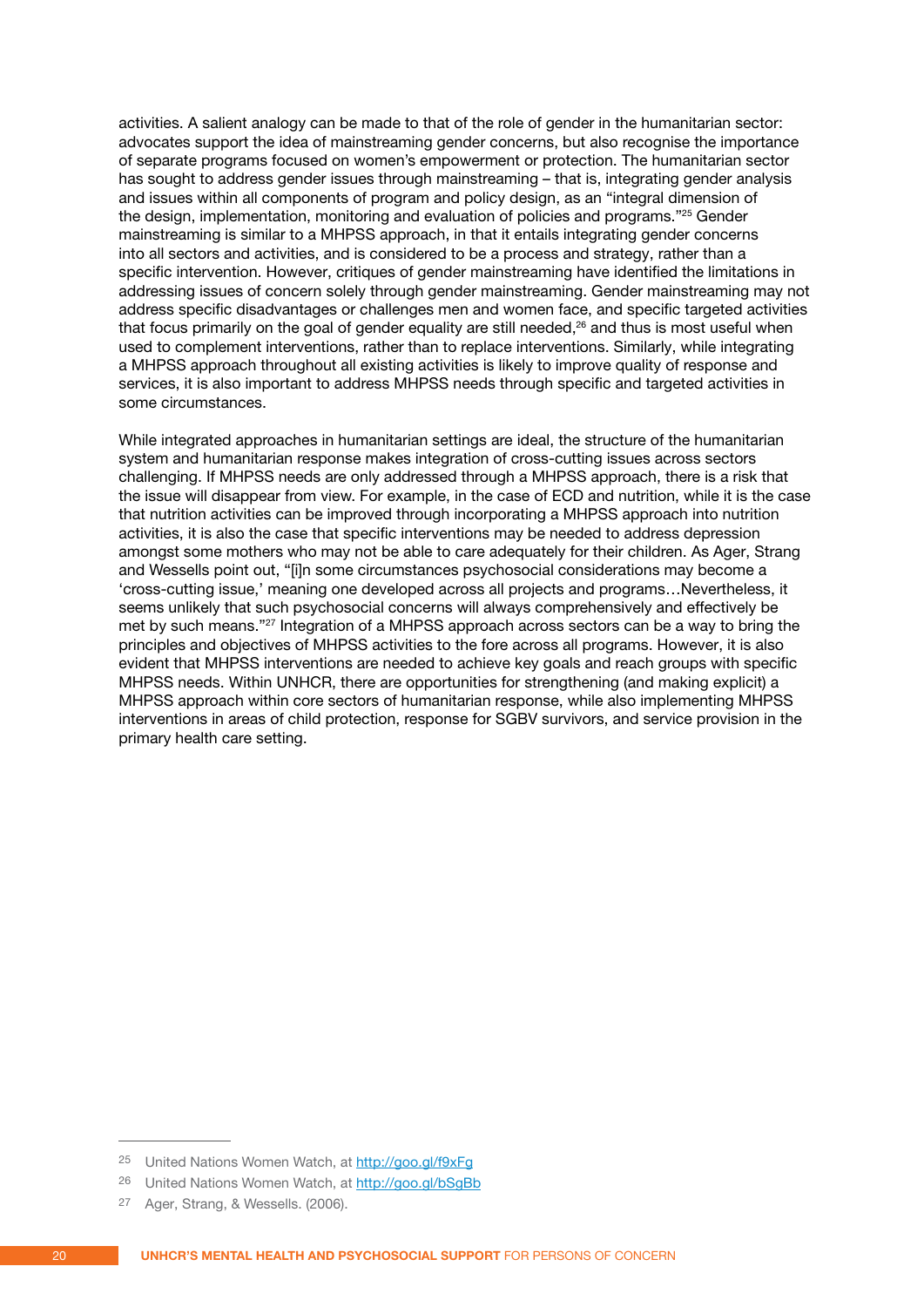activities. A salient analogy can be made to that of the role of gender in the humanitarian sector: advocates support the idea of mainstreaming gender concerns, but also recognise the importance of separate programs focused on women's empowerment or protection. The humanitarian sector has sought to address gender issues through mainstreaming – that is, integrating gender analysis and issues within all components of program and policy design, as an "integral dimension of the design, implementation, monitoring and evaluation of policies and programs."25 Gender mainstreaming is similar to a MHPSS approach, in that it entails integrating gender concerns into all sectors and activities, and is considered to be a process and strategy, rather than a specific intervention. However, critiques of gender mainstreaming have identified the limitations in addressing issues of concern solely through gender mainstreaming. Gender mainstreaming may not address specific disadvantages or challenges men and women face, and specific targeted activities that focus primarily on the goal of gender equality are still needed,<sup>26</sup> and thus is most useful when used to complement interventions, rather than to replace interventions. Similarly, while integrating a MHPSS approach throughout all existing activities is likely to improve quality of response and services, it is also important to address MHPSS needs through specific and targeted activities in some circumstances.

While integrated approaches in humanitarian settings are ideal, the structure of the humanitarian system and humanitarian response makes integration of cross-cutting issues across sectors challenging. If MHPSS needs are only addressed through a MHPSS approach, there is a risk that the issue will disappear from view. For example, in the case of ECD and nutrition, while it is the case that nutrition activities can be improved through incorporating a MHPSS approach into nutrition activities, it is also the case that specific interventions may be needed to address depression amongst some mothers who may not be able to care adequately for their children. As Ager, Strang and Wessells point out, "[i]n some circumstances psychosocial considerations may become a 'cross-cutting issue,' meaning one developed across all projects and programs…Nevertheless, it seems unlikely that such psychosocial concerns will always comprehensively and effectively be met by such means."27 Integration of a MHPSS approach across sectors can be a way to bring the principles and objectives of MHPSS activities to the fore across all programs. However, it is also evident that MHPSS interventions are needed to achieve key goals and reach groups with specific MHPSS needs. Within UNHCR, there are opportunities for strengthening (and making explicit) a MHPSS approach within core sectors of humanitarian response, while also implementing MHPSS interventions in areas of child protection, response for SGBV survivors, and service provision in the primary health care setting.

<sup>25</sup> United Nations Women Watch, at http://goo.gl/f9xFg

<sup>26</sup> United Nations Women Watch, at http://goo.gl/bSgBb

<sup>27</sup> Ager, Strang, & Wessells. (2006).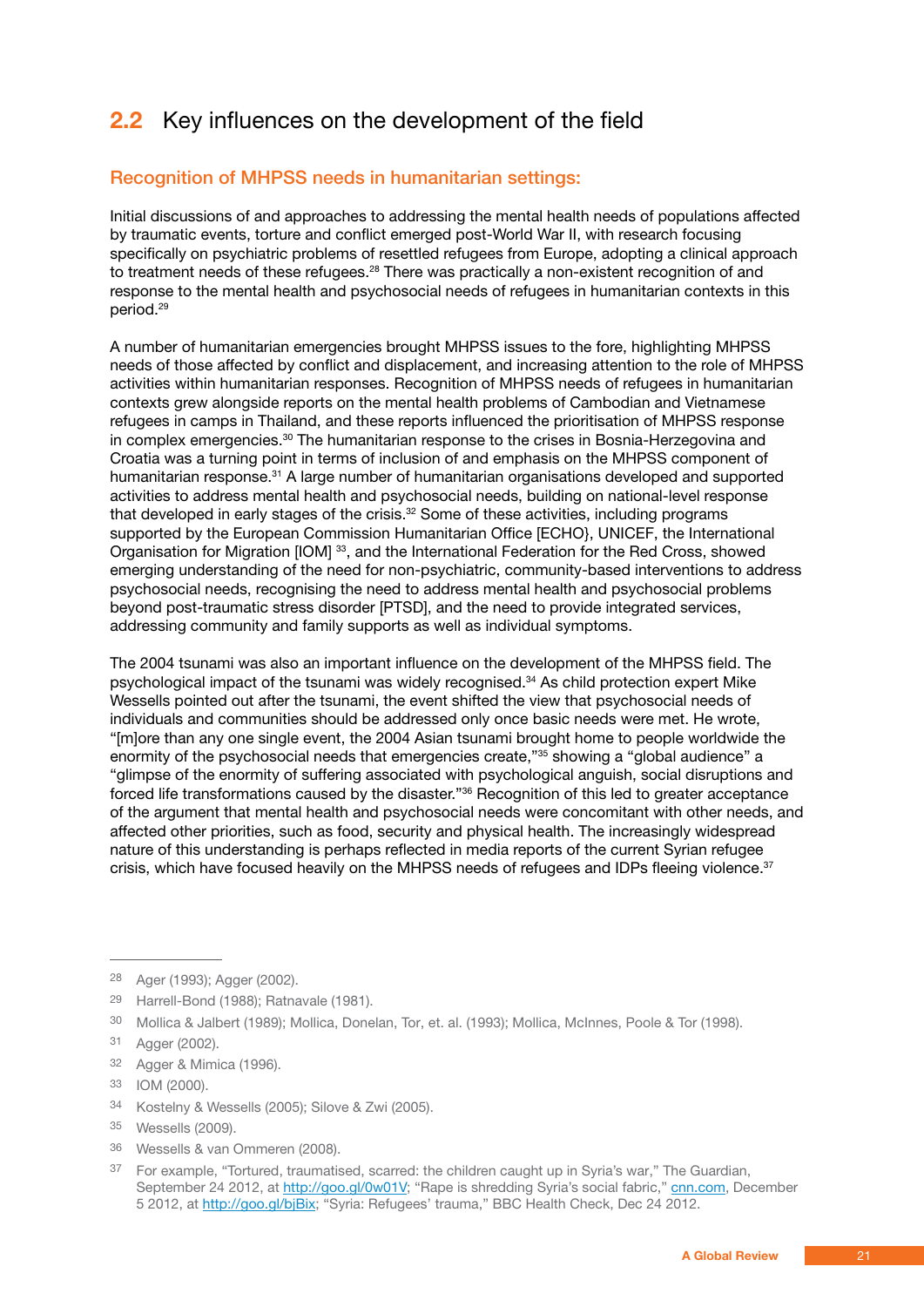#### <span id="page-20-0"></span>**2.2** Key influences on the development of the field

#### Recognition of MHPSS needs in humanitarian settings:

Initial discussions of and approaches to addressing the mental health needs of populations affected by traumatic events, torture and conflict emerged post-World War II, with research focusing specifically on psychiatric problems of resettled refugees from Europe, adopting a clinical approach to treatment needs of these refugees.28 There was practically a non-existent recognition of and response to the mental health and psychosocial needs of refugees in humanitarian contexts in this period.29

A number of humanitarian emergencies brought MHPSS issues to the fore, highlighting MHPSS needs of those affected by conflict and displacement, and increasing attention to the role of MHPSS activities within humanitarian responses. Recognition of MHPSS needs of refugees in humanitarian contexts grew alongside reports on the mental health problems of Cambodian and Vietnamese refugees in camps in Thailand, and these reports influenced the prioritisation of MHPSS response in complex emergencies.30 The humanitarian response to the crises in Bosnia-Herzegovina and Croatia was a turning point in terms of inclusion of and emphasis on the MHPSS component of humanitarian response.<sup>31</sup> A large number of humanitarian organisations developed and supported activities to address mental health and psychosocial needs, building on national-level response that developed in early stages of the crisis.<sup>32</sup> Some of these activities, including programs supported by the European Commission Humanitarian Office [ECHO}, UNICEF, the International Organisation for Migration [IOM] 33, and the International Federation for the Red Cross, showed emerging understanding of the need for non-psychiatric, community-based interventions to address psychosocial needs, recognising the need to address mental health and psychosocial problems beyond post-traumatic stress disorder [PTSD], and the need to provide integrated services, addressing community and family supports as well as individual symptoms.

The 2004 tsunami was also an important influence on the development of the MHPSS field. The psychological impact of the tsunami was widely recognised.<sup>34</sup> As child protection expert Mike Wessells pointed out after the tsunami, the event shifted the view that psychosocial needs of individuals and communities should be addressed only once basic needs were met. He wrote, "[m]ore than any one single event, the 2004 Asian tsunami brought home to people worldwide the enormity of the psychosocial needs that emergencies create,"<sup>35</sup> showing a "global audience" a "glimpse of the enormity of suffering associated with psychological anguish, social disruptions and forced life transformations caused by the disaster."36 Recognition of this led to greater acceptance of the argument that mental health and psychosocial needs were concomitant with other needs, and affected other priorities, such as food, security and physical health. The increasingly widespread nature of this understanding is perhaps reflected in media reports of the current Syrian refugee crisis, which have focused heavily on the MHPSS needs of refugees and IDPs fleeing violence.<sup>37</sup>

30 Mollica & Jalbert (1989); Mollica, Donelan, Tor, et. al. (1993); Mollica, McInnes, Poole & Tor (1998).

34 Kostelny & Wessells (2005); Silove & Zwi (2005).

36 Wessells & van Ommeren (2008).

<sup>28</sup> Ager (1993); Agger (2002).

<sup>29</sup> Harrell-Bond (1988); Ratnavale (1981).

<sup>31</sup> Agger (2002).

<sup>32</sup> Agger & Mimica (1996).

<sup>33</sup> IOM (2000).

<sup>35</sup> Wessells (2009).

<sup>37</sup> For example, "Tortured, traumatised, scarred: the children caught up in Syria's war," The Guardian, September 24 2012, at http://goo.gl/0w01V; "Rape is shredding Syria's social fabric," cnn.com, December 5 2012, at http://goo.gl/bjBix; "Syria: Refugees' trauma," BBC Health Check, Dec 24 2012.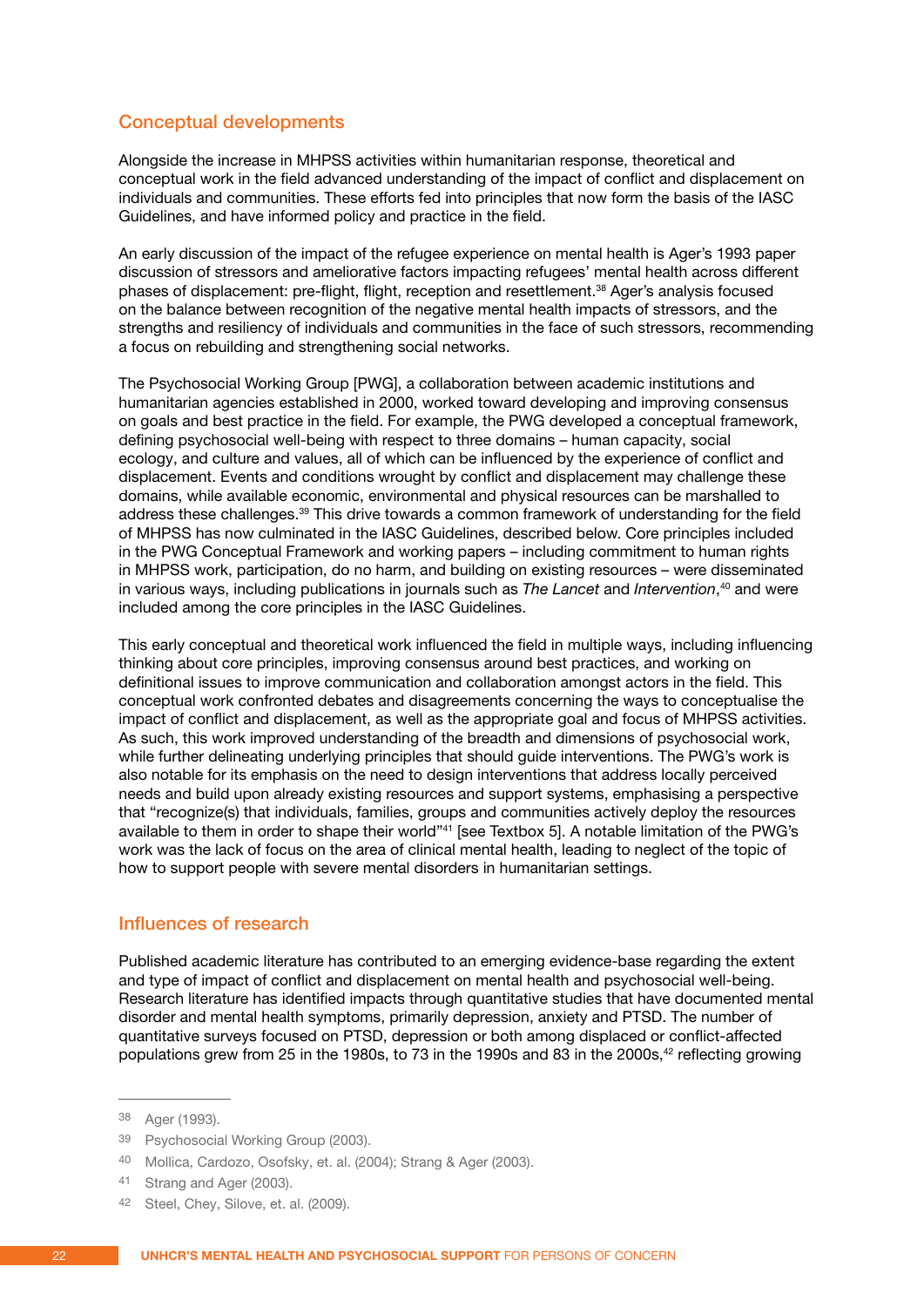#### <span id="page-21-0"></span>Conceptual developments

Alongside the increase in MHPSS activities within humanitarian response, theoretical and conceptual work in the field advanced understanding of the impact of conflict and displacement on individuals and communities. These efforts fed into principles that now form the basis of the IASC Guidelines, and have informed policy and practice in the field.

An early discussion of the impact of the refugee experience on mental health is Ager's 1993 paper discussion of stressors and ameliorative factors impacting refugees' mental health across different phases of displacement: pre-flight, flight, reception and resettlement.38 Ager's analysis focused on the balance between recognition of the negative mental health impacts of stressors, and the strengths and resiliency of individuals and communities in the face of such stressors, recommending a focus on rebuilding and strengthening social networks.

The Psychosocial Working Group [PWG], a collaboration between academic institutions and humanitarian agencies established in 2000, worked toward developing and improving consensus on goals and best practice in the field. For example, the PWG developed a conceptual framework, defining psychosocial well-being with respect to three domains – human capacity, social ecology, and culture and values, all of which can be influenced by the experience of conflict and displacement. Events and conditions wrought by conflict and displacement may challenge these domains, while available economic, environmental and physical resources can be marshalled to address these challenges.39 This drive towards a common framework of understanding for the field of MHPSS has now culminated in the IASC Guidelines, described below. Core principles included in the PWG Conceptual Framework and working papers – including commitment to human rights in MHPSS work, participation, do no harm, and building on existing resources – were disseminated in various ways, including publications in journals such as *The Lancet* and *Intervention*, <sup>40</sup> and were included among the core principles in the IASC Guidelines.

This early conceptual and theoretical work influenced the field in multiple ways, including influencing thinking about core principles, improving consensus around best practices, and working on definitional issues to improve communication and collaboration amongst actors in the field. This conceptual work confronted debates and disagreements concerning the ways to conceptualise the impact of conflict and displacement, as well as the appropriate goal and focus of MHPSS activities. As such, this work improved understanding of the breadth and dimensions of psychosocial work, while further delineating underlying principles that should guide interventions. The PWG's work is also notable for its emphasis on the need to design interventions that address locally perceived needs and build upon already existing resources and support systems, emphasising a perspective that "recognize(s) that individuals, families, groups and communities actively deploy the resources available to them in order to shape their world"41 [see Textbox 5]. A notable limitation of the PWG's work was the lack of focus on the area of clinical mental health, leading to neglect of the topic of how to support people with severe mental disorders in humanitarian settings.

#### Influences of research

Published academic literature has contributed to an emerging evidence-base regarding the extent and type of impact of conflict and displacement on mental health and psychosocial well-being. Research literature has identified impacts through quantitative studies that have documented mental disorder and mental health symptoms, primarily depression, anxiety and PTSD. The number of quantitative surveys focused on PTSD, depression or both among displaced or conflict-affected populations grew from 25 in the 1980s, to 73 in the 1990s and 83 in the 2000s,<sup>42</sup> reflecting growing

<sup>38</sup> Ager (1993).

<sup>39</sup> Psychosocial Working Group (2003).

<sup>40</sup> Mollica, Cardozo, Osofsky, et. al. (2004); Strang & Ager (2003).

<sup>41</sup> Strang and Ager (2003).

<sup>42</sup> Steel, Chey, Silove, et. al. (2009).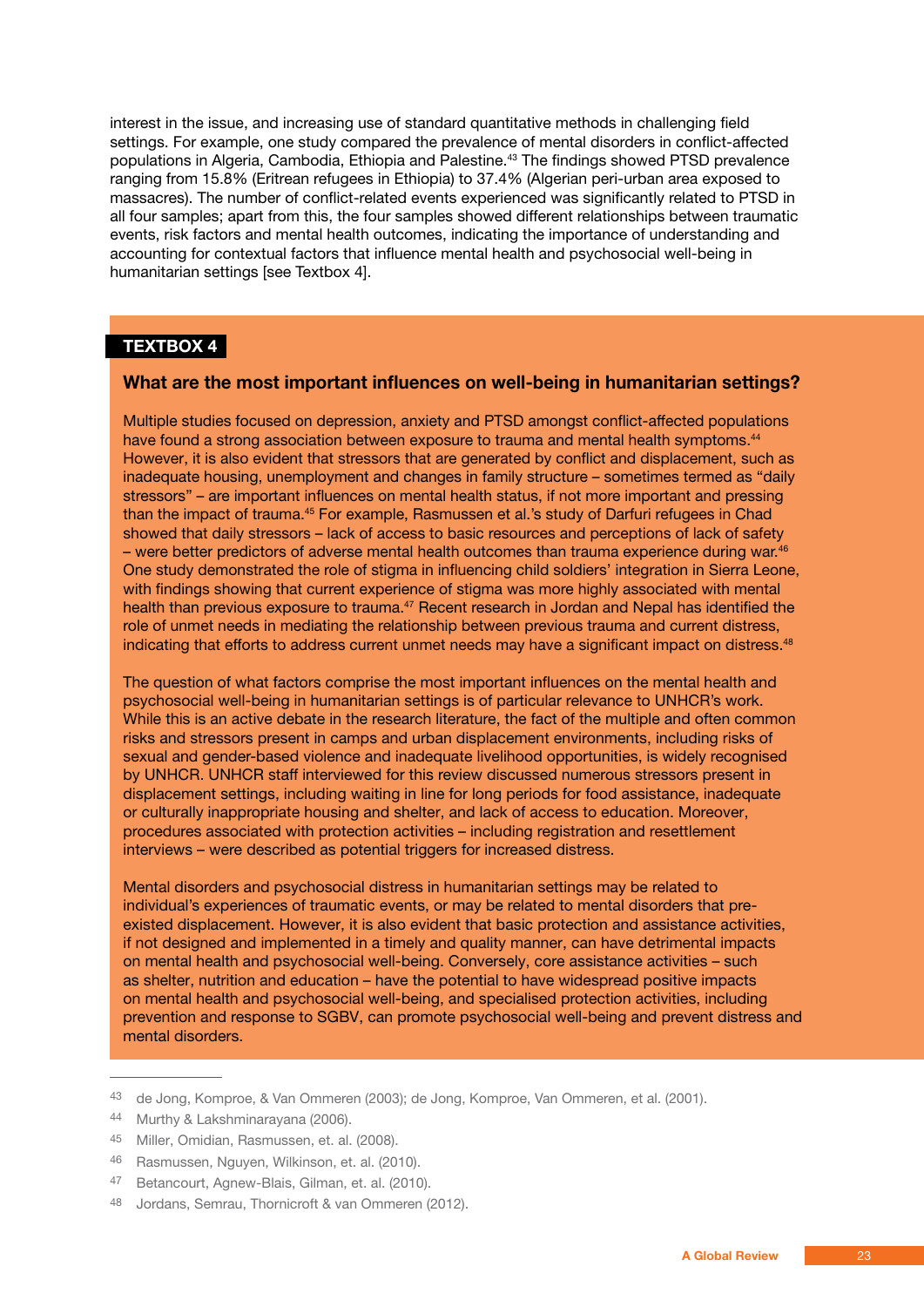interest in the issue, and increasing use of standard quantitative methods in challenging field settings. For example, one study compared the prevalence of mental disorders in conflict-affected populations in Algeria, Cambodia, Ethiopia and Palestine.43 The findings showed PTSD prevalence ranging from 15.8% (Eritrean refugees in Ethiopia) to 37.4% (Algerian peri-urban area exposed to massacres). The number of conflict-related events experienced was significantly related to PTSD in all four samples; apart from this, the four samples showed different relationships between traumatic events, risk factors and mental health outcomes, indicating the importance of understanding and accounting for contextual factors that influence mental health and psychosocial well-being in humanitarian settings [see Textbox 4].

#### **TEXTBOX 4**

#### **What are the most important influences on well-being in humanitarian settings?**

Multiple studies focused on depression, anxiety and PTSD amongst conflict-affected populations have found a strong association between exposure to trauma and mental health symptoms.<sup>44</sup> However, it is also evident that stressors that are generated by conflict and displacement, such as inadequate housing, unemployment and changes in family structure – sometimes termed as "daily stressors" – are important influences on mental health status, if not more important and pressing than the impact of trauma.45 For example, Rasmussen et al.'s study of Darfuri refugees in Chad showed that daily stressors – lack of access to basic resources and perceptions of lack of safety – were better predictors of adverse mental health outcomes than trauma experience during war.<sup>46</sup> One study demonstrated the role of stigma in influencing child soldiers' integration in Sierra Leone, with findings showing that current experience of stigma was more highly associated with mental health than previous exposure to trauma.<sup>47</sup> Recent research in Jordan and Nepal has identified the role of unmet needs in mediating the relationship between previous trauma and current distress, indicating that efforts to address current unmet needs may have a significant impact on distress.<sup>48</sup>

The question of what factors comprise the most important influences on the mental health and psychosocial well-being in humanitarian settings is of particular relevance to UNHCR's work. While this is an active debate in the research literature, the fact of the multiple and often common risks and stressors present in camps and urban displacement environments, including risks of sexual and gender-based violence and inadequate livelihood opportunities, is widely recognised by UNHCR. UNHCR staff interviewed for this review discussed numerous stressors present in displacement settings, including waiting in line for long periods for food assistance, inadequate or culturally inappropriate housing and shelter, and lack of access to education. Moreover, procedures associated with protection activities – including registration and resettlement interviews – were described as potential triggers for increased distress.

Mental disorders and psychosocial distress in humanitarian settings may be related to individual's experiences of traumatic events, or may be related to mental disorders that preexisted displacement. However, it is also evident that basic protection and assistance activities, if not designed and implemented in a timely and quality manner, can have detrimental impacts on mental health and psychosocial well-being. Conversely, core assistance activities – such as shelter, nutrition and education – have the potential to have widespread positive impacts on mental health and psychosocial well-being, and specialised protection activities, including prevention and response to SGBV, can promote psychosocial well-being and prevent distress and mental disorders.

<sup>43</sup> de Jong, Komproe, & Van Ommeren (2003); de Jong, Komproe, Van Ommeren, et al. (2001).

<sup>44</sup> Murthy & Lakshminarayana (2006).

<sup>45</sup> Miller, Omidian, Rasmussen, et. al. (2008).

<sup>46</sup> Rasmussen, Nguyen, Wilkinson, et. al. (2010).

<sup>47</sup> Betancourt, Agnew-Blais, Gilman, et. al. (2010).

<sup>48</sup> Jordans, Semrau, Thornicroft & van Ommeren (2012).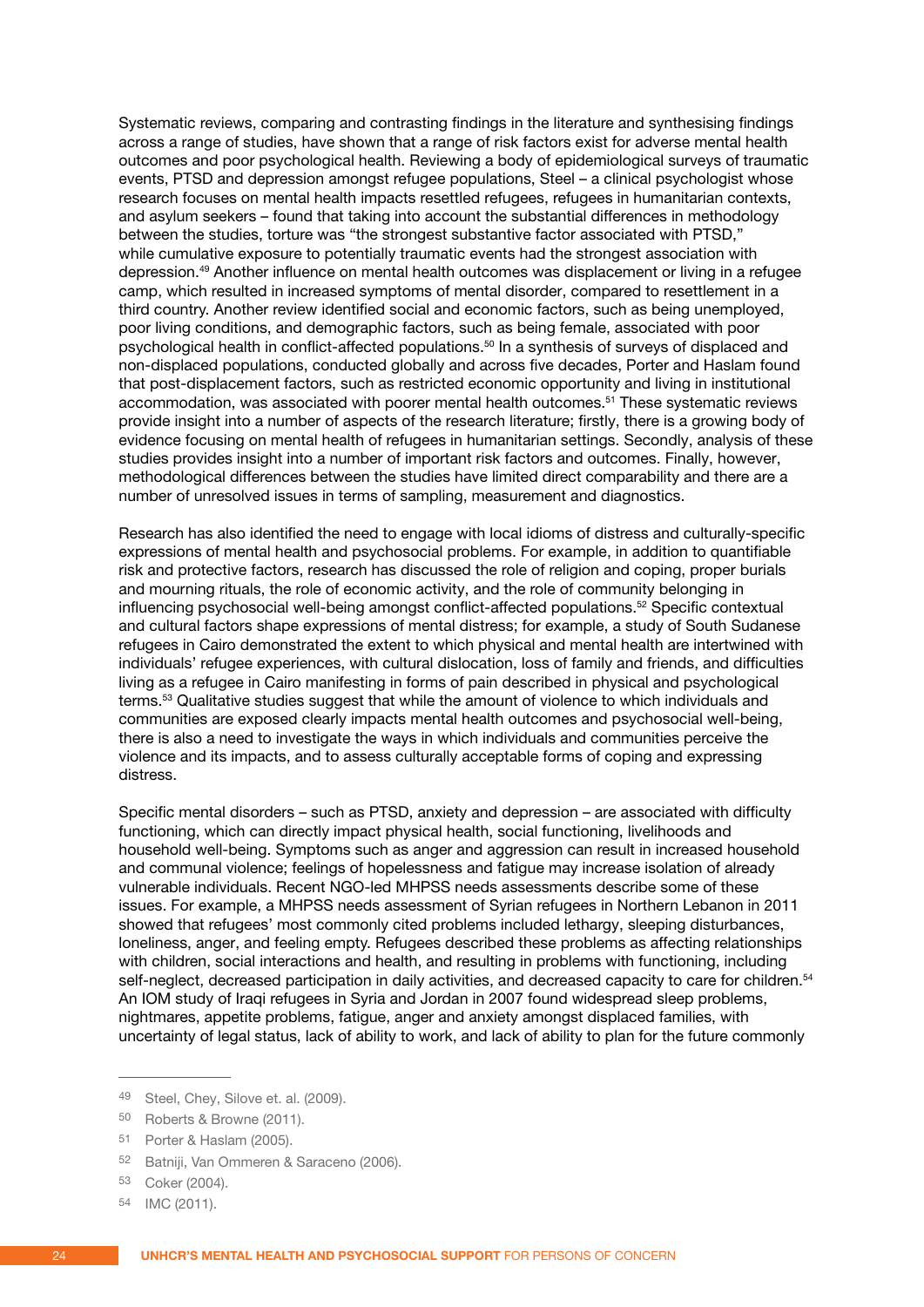Systematic reviews, comparing and contrasting findings in the literature and synthesising findings across a range of studies, have shown that a range of risk factors exist for adverse mental health outcomes and poor psychological health. Reviewing a body of epidemiological surveys of traumatic events, PTSD and depression amongst refugee populations, Steel – a clinical psychologist whose research focuses on mental health impacts resettled refugees, refugees in humanitarian contexts, and asylum seekers – found that taking into account the substantial differences in methodology between the studies, torture was "the strongest substantive factor associated with PTSD," while cumulative exposure to potentially traumatic events had the strongest association with depression.49 Another influence on mental health outcomes was displacement or living in a refugee camp, which resulted in increased symptoms of mental disorder, compared to resettlement in a third country. Another review identified social and economic factors, such as being unemployed, poor living conditions, and demographic factors, such as being female, associated with poor psychological health in conflict-affected populations.<sup>50</sup> In a synthesis of surveys of displaced and non-displaced populations, conducted globally and across five decades, Porter and Haslam found that post-displacement factors, such as restricted economic opportunity and living in institutional accommodation, was associated with poorer mental health outcomes.51 These systematic reviews provide insight into a number of aspects of the research literature; firstly, there is a growing body of evidence focusing on mental health of refugees in humanitarian settings. Secondly, analysis of these studies provides insight into a number of important risk factors and outcomes. Finally, however, methodological differences between the studies have limited direct comparability and there are a number of unresolved issues in terms of sampling, measurement and diagnostics.

Research has also identified the need to engage with local idioms of distress and culturally-specific expressions of mental health and psychosocial problems. For example, in addition to quantifiable risk and protective factors, research has discussed the role of religion and coping, proper burials and mourning rituals, the role of economic activity, and the role of community belonging in influencing psychosocial well-being amongst conflict-affected populations.52 Specific contextual and cultural factors shape expressions of mental distress; for example, a study of South Sudanese refugees in Cairo demonstrated the extent to which physical and mental health are intertwined with individuals' refugee experiences, with cultural dislocation, loss of family and friends, and difficulties living as a refugee in Cairo manifesting in forms of pain described in physical and psychological terms.53 Qualitative studies suggest that while the amount of violence to which individuals and communities are exposed clearly impacts mental health outcomes and psychosocial well-being, there is also a need to investigate the ways in which individuals and communities perceive the violence and its impacts, and to assess culturally acceptable forms of coping and expressing distress.

Specific mental disorders – such as PTSD, anxiety and depression – are associated with difficulty functioning, which can directly impact physical health, social functioning, livelihoods and household well-being. Symptoms such as anger and aggression can result in increased household and communal violence; feelings of hopelessness and fatigue may increase isolation of already vulnerable individuals. Recent NGO-led MHPSS needs assessments describe some of these issues. For example, a MHPSS needs assessment of Syrian refugees in Northern Lebanon in 2011 showed that refugees' most commonly cited problems included lethargy, sleeping disturbances, loneliness, anger, and feeling empty. Refugees described these problems as affecting relationships with children, social interactions and health, and resulting in problems with functioning, including self-neglect, decreased participation in daily activities, and decreased capacity to care for children.<sup>54</sup> An IOM study of Iraqi refugees in Syria and Jordan in 2007 found widespread sleep problems, nightmares, appetite problems, fatigue, anger and anxiety amongst displaced families, with uncertainty of legal status, lack of ability to work, and lack of ability to plan for the future commonly

<sup>49</sup> Steel, Chey, Silove et. al. (2009).

<sup>50</sup> Roberts & Browne (2011).

<sup>51</sup> Porter & Haslam (2005).

<sup>52</sup> Batniji, Van Ommeren & Saraceno (2006).

<sup>53</sup> Coker (2004).

<sup>54</sup> IMC (2011).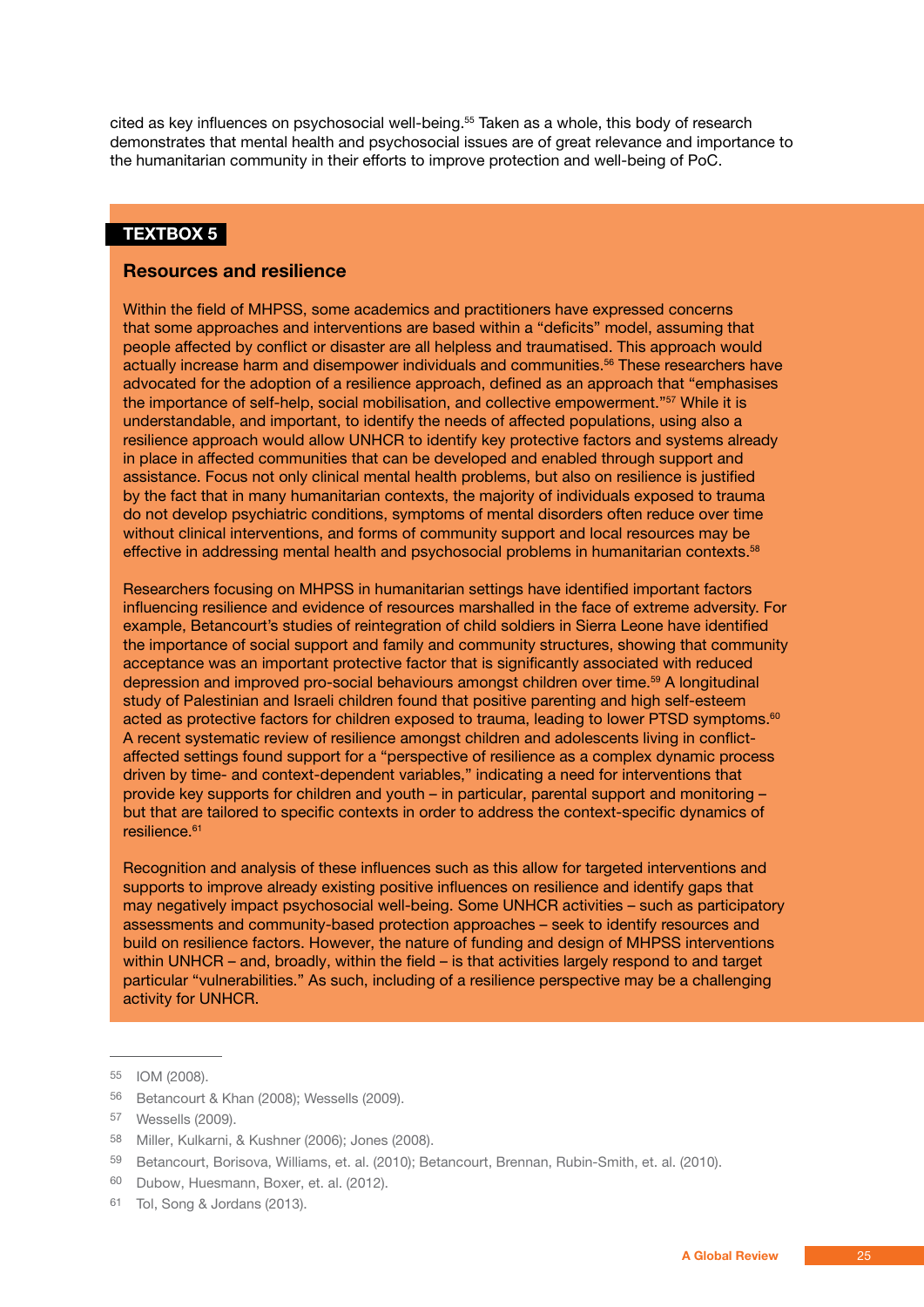cited as key influences on psychosocial well-being.55 Taken as a whole, this body of research demonstrates that mental health and psychosocial issues are of great relevance and importance to the humanitarian community in their efforts to improve protection and well-being of PoC.

#### **TEXTBOX 5**

#### **Resources and resilience**

Within the field of MHPSS, some academics and practitioners have expressed concerns that some approaches and interventions are based within a "deficits" model, assuming that people affected by conflict or disaster are all helpless and traumatised. This approach would actually increase harm and disempower individuals and communities.<sup>56</sup> These researchers have advocated for the adoption of a resilience approach, defined as an approach that "emphasises the importance of self-help, social mobilisation, and collective empowerment."57 While it is understandable, and important, to identify the needs of affected populations, using also a resilience approach would allow UNHCR to identify key protective factors and systems already in place in affected communities that can be developed and enabled through support and assistance. Focus not only clinical mental health problems, but also on resilience is justified by the fact that in many humanitarian contexts, the majority of individuals exposed to trauma do not develop psychiatric conditions, symptoms of mental disorders often reduce over time without clinical interventions, and forms of community support and local resources may be effective in addressing mental health and psychosocial problems in humanitarian contexts.<sup>58</sup>

Researchers focusing on MHPSS in humanitarian settings have identified important factors influencing resilience and evidence of resources marshalled in the face of extreme adversity. For example, Betancourt's studies of reintegration of child soldiers in Sierra Leone have identified the importance of social support and family and community structures, showing that community acceptance was an important protective factor that is significantly associated with reduced depression and improved pro-social behaviours amongst children over time.<sup>59</sup> A longitudinal study of Palestinian and Israeli children found that positive parenting and high self-esteem acted as protective factors for children exposed to trauma, leading to lower PTSD symptoms.<sup>60</sup> A recent systematic review of resilience amongst children and adolescents living in conflictaffected settings found support for a "perspective of resilience as a complex dynamic process driven by time- and context-dependent variables," indicating a need for interventions that provide key supports for children and youth – in particular, parental support and monitoring – but that are tailored to specific contexts in order to address the context-specific dynamics of resilience.<sup>61</sup>

Recognition and analysis of these influences such as this allow for targeted interventions and supports to improve already existing positive influences on resilience and identify gaps that may negatively impact psychosocial well-being. Some UNHCR activities – such as participatory assessments and community-based protection approaches – seek to identify resources and build on resilience factors. However, the nature of funding and design of MHPSS interventions within UNHCR – and, broadly, within the field – is that activities largely respond to and target particular "vulnerabilities." As such, including of a resilience perspective may be a challenging activity for UNHCR.

<sup>55</sup> IOM (2008).

<sup>56</sup> Betancourt & Khan (2008); Wessells (2009).

<sup>57</sup> Wessells (2009).

<sup>58</sup> Miller, Kulkarni, & Kushner (2006); Jones (2008).

<sup>59</sup> Betancourt, Borisova, Williams, et. al. (2010); Betancourt, Brennan, Rubin-Smith, et. al. (2010).

<sup>60</sup> Dubow, Huesmann, Boxer, et. al. (2012).

<sup>61</sup> Tol, Song & Jordans (2013).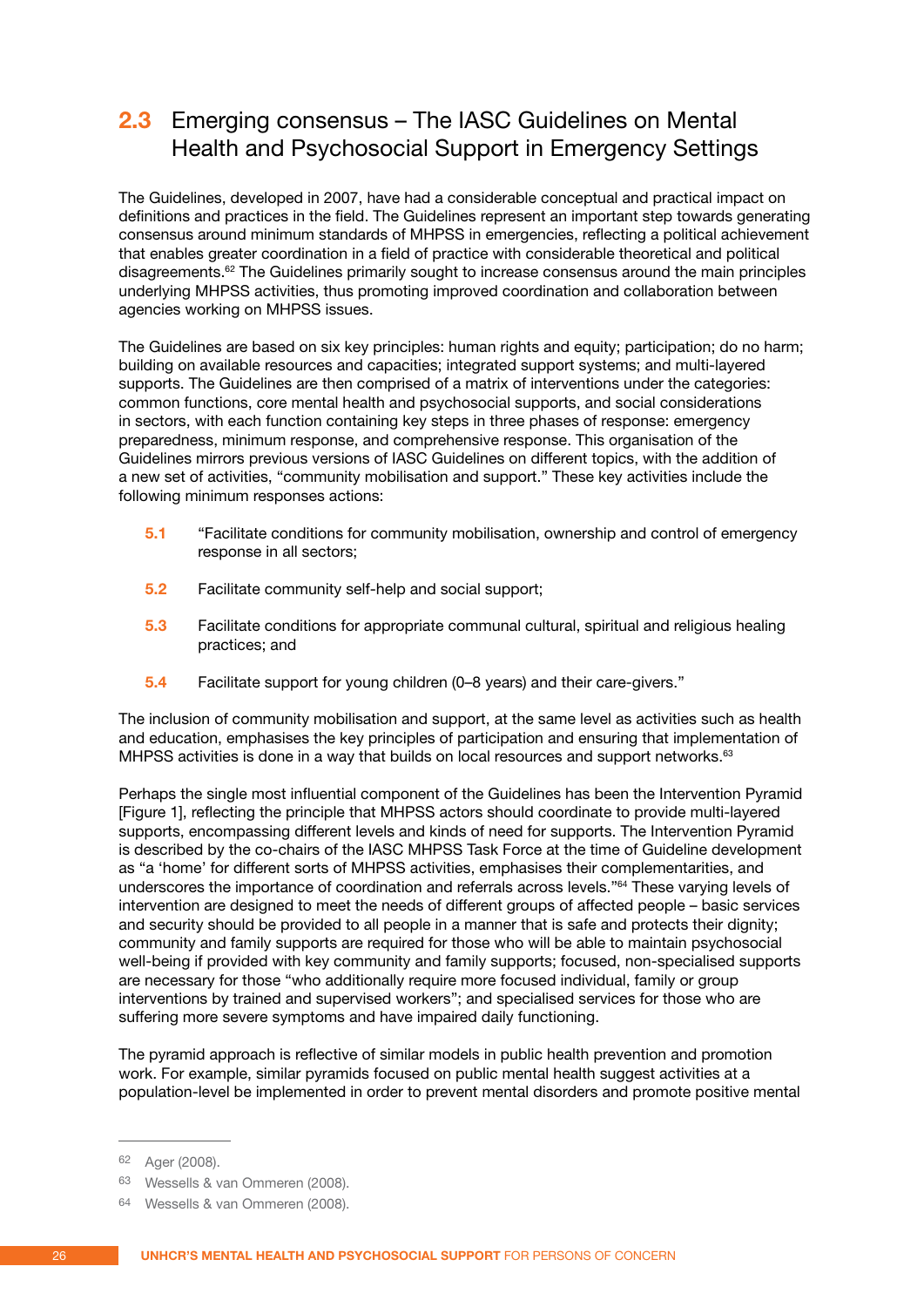#### <span id="page-25-0"></span>**2.3** Emerging consensus – The IASC Guidelines on Mental Health and Psychosocial Support in Emergency Settings

The Guidelines, developed in 2007, have had a considerable conceptual and practical impact on definitions and practices in the field. The Guidelines represent an important step towards generating consensus around minimum standards of MHPSS in emergencies, reflecting a political achievement that enables greater coordination in a field of practice with considerable theoretical and political disagreements.<sup>62</sup> The Guidelines primarily sought to increase consensus around the main principles underlying MHPSS activities, thus promoting improved coordination and collaboration between agencies working on MHPSS issues.

The Guidelines are based on six key principles: human rights and equity; participation; do no harm; building on available resources and capacities; integrated support systems; and multi-layered supports. The Guidelines are then comprised of a matrix of interventions under the categories: common functions, core mental health and psychosocial supports, and social considerations in sectors, with each function containing key steps in three phases of response: emergency preparedness, minimum response, and comprehensive response. This organisation of the Guidelines mirrors previous versions of IASC Guidelines on different topics, with the addition of a new set of activities, "community mobilisation and support." These key activities include the following minimum responses actions:

- **5.1** "Facilitate conditions for community mobilisation, ownership and control of emergency response in all sectors;
- **5.2** Facilitate community self-help and social support;
- **5.3** Facilitate conditions for appropriate communal cultural, spiritual and religious healing practices; and
- **5.4** Facilitate support for young children (0–8 years) and their care-givers."

The inclusion of community mobilisation and support, at the same level as activities such as health and education, emphasises the key principles of participation and ensuring that implementation of MHPSS activities is done in a way that builds on local resources and support networks.<sup>63</sup>

Perhaps the single most influential component of the Guidelines has been the Intervention Pyramid [Figure 1], reflecting the principle that MHPSS actors should coordinate to provide multi-layered supports, encompassing different levels and kinds of need for supports. The Intervention Pyramid is described by the co-chairs of the IASC MHPSS Task Force at the time of Guideline development as "a 'home' for different sorts of MHPSS activities, emphasises their complementarities, and underscores the importance of coordination and referrals across levels."64 These varying levels of intervention are designed to meet the needs of different groups of affected people – basic services and security should be provided to all people in a manner that is safe and protects their dignity; community and family supports are required for those who will be able to maintain psychosocial well-being if provided with key community and family supports; focused, non-specialised supports are necessary for those "who additionally require more focused individual, family or group interventions by trained and supervised workers"; and specialised services for those who are suffering more severe symptoms and have impaired daily functioning.

The pyramid approach is reflective of similar models in public health prevention and promotion work. For example, similar pyramids focused on public mental health suggest activities at a population-level be implemented in order to prevent mental disorders and promote positive mental

<sup>62</sup> Ager (2008).

<sup>63</sup> Wessells & van Ommeren (2008).

<sup>64</sup> Wessells & van Ommeren (2008).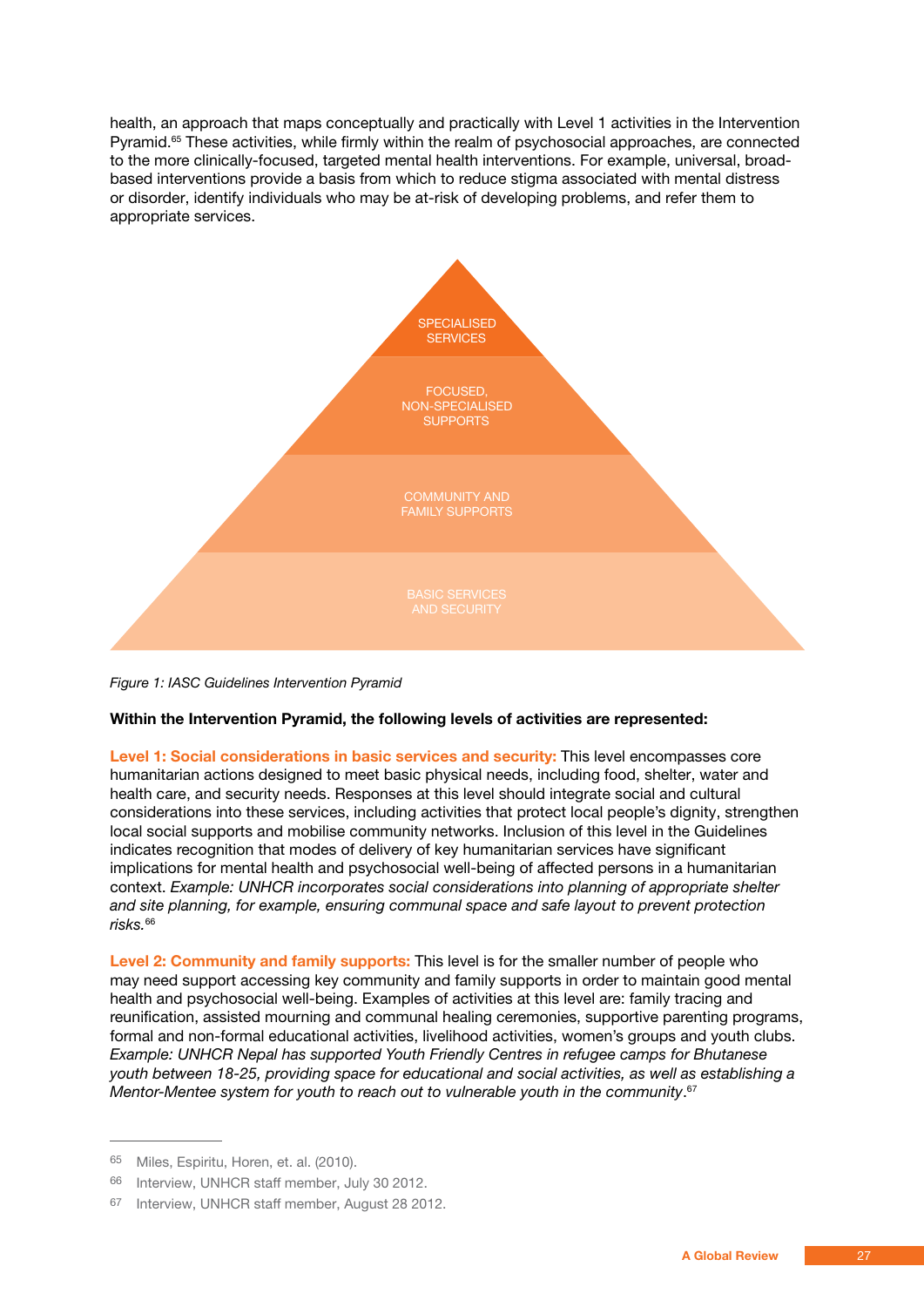health, an approach that maps conceptually and practically with Level 1 activities in the Intervention Pyramid.65 These activities, while firmly within the realm of psychosocial approaches, are connected to the more clinically-focused, targeted mental health interventions. For example, universal, broadbased interventions provide a basis from which to reduce stigma associated with mental distress or disorder, identify individuals who may be at-risk of developing problems, and refer them to appropriate services.



*Figure 1: IASC Guidelines Intervention Pyramid*

#### **Within the Intervention Pyramid, the following levels of activities are represented:**

**Level 1: Social considerations in basic services and security:** This level encompasses core humanitarian actions designed to meet basic physical needs, including food, shelter, water and health care, and security needs. Responses at this level should integrate social and cultural considerations into these services, including activities that protect local people's dignity, strengthen local social supports and mobilise community networks. Inclusion of this level in the Guidelines indicates recognition that modes of delivery of key humanitarian services have significant implications for mental health and psychosocial well-being of affected persons in a humanitarian context. *Example: UNHCR incorporates social considerations into planning of appropriate shelter and site planning, for example, ensuring communal space and safe layout to prevent protection risks.*<sup>66</sup>

**Level 2: Community and family supports:** This level is for the smaller number of people who may need support accessing key community and family supports in order to maintain good mental health and psychosocial well-being. Examples of activities at this level are: family tracing and reunification, assisted mourning and communal healing ceremonies, supportive parenting programs, formal and non-formal educational activities, livelihood activities, women's groups and youth clubs. *Example: UNHCR Nepal has supported Youth Friendly Centres in refugee camps for Bhutanese youth between 18-25, providing space for educational and social activities, as well as establishing a Mentor-Mentee system for youth to reach out to vulnerable youth in the community*. 67

<sup>65</sup> Miles, Espiritu, Horen, et. al. (2010).

<sup>66</sup> Interview, UNHCR staff member, July 30 2012.

<sup>67</sup> Interview, UNHCR staff member, August 28 2012.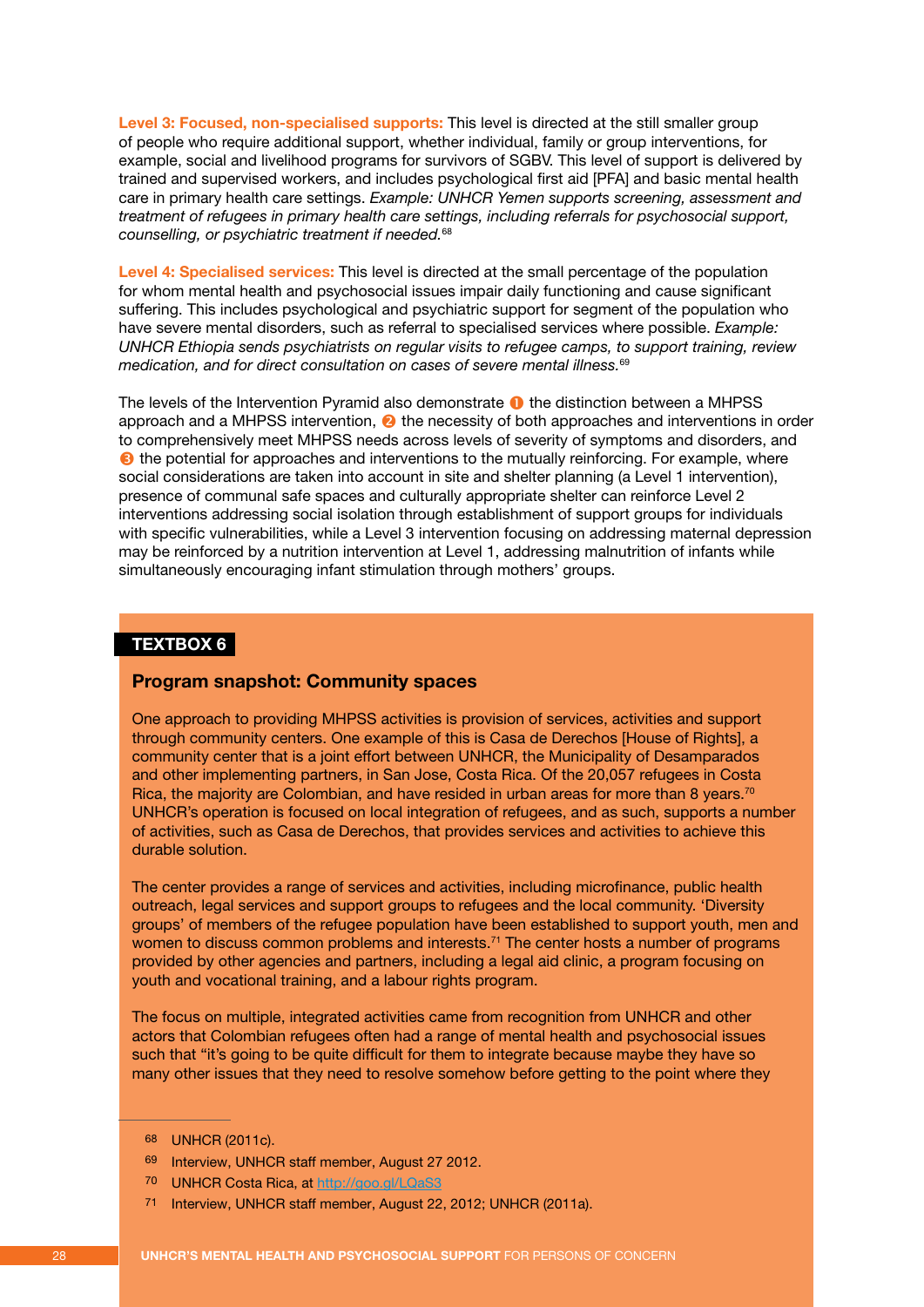**Level 3: Focused, non-specialised supports:** This level is directed at the still smaller group of people who require additional support, whether individual, family or group interventions, for example, social and livelihood programs for survivors of SGBV. This level of support is delivered by trained and supervised workers, and includes psychological first aid [PFA] and basic mental health care in primary health care settings. *Example: UNHCR Yemen supports screening, assessment and treatment of refugees in primary health care settings, including referrals for psychosocial support, counselling, or psychiatric treatment if needed.*<sup>68</sup>

**Level 4: Specialised services:** This level is directed at the small percentage of the population for whom mental health and psychosocial issues impair daily functioning and cause significant suffering. This includes psychological and psychiatric support for segment of the population who have severe mental disorders, such as referral to specialised services where possible. *Example: UNHCR Ethiopia sends psychiatrists on regular visits to refugee camps, to support training, review medication, and for direct consultation on cases of severe mental illness.*<sup>69</sup>

The levels of the Intervention Pyramid also demonstrate  $\bullet$  the distinction between a MHPSS approach and a MHPSS intervention,  $\bullet$  the necessity of both approaches and interventions in order to comprehensively meet MHPSS needs across levels of severity of symptoms and disorders, and  $\Theta$  the potential for approaches and interventions to the mutually reinforcing. For example, where social considerations are taken into account in site and shelter planning (a Level 1 intervention), presence of communal safe spaces and culturally appropriate shelter can reinforce Level 2 interventions addressing social isolation through establishment of support groups for individuals with specific vulnerabilities, while a Level 3 intervention focusing on addressing maternal depression may be reinforced by a nutrition intervention at Level 1, addressing malnutrition of infants while simultaneously encouraging infant stimulation through mothers' groups.

#### **TEXTBOX 6**

#### **Program snapshot: Community spaces**

One approach to providing MHPSS activities is provision of services, activities and support through community centers. One example of this is Casa de Derechos [House of Rights], a community center that is a joint effort between UNHCR, the Municipality of Desamparados and other implementing partners, in San Jose, Costa Rica. Of the 20,057 refugees in Costa Rica, the majority are Colombian, and have resided in urban areas for more than 8 years.<sup>70</sup> UNHCR's operation is focused on local integration of refugees, and as such, supports a number of activities, such as Casa de Derechos, that provides services and activities to achieve this durable solution.

The center provides a range of services and activities, including microfinance, public health outreach, legal services and support groups to refugees and the local community. 'Diversity groups' of members of the refugee population have been established to support youth, men and women to discuss common problems and interests.<sup>71</sup> The center hosts a number of programs provided by other agencies and partners, including a legal aid clinic, a program focusing on youth and vocational training, and a labour rights program.

The focus on multiple, integrated activities came from recognition from UNHCR and other actors that Colombian refugees often had a range of mental health and psychosocial issues such that "it's going to be quite difficult for them to integrate because maybe they have so many other issues that they need to resolve somehow before getting to the point where they

<sup>68</sup> UNHCR (2011c).

<sup>69</sup> Interview, UNHCR staff member, August 27 2012.

<sup>70</sup> UNHCR Costa Rica, at http://goo.gl/LQaS3

<sup>71</sup> Interview, UNHCR staff member, August 22, 2012; UNHCR (2011a).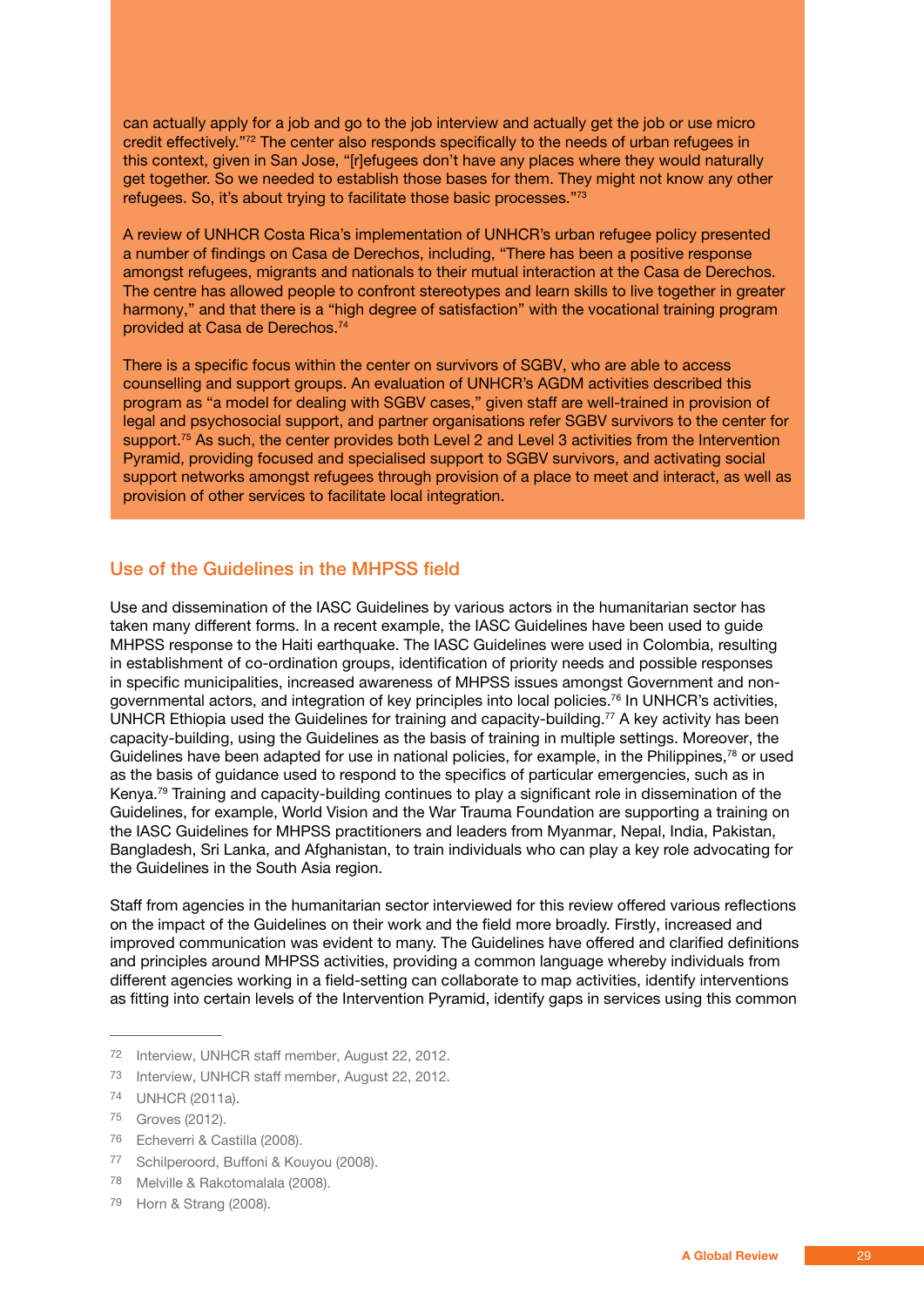<span id="page-28-0"></span>can actually apply for a job and go to the job interview and actually get the job or use micro credit effectively."<sup>72</sup> The center also responds specifically to the needs of urban refugees in this context, given in San Jose, "[r]efugees don't have any places where they would naturally get together. So we needed to establish those bases for them. They might not know any other refugees. So, it's about trying to facilitate those basic processes."73

A review of UNHCR Costa Rica's implementation of UNHCR's urban refugee policy presented a number of findings on Casa de Derechos, including, "There has been a positive response amongst refugees, migrants and nationals to their mutual interaction at the Casa de Derechos. The centre has allowed people to confront stereotypes and learn skills to live together in greater harmony," and that there is a "high degree of satisfaction" with the vocational training program provided at Casa de Derechos.74

There is a specific focus within the center on survivors of SGBV, who are able to access counselling and support groups. An evaluation of UNHCR's AGDM activities described this program as "a model for dealing with SGBV cases," given staff are well-trained in provision of legal and psychosocial support, and partner organisations refer SGBV survivors to the center for support.<sup>75</sup> As such, the center provides both Level 2 and Level 3 activities from the Intervention Pyramid, providing focused and specialised support to SGBV survivors, and activating social support networks amongst refugees through provision of a place to meet and interact, as well as provision of other services to facilitate local integration.

#### Use of the Guidelines in the MHPSS field

Use and dissemination of the IASC Guidelines by various actors in the humanitarian sector has taken many different forms. In a recent example, the IASC Guidelines have been used to guide MHPSS response to the Haiti earthquake. The IASC Guidelines were used in Colombia, resulting in establishment of co-ordination groups, identification of priority needs and possible responses in specific municipalities, increased awareness of MHPSS issues amongst Government and nongovernmental actors, and integration of key principles into local policies.<sup>76</sup> In UNHCR's activities, UNHCR Ethiopia used the Guidelines for training and capacity-building.<sup>77</sup> A key activity has been capacity-building, using the Guidelines as the basis of training in multiple settings. Moreover, the Guidelines have been adapted for use in national policies, for example, in the Philippines,<sup>78</sup> or used as the basis of guidance used to respond to the specifics of particular emergencies, such as in Kenya.79 Training and capacity-building continues to play a significant role in dissemination of the Guidelines, for example, World Vision and the War Trauma Foundation are supporting a training on the IASC Guidelines for MHPSS practitioners and leaders from Myanmar, Nepal, India, Pakistan, Bangladesh, Sri Lanka, and Afghanistan, to train individuals who can play a key role advocating for the Guidelines in the South Asia region.

Staff from agencies in the humanitarian sector interviewed for this review offered various reflections on the impact of the Guidelines on their work and the field more broadly. Firstly, increased and improved communication was evident to many. The Guidelines have offered and clarified definitions and principles around MHPSS activities, providing a common language whereby individuals from different agencies working in a field-setting can collaborate to map activities, identify interventions as fitting into certain levels of the Intervention Pyramid, identify gaps in services using this common

- 76 Echeverri & Castilla (2008).
- 77 Schilperoord, Buffoni & Kouyou (2008).
- 78 Melville & Rakotomalala (2008).
- 79 Horn & Strang (2008).

<sup>72</sup> Interview, UNHCR staff member, August 22, 2012.

<sup>73</sup> Interview, UNHCR staff member, August 22, 2012.

<sup>74</sup> UNHCR (2011a).

<sup>75</sup> Groves (2012).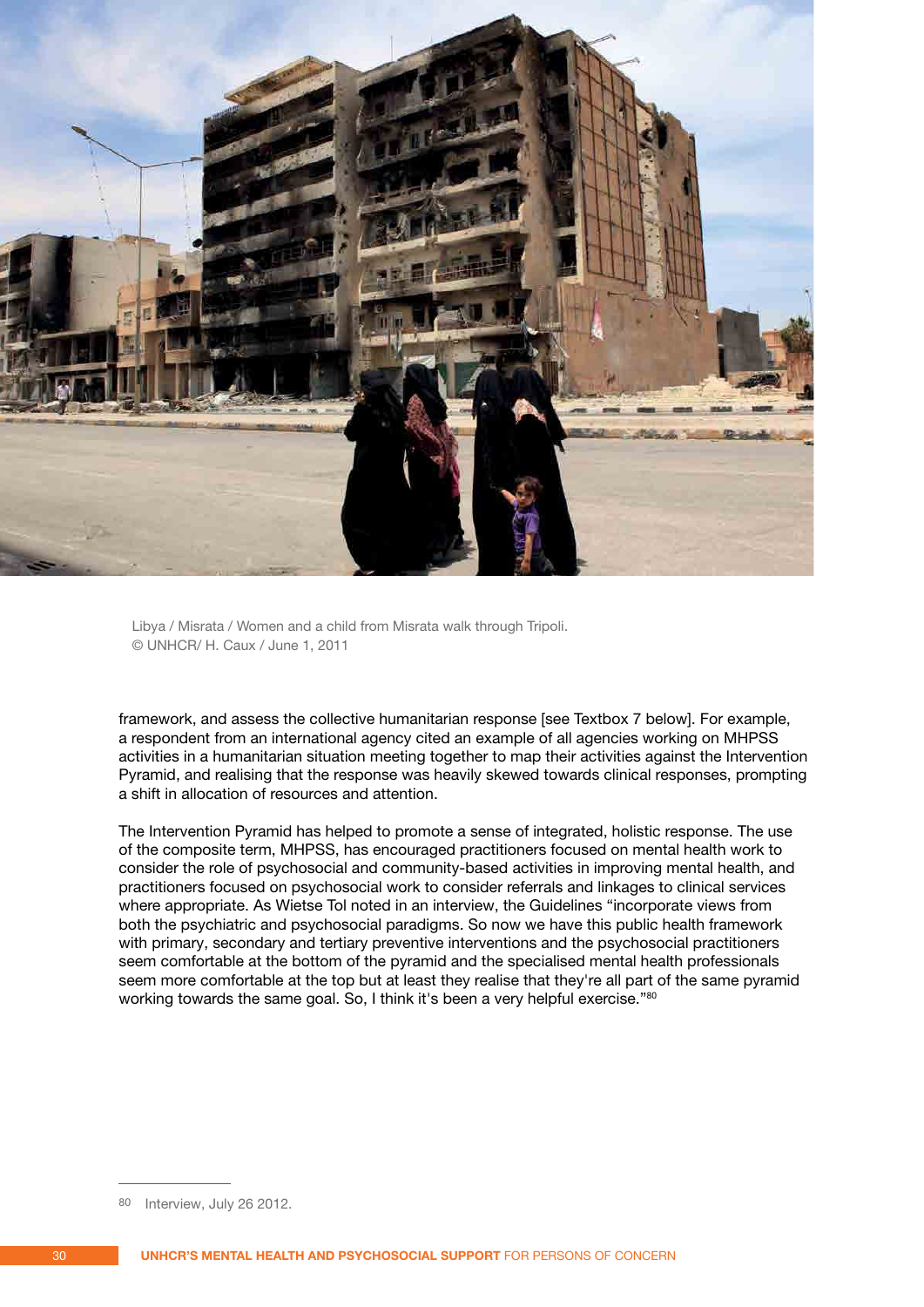

Libya / Misrata / Women and a child from Misrata walk through Tripoli. © UNHCR/ H. Caux / June 1, 2011

framework, and assess the collective humanitarian response [see Textbox 7 below]. For example, a respondent from an international agency cited an example of all agencies working on MHPSS activities in a humanitarian situation meeting together to map their activities against the Intervention Pyramid, and realising that the response was heavily skewed towards clinical responses, prompting a shift in allocation of resources and attention.

The Intervention Pyramid has helped to promote a sense of integrated, holistic response. The use of the composite term, MHPSS, has encouraged practitioners focused on mental health work to consider the role of psychosocial and community-based activities in improving mental health, and practitioners focused on psychosocial work to consider referrals and linkages to clinical services where appropriate. As Wietse Tol noted in an interview, the Guidelines "incorporate views from both the psychiatric and psychosocial paradigms. So now we have this public health framework with primary, secondary and tertiary preventive interventions and the psychosocial practitioners seem comfortable at the bottom of the pyramid and the specialised mental health professionals seem more comfortable at the top but at least they realise that they're all part of the same pyramid working towards the same goal. So, I think it's been a very helpful exercise."80

<sup>80</sup> Interview, July 26 2012.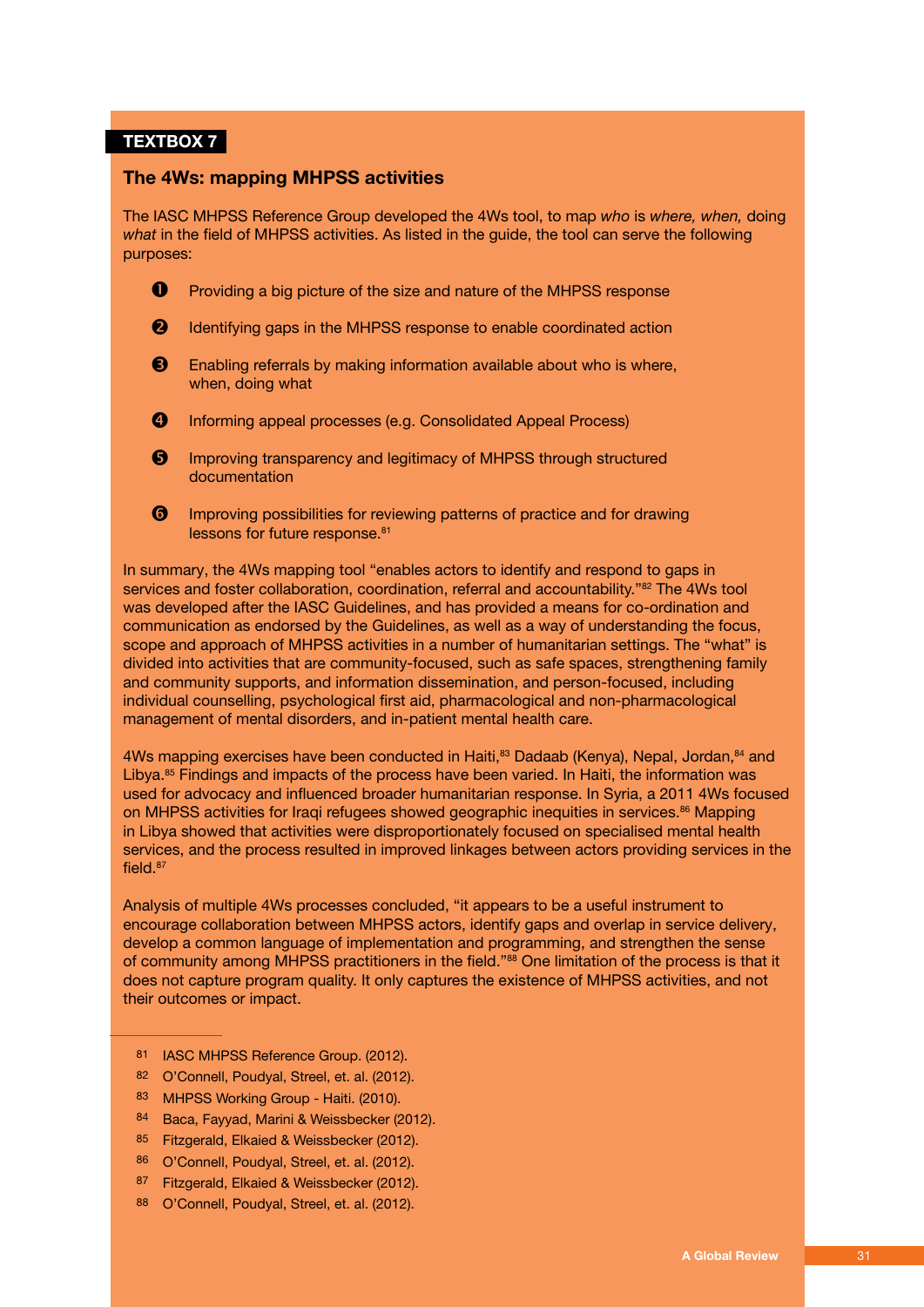#### **TEXTBOX 7**

#### **The 4Ws: mapping MHPSS activities**

The IASC MHPSS Reference Group developed the 4Ws tool, to map *who* is *where, when,* doing *what* in the field of MHPSS activities. As listed in the guide, the tool can serve the following purposes:

- **P** Providing a big picture of the size and nature of the MHPSS response
- **2** Identifying gaps in the MHPSS response to enable coordinated action
- **B** Enabling referrals by making information available about who is where, when, doing what
- **4** Informing appeal processes (e.g. Consolidated Appeal Process)
- **6** Improving transparency and legitimacy of MHPSS through structured documentation
- **O** Improving possibilities for reviewing patterns of practice and for drawing lessons for future response.<sup>81</sup>

In summary, the 4Ws mapping tool "enables actors to identify and respond to gaps in services and foster collaboration, coordination, referral and accountability."<sup>82</sup> The 4Ws tool was developed after the IASC Guidelines, and has provided a means for co-ordination and communication as endorsed by the Guidelines, as well as a way of understanding the focus, scope and approach of MHPSS activities in a number of humanitarian settings. The "what" is divided into activities that are community-focused, such as safe spaces, strengthening family and community supports, and information dissemination, and person-focused, including individual counselling, psychological first aid, pharmacological and non-pharmacological management of mental disorders, and in-patient mental health care.

4Ws mapping exercises have been conducted in Haiti,<sup>83</sup> Dadaab (Kenya), Nepal, Jordan, 84 and Libya.<sup>85</sup> Findings and impacts of the process have been varied. In Haiti, the information was used for advocacy and influenced broader humanitarian response. In Syria, a 2011 4Ws focused on MHPSS activities for Iraqi refugees showed geographic inequities in services.<sup>86</sup> Mapping in Libya showed that activities were disproportionately focused on specialised mental health services, and the process resulted in improved linkages between actors providing services in the field 87

Analysis of multiple 4Ws processes concluded, "it appears to be a useful instrument to encourage collaboration between MHPSS actors, identify gaps and overlap in service delivery, develop a common language of implementation and programming, and strengthen the sense of community among MHPSS practitioners in the field."88 One limitation of the process is that it does not capture program quality. It only captures the existence of MHPSS activities, and not their outcomes or impact.

- 81 IASC MHPSS Reference Group. (2012).
- 82 O'Connell, Poudyal, Streel, et. al. (2012).
- 83 MHPSS Working Group Haiti. (2010).
- 84 Baca, Fayyad, Marini & Weissbecker (2012).
- 85 Fitzgerald, Elkaied & Weissbecker (2012).
- 86 O'Connell, Poudyal, Streel, et. al. (2012).
- 87 Fitzgerald, Elkaied & Weissbecker (2012).
- 88 O'Connell, Poudyal, Streel, et. al. (2012).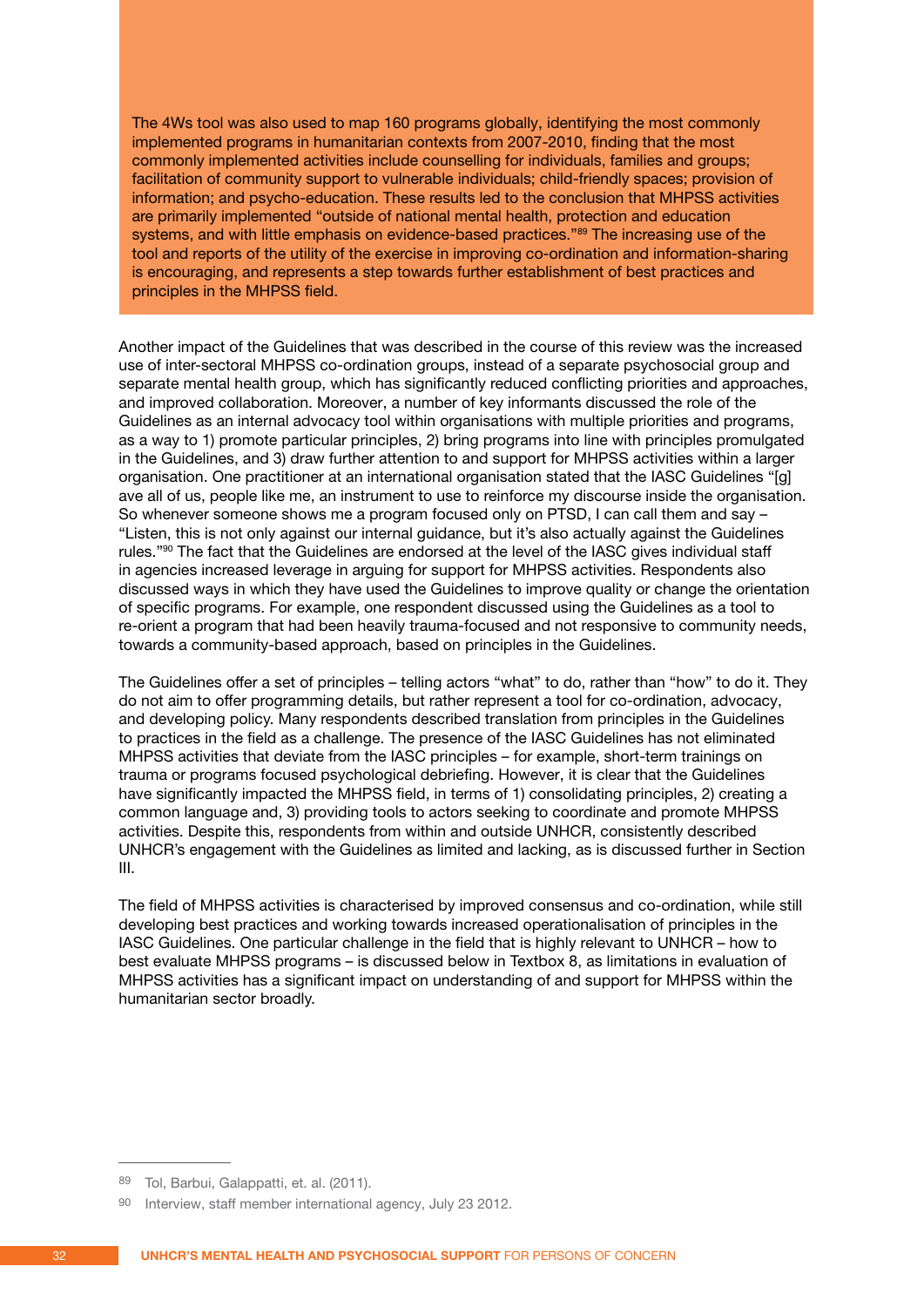The 4Ws tool was also used to map 160 programs globally, identifying the most commonly implemented programs in humanitarian contexts from 2007-2010, finding that the most commonly implemented activities include counselling for individuals, families and groups; facilitation of community support to vulnerable individuals; child-friendly spaces; provision of information; and psycho-education. These results led to the conclusion that MHPSS activities are primarily implemented "outside of national mental health, protection and education systems, and with little emphasis on evidence-based practices."<sup>89</sup> The increasing use of the tool and reports of the utility of the exercise in improving co-ordination and information-sharing is encouraging, and represents a step towards further establishment of best practices and principles in the MHPSS field.

Another impact of the Guidelines that was described in the course of this review was the increased use of inter-sectoral MHPSS co-ordination groups, instead of a separate psychosocial group and separate mental health group, which has significantly reduced conflicting priorities and approaches, and improved collaboration. Moreover, a number of key informants discussed the role of the Guidelines as an internal advocacy tool within organisations with multiple priorities and programs, as a way to 1) promote particular principles, 2) bring programs into line with principles promulgated in the Guidelines, and 3) draw further attention to and support for MHPSS activities within a larger organisation. One practitioner at an international organisation stated that the IASC Guidelines "[g] ave all of us, people like me, an instrument to use to reinforce my discourse inside the organisation. So whenever someone shows me a program focused only on PTSD, I can call them and say – "Listen, this is not only against our internal guidance, but it's also actually against the Guidelines rules."90 The fact that the Guidelines are endorsed at the level of the IASC gives individual staff in agencies increased leverage in arguing for support for MHPSS activities. Respondents also discussed ways in which they have used the Guidelines to improve quality or change the orientation of specific programs. For example, one respondent discussed using the Guidelines as a tool to re-orient a program that had been heavily trauma-focused and not responsive to community needs, towards a community-based approach, based on principles in the Guidelines.

The Guidelines offer a set of principles – telling actors "what" to do, rather than "how" to do it. They do not aim to offer programming details, but rather represent a tool for co-ordination, advocacy, and developing policy. Many respondents described translation from principles in the Guidelines to practices in the field as a challenge. The presence of the IASC Guidelines has not eliminated MHPSS activities that deviate from the IASC principles – for example, short-term trainings on trauma or programs focused psychological debriefing. However, it is clear that the Guidelines have significantly impacted the MHPSS field, in terms of 1) consolidating principles, 2) creating a common language and, 3) providing tools to actors seeking to coordinate and promote MHPSS activities. Despite this, respondents from within and outside UNHCR, consistently described UNHCR's engagement with the Guidelines as limited and lacking, as is discussed further in Section III.

The field of MHPSS activities is characterised by improved consensus and co-ordination, while still developing best practices and working towards increased operationalisation of principles in the IASC Guidelines. One particular challenge in the field that is highly relevant to UNHCR – how to best evaluate MHPSS programs – is discussed below in Textbox 8, as limitations in evaluation of MHPSS activities has a significant impact on understanding of and support for MHPSS within the humanitarian sector broadly.

<sup>89</sup> Tol, Barbui, Galappatti, et. al. (2011).

<sup>90</sup> Interview, staff member international agency, July 23 2012.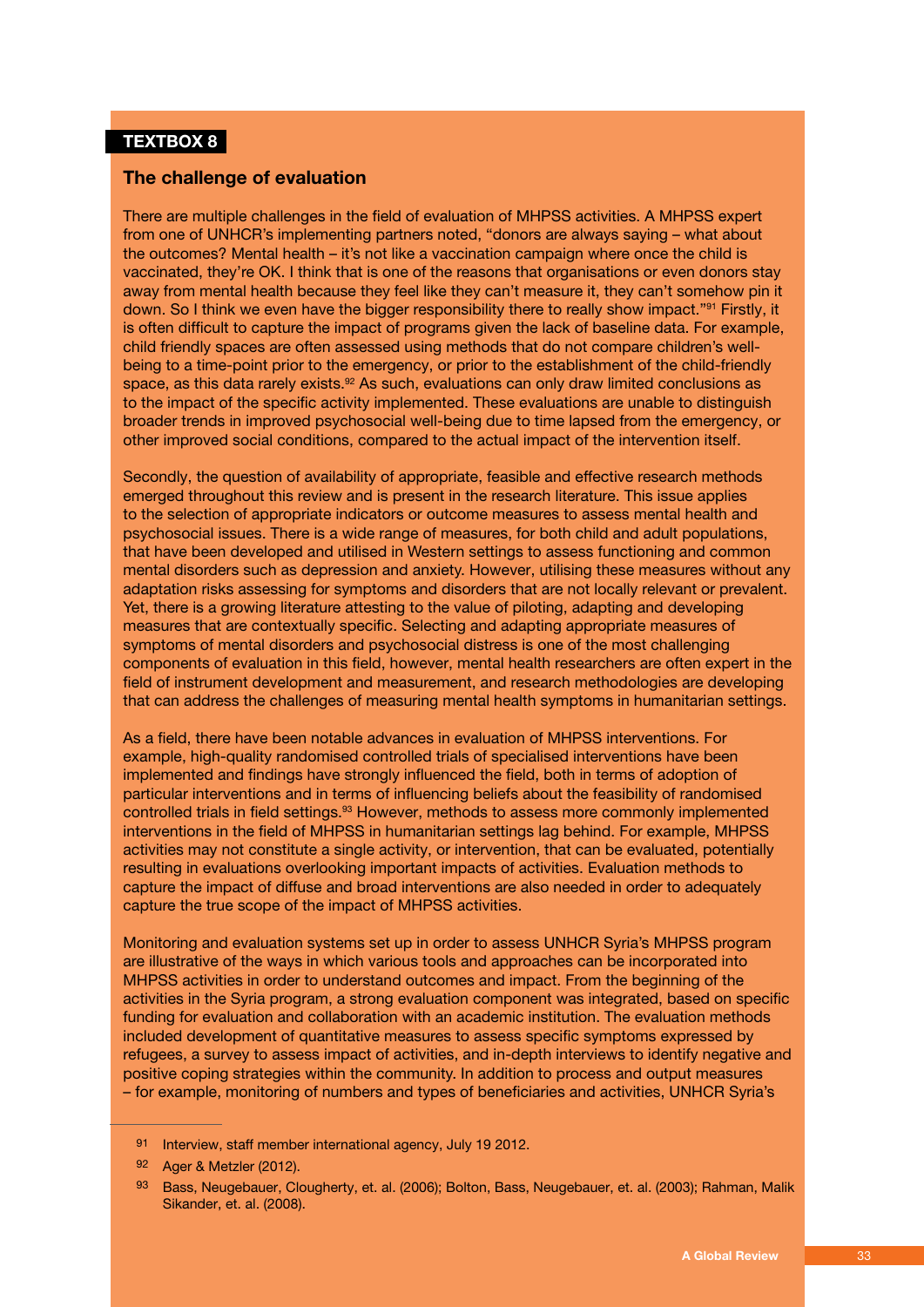#### **TEXTBOX 8**

#### **The challenge of evaluation**

There are multiple challenges in the field of evaluation of MHPSS activities. A MHPSS expert from one of UNHCR's implementing partners noted, "donors are always saying – what about the outcomes? Mental health – it's not like a vaccination campaign where once the child is vaccinated, they're OK. I think that is one of the reasons that organisations or even donors stay away from mental health because they feel like they can't measure it, they can't somehow pin it down. So I think we even have the bigger responsibility there to really show impact."91 Firstly, it is often difficult to capture the impact of programs given the lack of baseline data. For example, child friendly spaces are often assessed using methods that do not compare children's wellbeing to a time-point prior to the emergency, or prior to the establishment of the child-friendly space, as this data rarely exists.<sup>92</sup> As such, evaluations can only draw limited conclusions as to the impact of the specific activity implemented. These evaluations are unable to distinguish broader trends in improved psychosocial well-being due to time lapsed from the emergency, or other improved social conditions, compared to the actual impact of the intervention itself.

Secondly, the question of availability of appropriate, feasible and effective research methods emerged throughout this review and is present in the research literature. This issue applies to the selection of appropriate indicators or outcome measures to assess mental health and psychosocial issues. There is a wide range of measures, for both child and adult populations, that have been developed and utilised in Western settings to assess functioning and common mental disorders such as depression and anxiety. However, utilising these measures without any adaptation risks assessing for symptoms and disorders that are not locally relevant or prevalent. Yet, there is a growing literature attesting to the value of piloting, adapting and developing measures that are contextually specific. Selecting and adapting appropriate measures of symptoms of mental disorders and psychosocial distress is one of the most challenging components of evaluation in this field, however, mental health researchers are often expert in the field of instrument development and measurement, and research methodologies are developing that can address the challenges of measuring mental health symptoms in humanitarian settings.

As a field, there have been notable advances in evaluation of MHPSS interventions. For example, high-quality randomised controlled trials of specialised interventions have been implemented and findings have strongly influenced the field, both in terms of adoption of particular interventions and in terms of influencing beliefs about the feasibility of randomised controlled trials in field settings.<sup>93</sup> However, methods to assess more commonly implemented interventions in the field of MHPSS in humanitarian settings lag behind. For example, MHPSS activities may not constitute a single activity, or intervention, that can be evaluated, potentially resulting in evaluations overlooking important impacts of activities. Evaluation methods to capture the impact of diffuse and broad interventions are also needed in order to adequately capture the true scope of the impact of MHPSS activities.

Monitoring and evaluation systems set up in order to assess UNHCR Syria's MHPSS program are illustrative of the ways in which various tools and approaches can be incorporated into MHPSS activities in order to understand outcomes and impact. From the beginning of the activities in the Syria program, a strong evaluation component was integrated, based on specific funding for evaluation and collaboration with an academic institution. The evaluation methods included development of quantitative measures to assess specific symptoms expressed by refugees, a survey to assess impact of activities, and in-depth interviews to identify negative and positive coping strategies within the community. In addition to process and output measures – for example, monitoring of numbers and types of beneficiaries and activities, UNHCR Syria's

<sup>91</sup> Interview, staff member international agency, July 19 2012.

<sup>92</sup> Ager & Metzler (2012).

<sup>93</sup> Bass, Neugebauer, Clougherty, et. al. (2006); Bolton, Bass, Neugebauer, et. al. (2003); Rahman, Malik Sikander, et. al. (2008).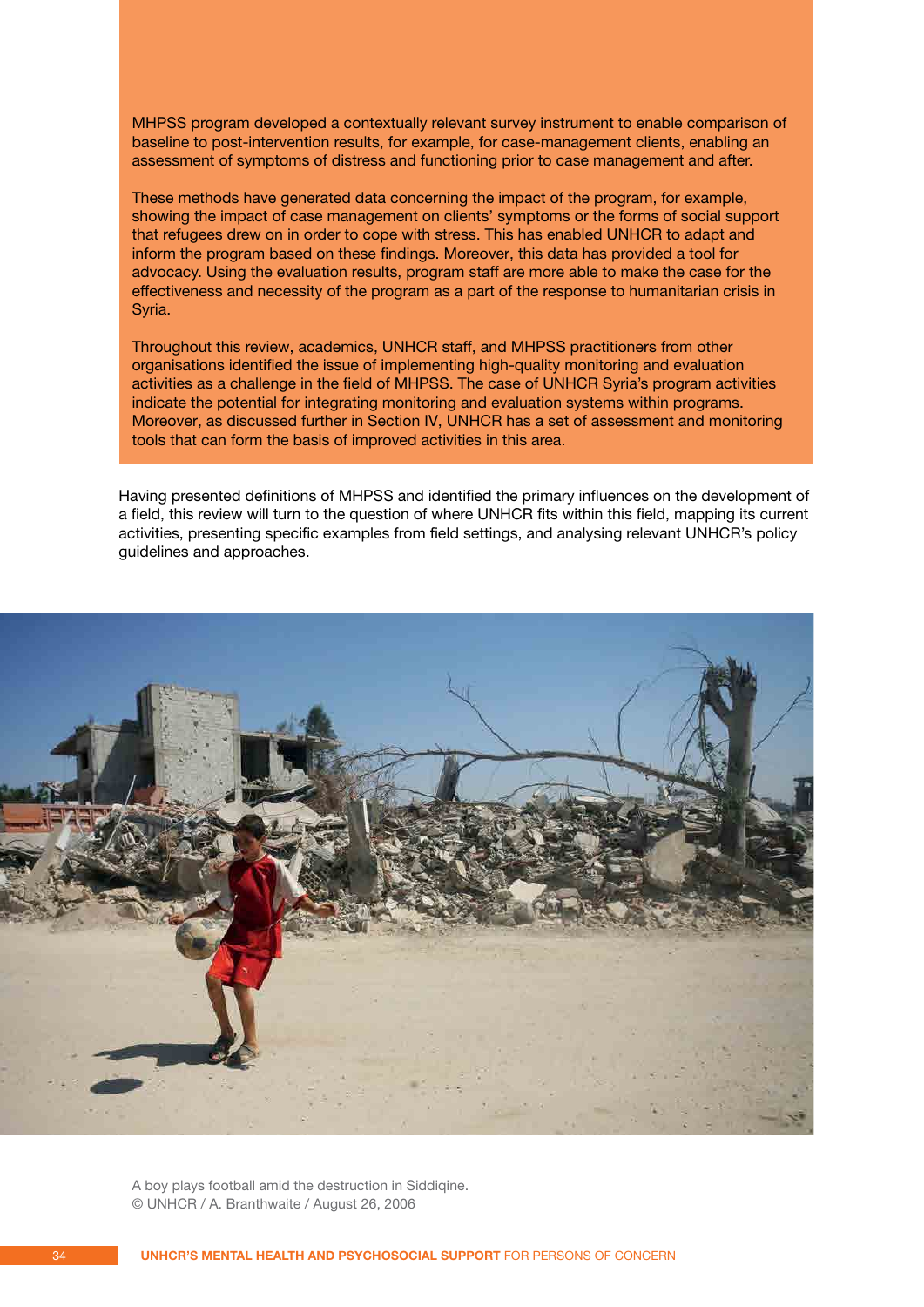MHPSS program developed a contextually relevant survey instrument to enable comparison of baseline to post-intervention results, for example, for case-management clients, enabling an assessment of symptoms of distress and functioning prior to case management and after.

These methods have generated data concerning the impact of the program, for example, showing the impact of case management on clients' symptoms or the forms of social support that refugees drew on in order to cope with stress. This has enabled UNHCR to adapt and inform the program based on these findings. Moreover, this data has provided a tool for advocacy. Using the evaluation results, program staff are more able to make the case for the effectiveness and necessity of the program as a part of the response to humanitarian crisis in Syria.

Throughout this review, academics, UNHCR staff, and MHPSS practitioners from other organisations identified the issue of implementing high-quality monitoring and evaluation activities as a challenge in the field of MHPSS. The case of UNHCR Syria's program activities indicate the potential for integrating monitoring and evaluation systems within programs. Moreover, as discussed further in Section IV, UNHCR has a set of assessment and monitoring tools that can form the basis of improved activities in this area.

Having presented definitions of MHPSS and identified the primary influences on the development of a field, this review will turn to the question of where UNHCR fits within this field, mapping its current activities, presenting specific examples from field settings, and analysing relevant UNHCR's policy guidelines and approaches.



A boy plays football amid the destruction in Siddiqine. © UNHCR / A. Branthwaite / August 26, 2006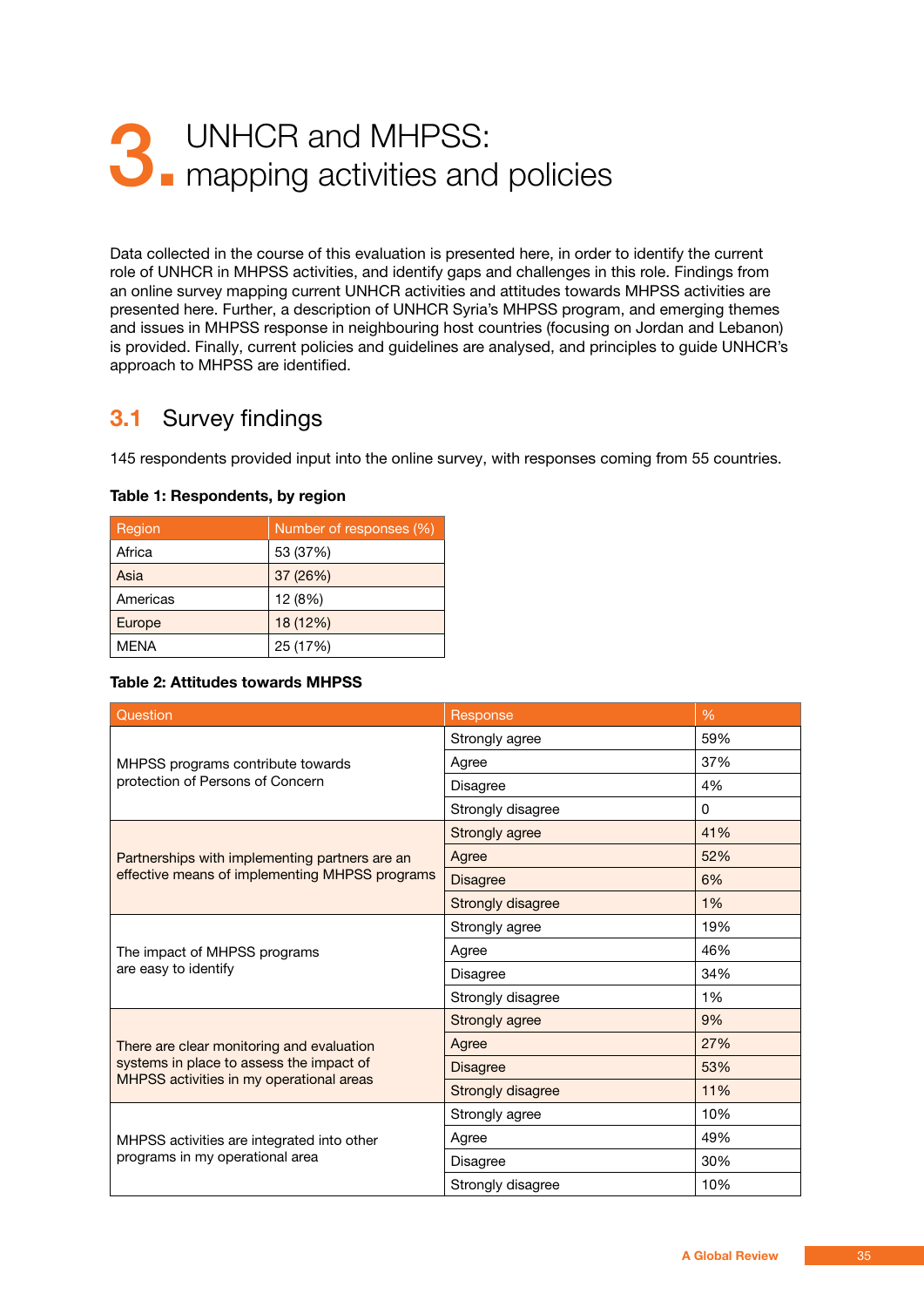## <span id="page-34-0"></span>3. UNHCR and MHPSS:<br>3. mapping activities and mapping activities and policies

Data collected in the course of this evaluation is presented here, in order to identify the current role of UNHCR in MHPSS activities, and identify gaps and challenges in this role. Findings from an online survey mapping current UNHCR activities and attitudes towards MHPSS activities are presented here. Further, a description of UNHCR Syria's MHPSS program, and emerging themes and issues in MHPSS response in neighbouring host countries (focusing on Jordan and Lebanon) is provided. Finally, current policies and guidelines are analysed, and principles to guide UNHCR's approach to MHPSS are identified.

#### **3.1** Survey findings

145 respondents provided input into the online survey, with responses coming from 55 countries.

| Region      | Number of responses (%) |  |
|-------------|-------------------------|--|
| Africa      | 53 (37%)                |  |
| Asia        | 37 (26%)                |  |
| Americas    | 12 (8%)                 |  |
| Europe      | 18 (12%)                |  |
| <b>MFNA</b> | 25 (17%)                |  |

#### **Table 1: Respondents, by region**

#### **Table 2: Attitudes towards MHPSS**

| Question                                                                             | Response          | $\frac{9}{6}$ |
|--------------------------------------------------------------------------------------|-------------------|---------------|
|                                                                                      | Strongly agree    | 59%           |
| MHPSS programs contribute towards<br>protection of Persons of Concern                | Agree             | 37%           |
|                                                                                      | <b>Disagree</b>   | 4%            |
|                                                                                      | Strongly disagree | 0             |
|                                                                                      | Strongly agree    | 41%           |
| Partnerships with implementing partners are an                                       | Agree             | 52%           |
| effective means of implementing MHPSS programs                                       | <b>Disagree</b>   | 6%            |
|                                                                                      | Strongly disagree | 1%            |
|                                                                                      | Strongly agree    | 19%           |
| The impact of MHPSS programs                                                         | Agree             | 46%           |
| are easy to identify                                                                 | Disagree          | 34%           |
|                                                                                      | Strongly disagree | 1%            |
|                                                                                      | Strongly agree    | 9%            |
| There are clear monitoring and evaluation                                            | Agree             | 27%           |
| systems in place to assess the impact of<br>MHPSS activities in my operational areas | <b>Disagree</b>   | 53%           |
|                                                                                      | Strongly disagree | 11%           |
|                                                                                      | Strongly agree    | 10%           |
| MHPSS activities are integrated into other                                           | Agree             | 49%           |
| programs in my operational area                                                      | Disagree          | 30%           |
|                                                                                      | Strongly disagree | 10%           |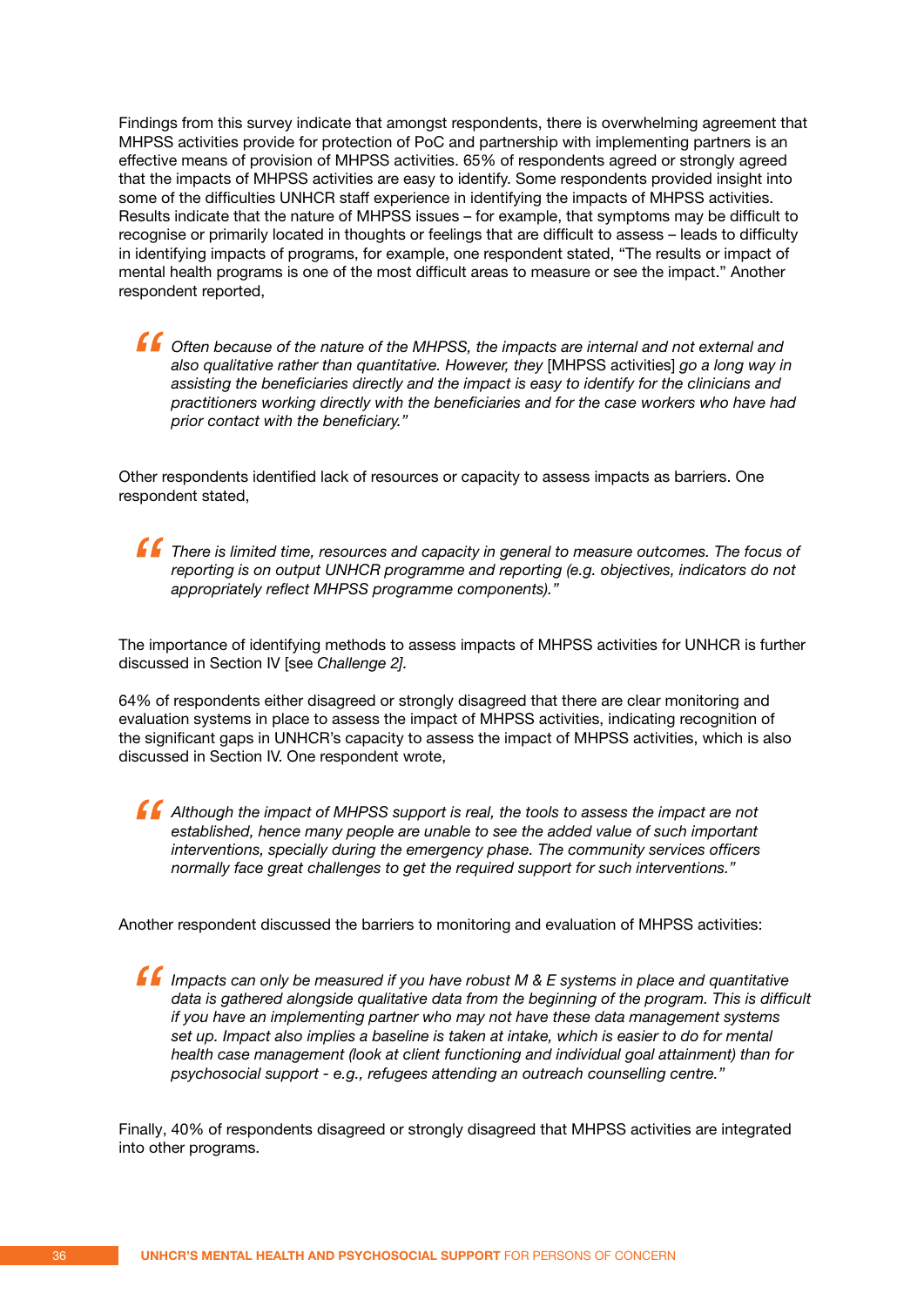Findings from this survey indicate that amongst respondents, there is overwhelming agreement that MHPSS activities provide for protection of PoC and partnership with implementing partners is an effective means of provision of MHPSS activities. 65% of respondents agreed or strongly agreed that the impacts of MHPSS activities are easy to identify. Some respondents provided insight into some of the difficulties UNHCR staff experience in identifying the impacts of MHPSS activities. Results indicate that the nature of MHPSS issues – for example, that symptoms may be difficult to recognise or primarily located in thoughts or feelings that are difficult to assess – leads to difficulty in identifying impacts of programs, for example, one respondent stated, "The results or impact of mental health programs is one of the most difficult areas to measure or see the impact." Another respondent reported,

*f* Often because of the nature of the MHPSS, the impacts are internal and not external and *also qualitative rather than quantitative. However, they* [MHPSS activities] *go a long way in assisting the beneficiaries directly and the impact is easy to identify for the clinicians and practitioners working directly with the beneficiaries and for the case workers who have had prior contact with the beneficiary."*

Other respondents identified lack of resources or capacity to assess impacts as barriers. One respondent stated,

 *There is limited time, resources and capacity in general to measure outcomes. The focus of reporting is on output UNHCR programme and reporting (e.g. objectives, indicators do not appropriately reflect MHPSS programme components)."*

The importance of identifying methods to assess impacts of MHPSS activities for UNHCR is further discussed in Section IV [see *Challenge 2].*

64% of respondents either disagreed or strongly disagreed that there are clear monitoring and evaluation systems in place to assess the impact of MHPSS activities, indicating recognition of the significant gaps in UNHCR's capacity to assess the impact of MHPSS activities, which is also discussed in Section IV. One respondent wrote,

 *Although the impact of MHPSS support is real, the tools to assess the impact are not established, hence many people are unable to see the added value of such important interventions, specially during the emergency phase. The community services officers normally face great challenges to get the required support for such interventions."*

Another respondent discussed the barriers to monitoring and evaluation of MHPSS activities:

 *Impacts can only be measured if you have robust M & E systems in place and quantitative data is gathered alongside qualitative data from the beginning of the program. This is difficult if you have an implementing partner who may not have these data management systems set up. Impact also implies a baseline is taken at intake, which is easier to do for mental health case management (look at client functioning and individual goal attainment) than for psychosocial support - e.g., refugees attending an outreach counselling centre."*

Finally, 40% of respondents disagreed or strongly disagreed that MHPSS activities are integrated into other programs.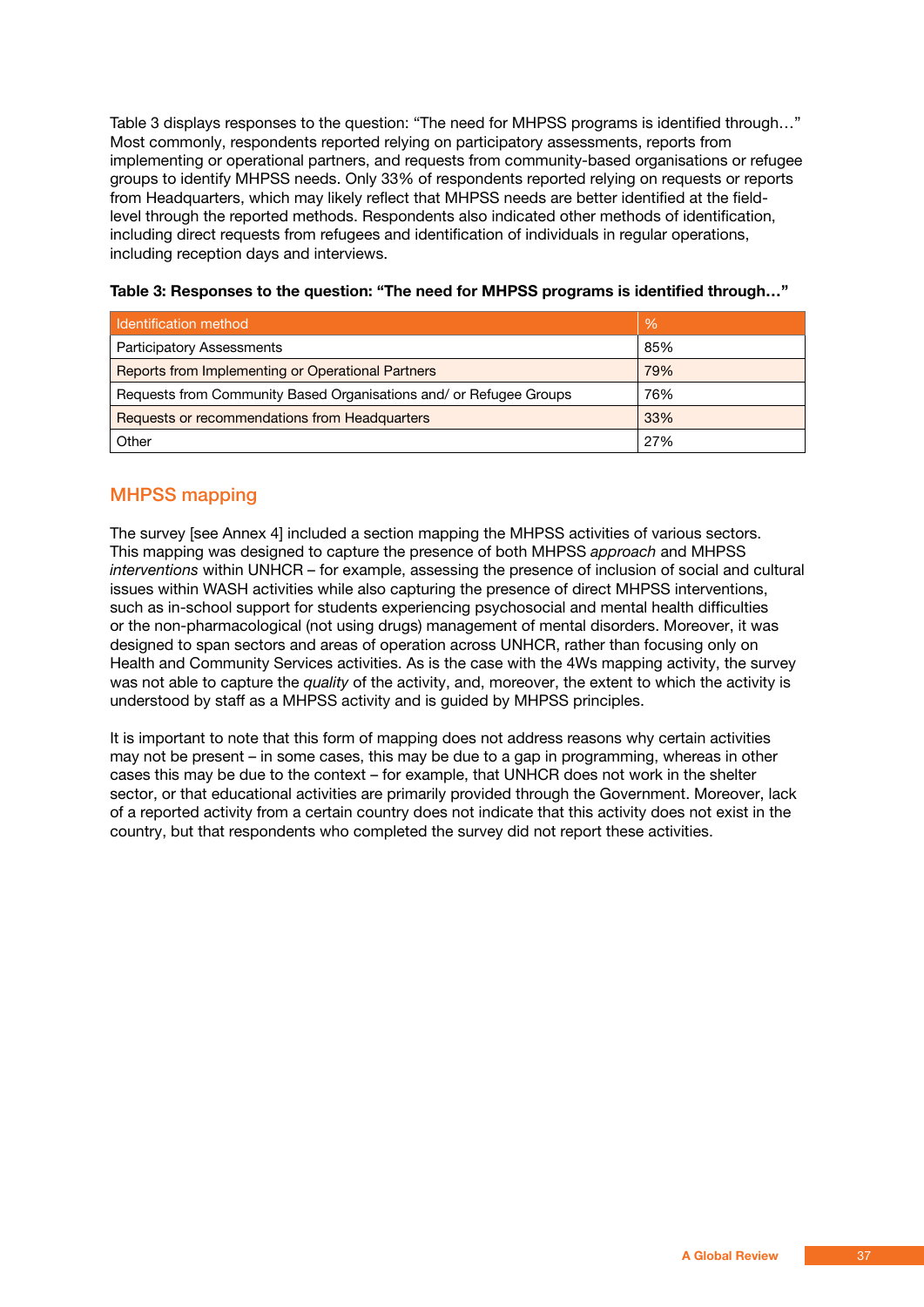Table 3 displays responses to the question: "The need for MHPSS programs is identified through…" Most commonly, respondents reported relying on participatory assessments, reports from implementing or operational partners, and requests from community-based organisations or refugee groups to identify MHPSS needs. Only 33% of respondents reported relying on requests or reports from Headquarters, which may likely reflect that MHPSS needs are better identified at the fieldlevel through the reported methods. Respondents also indicated other methods of identification, including direct requests from refugees and identification of individuals in regular operations, including reception days and interviews.

| Identification method                                              | $\%$ |
|--------------------------------------------------------------------|------|
| <b>Participatory Assessments</b>                                   | 85%  |
| <b>Reports from Implementing or Operational Partners</b>           | 79%  |
| Requests from Community Based Organisations and/ or Refugee Groups | 76%  |
| Requests or recommendations from Headquarters                      | 33%  |
| Other                                                              | 27%  |

### **Table 3: Responses to the question: "The need for MHPSS programs is identified through…"**

### MHPSS mapping

The survey [see Annex 4] included a section mapping the MHPSS activities of various sectors. This mapping was designed to capture the presence of both MHPSS *approach* and MHPSS *interventions* within UNHCR – for example, assessing the presence of inclusion of social and cultural issues within WASH activities while also capturing the presence of direct MHPSS interventions, such as in-school support for students experiencing psychosocial and mental health difficulties or the non-pharmacological (not using drugs) management of mental disorders. Moreover, it was designed to span sectors and areas of operation across UNHCR, rather than focusing only on Health and Community Services activities. As is the case with the 4Ws mapping activity, the survey was not able to capture the *quality* of the activity, and, moreover, the extent to which the activity is understood by staff as a MHPSS activity and is guided by MHPSS principles.

It is important to note that this form of mapping does not address reasons why certain activities may not be present – in some cases, this may be due to a gap in programming, whereas in other cases this may be due to the context – for example, that UNHCR does not work in the shelter sector, or that educational activities are primarily provided through the Government. Moreover, lack of a reported activity from a certain country does not indicate that this activity does not exist in the country, but that respondents who completed the survey did not report these activities.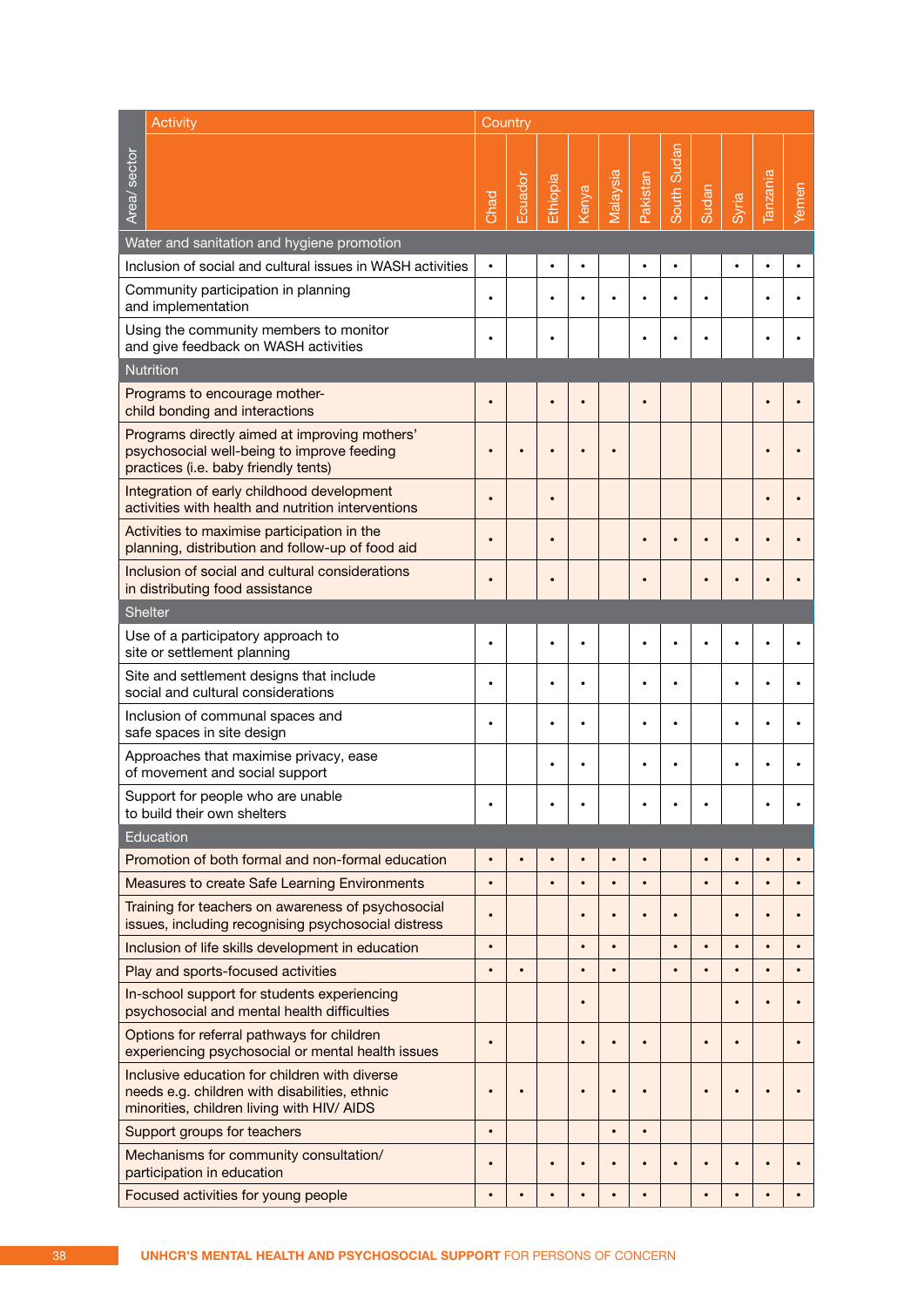|                                                                                                 | <b>Activity</b>                                                                                                                              |           | Country   |           |           |           |           |             |       |           |           |           |
|-------------------------------------------------------------------------------------------------|----------------------------------------------------------------------------------------------------------------------------------------------|-----------|-----------|-----------|-----------|-----------|-----------|-------------|-------|-----------|-----------|-----------|
| Area/ sector                                                                                    |                                                                                                                                              | Chad      | Ecuador   | Ethiopia  | Kenya     | Malaysia  | Pakistan  | South Sudan | Sudan | Syria     | lanzania  | Yemen     |
|                                                                                                 | Water and sanitation and hygiene promotion                                                                                                   |           |           |           |           |           |           |             |       |           |           |           |
|                                                                                                 | Inclusion of social and cultural issues in WASH activities                                                                                   | $\bullet$ |           | $\bullet$ |           |           | $\bullet$ | $\bullet$   |       | $\bullet$ |           |           |
|                                                                                                 | Community participation in planning<br>and implementation                                                                                    | $\bullet$ |           |           |           |           |           |             |       |           |           |           |
|                                                                                                 | Using the community members to monitor<br>and give feedback on WASH activities                                                               | ٠         |           | ٠         |           |           |           |             |       |           |           |           |
|                                                                                                 | <b>Nutrition</b>                                                                                                                             |           |           |           |           |           |           |             |       |           |           |           |
|                                                                                                 | Programs to encourage mother-<br>child bonding and interactions                                                                              |           |           |           |           |           |           |             |       |           |           |           |
|                                                                                                 | Programs directly aimed at improving mothers'<br>psychosocial well-being to improve feeding<br>practices (i.e. baby friendly tents)          |           |           |           |           |           |           |             |       |           |           |           |
|                                                                                                 | Integration of early childhood development<br>activities with health and nutrition interventions                                             | $\bullet$ |           |           |           |           |           |             |       |           |           |           |
| Activities to maximise participation in the<br>planning, distribution and follow-up of food aid |                                                                                                                                              | $\bullet$ |           |           |           |           |           |             |       |           |           |           |
| Inclusion of social and cultural considerations<br>in distributing food assistance              |                                                                                                                                              |           |           |           |           |           |           |             |       |           |           |           |
|                                                                                                 | <b>Shelter</b>                                                                                                                               |           |           |           |           |           |           |             |       |           |           |           |
|                                                                                                 | Use of a participatory approach to<br>site or settlement planning                                                                            | $\bullet$ |           |           |           |           |           |             |       |           |           |           |
|                                                                                                 | Site and settlement designs that include<br>social and cultural considerations                                                               | $\bullet$ |           |           | $\bullet$ |           |           | $\bullet$   |       | ٠         |           |           |
| Inclusion of communal spaces and<br>safe spaces in site design                                  |                                                                                                                                              | $\bullet$ |           |           | $\bullet$ |           |           |             |       |           |           |           |
| Approaches that maximise privacy, ease<br>of movement and social support                        |                                                                                                                                              |           |           |           |           |           |           |             |       |           |           |           |
|                                                                                                 | Support for people who are unable<br>to build their own shelters                                                                             |           |           |           |           |           |           |             |       |           |           |           |
|                                                                                                 | Education                                                                                                                                    |           |           |           |           |           |           |             |       |           |           |           |
|                                                                                                 | Promotion of both formal and non-formal education                                                                                            | $\bullet$ |           |           |           |           |           |             |       |           |           |           |
|                                                                                                 | <b>Measures to create Safe Learning Environments</b>                                                                                         | $\bullet$ |           |           |           |           |           |             |       |           |           |           |
|                                                                                                 | Training for teachers on awareness of psychosocial<br>issues, including recognising psychosocial distress                                    | $\bullet$ |           |           | $\bullet$ | $\bullet$ |           | $\bullet$   |       | $\bullet$ |           |           |
|                                                                                                 | Inclusion of life skills development in education                                                                                            | $\bullet$ |           |           | $\bullet$ |           |           | $\bullet$   |       |           |           |           |
| Play and sports-focused activities                                                              |                                                                                                                                              | $\bullet$ | $\bullet$ |           | $\bullet$ |           |           | $\bullet$   |       |           | $\bullet$ | $\bullet$ |
| In-school support for students experiencing<br>psychosocial and mental health difficulties      |                                                                                                                                              |           |           |           | $\bullet$ |           |           |             |       |           |           |           |
|                                                                                                 | Options for referral pathways for children<br>experiencing psychosocial or mental health issues                                              | $\bullet$ |           |           | $\bullet$ |           |           |             |       |           |           |           |
|                                                                                                 | Inclusive education for children with diverse<br>needs e.g. children with disabilities, ethnic<br>minorities, children living with HIV/ AIDS | $\bullet$ | $\bullet$ |           | $\bullet$ |           |           |             |       |           |           |           |
|                                                                                                 | Support groups for teachers                                                                                                                  | $\bullet$ |           |           |           | $\bullet$ | $\bullet$ |             |       |           |           |           |
|                                                                                                 | Mechanisms for community consultation/<br>participation in education                                                                         | $\bullet$ |           |           |           |           |           |             |       |           |           |           |
| Focused activities for young people                                                             |                                                                                                                                              | $\bullet$ |           |           |           |           |           |             |       |           |           |           |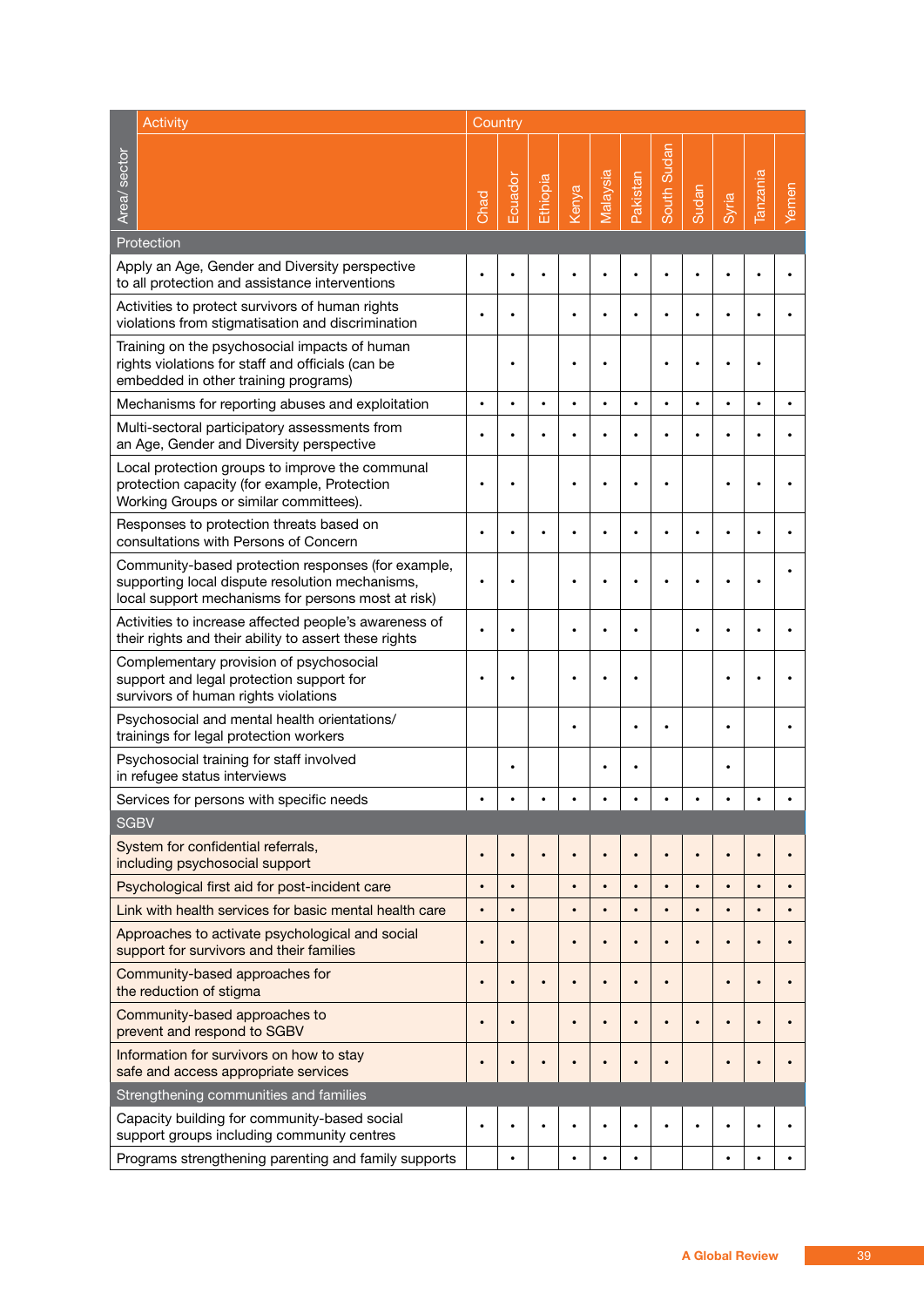|                                                                                                                             | <b>Activity</b><br>Country                                                                                                                                  |           |           |           |           |           |           |             |           |           |                 |       |
|-----------------------------------------------------------------------------------------------------------------------------|-------------------------------------------------------------------------------------------------------------------------------------------------------------|-----------|-----------|-----------|-----------|-----------|-----------|-------------|-----------|-----------|-----------------|-------|
| Area/ sector                                                                                                                |                                                                                                                                                             | Chad      | Ecuador   | Ethiopia  | Kenya     | Malaysia  | Pakistan  | South Sudan | Sudan     | Syria     | <b>Tanzania</b> | Yemen |
|                                                                                                                             | Protection                                                                                                                                                  |           |           |           |           |           |           |             |           |           |                 |       |
|                                                                                                                             | Apply an Age, Gender and Diversity perspective<br>to all protection and assistance interventions                                                            |           |           |           |           |           |           |             |           |           |                 |       |
|                                                                                                                             | Activities to protect survivors of human rights<br>violations from stigmatisation and discrimination                                                        |           |           |           |           |           |           |             |           |           |                 |       |
|                                                                                                                             | Training on the psychosocial impacts of human<br>rights violations for staff and officials (can be<br>embedded in other training programs)                  |           |           |           | $\bullet$ |           |           |             |           | ٠         |                 |       |
|                                                                                                                             | Mechanisms for reporting abuses and exploitation                                                                                                            | $\bullet$ | $\bullet$ | $\bullet$ | $\bullet$ | $\bullet$ | $\bullet$ | $\bullet$   | $\bullet$ | $\bullet$ |                 |       |
|                                                                                                                             | Multi-sectoral participatory assessments from<br>an Age, Gender and Diversity perspective                                                                   | ٠         |           |           |           |           |           |             |           |           |                 |       |
|                                                                                                                             | Local protection groups to improve the communal<br>protection capacity (for example, Protection<br>Working Groups or similar committees).                   | $\bullet$ |           |           |           |           | ٠         |             |           |           |                 |       |
|                                                                                                                             | Responses to protection threats based on<br>consultations with Persons of Concern                                                                           | $\bullet$ |           | $\bullet$ |           |           | $\bullet$ |             |           |           |                 |       |
|                                                                                                                             | Community-based protection responses (for example,<br>supporting local dispute resolution mechanisms,<br>local support mechanisms for persons most at risk) | ٠         |           |           | $\bullet$ |           | ٠         |             |           |           |                 |       |
| Activities to increase affected people's awareness of<br>their rights and their ability to assert these rights              |                                                                                                                                                             |           |           |           | $\bullet$ |           | ٠         |             |           |           |                 |       |
| Complementary provision of psychosocial<br>support and legal protection support for<br>survivors of human rights violations |                                                                                                                                                             | $\bullet$ |           |           |           |           |           |             |           |           |                 |       |
| Psychosocial and mental health orientations/<br>trainings for legal protection workers                                      |                                                                                                                                                             |           |           |           |           |           | ٠         |             |           | ٠         |                 |       |
| Psychosocial training for staff involved<br>in refugee status interviews                                                    |                                                                                                                                                             |           |           |           |           |           | ٠         |             |           |           |                 |       |
|                                                                                                                             | Services for persons with specific needs                                                                                                                    | $\bullet$ |           |           |           |           |           |             |           |           |                 |       |
| <b>SGBV</b>                                                                                                                 |                                                                                                                                                             |           |           |           |           |           |           |             |           |           |                 |       |
|                                                                                                                             | System for confidential referrals,<br>including psychosocial support                                                                                        | $\bullet$ |           |           |           |           |           |             |           |           |                 |       |
| Psychological first aid for post-incident care                                                                              |                                                                                                                                                             | $\bullet$ | $\bullet$ |           | $\bullet$ | $\bullet$ | $\bullet$ | $\bullet$   | $\bullet$ | $\bullet$ | $\bullet$       |       |
| Link with health services for basic mental health care                                                                      |                                                                                                                                                             | $\bullet$ | $\bullet$ |           |           | $\bullet$ | $\bullet$ |             |           | $\bullet$ |                 |       |
| Approaches to activate psychological and social<br>support for survivors and their families                                 |                                                                                                                                                             | $\bullet$ |           |           | $\bullet$ | $\bullet$ | $\bullet$ |             |           | $\bullet$ |                 |       |
| Community-based approaches for<br>the reduction of stigma                                                                   |                                                                                                                                                             | $\bullet$ | $\bullet$ | $\bullet$ | $\bullet$ | $\bullet$ | $\bullet$ | $\bullet$   |           | $\bullet$ |                 |       |
| Community-based approaches to<br>prevent and respond to SGBV                                                                |                                                                                                                                                             | $\bullet$ |           |           | $\bullet$ |           | $\bullet$ |             |           | $\bullet$ |                 |       |
|                                                                                                                             | Information for survivors on how to stay<br>safe and access appropriate services                                                                            | $\bullet$ |           | $\bullet$ |           |           | $\bullet$ |             |           | $\bullet$ |                 |       |
|                                                                                                                             | Strengthening communities and families                                                                                                                      |           |           |           |           |           |           |             |           |           |                 |       |
|                                                                                                                             | Capacity building for community-based social<br>support groups including community centres                                                                  | $\bullet$ |           |           |           |           |           |             |           |           |                 |       |
|                                                                                                                             | Programs strengthening parenting and family supports                                                                                                        |           |           |           | $\bullet$ | $\bullet$ | $\bullet$ |             |           | $\bullet$ |                 |       |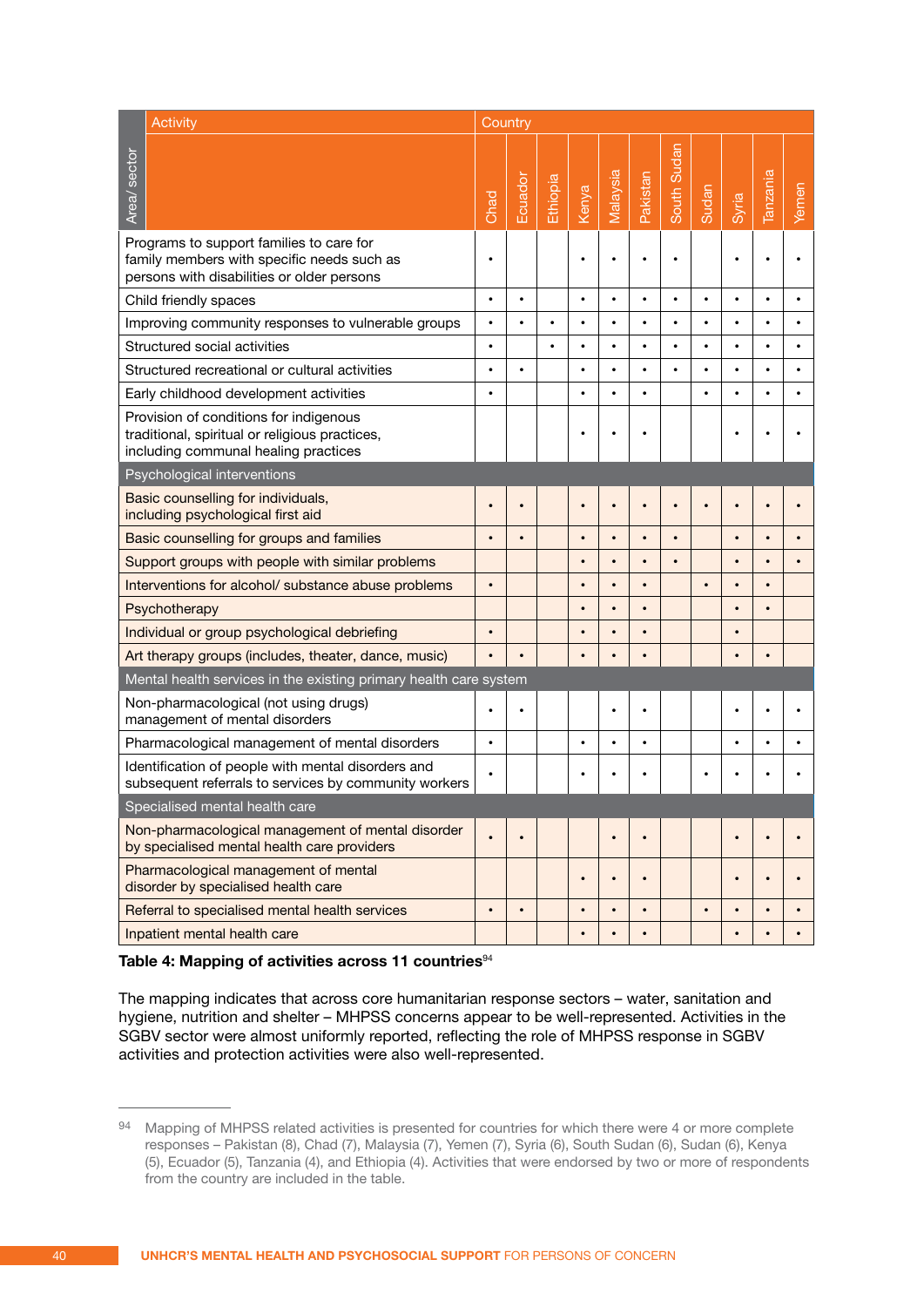|                                                                                                                                  | Activity                                                                                                                             | Country   |           |          |           |           |           |             |              |           |                 |       |
|----------------------------------------------------------------------------------------------------------------------------------|--------------------------------------------------------------------------------------------------------------------------------------|-----------|-----------|----------|-----------|-----------|-----------|-------------|--------------|-----------|-----------------|-------|
| Area/ sector                                                                                                                     |                                                                                                                                      | Chad      | Ecuador   | Ethiopia | Kenya     | Malaysia  | Pakistan  | South Sudan | <b>Sudan</b> | Syria     | <b>Tanzania</b> | Yemen |
|                                                                                                                                  | Programs to support families to care for<br>family members with specific needs such as<br>persons with disabilities or older persons | ٠         |           |          |           |           |           |             |              |           |                 |       |
|                                                                                                                                  | Child friendly spaces                                                                                                                | $\bullet$ | $\bullet$ |          | $\bullet$ | $\bullet$ | $\bullet$ | $\bullet$   | $\bullet$    | $\bullet$ |                 |       |
|                                                                                                                                  | Improving community responses to vulnerable groups                                                                                   | $\bullet$ |           |          |           |           | $\bullet$ |             |              | $\bullet$ |                 |       |
|                                                                                                                                  | Structured social activities                                                                                                         | $\bullet$ |           |          | $\bullet$ | $\bullet$ | $\bullet$ | $\bullet$   | $\bullet$    | $\bullet$ |                 |       |
|                                                                                                                                  | Structured recreational or cultural activities                                                                                       | $\bullet$ |           |          | $\bullet$ | ٠         | $\bullet$ |             |              | $\bullet$ |                 |       |
|                                                                                                                                  | Early childhood development activities                                                                                               | $\bullet$ |           |          | $\bullet$ | $\bullet$ | $\bullet$ |             | $\bullet$    | $\bullet$ |                 |       |
| Provision of conditions for indigenous<br>traditional, spiritual or religious practices,<br>including communal healing practices |                                                                                                                                      |           |           |          |           |           |           |             |              |           |                 |       |
|                                                                                                                                  | Psychological interventions                                                                                                          |           |           |          |           |           |           |             |              |           |                 |       |
| Basic counselling for individuals,<br>including psychological first aid                                                          |                                                                                                                                      | $\bullet$ |           |          |           |           |           |             |              |           |                 |       |
| Basic counselling for groups and families                                                                                        |                                                                                                                                      | $\bullet$ |           |          | $\bullet$ | $\bullet$ | $\bullet$ |             |              | $\bullet$ |                 |       |
| Support groups with people with similar problems                                                                                 |                                                                                                                                      |           |           |          | $\bullet$ | $\bullet$ | $\bullet$ | $\bullet$   |              | $\bullet$ |                 |       |
| Interventions for alcohol/ substance abuse problems                                                                              |                                                                                                                                      | $\bullet$ |           |          |           |           | $\bullet$ |             |              | $\bullet$ |                 |       |
|                                                                                                                                  | Psychotherapy                                                                                                                        |           |           |          | $\bullet$ |           | $\bullet$ |             |              | $\bullet$ |                 |       |
|                                                                                                                                  | Individual or group psychological debriefing                                                                                         | $\bullet$ |           |          | $\bullet$ |           | $\bullet$ |             |              | $\bullet$ |                 |       |
|                                                                                                                                  | Art therapy groups (includes, theater, dance, music)                                                                                 | $\bullet$ |           |          |           |           | $\bullet$ |             |              | $\bullet$ |                 |       |
|                                                                                                                                  | Mental health services in the existing primary health care system                                                                    |           |           |          |           |           |           |             |              |           |                 |       |
|                                                                                                                                  | Non-pharmacological (not using drugs)<br>management of mental disorders                                                              |           |           |          |           |           | ٠         |             |              |           |                 |       |
|                                                                                                                                  | Pharmacological management of mental disorders                                                                                       | $\bullet$ |           |          | ٠         | ٠         | $\bullet$ |             |              | ٠         |                 |       |
| Identification of people with mental disorders and<br>subsequent referrals to services by community workers                      |                                                                                                                                      |           |           |          |           |           |           |             |              |           |                 |       |
|                                                                                                                                  | Specialised mental health care                                                                                                       |           |           |          |           |           |           |             |              |           |                 |       |
|                                                                                                                                  | Non-pharmacological management of mental disorder<br>by specialised mental health care providers                                     |           |           |          |           |           | $\bullet$ |             |              | $\bullet$ |                 |       |
|                                                                                                                                  | Pharmacological management of mental<br>disorder by specialised health care                                                          |           |           |          | $\bullet$ | $\bullet$ | $\bullet$ |             |              | $\bullet$ |                 |       |
|                                                                                                                                  | Referral to specialised mental health services                                                                                       | $\bullet$ | $\bullet$ |          | $\bullet$ | $\bullet$ | $\bullet$ |             | $\bullet$    | $\bullet$ |                 |       |
|                                                                                                                                  | Inpatient mental health care                                                                                                         |           |           |          |           |           |           |             |              |           |                 |       |

### Table 4: Mapping of activities across 11 countries<sup>94</sup>

The mapping indicates that across core humanitarian response sectors – water, sanitation and hygiene, nutrition and shelter – MHPSS concerns appear to be well-represented. Activities in the SGBV sector were almost uniformly reported, reflecting the role of MHPSS response in SGBV activities and protection activities were also well-represented.

<sup>94</sup> Mapping of MHPSS related activities is presented for countries for which there were 4 or more complete responses – Pakistan (8), Chad (7), Malaysia (7), Yemen (7), Syria (6), South Sudan (6), Sudan (6), Kenya (5), Ecuador (5), Tanzania (4), and Ethiopia (4). Activities that were endorsed by two or more of respondents from the country are included in the table.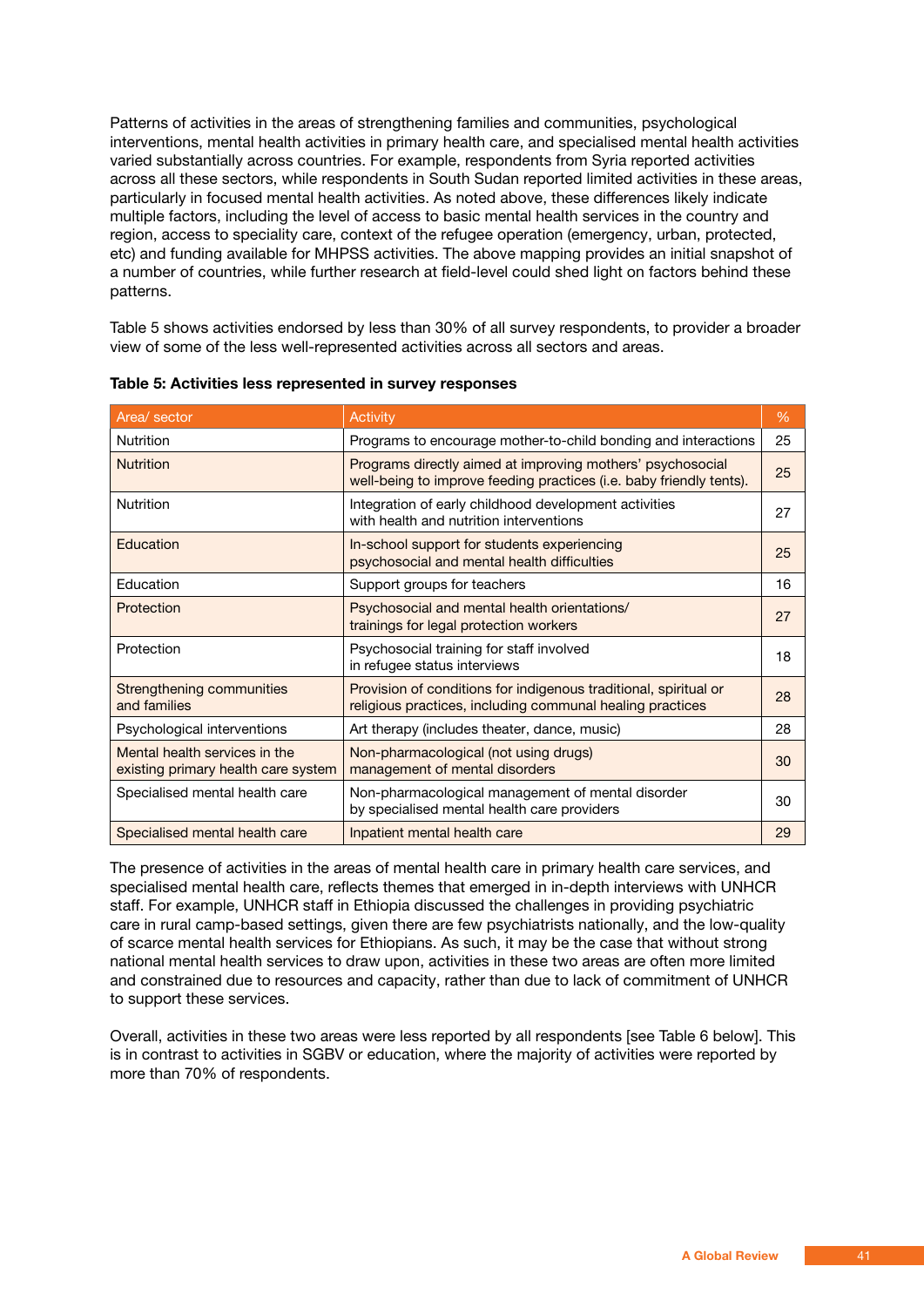Patterns of activities in the areas of strengthening families and communities, psychological interventions, mental health activities in primary health care, and specialised mental health activities varied substantially across countries. For example, respondents from Syria reported activities across all these sectors, while respondents in South Sudan reported limited activities in these areas, particularly in focused mental health activities. As noted above, these differences likely indicate multiple factors, including the level of access to basic mental health services in the country and region, access to speciality care, context of the refugee operation (emergency, urban, protected, etc) and funding available for MHPSS activities. The above mapping provides an initial snapshot of a number of countries, while further research at field-level could shed light on factors behind these patterns.

Table 5 shows activities endorsed by less than 30% of all survey respondents, to provider a broader view of some of the less well-represented activities across all sectors and areas.

| Area/ sector                                                         | Activity                                                                                                                          | %  |
|----------------------------------------------------------------------|-----------------------------------------------------------------------------------------------------------------------------------|----|
| <b>Nutrition</b>                                                     | Programs to encourage mother-to-child bonding and interactions                                                                    | 25 |
| <b>Nutrition</b>                                                     | Programs directly aimed at improving mothers' psychosocial<br>well-being to improve feeding practices (i.e. baby friendly tents). | 25 |
| <b>Nutrition</b>                                                     | Integration of early childhood development activities<br>with health and nutrition interventions                                  | 27 |
| Education                                                            | In-school support for students experiencing<br>psychosocial and mental health difficulties                                        | 25 |
| Education                                                            | Support groups for teachers                                                                                                       | 16 |
| Protection                                                           | Psychosocial and mental health orientations/<br>trainings for legal protection workers                                            | 27 |
| Protection                                                           | Psychosocial training for staff involved<br>in refugee status interviews                                                          | 18 |
| Strengthening communities<br>and families                            | Provision of conditions for indigenous traditional, spiritual or<br>religious practices, including communal healing practices     | 28 |
| Psychological interventions                                          | Art therapy (includes theater, dance, music)                                                                                      | 28 |
| Mental health services in the<br>existing primary health care system | Non-pharmacological (not using drugs)<br>management of mental disorders                                                           | 30 |
| Specialised mental health care                                       | Non-pharmacological management of mental disorder<br>by specialised mental health care providers                                  | 30 |
| Specialised mental health care                                       | Inpatient mental health care                                                                                                      | 29 |

**Table 5: Activities less represented in survey responses**

The presence of activities in the areas of mental health care in primary health care services, and specialised mental health care, reflects themes that emerged in in-depth interviews with UNHCR staff. For example, UNHCR staff in Ethiopia discussed the challenges in providing psychiatric care in rural camp-based settings, given there are few psychiatrists nationally, and the low-quality of scarce mental health services for Ethiopians. As such, it may be the case that without strong national mental health services to draw upon, activities in these two areas are often more limited and constrained due to resources and capacity, rather than due to lack of commitment of UNHCR to support these services.

Overall, activities in these two areas were less reported by all respondents [see Table 6 below]. This is in contrast to activities in SGBV or education, where the majority of activities were reported by more than 70% of respondents.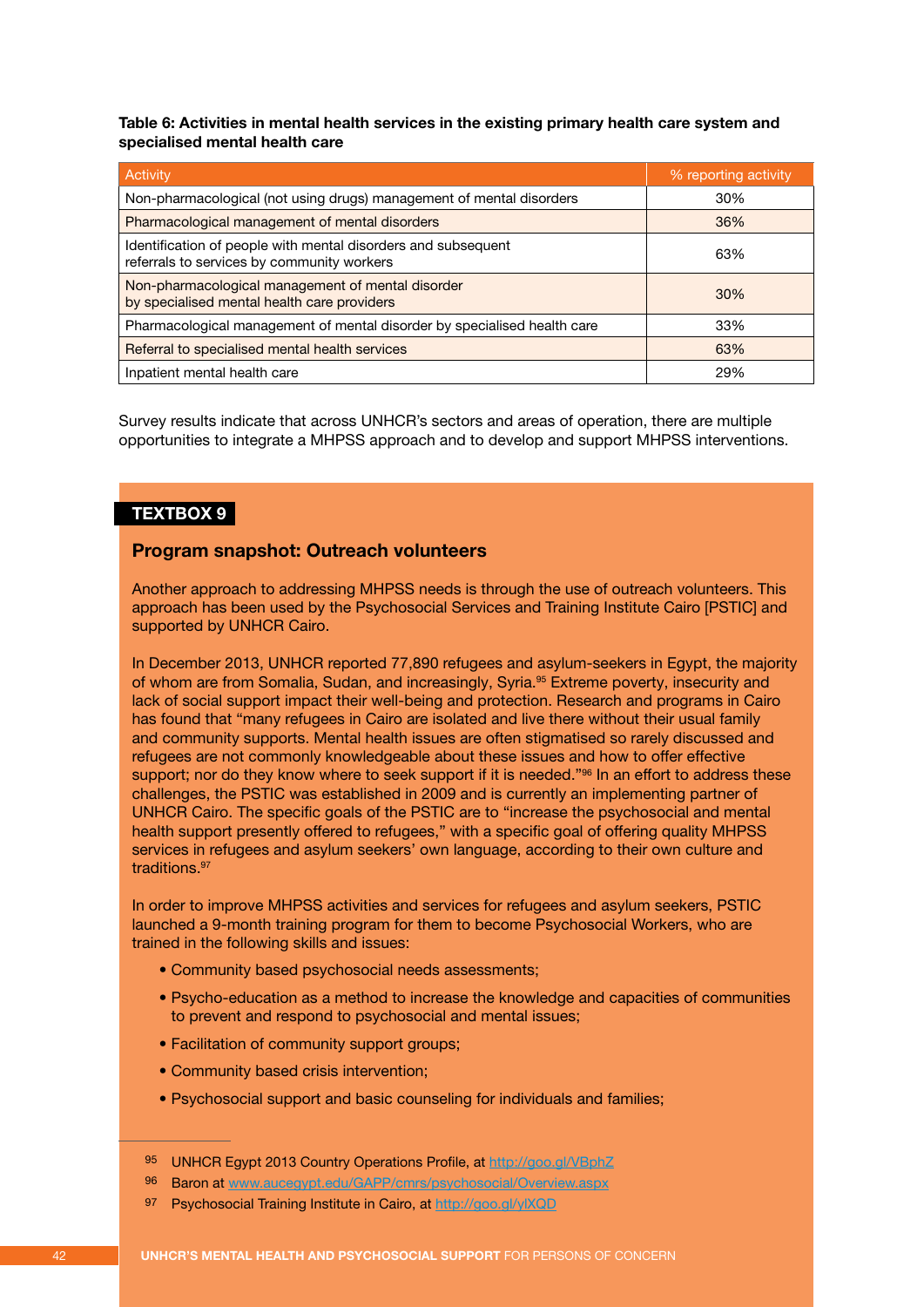**Table 6: Activities in mental health services in the existing primary health care system and specialised mental health care**

| Activity                                                                                                    | % reporting activity |
|-------------------------------------------------------------------------------------------------------------|----------------------|
| Non-pharmacological (not using drugs) management of mental disorders                                        | 30%                  |
| Pharmacological management of mental disorders                                                              | 36%                  |
| Identification of people with mental disorders and subsequent<br>referrals to services by community workers | 63%                  |
| Non-pharmacological management of mental disorder<br>by specialised mental health care providers            | 30%                  |
| Pharmacological management of mental disorder by specialised health care                                    | 33%                  |
| Referral to specialised mental health services                                                              | 63%                  |
| Inpatient mental health care                                                                                | 29%                  |

Survey results indicate that across UNHCR's sectors and areas of operation, there are multiple opportunities to integrate a MHPSS approach and to develop and support MHPSS interventions.

### **TEXTBOX 9**

### **Program snapshot: Outreach volunteers**

Another approach to addressing MHPSS needs is through the use of outreach volunteers. This approach has been used by the Psychosocial Services and Training Institute Cairo [PSTIC] and supported by UNHCR Cairo.

In December 2013, UNHCR reported 77,890 refugees and asylum-seekers in Egypt, the majority of whom are from Somalia, Sudan, and increasingly, Syria.<sup>95</sup> Extreme poverty, insecurity and lack of social support impact their well-being and protection. Research and programs in Cairo has found that "many refugees in Cairo are isolated and live there without their usual family and community supports. Mental health issues are often stigmatised so rarely discussed and refugees are not commonly knowledgeable about these issues and how to offer effective support; nor do they know where to seek support if it is needed."<sup>96</sup> In an effort to address these challenges, the PSTIC was established in 2009 and is currently an implementing partner of UNHCR Cairo. The specific goals of the PSTIC are to "increase the psychosocial and mental health support presently offered to refugees," with a specific goal of offering quality MHPSS services in refugees and asylum seekers' own language, according to their own culture and traditions.<sup>97</sup>

In order to improve MHPSS activities and services for refugees and asylum seekers, PSTIC launched a 9-month training program for them to become Psychosocial Workers, who are trained in the following skills and issues:

- Community based psychosocial needs assessments;
- Psycho-education as a method to increase the knowledge and capacities of communities to prevent and respond to psychosocial and mental issues;
- Facilitation of community support groups;
- Community based crisis intervention;
- Psychosocial support and basic counseling for individuals and families;
- 95 UNHCR Egypt 2013 Country Operations Profile, at http://goo.gl/VBphZ
- 96 Baron at www.aucegypt.edu/GAPP/cmrs/psychosocial/Overview.aspx
- 97 Psychosocial Training Institute in Cairo, at http://goo.gl/ylXQD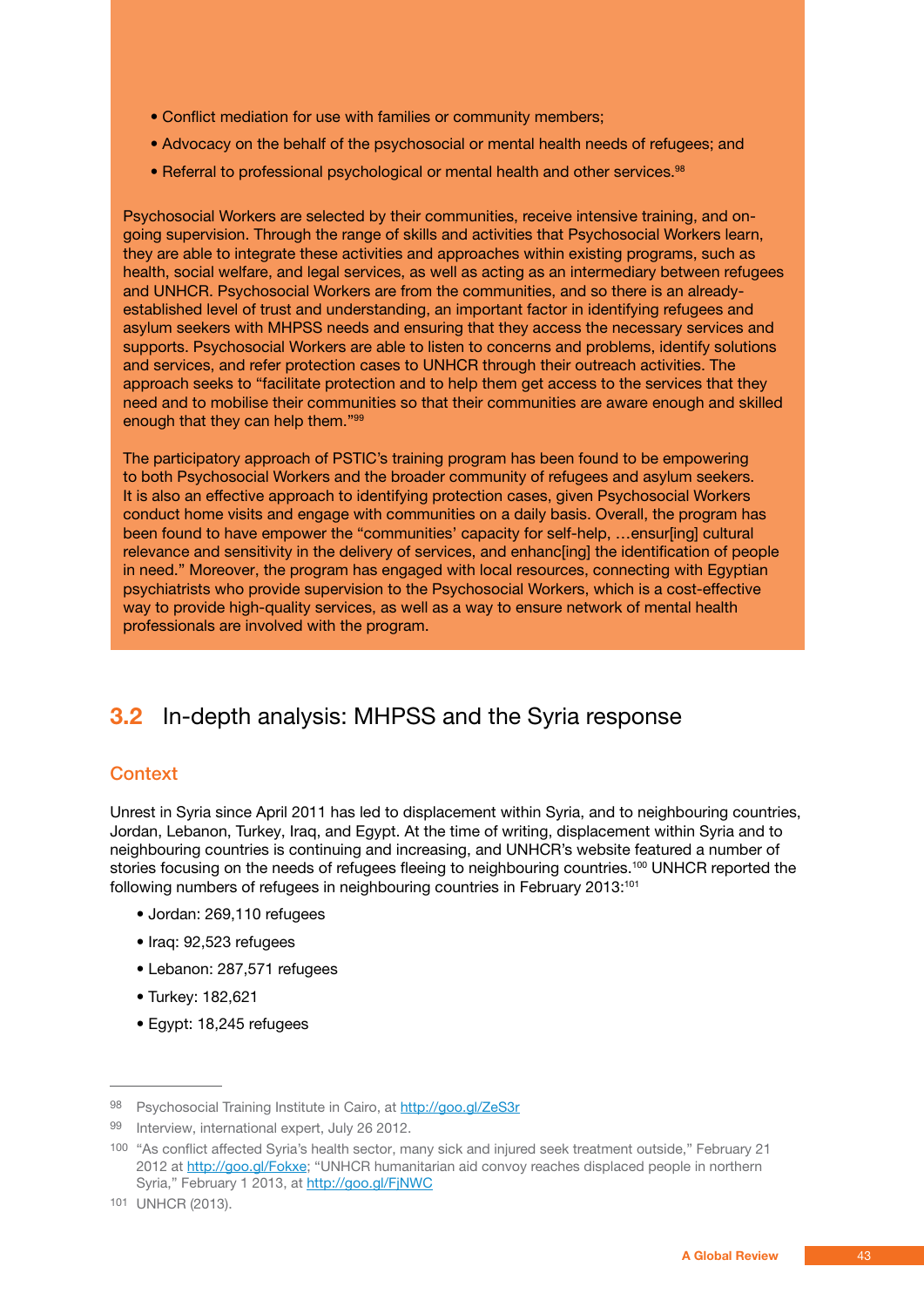- Conflict mediation for use with families or community members;
- Advocacy on the behalf of the psychosocial or mental health needs of refugees; and
- Referral to professional psychological or mental health and other services.<sup>98</sup>

Psychosocial Workers are selected by their communities, receive intensive training, and ongoing supervision. Through the range of skills and activities that Psychosocial Workers learn, they are able to integrate these activities and approaches within existing programs, such as health, social welfare, and legal services, as well as acting as an intermediary between refugees and UNHCR. Psychosocial Workers are from the communities, and so there is an alreadyestablished level of trust and understanding, an important factor in identifying refugees and asylum seekers with MHPSS needs and ensuring that they access the necessary services and supports. Psychosocial Workers are able to listen to concerns and problems, identify solutions and services, and refer protection cases to UNHCR through their outreach activities. The approach seeks to "facilitate protection and to help them get access to the services that they need and to mobilise their communities so that their communities are aware enough and skilled enough that they can help them."99

The participatory approach of PSTIC's training program has been found to be empowering to both Psychosocial Workers and the broader community of refugees and asylum seekers. It is also an effective approach to identifying protection cases, given Psychosocial Workers conduct home visits and engage with communities on a daily basis. Overall, the program has been found to have empower the "communities' capacity for self-help, …ensur[ing] cultural relevance and sensitivity in the delivery of services, and enhanc[ing] the identification of people in need." Moreover, the program has engaged with local resources, connecting with Egyptian psychiatrists who provide supervision to the Psychosocial Workers, which is a cost-effective way to provide high-quality services, as well as a way to ensure network of mental health professionals are involved with the program.

## **3.2** In-depth analysis: MHPSS and the Syria response

### **Context**

Unrest in Syria since April 2011 has led to displacement within Syria, and to neighbouring countries, Jordan, Lebanon, Turkey, Iraq, and Egypt. At the time of writing, displacement within Syria and to neighbouring countries is continuing and increasing, and UNHCR's website featured a number of stories focusing on the needs of refugees fleeing to neighbouring countries.<sup>100</sup> UNHCR reported the following numbers of refugees in neighbouring countries in February 2013:<sup>101</sup>

- Jordan: 269,110 refugees
- Iraq: 92,523 refugees
- Lebanon: 287,571 refugees
- Turkey: 182,621
- Egypt: 18,245 refugees

<sup>98</sup> Psychosocial Training Institute in Cairo, at http://goo.gl/ZeS3r

<sup>99</sup> Interview, international expert, July 26 2012.

<sup>100</sup> "As conflict affected Syria's health sector, many sick and injured seek treatment outside," February 21 2012 at http://goo.gl/Fokxe; "UNHCR humanitarian aid convoy reaches displaced people in northern Syria," February 1 2013, at http://goo.gl/FjNWC

<sup>101</sup> UNHCR (2013).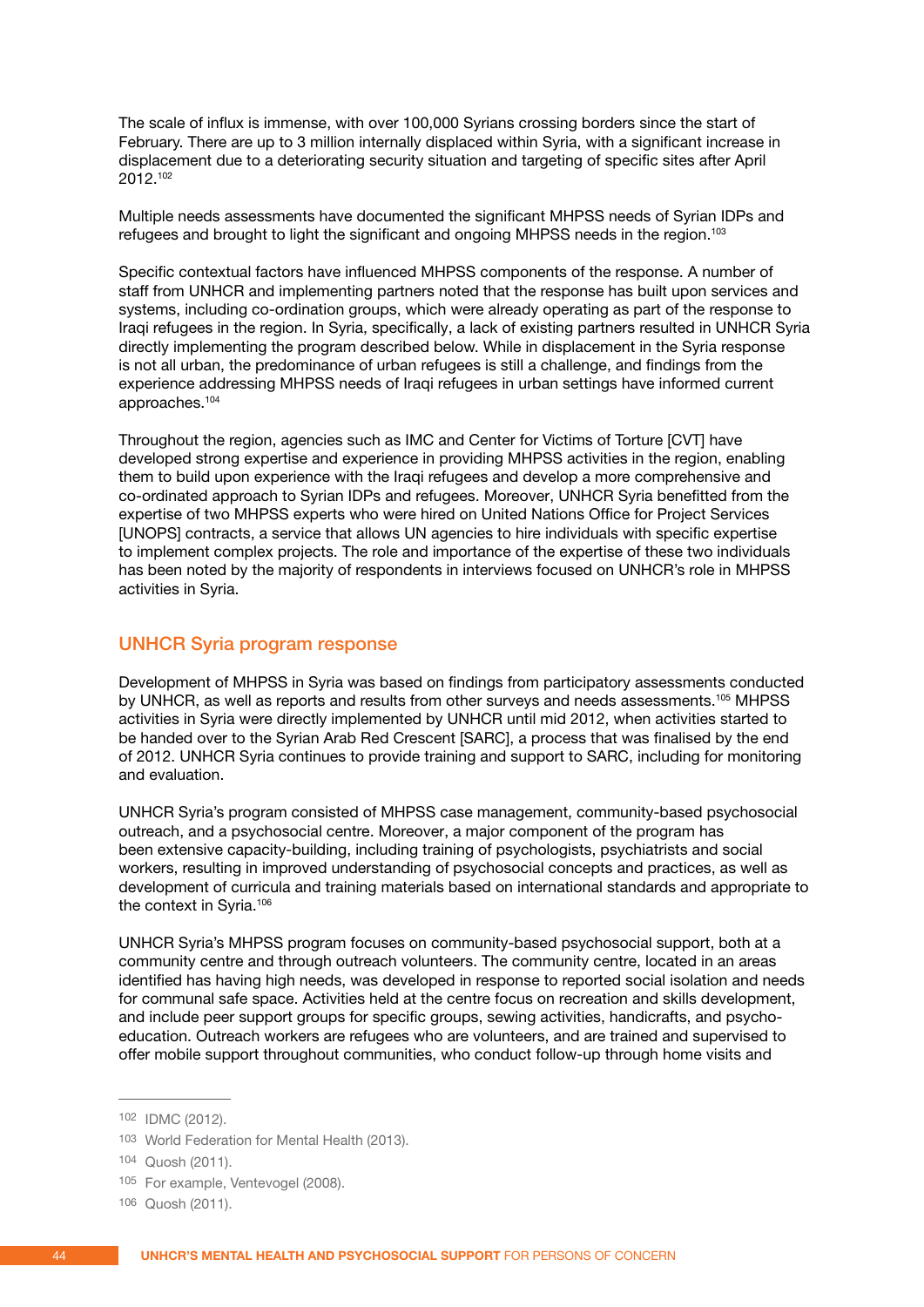The scale of influx is immense, with over 100,000 Syrians crossing borders since the start of February. There are up to 3 million internally displaced within Syria, with a significant increase in displacement due to a deteriorating security situation and targeting of specific sites after April 2012.102

Multiple needs assessments have documented the significant MHPSS needs of Syrian IDPs and refugees and brought to light the significant and ongoing MHPSS needs in the region.103

Specific contextual factors have influenced MHPSS components of the response. A number of staff from UNHCR and implementing partners noted that the response has built upon services and systems, including co-ordination groups, which were already operating as part of the response to Iraqi refugees in the region. In Syria, specifically, a lack of existing partners resulted in UNHCR Syria directly implementing the program described below. While in displacement in the Syria response is not all urban, the predominance of urban refugees is still a challenge, and findings from the experience addressing MHPSS needs of Iraqi refugees in urban settings have informed current approaches.104

Throughout the region, agencies such as IMC and Center for Victims of Torture [CVT] have developed strong expertise and experience in providing MHPSS activities in the region, enabling them to build upon experience with the Iraqi refugees and develop a more comprehensive and co-ordinated approach to Syrian IDPs and refugees. Moreover, UNHCR Syria benefitted from the expertise of two MHPSS experts who were hired on United Nations Office for Project Services [UNOPS] contracts, a service that allows UN agencies to hire individuals with specific expertise to implement complex projects. The role and importance of the expertise of these two individuals has been noted by the majority of respondents in interviews focused on UNHCR's role in MHPSS activities in Syria.

### UNHCR Syria program response

Development of MHPSS in Syria was based on findings from participatory assessments conducted by UNHCR, as well as reports and results from other surveys and needs assessments.105 MHPSS activities in Syria were directly implemented by UNHCR until mid 2012, when activities started to be handed over to the Syrian Arab Red Crescent [SARC], a process that was finalised by the end of 2012. UNHCR Syria continues to provide training and support to SARC, including for monitoring and evaluation.

UNHCR Syria's program consisted of MHPSS case management, community-based psychosocial outreach, and a psychosocial centre. Moreover, a major component of the program has been extensive capacity-building, including training of psychologists, psychiatrists and social workers, resulting in improved understanding of psychosocial concepts and practices, as well as development of curricula and training materials based on international standards and appropriate to the context in Syria.106

UNHCR Syria's MHPSS program focuses on community-based psychosocial support, both at a community centre and through outreach volunteers. The community centre, located in an areas identified has having high needs, was developed in response to reported social isolation and needs for communal safe space. Activities held at the centre focus on recreation and skills development, and include peer support groups for specific groups, sewing activities, handicrafts, and psychoeducation. Outreach workers are refugees who are volunteers, and are trained and supervised to offer mobile support throughout communities, who conduct follow-up through home visits and

<sup>102</sup> IDMC (2012).

<sup>103</sup> World Federation for Mental Health (2013).

<sup>104</sup> Quosh (2011).

<sup>105</sup> For example, Ventevogel (2008).

<sup>106</sup> Quosh (2011).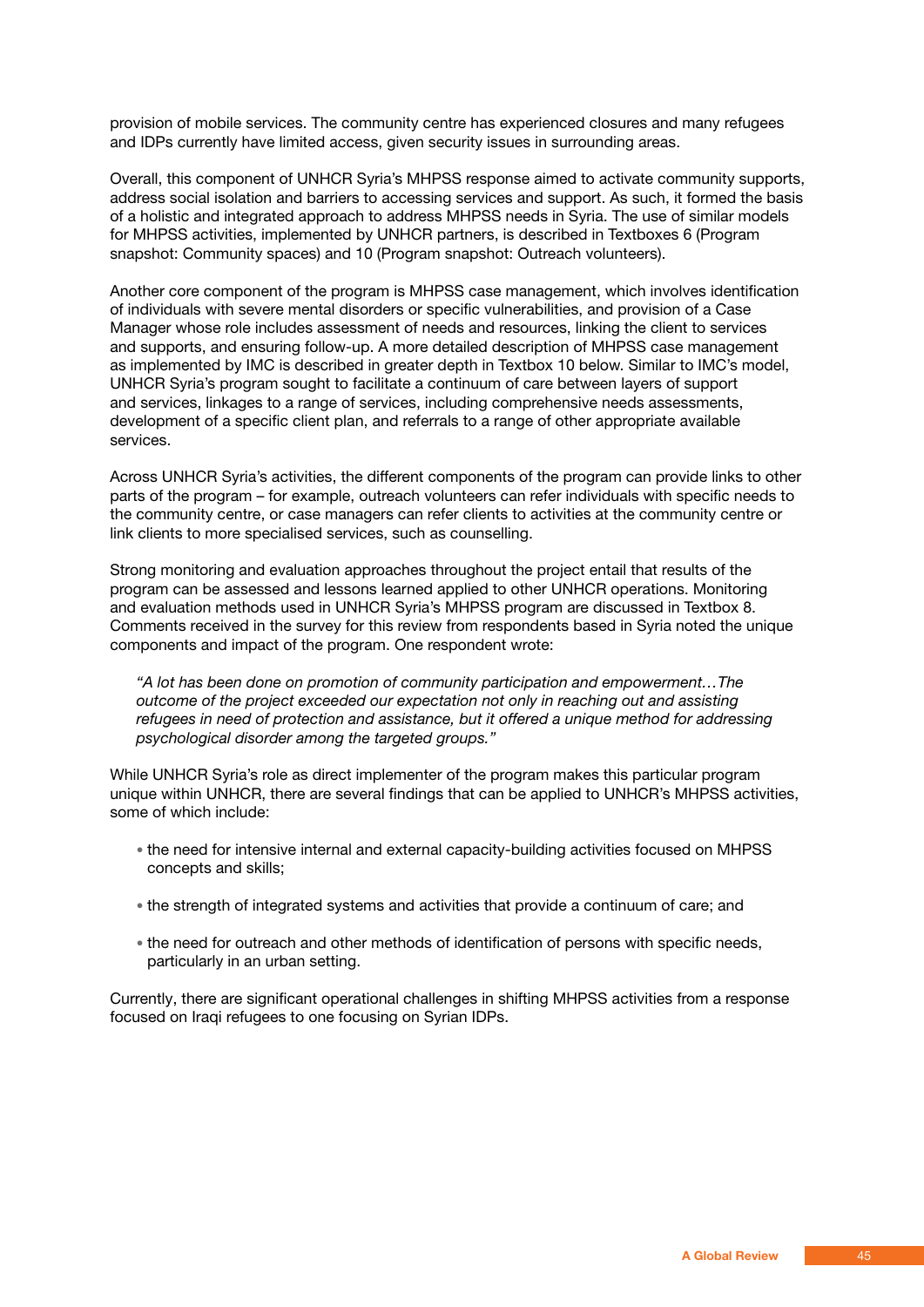provision of mobile services. The community centre has experienced closures and many refugees and IDPs currently have limited access, given security issues in surrounding areas.

Overall, this component of UNHCR Syria's MHPSS response aimed to activate community supports, address social isolation and barriers to accessing services and support. As such, it formed the basis of a holistic and integrated approach to address MHPSS needs in Syria. The use of similar models for MHPSS activities, implemented by UNHCR partners, is described in Textboxes 6 (Program snapshot: Community spaces) and 10 (Program snapshot: Outreach volunteers).

Another core component of the program is MHPSS case management, which involves identification of individuals with severe mental disorders or specific vulnerabilities, and provision of a Case Manager whose role includes assessment of needs and resources, linking the client to services and supports, and ensuring follow-up. A more detailed description of MHPSS case management as implemented by IMC is described in greater depth in Textbox 10 below. Similar to IMC's model, UNHCR Syria's program sought to facilitate a continuum of care between layers of support and services, linkages to a range of services, including comprehensive needs assessments, development of a specific client plan, and referrals to a range of other appropriate available services.

Across UNHCR Syria's activities, the different components of the program can provide links to other parts of the program – for example, outreach volunteers can refer individuals with specific needs to the community centre, or case managers can refer clients to activities at the community centre or link clients to more specialised services, such as counselling.

Strong monitoring and evaluation approaches throughout the project entail that results of the program can be assessed and lessons learned applied to other UNHCR operations. Monitoring and evaluation methods used in UNHCR Syria's MHPSS program are discussed in Textbox 8. Comments received in the survey for this review from respondents based in Syria noted the unique components and impact of the program. One respondent wrote:

 *"A lot has been done on promotion of community participation and empowerment…The outcome of the project exceeded our expectation not only in reaching out and assisting refugees in need of protection and assistance, but it offered a unique method for addressing psychological disorder among the targeted groups."*

While UNHCR Syria's role as direct implementer of the program makes this particular program unique within UNHCR, there are several findings that can be applied to UNHCR's MHPSS activities, some of which include:

- the need for intensive internal and external capacity-building activities focused on MHPSS concepts and skills;
- the strength of integrated systems and activities that provide a continuum of care; and
- the need for outreach and other methods of identification of persons with specific needs, particularly in an urban setting.

Currently, there are significant operational challenges in shifting MHPSS activities from a response focused on Iraqi refugees to one focusing on Syrian IDPs.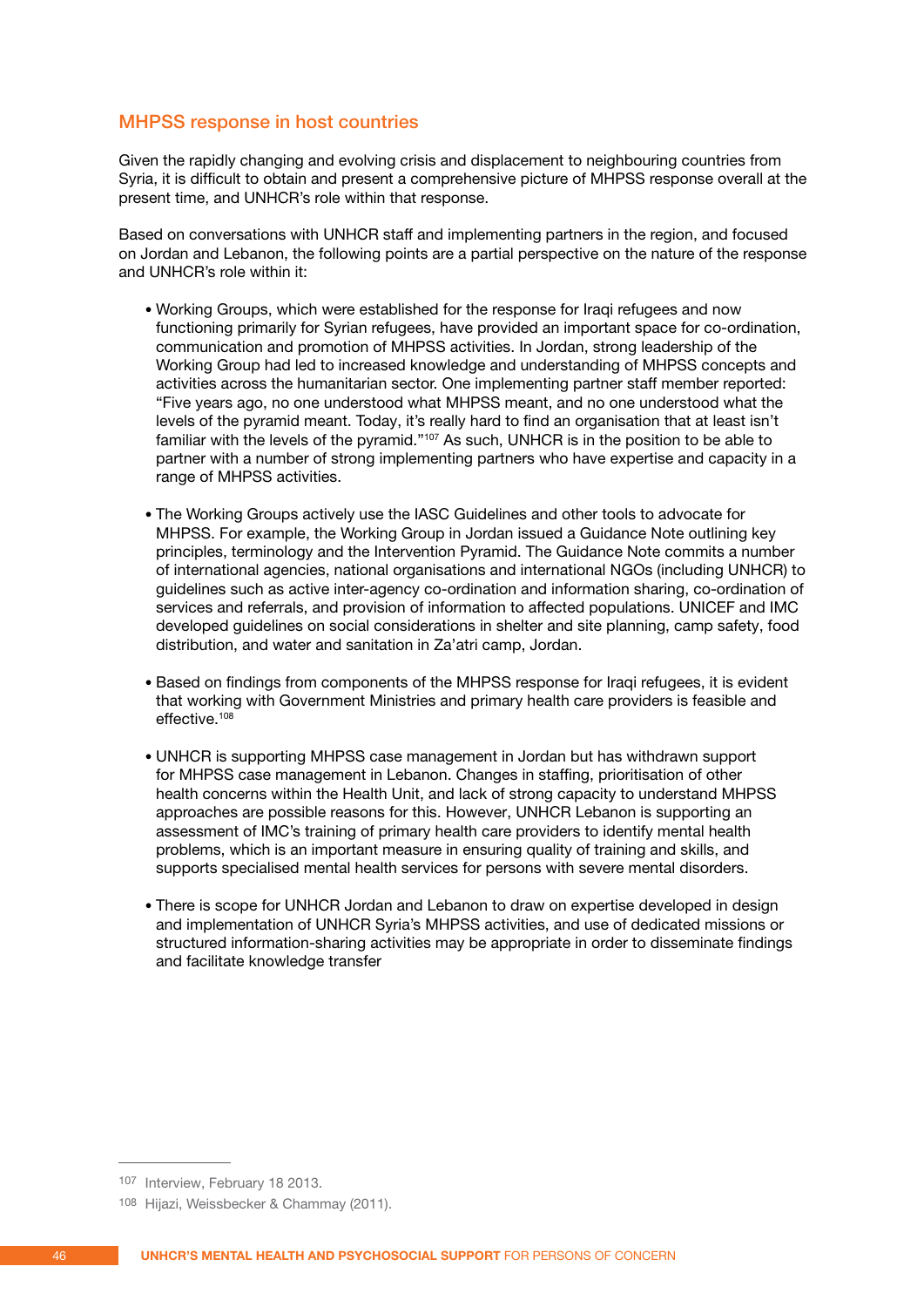### MHPSS response in host countries

Given the rapidly changing and evolving crisis and displacement to neighbouring countries from Syria, it is difficult to obtain and present a comprehensive picture of MHPSS response overall at the present time, and UNHCR's role within that response.

Based on conversations with UNHCR staff and implementing partners in the region, and focused on Jordan and Lebanon, the following points are a partial perspective on the nature of the response and UNHCR's role within it:

- Working Groups, which were established for the response for Iraqi refugees and now functioning primarily for Syrian refugees, have provided an important space for co-ordination, communication and promotion of MHPSS activities. In Jordan, strong leadership of the Working Group had led to increased knowledge and understanding of MHPSS concepts and activities across the humanitarian sector. One implementing partner staff member reported: "Five years ago, no one understood what MHPSS meant, and no one understood what the levels of the pyramid meant. Today, it's really hard to find an organisation that at least isn't familiar with the levels of the pyramid."107 As such, UNHCR is in the position to be able to partner with a number of strong implementing partners who have expertise and capacity in a range of MHPSS activities.
- The Working Groups actively use the IASC Guidelines and other tools to advocate for MHPSS. For example, the Working Group in Jordan issued a Guidance Note outlining key principles, terminology and the Intervention Pyramid. The Guidance Note commits a number of international agencies, national organisations and international NGOs (including UNHCR) to guidelines such as active inter-agency co-ordination and information sharing, co-ordination of services and referrals, and provision of information to affected populations. UNICEF and IMC developed guidelines on social considerations in shelter and site planning, camp safety, food distribution, and water and sanitation in Za'atri camp, Jordan.
- Based on findings from components of the MHPSS response for Iraqi refugees, it is evident that working with Government Ministries and primary health care providers is feasible and effective.<sup>108</sup>
- UNHCR is supporting MHPSS case management in Jordan but has withdrawn support for MHPSS case management in Lebanon. Changes in staffing, prioritisation of other health concerns within the Health Unit, and lack of strong capacity to understand MHPSS approaches are possible reasons for this. However, UNHCR Lebanon is supporting an assessment of IMC's training of primary health care providers to identify mental health problems, which is an important measure in ensuring quality of training and skills, and supports specialised mental health services for persons with severe mental disorders.
- There is scope for UNHCR Jordan and Lebanon to draw on expertise developed in design and implementation of UNHCR Syria's MHPSS activities, and use of dedicated missions or structured information-sharing activities may be appropriate in order to disseminate findings and facilitate knowledge transfer

<sup>107</sup> Interview, February 18 2013.

<sup>108</sup> Hijazi, Weissbecker & Chammay (2011).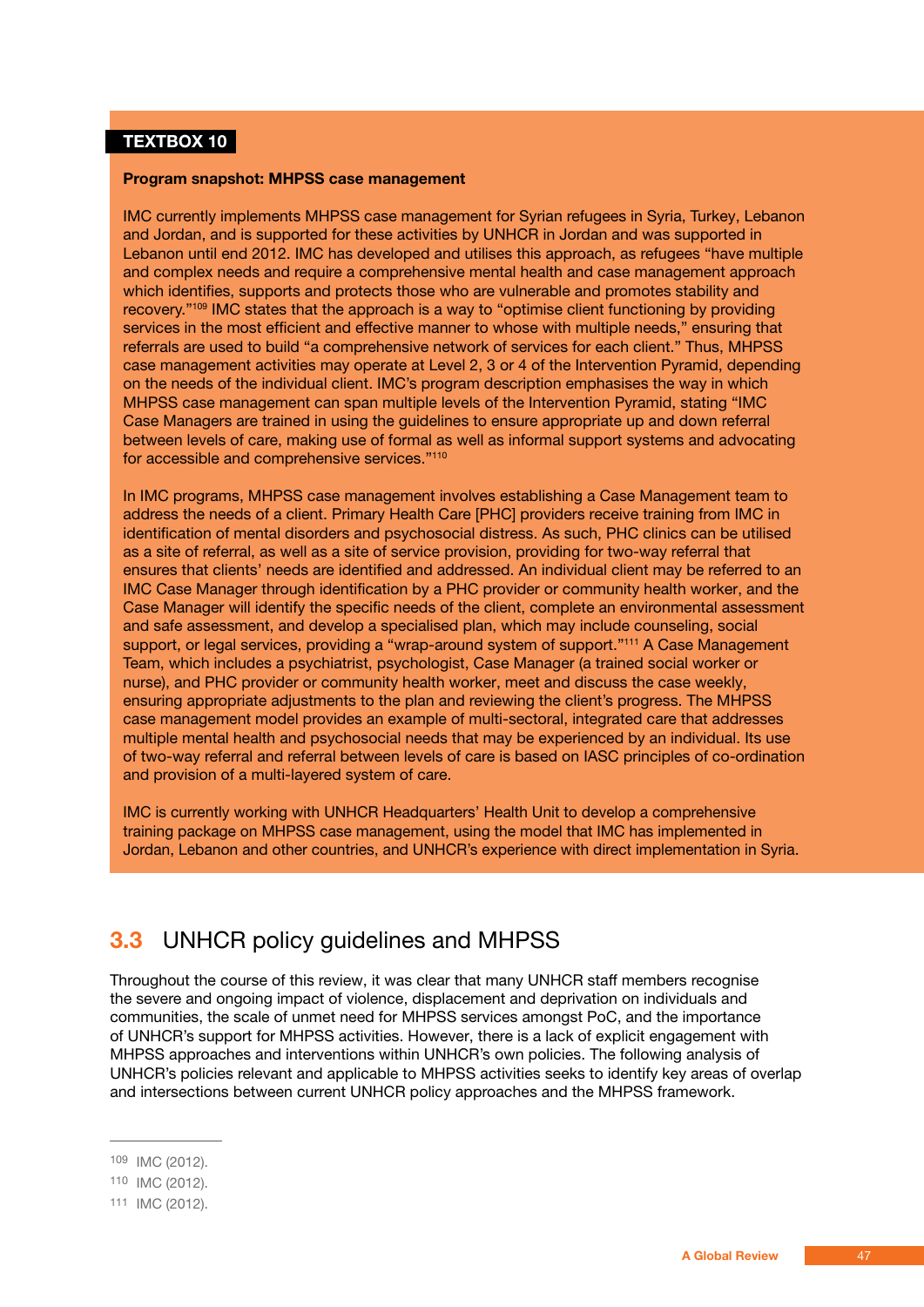### **TEXTBOX 10**

#### **Program snapshot: MHPSS case management**

IMC currently implements MHPSS case management for Syrian refugees in Syria, Turkey, Lebanon and Jordan, and is supported for these activities by UNHCR in Jordan and was supported in Lebanon until end 2012. IMC has developed and utilises this approach, as refugees "have multiple and complex needs and require a comprehensive mental health and case management approach which identifies, supports and protects those who are vulnerable and promotes stability and recovery."109 IMC states that the approach is a way to "optimise client functioning by providing services in the most efficient and effective manner to whose with multiple needs," ensuring that referrals are used to build "a comprehensive network of services for each client." Thus, MHPSS case management activities may operate at Level 2, 3 or 4 of the Intervention Pyramid, depending on the needs of the individual client. IMC's program description emphasises the way in which MHPSS case management can span multiple levels of the Intervention Pyramid, stating "IMC Case Managers are trained in using the guidelines to ensure appropriate up and down referral between levels of care, making use of formal as well as informal support systems and advocating for accessible and comprehensive services."110

In IMC programs, MHPSS case management involves establishing a Case Management team to address the needs of a client. Primary Health Care [PHC] providers receive training from IMC in identification of mental disorders and psychosocial distress. As such, PHC clinics can be utilised as a site of referral, as well as a site of service provision, providing for two-way referral that ensures that clients' needs are identified and addressed. An individual client may be referred to an IMC Case Manager through identification by a PHC provider or community health worker, and the Case Manager will identify the specific needs of the client, complete an environmental assessment and safe assessment, and develop a specialised plan, which may include counseling, social support, or legal services, providing a "wrap-around system of support."111 A Case Management Team, which includes a psychiatrist, psychologist, Case Manager (a trained social worker or nurse), and PHC provider or community health worker, meet and discuss the case weekly, ensuring appropriate adjustments to the plan and reviewing the client's progress. The MHPSS case management model provides an example of multi-sectoral, integrated care that addresses multiple mental health and psychosocial needs that may be experienced by an individual. Its use of two-way referral and referral between levels of care is based on IASC principles of co-ordination and provision of a multi-layered system of care.

IMC is currently working with UNHCR Headquarters' Health Unit to develop a comprehensive training package on MHPSS case management, using the model that IMC has implemented in Jordan, Lebanon and other countries, and UNHCR's experience with direct implementation in Syria.

## **3.3** UNHCR policy guidelines and MHPSS

Throughout the course of this review, it was clear that many UNHCR staff members recognise the severe and ongoing impact of violence, displacement and deprivation on individuals and communities, the scale of unmet need for MHPSS services amongst PoC, and the importance of UNHCR's support for MHPSS activities. However, there is a lack of explicit engagement with MHPSS approaches and interventions within UNHCR's own policies. The following analysis of UNHCR's policies relevant and applicable to MHPSS activities seeks to identify key areas of overlap and intersections between current UNHCR policy approaches and the MHPSS framework.

<sup>109</sup> IMC (2012).

<sup>110</sup> IMC (2012).

<sup>111</sup> IMC (2012).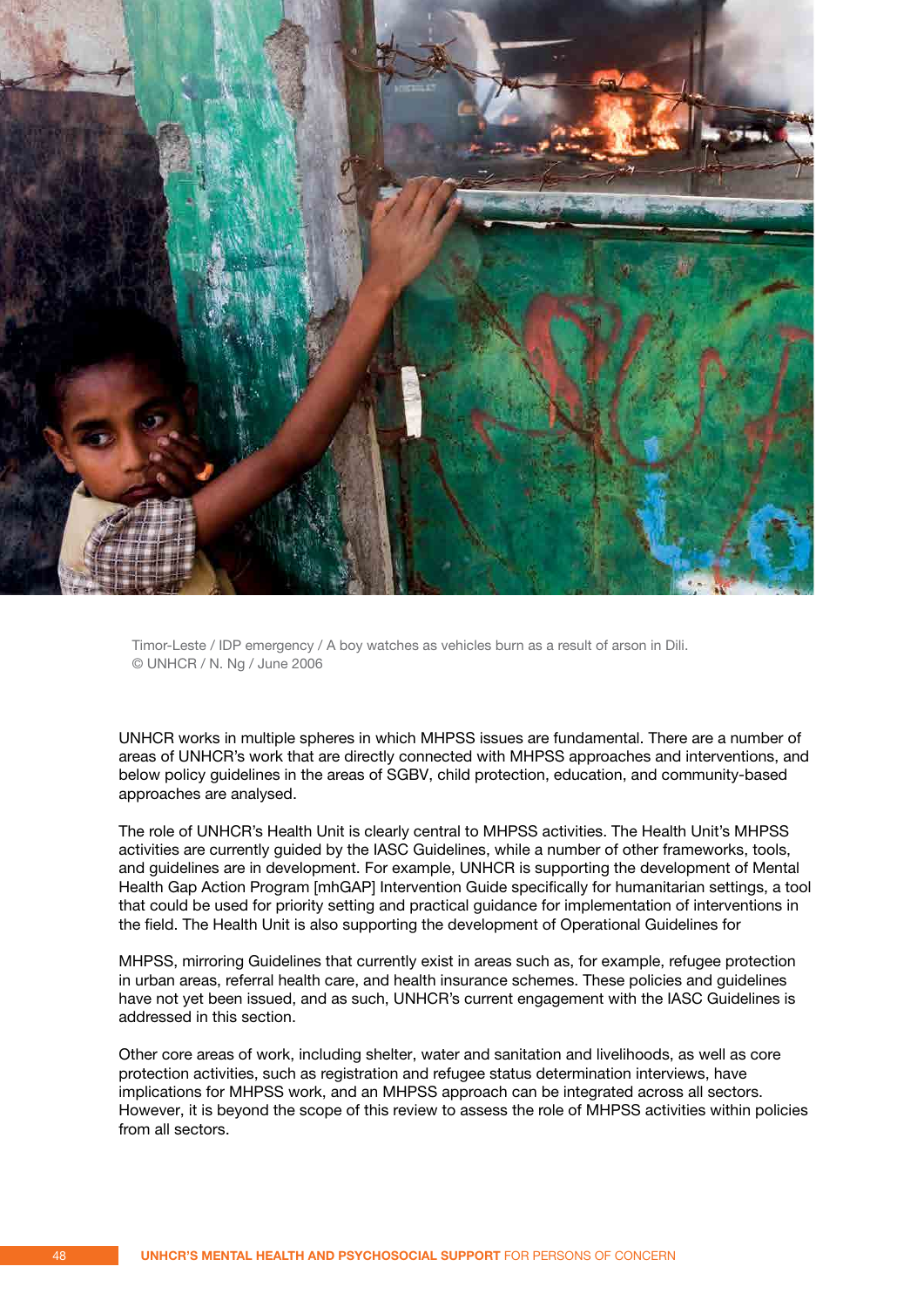

Timor-Leste / IDP emergency / A boy watches as vehicles burn as a result of arson in Dili. © UNHCR / N. Ng / June 2006

UNHCR works in multiple spheres in which MHPSS issues are fundamental. There are a number of areas of UNHCR's work that are directly connected with MHPSS approaches and interventions, and below policy guidelines in the areas of SGBV, child protection, education, and community-based approaches are analysed.

The role of UNHCR's Health Unit is clearly central to MHPSS activities. The Health Unit's MHPSS activities are currently guided by the IASC Guidelines, while a number of other frameworks, tools, and guidelines are in development. For example, UNHCR is supporting the development of Mental Health Gap Action Program [mhGAP] Intervention Guide specifically for humanitarian settings, a tool that could be used for priority setting and practical guidance for implementation of interventions in the field. The Health Unit is also supporting the development of Operational Guidelines for

MHPSS, mirroring Guidelines that currently exist in areas such as, for example, refugee protection in urban areas, referral health care, and health insurance schemes. These policies and guidelines have not yet been issued, and as such, UNHCR's current engagement with the IASC Guidelines is addressed in this section.

Other core areas of work, including shelter, water and sanitation and livelihoods, as well as core protection activities, such as registration and refugee status determination interviews, have implications for MHPSS work, and an MHPSS approach can be integrated across all sectors. However, it is beyond the scope of this review to assess the role of MHPSS activities within policies from all sectors.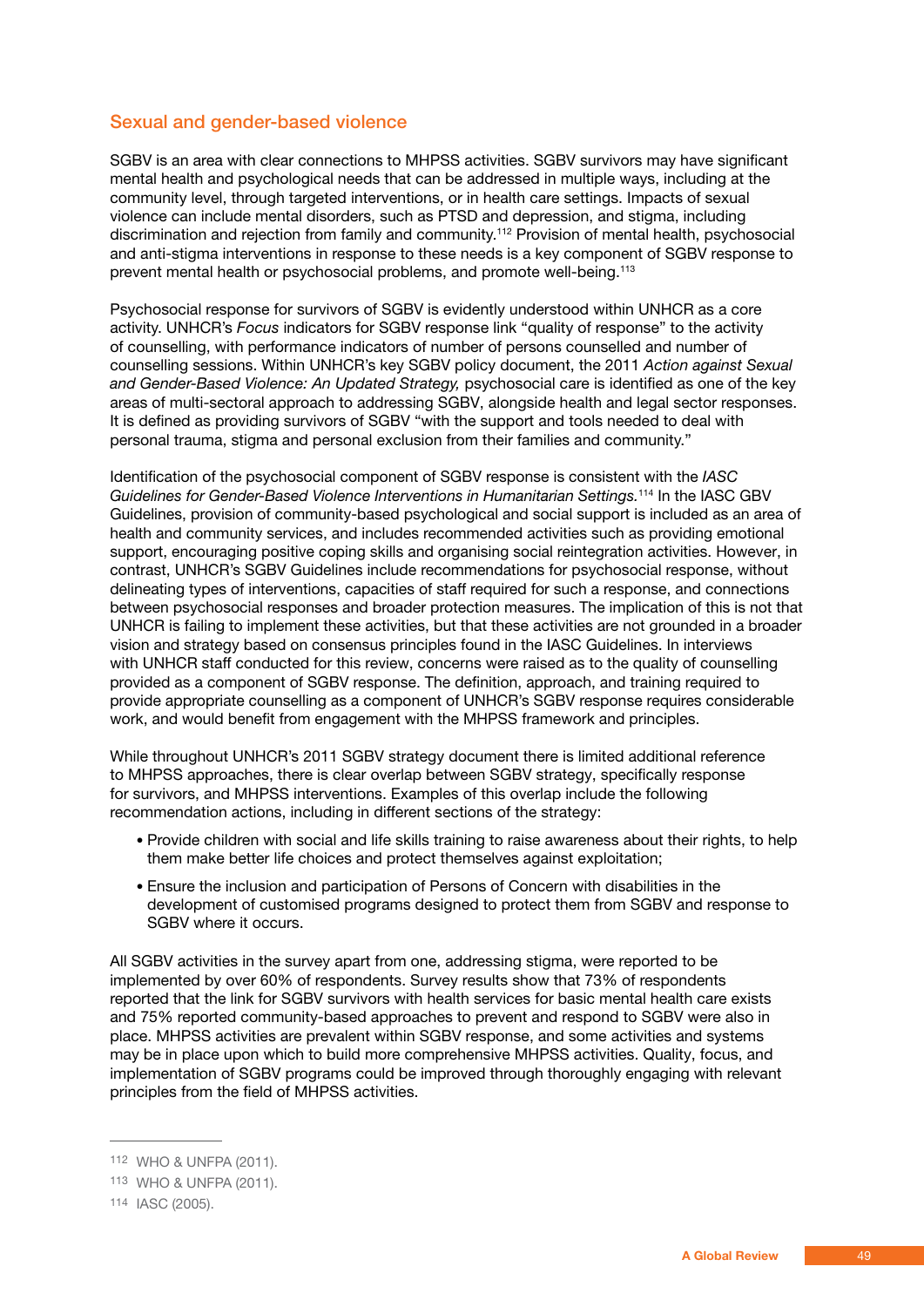### Sexual and gender-based violence

SGBV is an area with clear connections to MHPSS activities. SGBV survivors may have significant mental health and psychological needs that can be addressed in multiple ways, including at the community level, through targeted interventions, or in health care settings. Impacts of sexual violence can include mental disorders, such as PTSD and depression, and stigma, including discrimination and rejection from family and community.<sup>112</sup> Provision of mental health, psychosocial and anti-stigma interventions in response to these needs is a key component of SGBV response to prevent mental health or psychosocial problems, and promote well-being.113

Psychosocial response for survivors of SGBV is evidently understood within UNHCR as a core activity. UNHCR's *Focus* indicators for SGBV response link "quality of response" to the activity of counselling, with performance indicators of number of persons counselled and number of counselling sessions. Within UNHCR's key SGBV policy document, the 2011 *Action against Sexual and Gender-Based Violence: An Updated Strategy,* psychosocial care is identified as one of the key areas of multi-sectoral approach to addressing SGBV, alongside health and legal sector responses. It is defined as providing survivors of SGBV "with the support and tools needed to deal with personal trauma, stigma and personal exclusion from their families and community."

Identification of the psychosocial component of SGBV response is consistent with the *IASC Guidelines for Gender-Based Violence Interventions in Humanitarian Settings.*114 In the IASC GBV Guidelines, provision of community-based psychological and social support is included as an area of health and community services, and includes recommended activities such as providing emotional support, encouraging positive coping skills and organising social reintegration activities. However, in contrast, UNHCR's SGBV Guidelines include recommendations for psychosocial response, without delineating types of interventions, capacities of staff required for such a response, and connections between psychosocial responses and broader protection measures. The implication of this is not that UNHCR is failing to implement these activities, but that these activities are not grounded in a broader vision and strategy based on consensus principles found in the IASC Guidelines. In interviews with UNHCR staff conducted for this review, concerns were raised as to the quality of counselling provided as a component of SGBV response. The definition, approach, and training required to provide appropriate counselling as a component of UNHCR's SGBV response requires considerable work, and would benefit from engagement with the MHPSS framework and principles.

While throughout UNHCR's 2011 SGBV strategy document there is limited additional reference to MHPSS approaches, there is clear overlap between SGBV strategy, specifically response for survivors, and MHPSS interventions. Examples of this overlap include the following recommendation actions, including in different sections of the strategy:

- Provide children with social and life skills training to raise awareness about their rights, to help them make better life choices and protect themselves against exploitation;
- Ensure the inclusion and participation of Persons of Concern with disabilities in the development of customised programs designed to protect them from SGBV and response to SGBV where it occurs.

All SGBV activities in the survey apart from one, addressing stigma, were reported to be implemented by over 60% of respondents. Survey results show that 73% of respondents reported that the link for SGBV survivors with health services for basic mental health care exists and 75% reported community-based approaches to prevent and respond to SGBV were also in place. MHPSS activities are prevalent within SGBV response, and some activities and systems may be in place upon which to build more comprehensive MHPSS activities. Quality, focus, and implementation of SGBV programs could be improved through thoroughly engaging with relevant principles from the field of MHPSS activities.

<sup>112</sup> WHO & UNFPA (2011).

<sup>113</sup> WHO & UNFPA (2011).

<sup>114</sup> IASC (2005).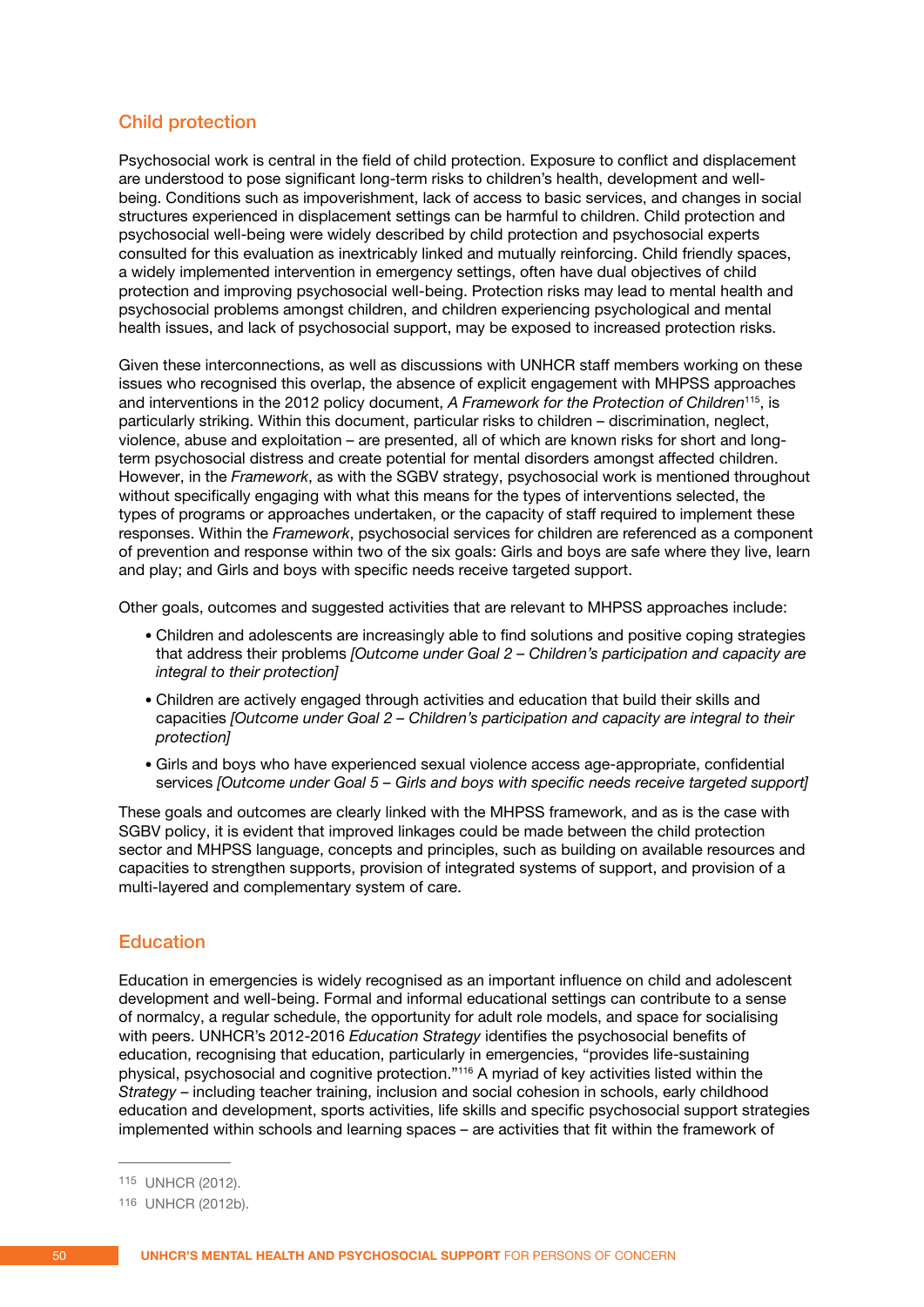### Child protection

Psychosocial work is central in the field of child protection. Exposure to conflict and displacement are understood to pose significant long-term risks to children's health, development and wellbeing. Conditions such as impoverishment, lack of access to basic services, and changes in social structures experienced in displacement settings can be harmful to children. Child protection and psychosocial well-being were widely described by child protection and psychosocial experts consulted for this evaluation as inextricably linked and mutually reinforcing. Child friendly spaces, a widely implemented intervention in emergency settings, often have dual objectives of child protection and improving psychosocial well-being. Protection risks may lead to mental health and psychosocial problems amongst children, and children experiencing psychological and mental health issues, and lack of psychosocial support, may be exposed to increased protection risks.

Given these interconnections, as well as discussions with UNHCR staff members working on these issues who recognised this overlap, the absence of explicit engagement with MHPSS approaches and interventions in the 2012 policy document, *A Framework for the Protection of Children*115, is particularly striking. Within this document, particular risks to children – discrimination, neglect, violence, abuse and exploitation – are presented, all of which are known risks for short and longterm psychosocial distress and create potential for mental disorders amongst affected children. However, in the *Framework*, as with the SGBV strategy, psychosocial work is mentioned throughout without specifically engaging with what this means for the types of interventions selected, the types of programs or approaches undertaken, or the capacity of staff required to implement these responses. Within the *Framework*, psychosocial services for children are referenced as a component of prevention and response within two of the six goals: Girls and boys are safe where they live, learn and play; and Girls and boys with specific needs receive targeted support.

Other goals, outcomes and suggested activities that are relevant to MHPSS approaches include:

- Children and adolescents are increasingly able to find solutions and positive coping strategies that address their problems *[Outcome under Goal 2 – Children's participation and capacity are integral to their protection]*
- Children are actively engaged through activities and education that build their skills and capacities *[Outcome under Goal 2 – Children's participation and capacity are integral to their protection]*
- Girls and boys who have experienced sexual violence access age-appropriate, confidential services *[Outcome under Goal 5 – Girls and boys with specific needs receive targeted support]*

These goals and outcomes are clearly linked with the MHPSS framework, and as is the case with SGBV policy, it is evident that improved linkages could be made between the child protection sector and MHPSS language, concepts and principles, such as building on available resources and capacities to strengthen supports, provision of integrated systems of support, and provision of a multi-layered and complementary system of care.

### **Education**

Education in emergencies is widely recognised as an important influence on child and adolescent development and well-being. Formal and informal educational settings can contribute to a sense of normalcy, a regular schedule, the opportunity for adult role models, and space for socialising with peers. UNHCR's 2012-2016 *Education Strategy* identifies the psychosocial benefits of education, recognising that education, particularly in emergencies, "provides life-sustaining physical, psychosocial and cognitive protection."116 A myriad of key activities listed within the *Strategy* – including teacher training, inclusion and social cohesion in schools, early childhood education and development, sports activities, life skills and specific psychosocial support strategies implemented within schools and learning spaces – are activities that fit within the framework of

<sup>115</sup> UNHCR (2012).

<sup>116</sup> UNHCR (2012b).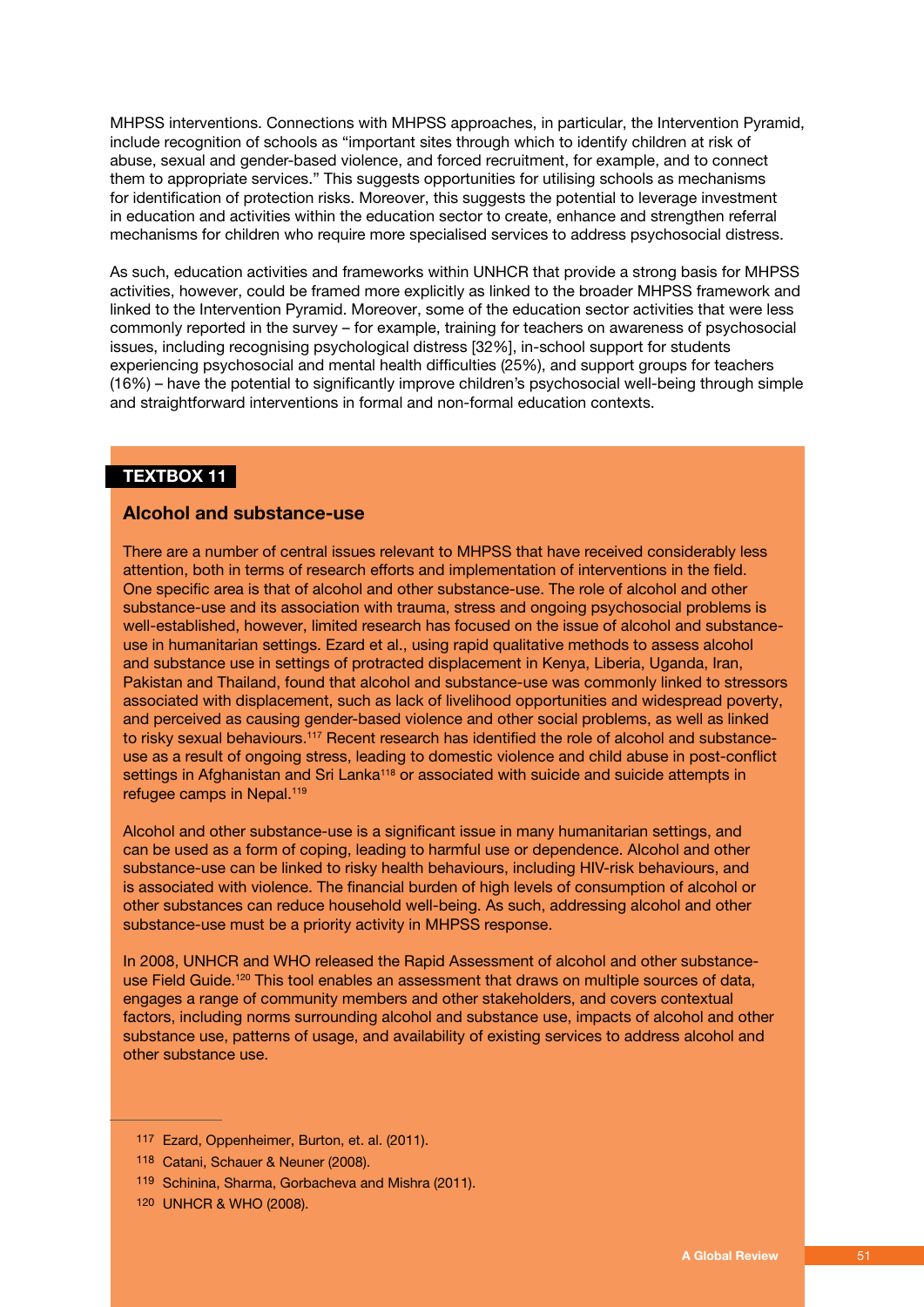MHPSS interventions. Connections with MHPSS approaches, in particular, the Intervention Pyramid, include recognition of schools as "important sites through which to identify children at risk of abuse, sexual and gender-based violence, and forced recruitment, for example, and to connect them to appropriate services." This suggests opportunities for utilising schools as mechanisms for identification of protection risks. Moreover, this suggests the potential to leverage investment in education and activities within the education sector to create, enhance and strengthen referral mechanisms for children who require more specialised services to address psychosocial distress.

As such, education activities and frameworks within UNHCR that provide a strong basis for MHPSS activities, however, could be framed more explicitly as linked to the broader MHPSS framework and linked to the Intervention Pyramid. Moreover, some of the education sector activities that were less commonly reported in the survey – for example, training for teachers on awareness of psychosocial issues, including recognising psychological distress [32%], in-school support for students experiencing psychosocial and mental health difficulties (25%), and support groups for teachers (16%) – have the potential to significantly improve children's psychosocial well-being through simple and straightforward interventions in formal and non-formal education contexts.

### **TEXTBOX 11**

### **Alcohol and substance-use**

There are a number of central issues relevant to MHPSS that have received considerably less attention, both in terms of research efforts and implementation of interventions in the field. One specific area is that of alcohol and other substance-use. The role of alcohol and other substance-use and its association with trauma, stress and ongoing psychosocial problems is well-established, however, limited research has focused on the issue of alcohol and substanceuse in humanitarian settings. Ezard et al., using rapid qualitative methods to assess alcohol and substance use in settings of protracted displacement in Kenya, Liberia, Uganda, Iran, Pakistan and Thailand, found that alcohol and substance-use was commonly linked to stressors associated with displacement, such as lack of livelihood opportunities and widespread poverty, and perceived as causing gender-based violence and other social problems, as well as linked to risky sexual behaviours.<sup>117</sup> Recent research has identified the role of alcohol and substanceuse as a result of ongoing stress, leading to domestic violence and child abuse in post-conflict settings in Afghanistan and Sri Lanka<sup>118</sup> or associated with suicide and suicide attempts in refugee camps in Nepal.<sup>119</sup>

Alcohol and other substance-use is a significant issue in many humanitarian settings, and can be used as a form of coping, leading to harmful use or dependence. Alcohol and other substance-use can be linked to risky health behaviours, including HIV-risk behaviours, and is associated with violence. The financial burden of high levels of consumption of alcohol or other substances can reduce household well-being. As such, addressing alcohol and other substance-use must be a priority activity in MHPSS response.

In 2008, UNHCR and WHO released the Rapid Assessment of alcohol and other substanceuse Field Guide.<sup>120</sup> This tool enables an assessment that draws on multiple sources of data, engages a range of community members and other stakeholders, and covers contextual factors, including norms surrounding alcohol and substance use, impacts of alcohol and other substance use, patterns of usage, and availability of existing services to address alcohol and other substance use.

<sup>117</sup> Ezard, Oppenheimer, Burton, et. al. (2011).

<sup>118</sup> Catani, Schauer & Neuner (2008).

<sup>119</sup> Schinina, Sharma, Gorbacheva and Mishra (2011).

<sup>120</sup> UNHCR & WHO (2008).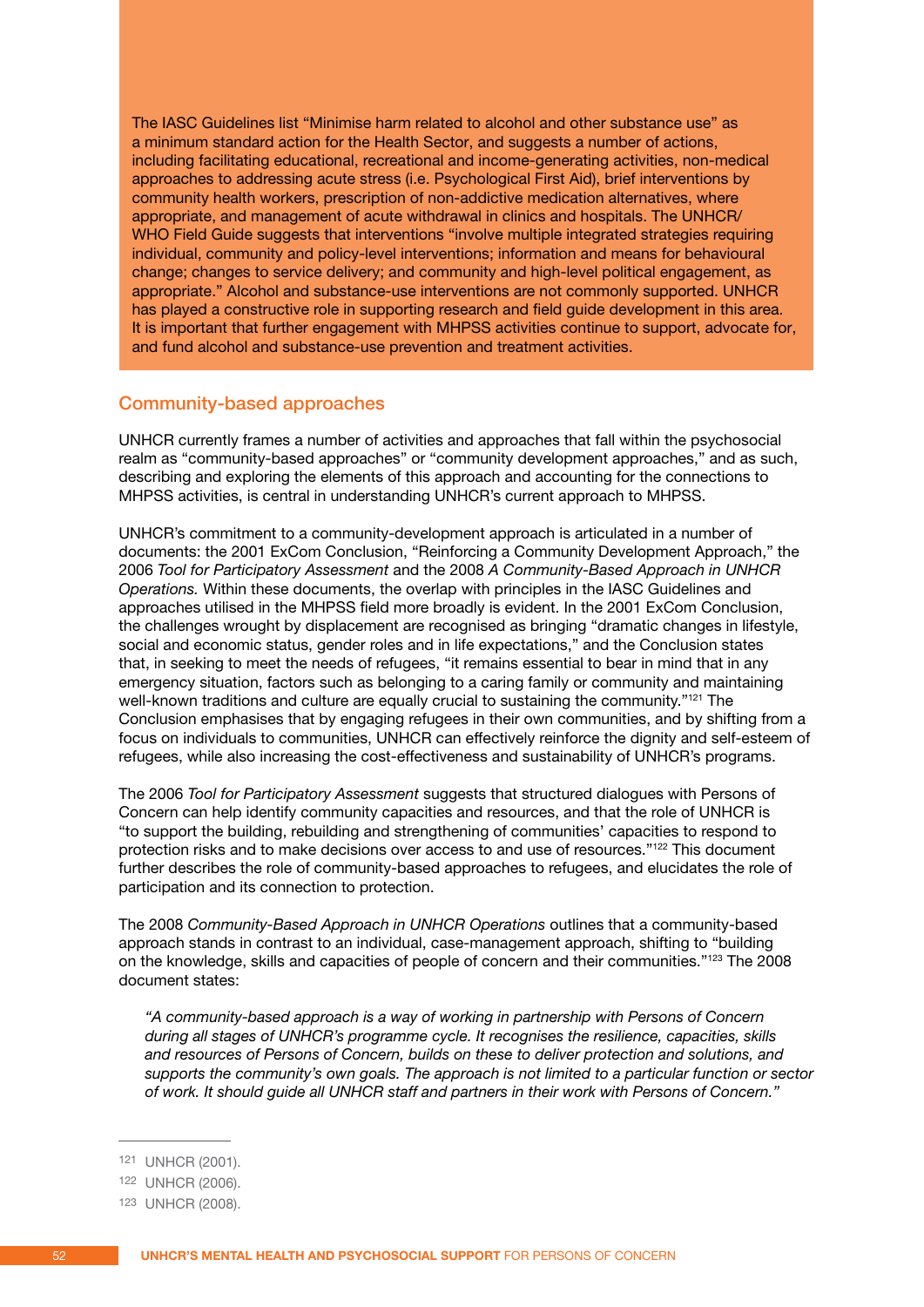The IASC Guidelines list "Minimise harm related to alcohol and other substance use" as a minimum standard action for the Health Sector, and suggests a number of actions, including facilitating educational, recreational and income-generating activities, non-medical approaches to addressing acute stress (i.e. Psychological First Aid), brief interventions by community health workers, prescription of non-addictive medication alternatives, where appropriate, and management of acute withdrawal in clinics and hospitals. The UNHCR/ WHO Field Guide suggests that interventions "involve multiple integrated strategies requiring individual, community and policy-level interventions; information and means for behavioural change; changes to service delivery; and community and high-level political engagement, as appropriate." Alcohol and substance-use interventions are not commonly supported. UNHCR has played a constructive role in supporting research and field guide development in this area. It is important that further engagement with MHPSS activities continue to support, advocate for, and fund alcohol and substance-use prevention and treatment activities.

### Community-based approaches

UNHCR currently frames a number of activities and approaches that fall within the psychosocial realm as "community-based approaches" or "community development approaches," and as such, describing and exploring the elements of this approach and accounting for the connections to MHPSS activities, is central in understanding UNHCR's current approach to MHPSS.

UNHCR's commitment to a community-development approach is articulated in a number of documents: the 2001 ExCom Conclusion, "Reinforcing a Community Development Approach," the 2006 *Tool for Participatory Assessment* and the 2008 *A Community-Based Approach in UNHCR Operations.* Within these documents, the overlap with principles in the IASC Guidelines and approaches utilised in the MHPSS field more broadly is evident. In the 2001 ExCom Conclusion, the challenges wrought by displacement are recognised as bringing "dramatic changes in lifestyle, social and economic status, gender roles and in life expectations," and the Conclusion states that, in seeking to meet the needs of refugees, "it remains essential to bear in mind that in any emergency situation, factors such as belonging to a caring family or community and maintaining well-known traditions and culture are equally crucial to sustaining the community."<sup>121</sup> The Conclusion emphasises that by engaging refugees in their own communities, and by shifting from a focus on individuals to communities, UNHCR can effectively reinforce the dignity and self-esteem of refugees, while also increasing the cost-effectiveness and sustainability of UNHCR's programs.

The 2006 *Tool for Participatory Assessment* suggests that structured dialogues with Persons of Concern can help identify community capacities and resources, and that the role of UNHCR is "to support the building, rebuilding and strengthening of communities' capacities to respond to protection risks and to make decisions over access to and use of resources."<sup>122</sup> This document further describes the role of community-based approaches to refugees, and elucidates the role of participation and its connection to protection.

The 2008 *Community-Based Approach in UNHCR Operations* outlines that a community-based approach stands in contrast to an individual, case-management approach, shifting to "building on the knowledge, skills and capacities of people of concern and their communities."123 The 2008 document states:

 *"A community-based approach is a way of working in partnership with Persons of Concern during all stages of UNHCR's programme cycle. It recognises the resilience, capacities, skills and resources of Persons of Concern, builds on these to deliver protection and solutions, and supports the community's own goals. The approach is not limited to a particular function or sector of work. It should guide all UNHCR staff and partners in their work with Persons of Concern."*

<sup>121</sup> UNHCR (2001).

<sup>122</sup> UNHCR (2006).

<sup>123</sup> UNHCR (2008).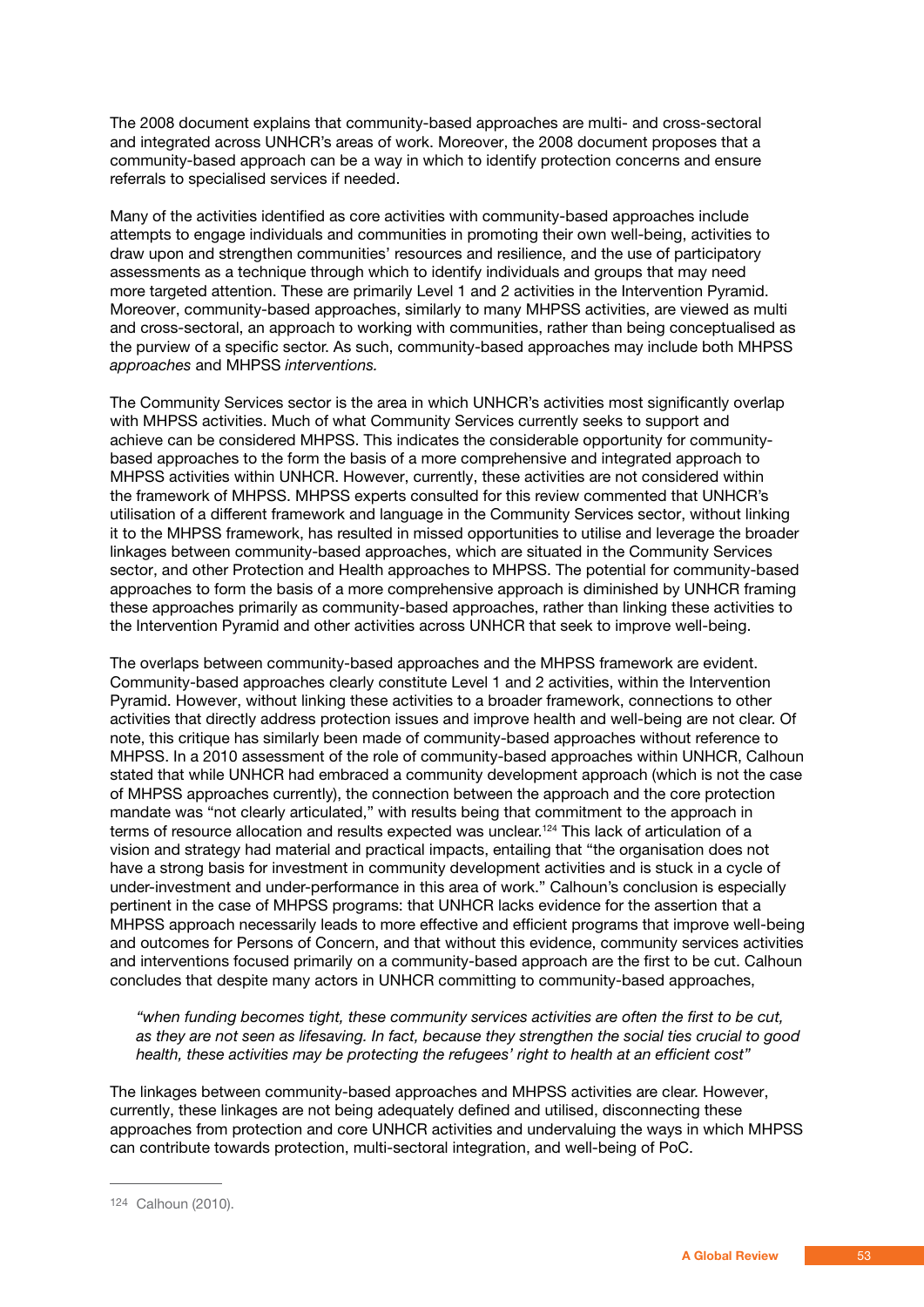The 2008 document explains that community-based approaches are multi- and cross-sectoral and integrated across UNHCR's areas of work. Moreover, the 2008 document proposes that a community-based approach can be a way in which to identify protection concerns and ensure referrals to specialised services if needed.

Many of the activities identified as core activities with community-based approaches include attempts to engage individuals and communities in promoting their own well-being, activities to draw upon and strengthen communities' resources and resilience, and the use of participatory assessments as a technique through which to identify individuals and groups that may need more targeted attention. These are primarily Level 1 and 2 activities in the Intervention Pyramid. Moreover, community-based approaches, similarly to many MHPSS activities, are viewed as multi and cross-sectoral, an approach to working with communities, rather than being conceptualised as the purview of a specific sector. As such, community-based approaches may include both MHPSS *approaches* and MHPSS *interventions.*

The Community Services sector is the area in which UNHCR's activities most significantly overlap with MHPSS activities. Much of what Community Services currently seeks to support and achieve can be considered MHPSS. This indicates the considerable opportunity for communitybased approaches to the form the basis of a more comprehensive and integrated approach to MHPSS activities within UNHCR. However, currently, these activities are not considered within the framework of MHPSS. MHPSS experts consulted for this review commented that UNHCR's utilisation of a different framework and language in the Community Services sector, without linking it to the MHPSS framework, has resulted in missed opportunities to utilise and leverage the broader linkages between community-based approaches, which are situated in the Community Services sector, and other Protection and Health approaches to MHPSS. The potential for community-based approaches to form the basis of a more comprehensive approach is diminished by UNHCR framing these approaches primarily as community-based approaches, rather than linking these activities to the Intervention Pyramid and other activities across UNHCR that seek to improve well-being.

The overlaps between community-based approaches and the MHPSS framework are evident. Community-based approaches clearly constitute Level 1 and 2 activities, within the Intervention Pyramid. However, without linking these activities to a broader framework, connections to other activities that directly address protection issues and improve health and well-being are not clear. Of note, this critique has similarly been made of community-based approaches without reference to MHPSS. In a 2010 assessment of the role of community-based approaches within UNHCR, Calhoun stated that while UNHCR had embraced a community development approach (which is not the case of MHPSS approaches currently), the connection between the approach and the core protection mandate was "not clearly articulated," with results being that commitment to the approach in terms of resource allocation and results expected was unclear.124 This lack of articulation of a vision and strategy had material and practical impacts, entailing that "the organisation does not have a strong basis for investment in community development activities and is stuck in a cycle of under-investment and under-performance in this area of work." Calhoun's conclusion is especially pertinent in the case of MHPSS programs: that UNHCR lacks evidence for the assertion that a MHPSS approach necessarily leads to more effective and efficient programs that improve well-being and outcomes for Persons of Concern, and that without this evidence, community services activities and interventions focused primarily on a community-based approach are the first to be cut. Calhoun concludes that despite many actors in UNHCR committing to community-based approaches,

 *"when funding becomes tight, these community services activities are often the first to be cut, as they are not seen as lifesaving. In fact, because they strengthen the social ties crucial to good health, these activities may be protecting the refugees' right to health at an efficient cost"*

The linkages between community-based approaches and MHPSS activities are clear. However, currently, these linkages are not being adequately defined and utilised, disconnecting these approaches from protection and core UNHCR activities and undervaluing the ways in which MHPSS can contribute towards protection, multi-sectoral integration, and well-being of PoC.

<sup>124</sup> Calhoun (2010).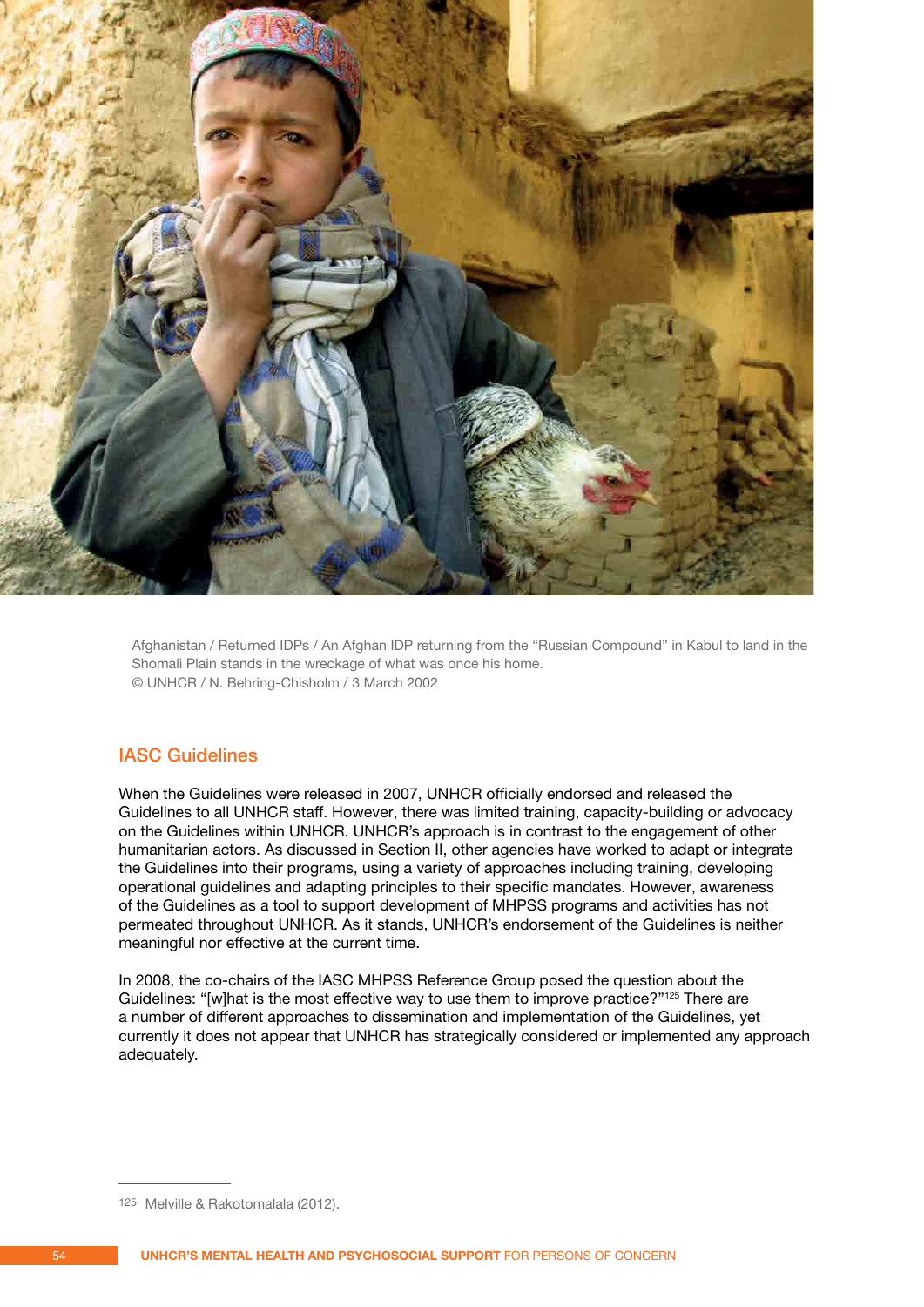

Afghanistan / Returned IDPs / An Afghan IDP returning from the "Russian Compound" in Kabul to land in the Shomali Plain stands in the wreckage of what was once his home. © UNHCR / N. Behring-Chisholm / 3 March 2002

### IASC Guidelines

When the Guidelines were released in 2007, UNHCR officially endorsed and released the Guidelines to all UNHCR staff. However, there was limited training, capacity-building or advocacy on the Guidelines within UNHCR. UNHCR's approach is in contrast to the engagement of other humanitarian actors. As discussed in Section II, other agencies have worked to adapt or integrate the Guidelines into their programs, using a variety of approaches including training, developing operational guidelines and adapting principles to their specific mandates. However, awareness of the Guidelines as a tool to support development of MHPSS programs and activities has not permeated throughout UNHCR. As it stands, UNHCR's endorsement of the Guidelines is neither meaningful nor effective at the current time.

In 2008, the co-chairs of the IASC MHPSS Reference Group posed the question about the Guidelines: "[w]hat is the most effective way to use them to improve practice?"<sup>125</sup> There are a number of different approaches to dissemination and implementation of the Guidelines, yet currently it does not appear that UNHCR has strategically considered or implemented any approach adequately.

<sup>125</sup> Melville & Rakotomalala (2012).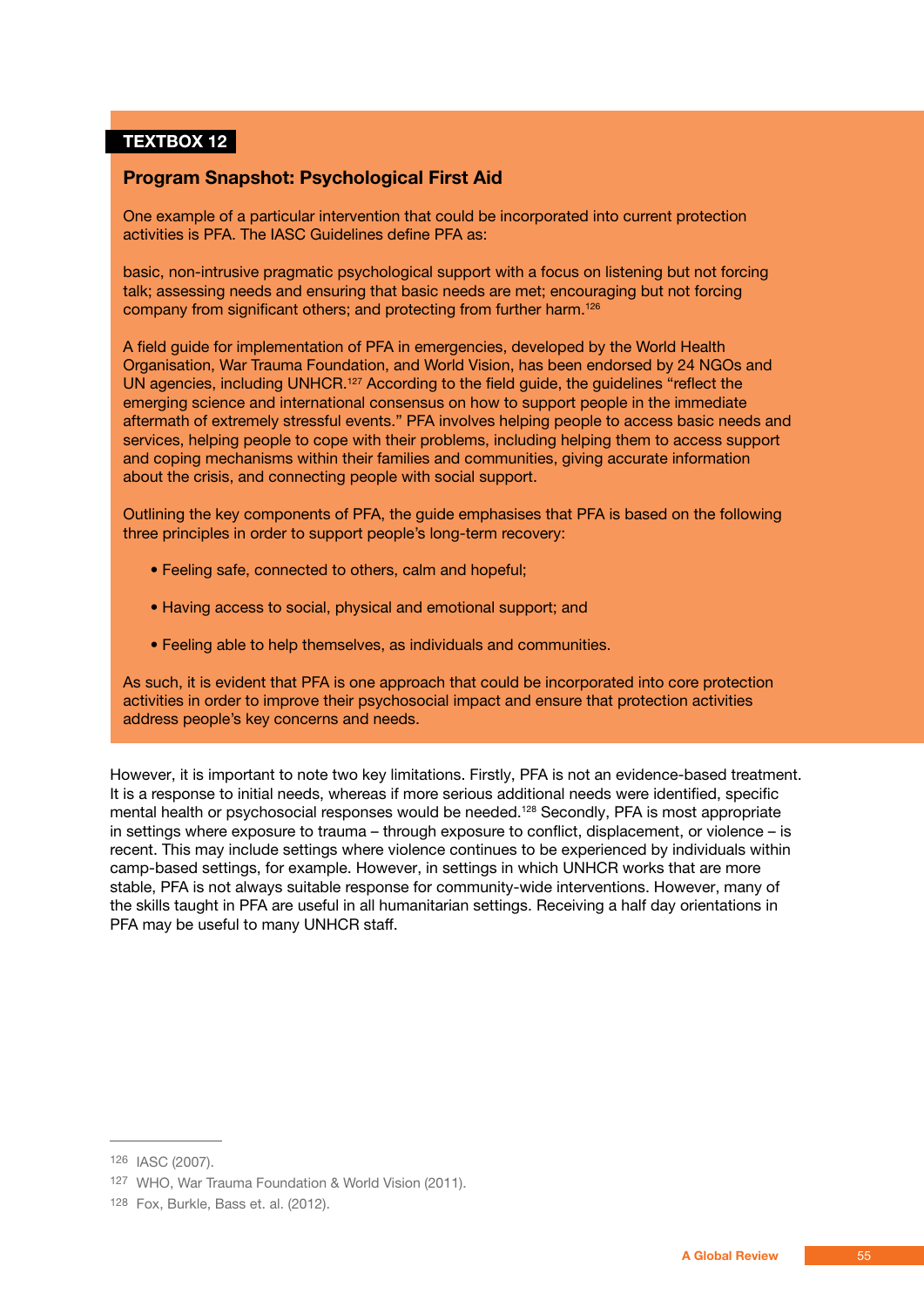### **TEXTBOX 12**

### **Program Snapshot: Psychological First Aid**

One example of a particular intervention that could be incorporated into current protection activities is PFA. The IASC Guidelines define PFA as:

basic, non-intrusive pragmatic psychological support with a focus on listening but not forcing talk; assessing needs and ensuring that basic needs are met; encouraging but not forcing company from significant others; and protecting from further harm.126

A field guide for implementation of PFA in emergencies, developed by the World Health Organisation, War Trauma Foundation, and World Vision, has been endorsed by 24 NGOs and UN agencies, including UNHCR.<sup>127</sup> According to the field guide, the guidelines "reflect the emerging science and international consensus on how to support people in the immediate aftermath of extremely stressful events." PFA involves helping people to access basic needs and services, helping people to cope with their problems, including helping them to access support and coping mechanisms within their families and communities, giving accurate information about the crisis, and connecting people with social support.

Outlining the key components of PFA, the guide emphasises that PFA is based on the following three principles in order to support people's long-term recovery:

- Feeling safe, connected to others, calm and hopeful;
- Having access to social, physical and emotional support; and
- Feeling able to help themselves, as individuals and communities.

As such, it is evident that PFA is one approach that could be incorporated into core protection activities in order to improve their psychosocial impact and ensure that protection activities address people's key concerns and needs.

However, it is important to note two key limitations. Firstly, PFA is not an evidence-based treatment. It is a response to initial needs, whereas if more serious additional needs were identified, specific mental health or psychosocial responses would be needed.<sup>128</sup> Secondly, PFA is most appropriate in settings where exposure to trauma – through exposure to conflict, displacement, or violence – is recent. This may include settings where violence continues to be experienced by individuals within camp-based settings, for example. However, in settings in which UNHCR works that are more stable, PFA is not always suitable response for community-wide interventions. However, many of the skills taught in PFA are useful in all humanitarian settings. Receiving a half day orientations in PFA may be useful to many UNHCR staff.

<sup>126</sup> IASC (2007).

<sup>127</sup> WHO, War Trauma Foundation & World Vision (2011).

<sup>128</sup> Fox, Burkle, Bass et. al. (2012).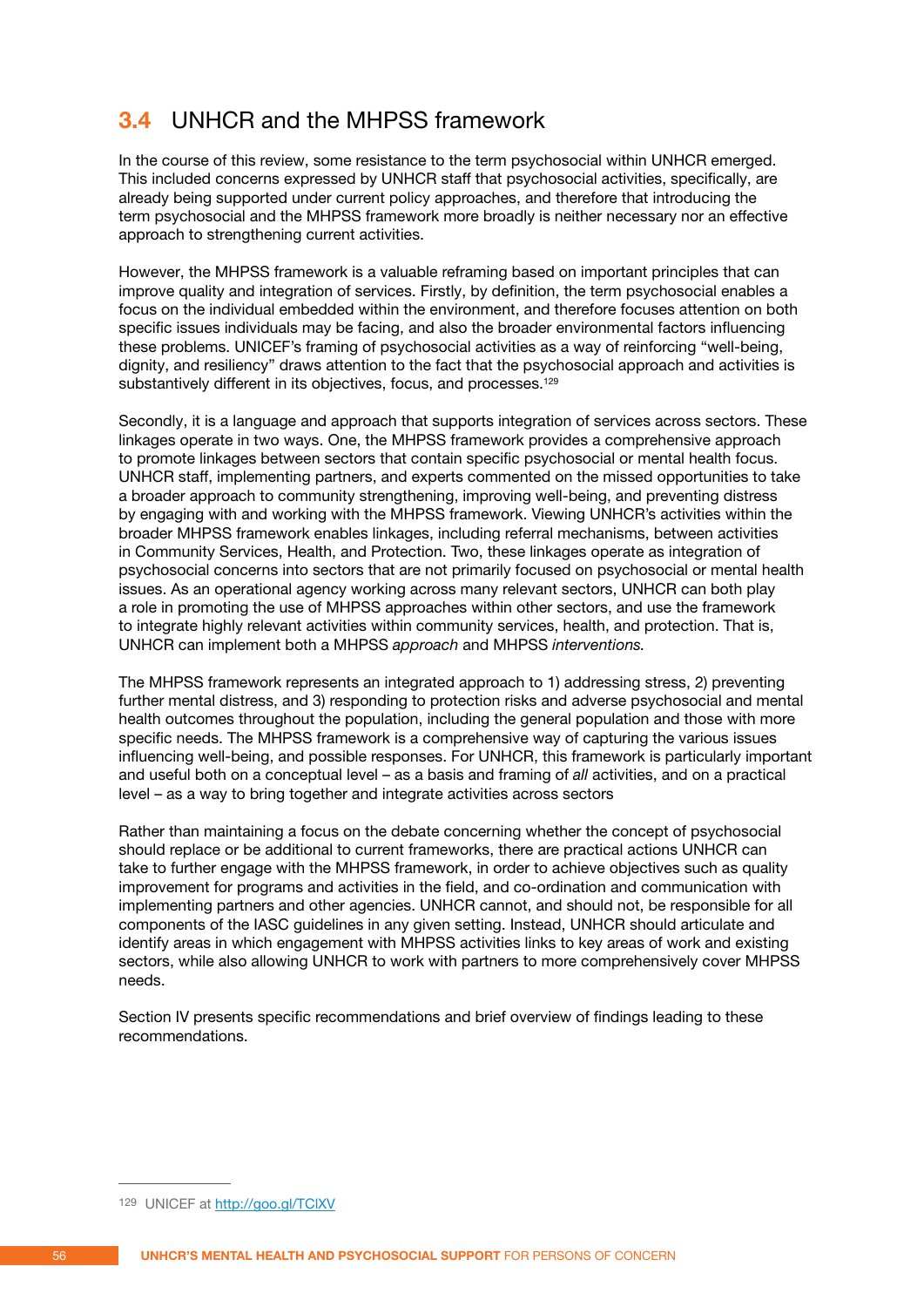## **3.4** UNHCR and the MHPSS framework

In the course of this review, some resistance to the term psychosocial within UNHCR emerged. This included concerns expressed by UNHCR staff that psychosocial activities, specifically, are already being supported under current policy approaches, and therefore that introducing the term psychosocial and the MHPSS framework more broadly is neither necessary nor an effective approach to strengthening current activities.

However, the MHPSS framework is a valuable reframing based on important principles that can improve quality and integration of services. Firstly, by definition, the term psychosocial enables a focus on the individual embedded within the environment, and therefore focuses attention on both specific issues individuals may be facing, and also the broader environmental factors influencing these problems. UNICEF's framing of psychosocial activities as a way of reinforcing "well-being, dignity, and resiliency" draws attention to the fact that the psychosocial approach and activities is substantively different in its objectives, focus, and processes.<sup>129</sup>

Secondly, it is a language and approach that supports integration of services across sectors. These linkages operate in two ways. One, the MHPSS framework provides a comprehensive approach to promote linkages between sectors that contain specific psychosocial or mental health focus. UNHCR staff, implementing partners, and experts commented on the missed opportunities to take a broader approach to community strengthening, improving well-being, and preventing distress by engaging with and working with the MHPSS framework. Viewing UNHCR's activities within the broader MHPSS framework enables linkages, including referral mechanisms, between activities in Community Services, Health, and Protection. Two, these linkages operate as integration of psychosocial concerns into sectors that are not primarily focused on psychosocial or mental health issues. As an operational agency working across many relevant sectors, UNHCR can both play a role in promoting the use of MHPSS approaches within other sectors, and use the framework to integrate highly relevant activities within community services, health, and protection. That is, UNHCR can implement both a MHPSS *approach* and MHPSS *interventions.*

The MHPSS framework represents an integrated approach to 1) addressing stress, 2) preventing further mental distress, and 3) responding to protection risks and adverse psychosocial and mental health outcomes throughout the population, including the general population and those with more specific needs. The MHPSS framework is a comprehensive way of capturing the various issues influencing well-being, and possible responses. For UNHCR, this framework is particularly important and useful both on a conceptual level – as a basis and framing of *all* activities, and on a practical level – as a way to bring together and integrate activities across sectors

Rather than maintaining a focus on the debate concerning whether the concept of psychosocial should replace or be additional to current frameworks, there are practical actions UNHCR can take to further engage with the MHPSS framework, in order to achieve objectives such as quality improvement for programs and activities in the field, and co-ordination and communication with implementing partners and other agencies. UNHCR cannot, and should not, be responsible for all components of the IASC guidelines in any given setting. Instead, UNHCR should articulate and identify areas in which engagement with MHPSS activities links to key areas of work and existing sectors, while also allowing UNHCR to work with partners to more comprehensively cover MHPSS needs.

Section IV presents specific recommendations and brief overview of findings leading to these recommendations.

<sup>129</sup> UNICEF at http://goo.gl/TCIXV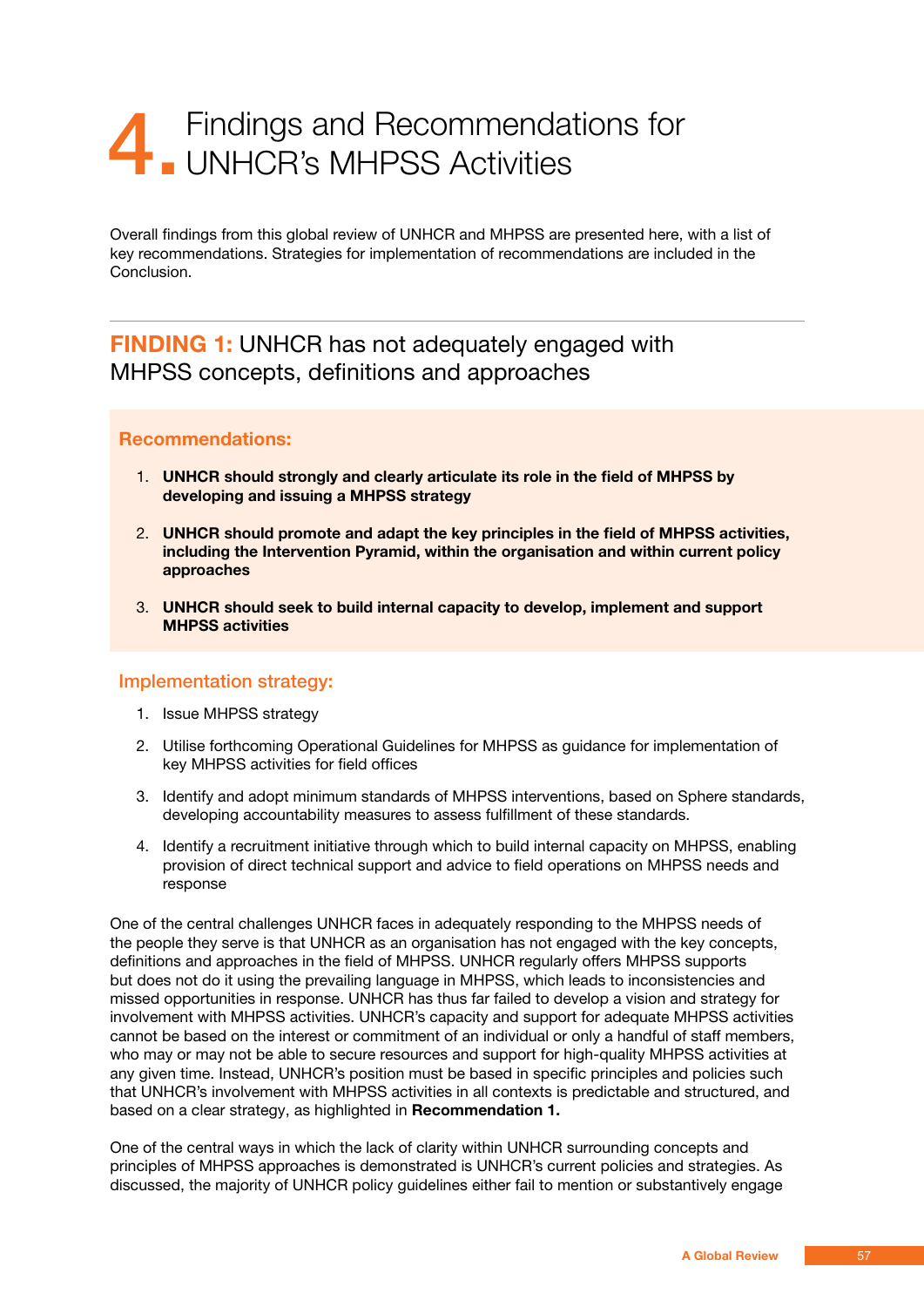## 4. Findings and Recommendations for **UNHCR's MHPSS Activities**

Overall findings from this global review of UNHCR and MHPSS are presented here, with a list of key recommendations. Strategies for implementation of recommendations are included in the Conclusion.

## **FINDING 1:** UNHCR has not adequately engaged with MHPSS concepts, definitions and approaches

### **Recommendations:**

- 1. **UNHCR should strongly and clearly articulate its role in the field of MHPSS by developing and issuing a MHPSS strategy**
- 2. **UNHCR should promote and adapt the key principles in the field of MHPSS activities, including the Intervention Pyramid, within the organisation and within current policy approaches**
- 3. **UNHCR should seek to build internal capacity to develop, implement and support MHPSS activities**

### Implementation strategy:

- 1. Issue MHPSS strategy
- 2. Utilise forthcoming Operational Guidelines for MHPSS as guidance for implementation of key MHPSS activities for field offices
- 3. Identify and adopt minimum standards of MHPSS interventions, based on Sphere standards, developing accountability measures to assess fulfillment of these standards.
- 4. Identify a recruitment initiative through which to build internal capacity on MHPSS, enabling provision of direct technical support and advice to field operations on MHPSS needs and response

One of the central challenges UNHCR faces in adequately responding to the MHPSS needs of the people they serve is that UNHCR as an organisation has not engaged with the key concepts, definitions and approaches in the field of MHPSS. UNHCR regularly offers MHPSS supports but does not do it using the prevailing language in MHPSS, which leads to inconsistencies and missed opportunities in response. UNHCR has thus far failed to develop a vision and strategy for involvement with MHPSS activities. UNHCR's capacity and support for adequate MHPSS activities cannot be based on the interest or commitment of an individual or only a handful of staff members, who may or may not be able to secure resources and support for high-quality MHPSS activities at any given time. Instead, UNHCR's position must be based in specific principles and policies such that UNHCR's involvement with MHPSS activities in all contexts is predictable and structured, and based on a clear strategy, as highlighted in **Recommendation 1.**

One of the central ways in which the lack of clarity within UNHCR surrounding concepts and principles of MHPSS approaches is demonstrated is UNHCR's current policies and strategies. As discussed, the majority of UNHCR policy guidelines either fail to mention or substantively engage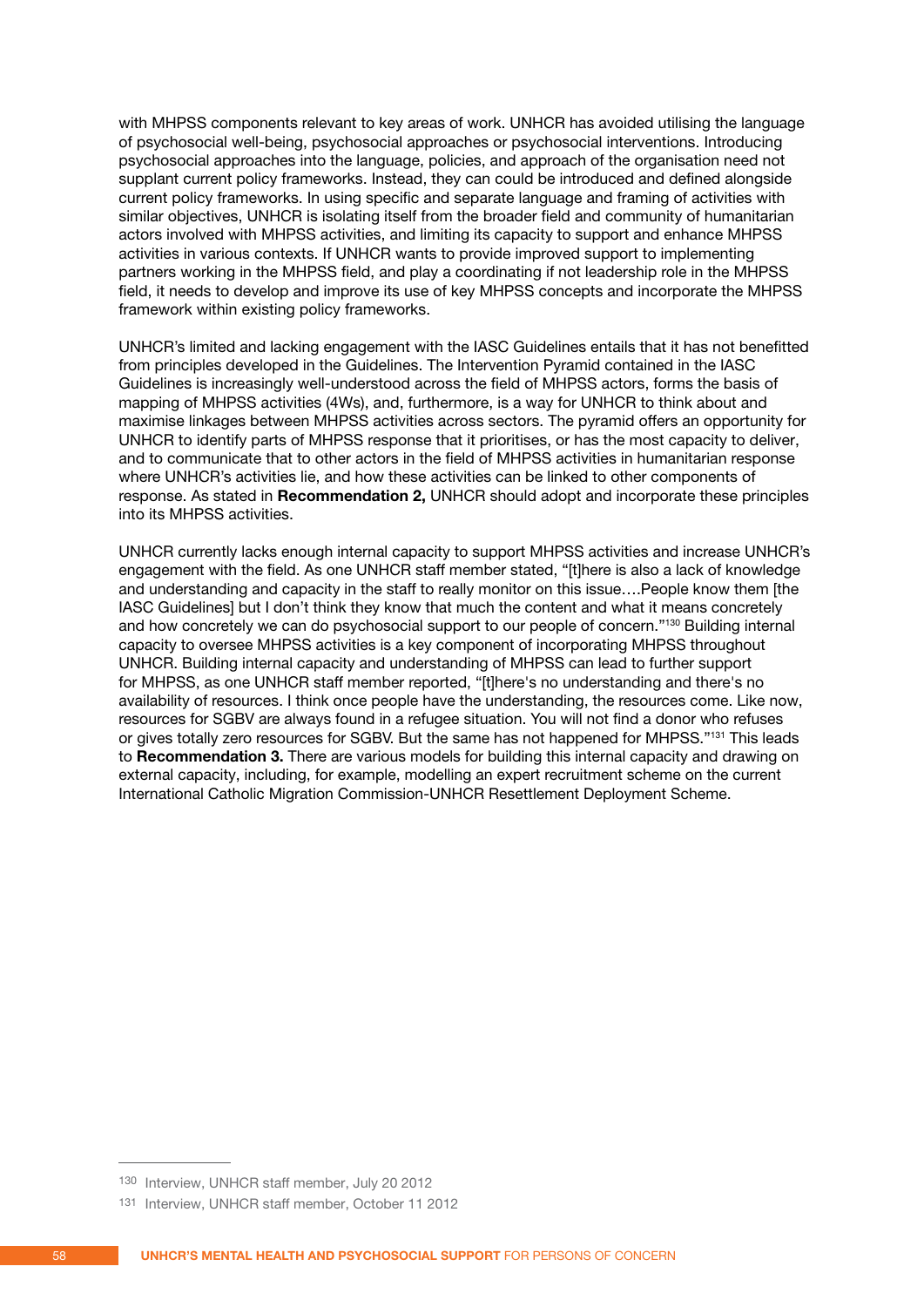with MHPSS components relevant to key areas of work. UNHCR has avoided utilising the language of psychosocial well-being, psychosocial approaches or psychosocial interventions. Introducing psychosocial approaches into the language, policies, and approach of the organisation need not supplant current policy frameworks. Instead, they can could be introduced and defined alongside current policy frameworks. In using specific and separate language and framing of activities with similar objectives, UNHCR is isolating itself from the broader field and community of humanitarian actors involved with MHPSS activities, and limiting its capacity to support and enhance MHPSS activities in various contexts. If UNHCR wants to provide improved support to implementing partners working in the MHPSS field, and play a coordinating if not leadership role in the MHPSS field, it needs to develop and improve its use of key MHPSS concepts and incorporate the MHPSS framework within existing policy frameworks.

UNHCR's limited and lacking engagement with the IASC Guidelines entails that it has not benefitted from principles developed in the Guidelines. The Intervention Pyramid contained in the IASC Guidelines is increasingly well-understood across the field of MHPSS actors, forms the basis of mapping of MHPSS activities (4Ws), and, furthermore, is a way for UNHCR to think about and maximise linkages between MHPSS activities across sectors. The pyramid offers an opportunity for UNHCR to identify parts of MHPSS response that it prioritises, or has the most capacity to deliver, and to communicate that to other actors in the field of MHPSS activities in humanitarian response where UNHCR's activities lie, and how these activities can be linked to other components of response. As stated in **Recommendation 2,** UNHCR should adopt and incorporate these principles into its MHPSS activities.

UNHCR currently lacks enough internal capacity to support MHPSS activities and increase UNHCR's engagement with the field. As one UNHCR staff member stated, "[t]here is also a lack of knowledge and understanding and capacity in the staff to really monitor on this issue….People know them [the IASC Guidelines] but I don't think they know that much the content and what it means concretely and how concretely we can do psychosocial support to our people of concern."130 Building internal capacity to oversee MHPSS activities is a key component of incorporating MHPSS throughout UNHCR. Building internal capacity and understanding of MHPSS can lead to further support for MHPSS, as one UNHCR staff member reported, "[t]here's no understanding and there's no availability of resources. I think once people have the understanding, the resources come. Like now, resources for SGBV are always found in a refugee situation. You will not find a donor who refuses or gives totally zero resources for SGBV. But the same has not happened for MHPSS."131 This leads to **Recommendation 3.** There are various models for building this internal capacity and drawing on external capacity, including, for example, modelling an expert recruitment scheme on the current International Catholic Migration Commission-UNHCR Resettlement Deployment Scheme.

<sup>130</sup> Interview, UNHCR staff member, July 20 2012

<sup>131</sup> Interview, UNHCR staff member, October 11 2012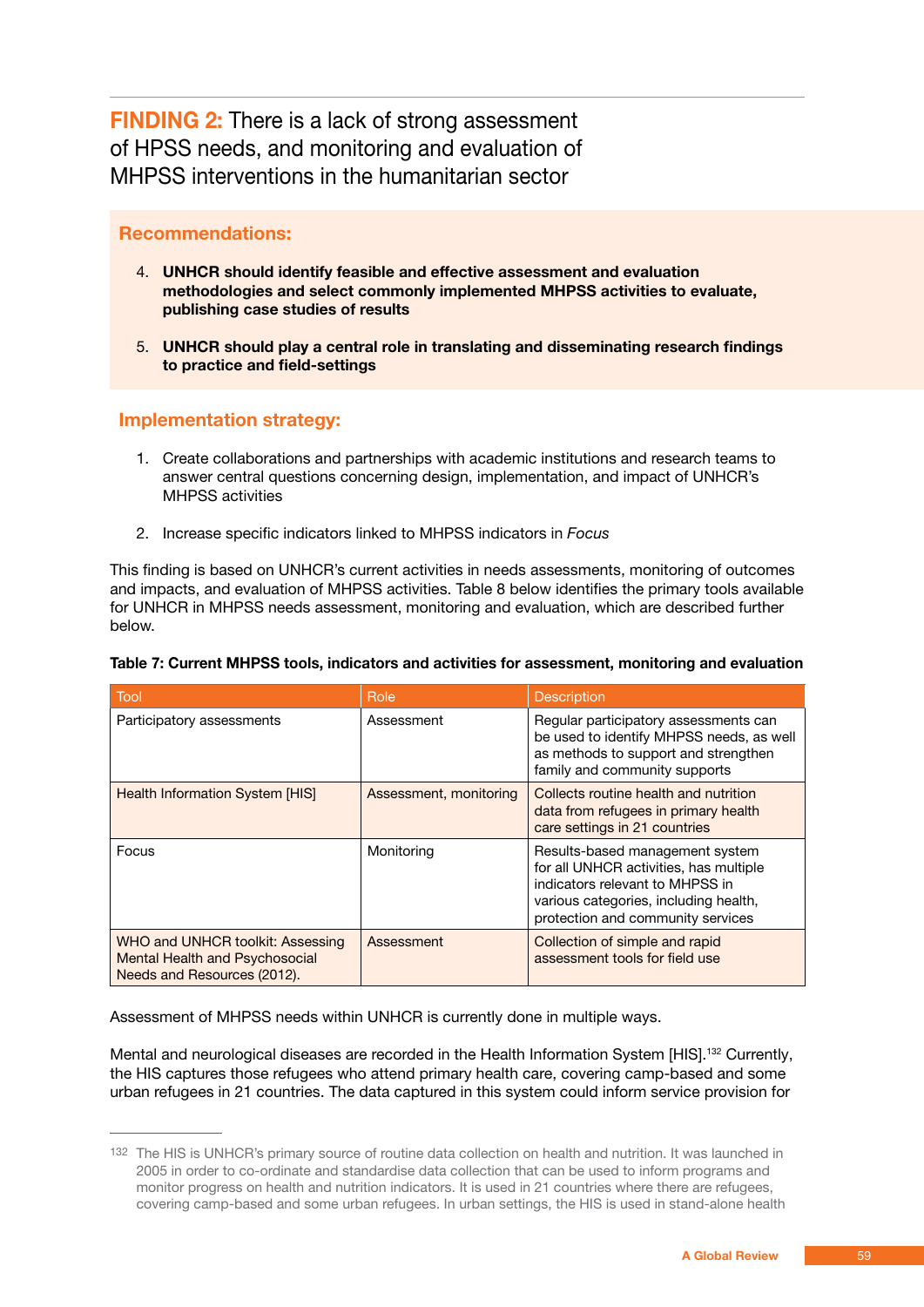**FINDING 2:** There is a lack of strong assessment of HPSS needs, and monitoring and evaluation of MHPSS interventions in the humanitarian sector

### **Recommendations:**

- 4. **UNHCR should identify feasible and effective assessment and evaluation methodologies and select commonly implemented MHPSS activities to evaluate, publishing case studies of results**
- 5. **UNHCR should play a central role in translating and disseminating research findings to practice and field-settings**

### **Implementation strategy:**

- 1. Create collaborations and partnerships with academic institutions and research teams to answer central questions concerning design, implementation, and impact of UNHCR's MHPSS activities
- 2. Increase specific indicators linked to MHPSS indicators in *Focus*

This finding is based on UNHCR's current activities in needs assessments, monitoring of outcomes and impacts, and evaluation of MHPSS activities. Table 8 below identifies the primary tools available for UNHCR in MHPSS needs assessment, monitoring and evaluation, which are described further below.

| <b>Tool</b>                                                                                       | Role                   | <b>Description</b>                                                                                                                                                                         |
|---------------------------------------------------------------------------------------------------|------------------------|--------------------------------------------------------------------------------------------------------------------------------------------------------------------------------------------|
| Participatory assessments                                                                         | Assessment             | Regular participatory assessments can<br>be used to identify MHPSS needs, as well<br>as methods to support and strengthen<br>family and community supports                                 |
| <b>Health Information System [HIS]</b>                                                            | Assessment, monitoring | Collects routine health and nutrition<br>data from refugees in primary health<br>care settings in 21 countries                                                                             |
| Focus                                                                                             | Monitoring             | Results-based management system<br>for all UNHCR activities, has multiple<br>indicators relevant to MHPSS in<br>various categories, including health,<br>protection and community services |
| WHO and UNHCR toolkit: Assessing<br>Mental Health and Psychosocial<br>Needs and Resources (2012). | Assessment             | Collection of simple and rapid<br>assessment tools for field use                                                                                                                           |

### **Table 7: Current MHPSS tools, indicators and activities for assessment, monitoring and evaluation**

Assessment of MHPSS needs within UNHCR is currently done in multiple ways.

Mental and neurological diseases are recorded in the Health Information System [HIS].<sup>132</sup> Currently, the HIS captures those refugees who attend primary health care, covering camp-based and some urban refugees in 21 countries. The data captured in this system could inform service provision for

<sup>132</sup> The HIS is UNHCR's primary source of routine data collection on health and nutrition. It was launched in 2005 in order to co-ordinate and standardise data collection that can be used to inform programs and monitor progress on health and nutrition indicators. It is used in 21 countries where there are refugees, covering camp-based and some urban refugees. In urban settings, the HIS is used in stand-alone health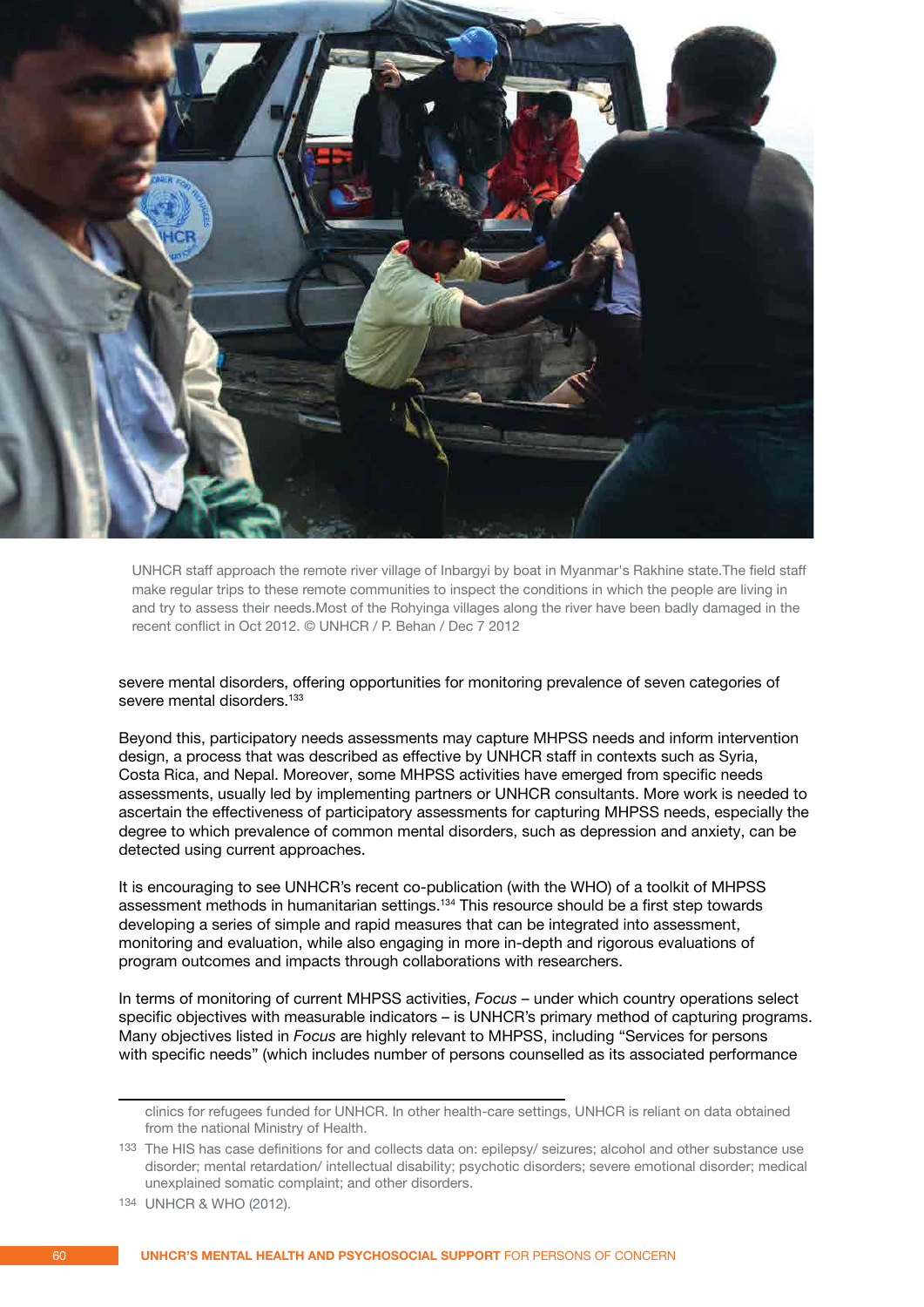

UNHCR staff approach the remote river village of Inbargyi by boat in Myanmar's Rakhine state.The field staff make regular trips to these remote communities to inspect the conditions in which the people are living in and try to assess their needs.Most of the Rohyinga villages along the river have been badly damaged in the recent conflict in Oct 2012. © UNHCR / P. Behan / Dec 7 2012

severe mental disorders, offering opportunities for monitoring prevalence of seven categories of severe mental disorders.<sup>133</sup>

Beyond this, participatory needs assessments may capture MHPSS needs and inform intervention design, a process that was described as effective by UNHCR staff in contexts such as Syria, Costa Rica, and Nepal. Moreover, some MHPSS activities have emerged from specific needs assessments, usually led by implementing partners or UNHCR consultants. More work is needed to ascertain the effectiveness of participatory assessments for capturing MHPSS needs, especially the degree to which prevalence of common mental disorders, such as depression and anxiety, can be detected using current approaches.

It is encouraging to see UNHCR's recent co-publication (with the WHO) of a toolkit of MHPSS assessment methods in humanitarian settings.134 This resource should be a first step towards developing a series of simple and rapid measures that can be integrated into assessment, monitoring and evaluation, while also engaging in more in-depth and rigorous evaluations of program outcomes and impacts through collaborations with researchers.

In terms of monitoring of current MHPSS activities, *Focus –* under which country operations select specific objectives with measurable indicators – is UNHCR's primary method of capturing programs. Many objectives listed in *Focus* are highly relevant to MHPSS, including "Services for persons with specific needs" (which includes number of persons counselled as its associated performance

clinics for refugees funded for UNHCR. In other health-care settings, UNHCR is reliant on data obtained from the national Ministry of Health.

<sup>133</sup> The HIS has case definitions for and collects data on: epilepsy/ seizures; alcohol and other substance use disorder; mental retardation/ intellectual disability; psychotic disorders; severe emotional disorder; medical unexplained somatic complaint; and other disorders.

<sup>134</sup> UNHCR & WHO (2012).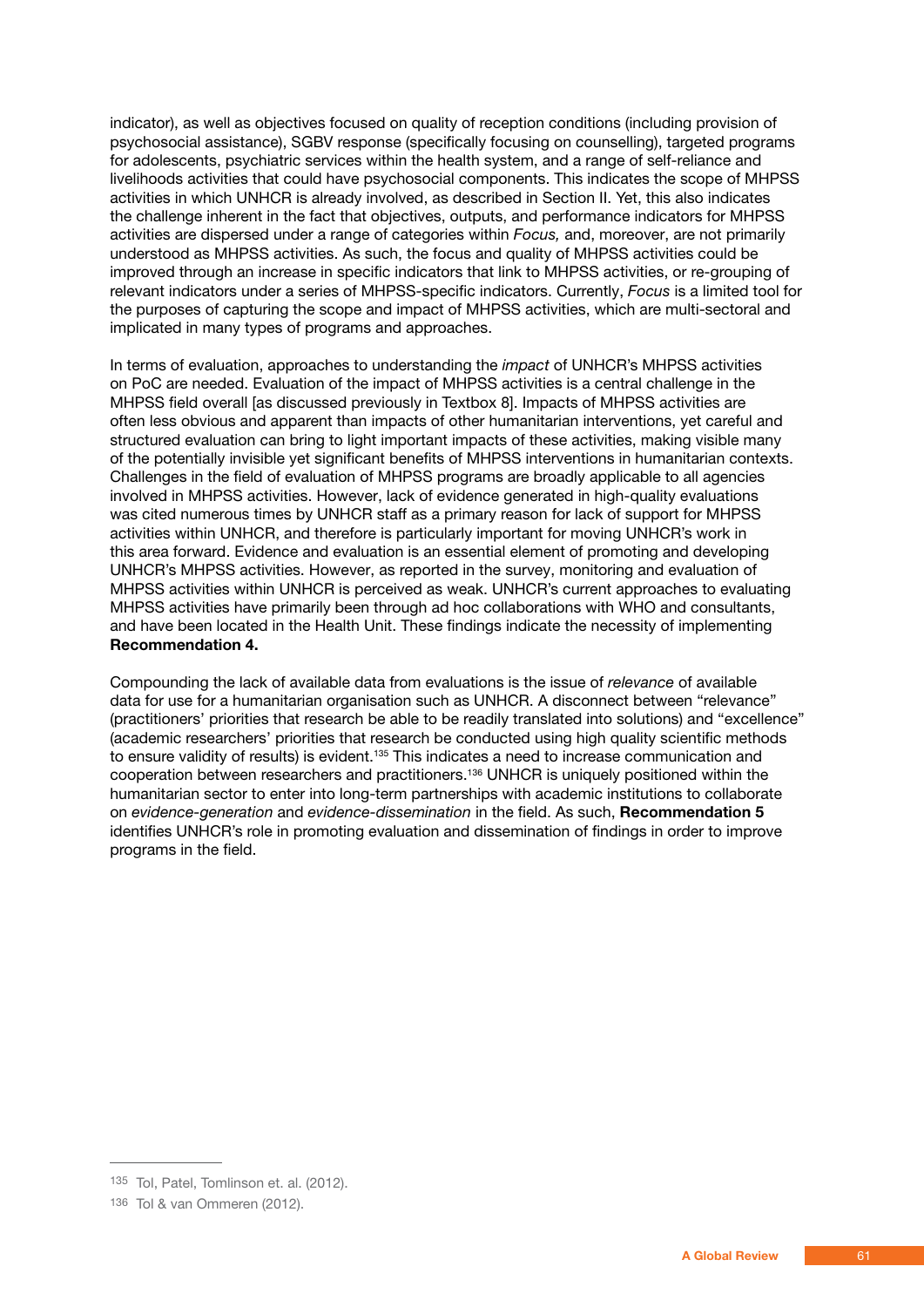indicator), as well as objectives focused on quality of reception conditions (including provision of psychosocial assistance), SGBV response (specifically focusing on counselling), targeted programs for adolescents, psychiatric services within the health system, and a range of self-reliance and livelihoods activities that could have psychosocial components. This indicates the scope of MHPSS activities in which UNHCR is already involved, as described in Section II. Yet, this also indicates the challenge inherent in the fact that objectives, outputs, and performance indicators for MHPSS activities are dispersed under a range of categories within *Focus,* and, moreover, are not primarily understood as MHPSS activities. As such, the focus and quality of MHPSS activities could be improved through an increase in specific indicators that link to MHPSS activities, or re-grouping of relevant indicators under a series of MHPSS-specific indicators. Currently, *Focus* is a limited tool for the purposes of capturing the scope and impact of MHPSS activities, which are multi-sectoral and implicated in many types of programs and approaches.

In terms of evaluation, approaches to understanding the *impact* of UNHCR's MHPSS activities on PoC are needed. Evaluation of the impact of MHPSS activities is a central challenge in the MHPSS field overall [as discussed previously in Textbox 8]. Impacts of MHPSS activities are often less obvious and apparent than impacts of other humanitarian interventions, yet careful and structured evaluation can bring to light important impacts of these activities, making visible many of the potentially invisible yet significant benefits of MHPSS interventions in humanitarian contexts. Challenges in the field of evaluation of MHPSS programs are broadly applicable to all agencies involved in MHPSS activities. However, lack of evidence generated in high-quality evaluations was cited numerous times by UNHCR staff as a primary reason for lack of support for MHPSS activities within UNHCR, and therefore is particularly important for moving UNHCR's work in this area forward. Evidence and evaluation is an essential element of promoting and developing UNHCR's MHPSS activities. However, as reported in the survey, monitoring and evaluation of MHPSS activities within UNHCR is perceived as weak. UNHCR's current approaches to evaluating MHPSS activities have primarily been through ad hoc collaborations with WHO and consultants, and have been located in the Health Unit. These findings indicate the necessity of implementing **Recommendation 4.**

Compounding the lack of available data from evaluations is the issue of *relevance* of available data for use for a humanitarian organisation such as UNHCR. A disconnect between "relevance" (practitioners' priorities that research be able to be readily translated into solutions) and "excellence" (academic researchers' priorities that research be conducted using high quality scientific methods to ensure validity of results) is evident.<sup>135</sup> This indicates a need to increase communication and cooperation between researchers and practitioners.136 UNHCR is uniquely positioned within the humanitarian sector to enter into long-term partnerships with academic institutions to collaborate on *evidence-generation* and *evidence-dissemination* in the field. As such, **Recommendation 5** identifies UNHCR's role in promoting evaluation and dissemination of findings in order to improve programs in the field.

<sup>135</sup> Tol, Patel, Tomlinson et. al. (2012).

<sup>136</sup> Tol & van Ommeren (2012).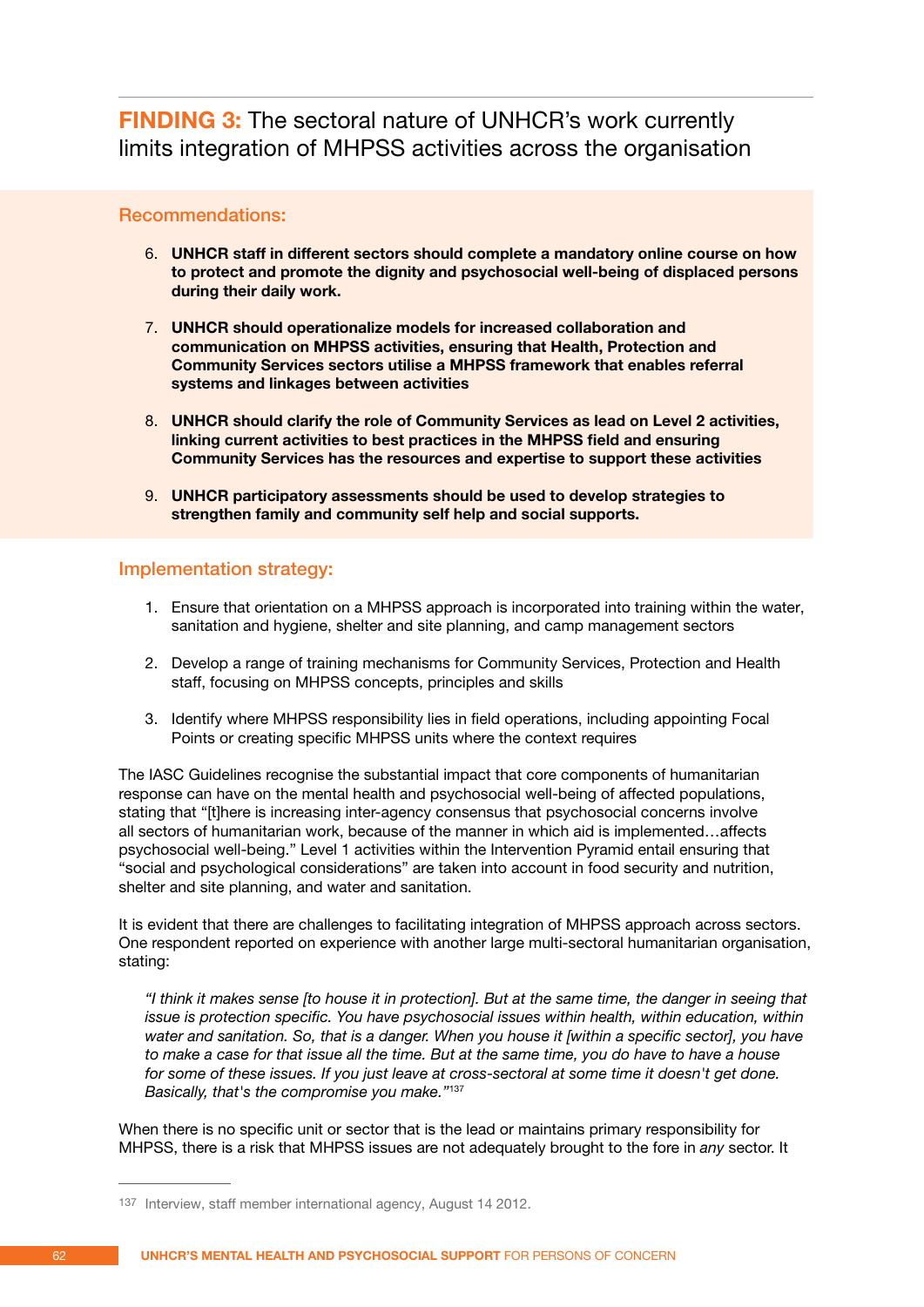**FINDING 3:** The sectoral nature of UNHCR's work currently limits integration of MHPSS activities across the organisation

### Recommendations:

- 6. **UNHCR staff in different sectors should complete a mandatory online course on how to protect and promote the dignity and psychosocial well-being of displaced persons during their daily work.**
- 7. **UNHCR should operationalize models for increased collaboration and communication on MHPSS activities, ensuring that Health, Protection and Community Services sectors utilise a MHPSS framework that enables referral systems and linkages between activities**
- 8. **UNHCR should clarify the role of Community Services as lead on Level 2 activities, linking current activities to best practices in the MHPSS field and ensuring Community Services has the resources and expertise to support these activities**
- 9. **UNHCR participatory assessments should be used to develop strategies to strengthen family and community self help and social supports.**

### Implementation strategy:

- 1. Ensure that orientation on a MHPSS approach is incorporated into training within the water, sanitation and hygiene, shelter and site planning, and camp management sectors
- 2. Develop a range of training mechanisms for Community Services, Protection and Health staff, focusing on MHPSS concepts, principles and skills
- 3. Identify where MHPSS responsibility lies in field operations, including appointing Focal Points or creating specific MHPSS units where the context requires

The IASC Guidelines recognise the substantial impact that core components of humanitarian response can have on the mental health and psychosocial well-being of affected populations, stating that "[t]here is increasing inter-agency consensus that psychosocial concerns involve all sectors of humanitarian work, because of the manner in which aid is implemented…affects psychosocial well-being." Level 1 activities within the Intervention Pyramid entail ensuring that "social and psychological considerations" are taken into account in food security and nutrition, shelter and site planning, and water and sanitation.

It is evident that there are challenges to facilitating integration of MHPSS approach across sectors. One respondent reported on experience with another large multi-sectoral humanitarian organisation, stating:

 *"I think it makes sense [to house it in protection]. But at the same time, the danger in seeing that issue is protection specific. You have psychosocial issues within health, within education, within water and sanitation. So, that is a danger. When you house it [within a specific sector], you have to make a case for that issue all the time. But at the same time, you do have to have a house for some of these issues. If you just leave at cross-sectoral at some time it doesn't get done. Basically, that's the compromise you make."*<sup>137</sup>

When there is no specific unit or sector that is the lead or maintains primary responsibility for MHPSS, there is a risk that MHPSS issues are not adequately brought to the fore in *any* sector. It

<sup>137</sup> Interview, staff member international agency, August 14 2012.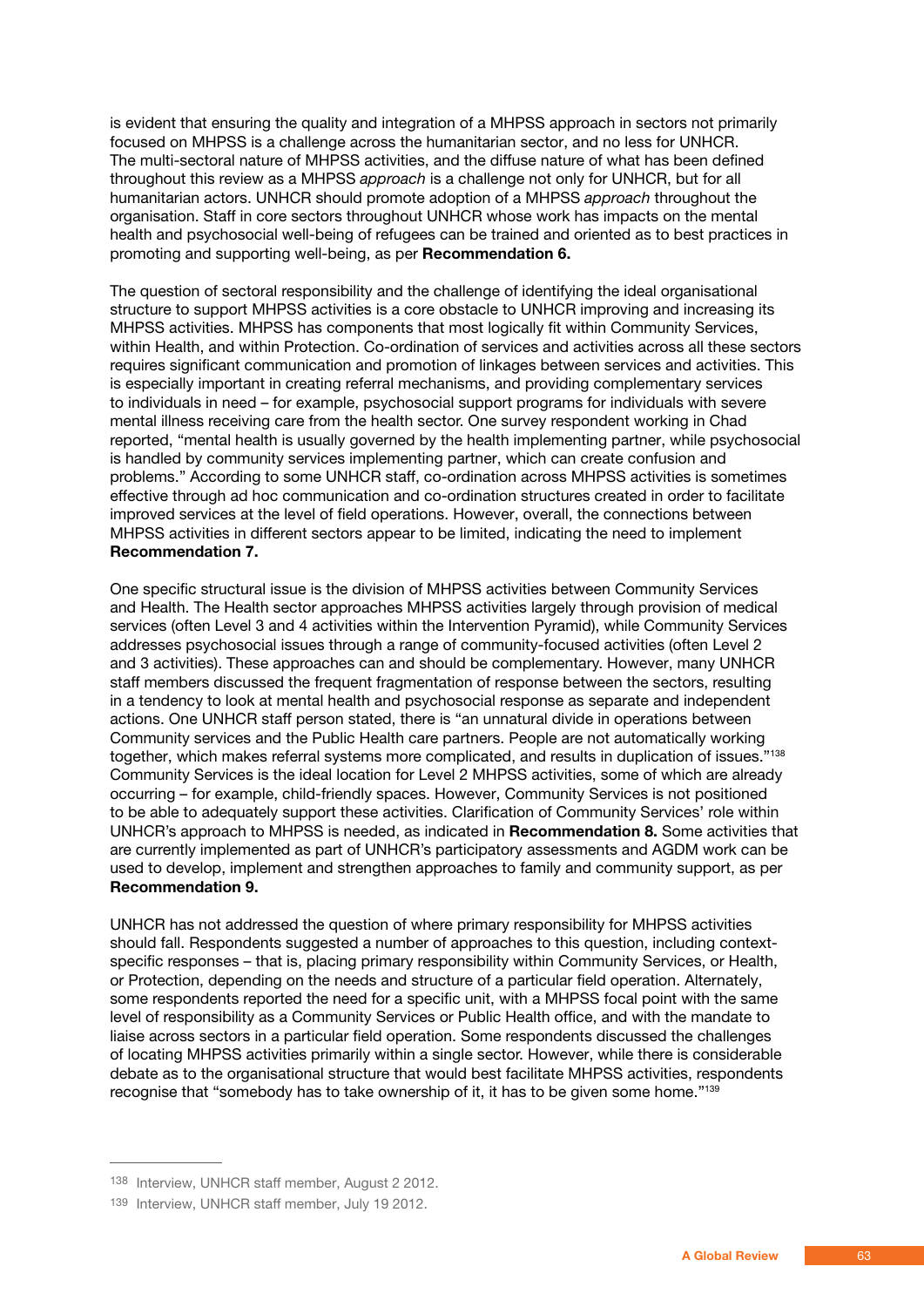is evident that ensuring the quality and integration of a MHPSS approach in sectors not primarily focused on MHPSS is a challenge across the humanitarian sector, and no less for UNHCR. The multi-sectoral nature of MHPSS activities, and the diffuse nature of what has been defined throughout this review as a MHPSS *approach* is a challenge not only for UNHCR, but for all humanitarian actors. UNHCR should promote adoption of a MHPSS *approach* throughout the organisation. Staff in core sectors throughout UNHCR whose work has impacts on the mental health and psychosocial well-being of refugees can be trained and oriented as to best practices in promoting and supporting well-being, as per **Recommendation 6.**

The question of sectoral responsibility and the challenge of identifying the ideal organisational structure to support MHPSS activities is a core obstacle to UNHCR improving and increasing its MHPSS activities. MHPSS has components that most logically fit within Community Services, within Health, and within Protection. Co-ordination of services and activities across all these sectors requires significant communication and promotion of linkages between services and activities. This is especially important in creating referral mechanisms, and providing complementary services to individuals in need – for example, psychosocial support programs for individuals with severe mental illness receiving care from the health sector. One survey respondent working in Chad reported, "mental health is usually governed by the health implementing partner, while psychosocial is handled by community services implementing partner, which can create confusion and problems." According to some UNHCR staff, co-ordination across MHPSS activities is sometimes effective through ad hoc communication and co-ordination structures created in order to facilitate improved services at the level of field operations. However, overall, the connections between MHPSS activities in different sectors appear to be limited, indicating the need to implement **Recommendation 7.**

One specific structural issue is the division of MHPSS activities between Community Services and Health. The Health sector approaches MHPSS activities largely through provision of medical services (often Level 3 and 4 activities within the Intervention Pyramid), while Community Services addresses psychosocial issues through a range of community-focused activities (often Level 2 and 3 activities). These approaches can and should be complementary. However, many UNHCR staff members discussed the frequent fragmentation of response between the sectors, resulting in a tendency to look at mental health and psychosocial response as separate and independent actions. One UNHCR staff person stated, there is "an unnatural divide in operations between Community services and the Public Health care partners. People are not automatically working together, which makes referral systems more complicated, and results in duplication of issues."138 Community Services is the ideal location for Level 2 MHPSS activities, some of which are already occurring – for example, child-friendly spaces. However, Community Services is not positioned to be able to adequately support these activities. Clarification of Community Services' role within UNHCR's approach to MHPSS is needed, as indicated in **Recommendation 8.** Some activities that are currently implemented as part of UNHCR's participatory assessments and AGDM work can be used to develop, implement and strengthen approaches to family and community support, as per **Recommendation 9.**

UNHCR has not addressed the question of where primary responsibility for MHPSS activities should fall. Respondents suggested a number of approaches to this question, including contextspecific responses – that is, placing primary responsibility within Community Services, or Health, or Protection, depending on the needs and structure of a particular field operation. Alternately, some respondents reported the need for a specific unit, with a MHPSS focal point with the same level of responsibility as a Community Services or Public Health office, and with the mandate to liaise across sectors in a particular field operation. Some respondents discussed the challenges of locating MHPSS activities primarily within a single sector. However, while there is considerable debate as to the organisational structure that would best facilitate MHPSS activities, respondents recognise that "somebody has to take ownership of it, it has to be given some home."139

<sup>138</sup> Interview, UNHCR staff member, August 2 2012.

<sup>139</sup> Interview, UNHCR staff member, July 19 2012.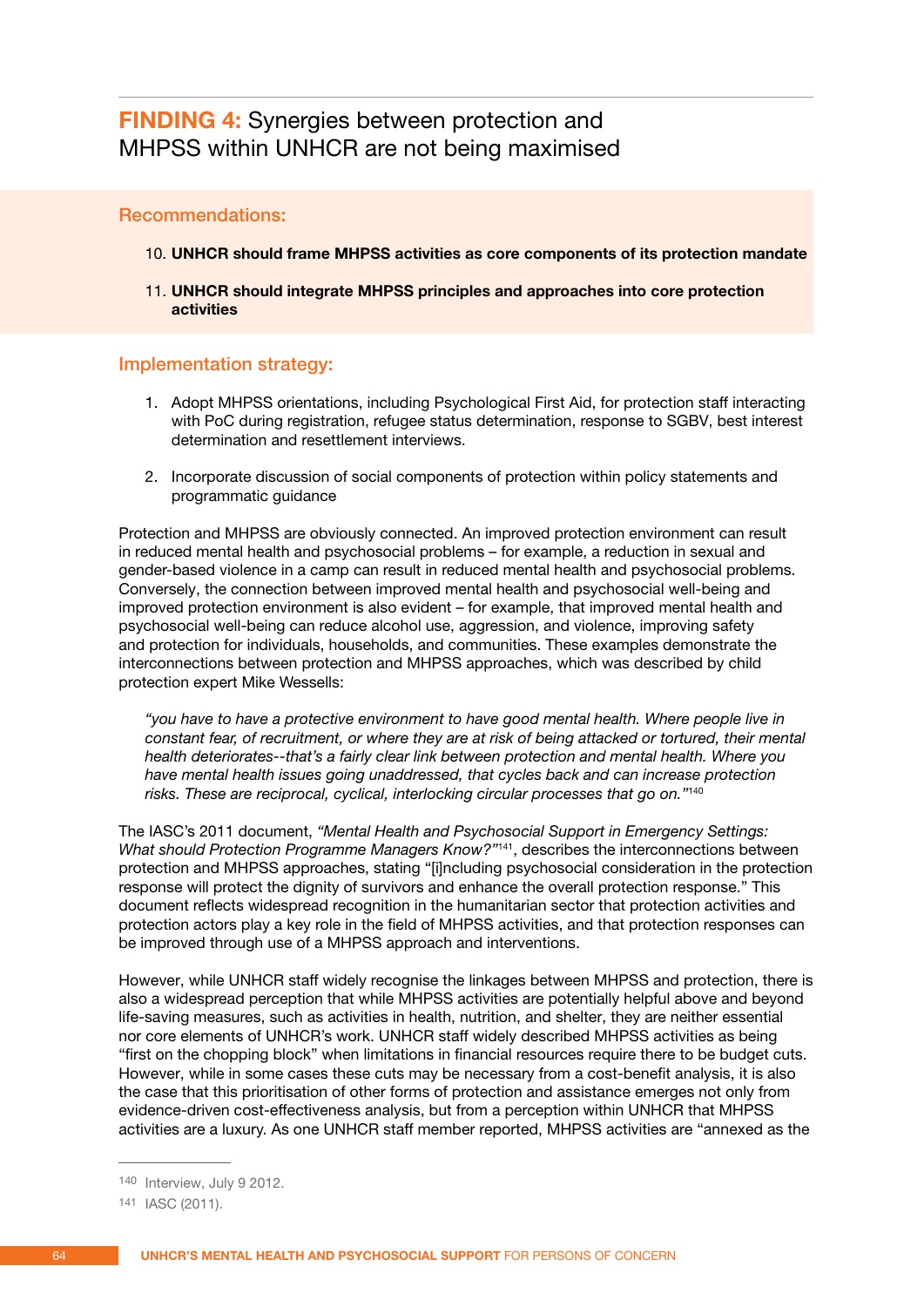## **FINDING 4:** Synergies between protection and MHPSS within UNHCR are not being maximised

### Recommendations:

- 10. **UNHCR should frame MHPSS activities as core components of its protection mandate**
- 11. **UNHCR should integrate MHPSS principles and approaches into core protection activities**

### Implementation strategy:

- 1. Adopt MHPSS orientations, including Psychological First Aid, for protection staff interacting with PoC during registration, refugee status determination, response to SGBV, best interest determination and resettlement interviews.
- 2. Incorporate discussion of social components of protection within policy statements and programmatic guidance

Protection and MHPSS are obviously connected. An improved protection environment can result in reduced mental health and psychosocial problems – for example, a reduction in sexual and gender-based violence in a camp can result in reduced mental health and psychosocial problems. Conversely, the connection between improved mental health and psychosocial well-being and improved protection environment is also evident – for example, that improved mental health and psychosocial well-being can reduce alcohol use, aggression, and violence, improving safety and protection for individuals, households, and communities. These examples demonstrate the interconnections between protection and MHPSS approaches, which was described by child protection expert Mike Wessells:

 *"you have to have a protective environment to have good mental health. Where people live in constant fear, of recruitment, or where they are at risk of being attacked or tortured, their mental health deteriorates--that's a fairly clear link between protection and mental health. Where you have mental health issues going unaddressed, that cycles back and can increase protection risks. These are reciprocal, cyclical, interlocking circular processes that go on."*<sup>140</sup>

The IASC's 2011 document, *"Mental Health and Psychosocial Support in Emergency Settings: What should Protection Programme Managers Know?"*141, describes the interconnections between protection and MHPSS approaches, stating "[i]ncluding psychosocial consideration in the protection response will protect the dignity of survivors and enhance the overall protection response." This document reflects widespread recognition in the humanitarian sector that protection activities and protection actors play a key role in the field of MHPSS activities, and that protection responses can be improved through use of a MHPSS approach and interventions.

However, while UNHCR staff widely recognise the linkages between MHPSS and protection, there is also a widespread perception that while MHPSS activities are potentially helpful above and beyond life-saving measures, such as activities in health, nutrition, and shelter, they are neither essential nor core elements of UNHCR's work. UNHCR staff widely described MHPSS activities as being "first on the chopping block" when limitations in financial resources require there to be budget cuts. However, while in some cases these cuts may be necessary from a cost-benefit analysis, it is also the case that this prioritisation of other forms of protection and assistance emerges not only from evidence-driven cost-effectiveness analysis, but from a perception within UNHCR that MHPSS activities are a luxury. As one UNHCR staff member reported, MHPSS activities are "annexed as the

<sup>140</sup> Interview, July 9 2012.

<sup>141</sup> IASC (2011).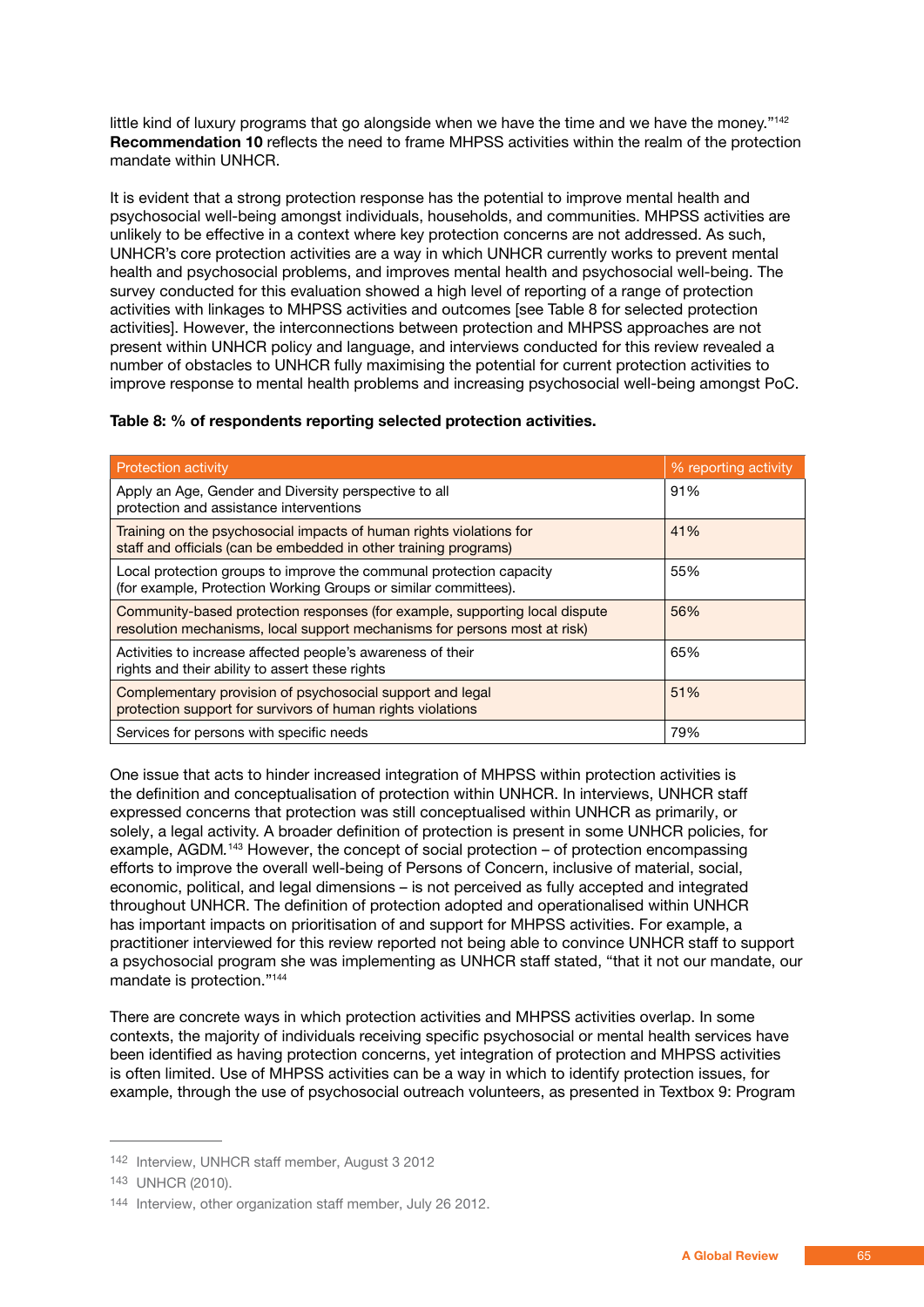little kind of luxury programs that go alongside when we have the time and we have the money."<sup>142</sup> **Recommendation 10** reflects the need to frame MHPSS activities within the realm of the protection mandate within UNHCR.

It is evident that a strong protection response has the potential to improve mental health and psychosocial well-being amongst individuals, households, and communities. MHPSS activities are unlikely to be effective in a context where key protection concerns are not addressed. As such, UNHCR's core protection activities are a way in which UNHCR currently works to prevent mental health and psychosocial problems, and improves mental health and psychosocial well-being. The survey conducted for this evaluation showed a high level of reporting of a range of protection activities with linkages to MHPSS activities and outcomes [see Table 8 for selected protection activities]. However, the interconnections between protection and MHPSS approaches are not present within UNHCR policy and language, and interviews conducted for this review revealed a number of obstacles to UNHCR fully maximising the potential for current protection activities to improve response to mental health problems and increasing psychosocial well-being amongst PoC.

### **Table 8: % of respondents reporting selected protection activities.**

| <b>Protection activity</b>                                                                                                                               | % reporting activity |
|----------------------------------------------------------------------------------------------------------------------------------------------------------|----------------------|
| Apply an Age, Gender and Diversity perspective to all<br>protection and assistance interventions                                                         | 91%                  |
| Training on the psychosocial impacts of human rights violations for<br>staff and officials (can be embedded in other training programs)                  | 41%                  |
| Local protection groups to improve the communal protection capacity<br>(for example, Protection Working Groups or similar committees).                   | 55%                  |
| Community-based protection responses (for example, supporting local dispute<br>resolution mechanisms, local support mechanisms for persons most at risk) | 56%                  |
| Activities to increase affected people's awareness of their<br>rights and their ability to assert these rights                                           | 65%                  |
| Complementary provision of psychosocial support and legal<br>protection support for survivors of human rights violations                                 | 51%                  |
| Services for persons with specific needs                                                                                                                 | 79%                  |

One issue that acts to hinder increased integration of MHPSS within protection activities is the definition and conceptualisation of protection within UNHCR. In interviews, UNHCR staff expressed concerns that protection was still conceptualised within UNHCR as primarily, or solely, a legal activity. A broader definition of protection is present in some UNHCR policies, for example, AGDM.<sup>143</sup> However, the concept of social protection – of protection encompassing efforts to improve the overall well-being of Persons of Concern, inclusive of material, social, economic, political, and legal dimensions – is not perceived as fully accepted and integrated throughout UNHCR. The definition of protection adopted and operationalised within UNHCR has important impacts on prioritisation of and support for MHPSS activities. For example, a practitioner interviewed for this review reported not being able to convince UNHCR staff to support a psychosocial program she was implementing as UNHCR staff stated, "that it not our mandate, our mandate is protection."144

There are concrete ways in which protection activities and MHPSS activities overlap. In some contexts, the majority of individuals receiving specific psychosocial or mental health services have been identified as having protection concerns, yet integration of protection and MHPSS activities is often limited. Use of MHPSS activities can be a way in which to identify protection issues, for example, through the use of psychosocial outreach volunteers, as presented in Textbox 9: Program

<sup>142</sup> Interview, UNHCR staff member, August 3 2012

<sup>143</sup> UNHCR (2010).

<sup>144</sup> Interview, other organization staff member, July 26 2012.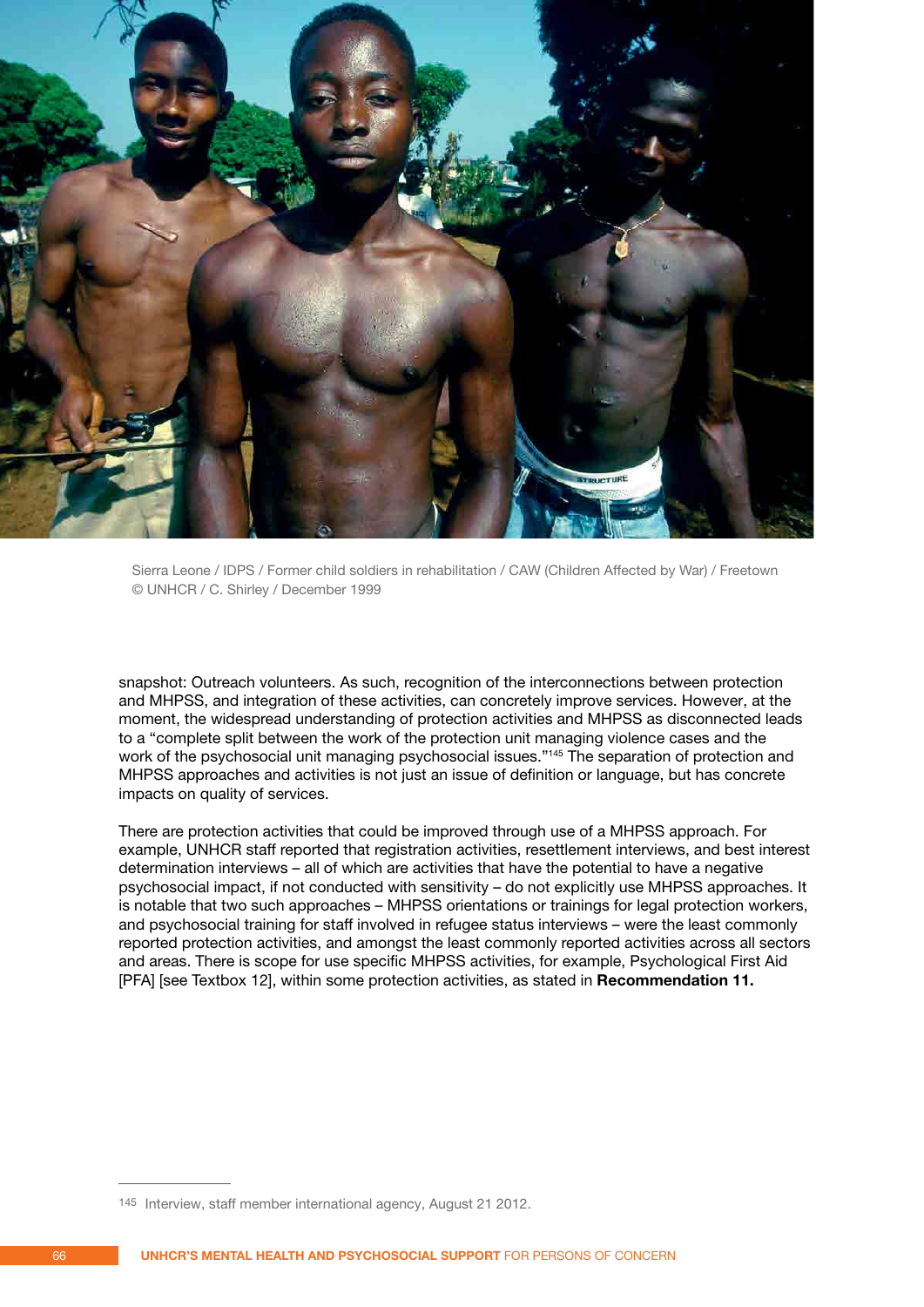

Sierra Leone / IDPS / Former child soldiers in rehabilitation / CAW (Children Affected by War) / Freetown © UNHCR / C. Shirley / December 1999

snapshot: Outreach volunteers. As such, recognition of the interconnections between protection and MHPSS, and integration of these activities, can concretely improve services. However, at the moment, the widespread understanding of protection activities and MHPSS as disconnected leads to a "complete split between the work of the protection unit managing violence cases and the work of the psychosocial unit managing psychosocial issues."<sup>145</sup> The separation of protection and MHPSS approaches and activities is not just an issue of definition or language, but has concrete impacts on quality of services.

There are protection activities that could be improved through use of a MHPSS approach. For example, UNHCR staff reported that registration activities, resettlement interviews, and best interest determination interviews – all of which are activities that have the potential to have a negative psychosocial impact, if not conducted with sensitivity – do not explicitly use MHPSS approaches. It is notable that two such approaches – MHPSS orientations or trainings for legal protection workers, and psychosocial training for staff involved in refugee status interviews – were the least commonly reported protection activities, and amongst the least commonly reported activities across all sectors and areas. There is scope for use specific MHPSS activities, for example, Psychological First Aid [PFA] [see Textbox 12], within some protection activities, as stated in **Recommendation 11.**

<sup>145</sup> Interview, staff member international agency, August 21 2012.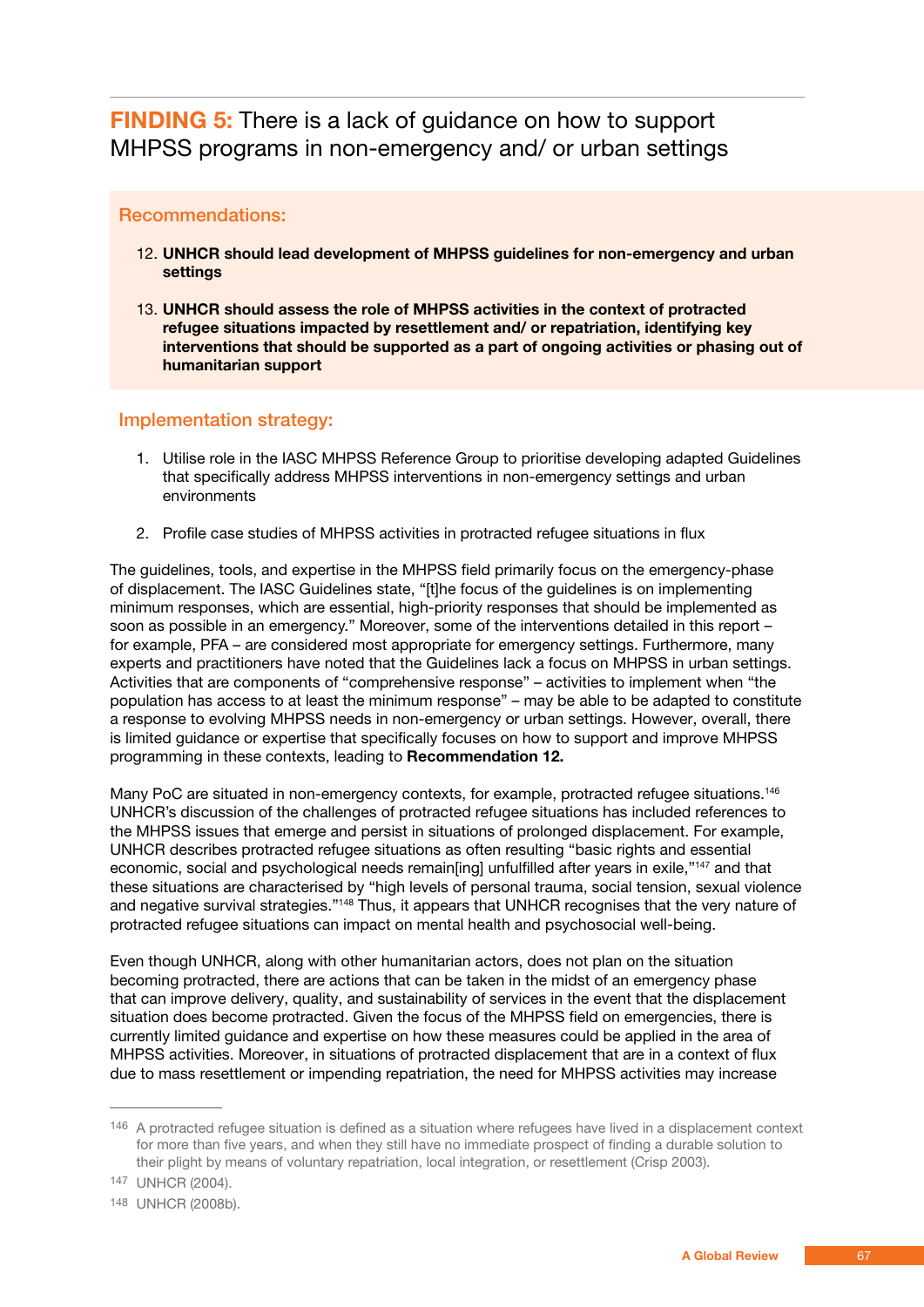**FINDING 5:** There is a lack of guidance on how to support MHPSS programs in non-emergency and/ or urban settings

### Recommendations:

- 12. **UNHCR should lead development of MHPSS guidelines for non-emergency and urban settings**
- 13. **UNHCR should assess the role of MHPSS activities in the context of protracted refugee situations impacted by resettlement and/ or repatriation, identifying key interventions that should be supported as a part of ongoing activities or phasing out of humanitarian support**

### Implementation strategy:

- 1. Utilise role in the IASC MHPSS Reference Group to prioritise developing adapted Guidelines that specifically address MHPSS interventions in non-emergency settings and urban environments
- 2. Profile case studies of MHPSS activities in protracted refugee situations in flux

The guidelines, tools, and expertise in the MHPSS field primarily focus on the emergency-phase of displacement. The IASC Guidelines state, "[t]he focus of the guidelines is on implementing minimum responses, which are essential, high-priority responses that should be implemented as soon as possible in an emergency." Moreover, some of the interventions detailed in this report – for example, PFA – are considered most appropriate for emergency settings. Furthermore, many experts and practitioners have noted that the Guidelines lack a focus on MHPSS in urban settings. Activities that are components of "comprehensive response" – activities to implement when "the population has access to at least the minimum response" – may be able to be adapted to constitute a response to evolving MHPSS needs in non-emergency or urban settings. However, overall, there is limited guidance or expertise that specifically focuses on how to support and improve MHPSS programming in these contexts, leading to **Recommendation 12.**

Many PoC are situated in non-emergency contexts, for example, protracted refugee situations.<sup>146</sup> UNHCR's discussion of the challenges of protracted refugee situations has included references to the MHPSS issues that emerge and persist in situations of prolonged displacement. For example, UNHCR describes protracted refugee situations as often resulting "basic rights and essential economic, social and psychological needs remain[ing] unfulfilled after years in exile,"<sup>147</sup> and that these situations are characterised by "high levels of personal trauma, social tension, sexual violence and negative survival strategies."148 Thus, it appears that UNHCR recognises that the very nature of protracted refugee situations can impact on mental health and psychosocial well-being.

Even though UNHCR, along with other humanitarian actors, does not plan on the situation becoming protracted, there are actions that can be taken in the midst of an emergency phase that can improve delivery, quality, and sustainability of services in the event that the displacement situation does become protracted. Given the focus of the MHPSS field on emergencies, there is currently limited guidance and expertise on how these measures could be applied in the area of MHPSS activities. Moreover, in situations of protracted displacement that are in a context of flux due to mass resettlement or impending repatriation, the need for MHPSS activities may increase

<sup>146</sup> A protracted refugee situation is defined as a situation where refugees have lived in a displacement context for more than five years, and when they still have no immediate prospect of finding a durable solution to their plight by means of voluntary repatriation, local integration, or resettlement (Crisp 2003).

<sup>147</sup> UNHCR (2004).

<sup>148</sup> UNHCR (2008b).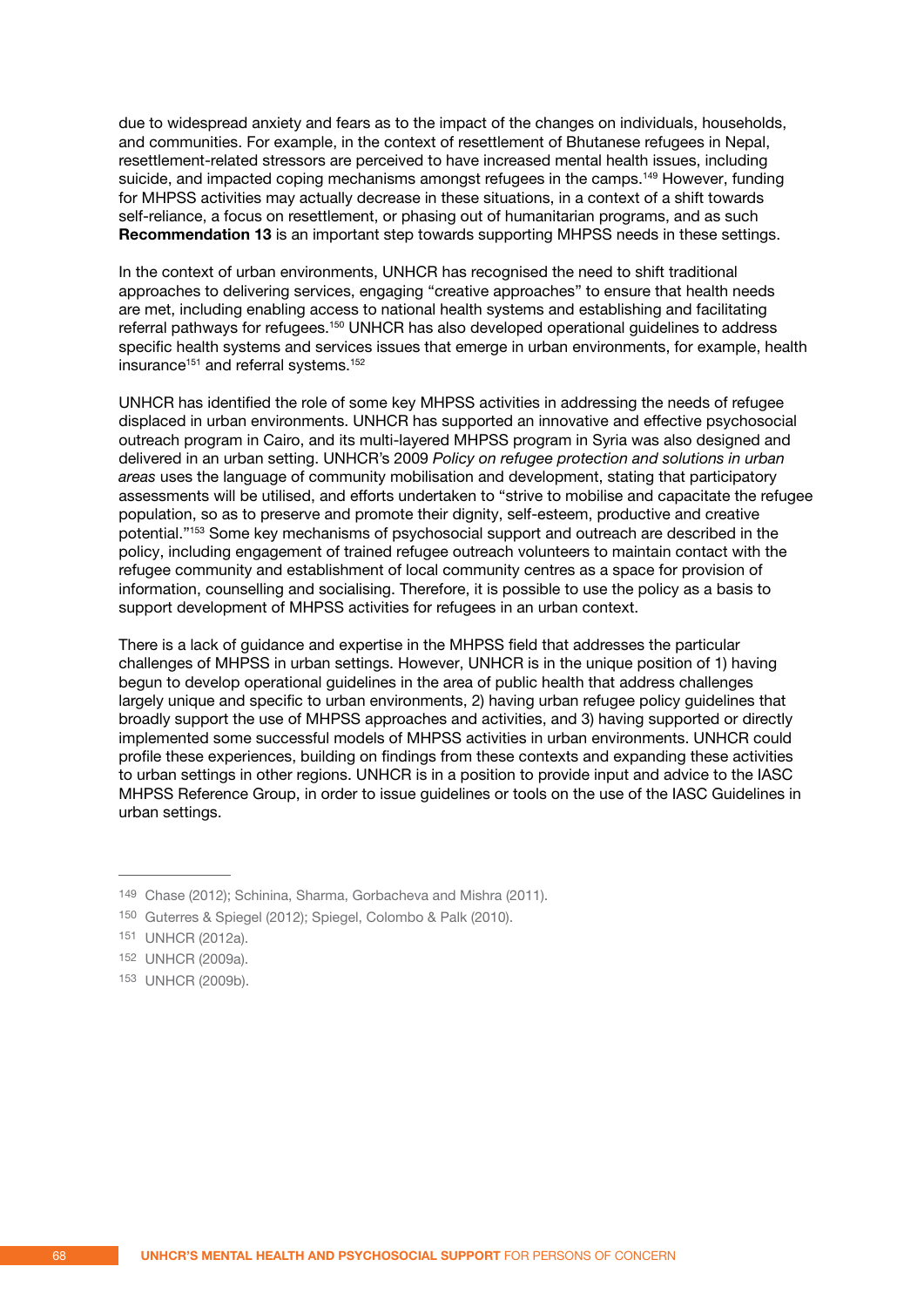due to widespread anxiety and fears as to the impact of the changes on individuals, households, and communities. For example, in the context of resettlement of Bhutanese refugees in Nepal, resettlement-related stressors are perceived to have increased mental health issues, including suicide, and impacted coping mechanisms amongst refugees in the camps.<sup>149</sup> However, funding for MHPSS activities may actually decrease in these situations, in a context of a shift towards self-reliance, a focus on resettlement, or phasing out of humanitarian programs, and as such **Recommendation 13** is an important step towards supporting MHPSS needs in these settings.

In the context of urban environments, UNHCR has recognised the need to shift traditional approaches to delivering services, engaging "creative approaches" to ensure that health needs are met, including enabling access to national health systems and establishing and facilitating referral pathways for refugees.<sup>150</sup> UNHCR has also developed operational guidelines to address specific health systems and services issues that emerge in urban environments, for example, health insurance<sup>151</sup> and referral systems.<sup>152</sup>

UNHCR has identified the role of some key MHPSS activities in addressing the needs of refugee displaced in urban environments. UNHCR has supported an innovative and effective psychosocial outreach program in Cairo, and its multi-layered MHPSS program in Syria was also designed and delivered in an urban setting. UNHCR's 2009 *Policy on refugee protection and solutions in urban areas* uses the language of community mobilisation and development, stating that participatory assessments will be utilised, and efforts undertaken to "strive to mobilise and capacitate the refugee population, so as to preserve and promote their dignity, self-esteem, productive and creative potential."153 Some key mechanisms of psychosocial support and outreach are described in the policy, including engagement of trained refugee outreach volunteers to maintain contact with the refugee community and establishment of local community centres as a space for provision of information, counselling and socialising. Therefore, it is possible to use the policy as a basis to support development of MHPSS activities for refugees in an urban context.

There is a lack of guidance and expertise in the MHPSS field that addresses the particular challenges of MHPSS in urban settings. However, UNHCR is in the unique position of 1) having begun to develop operational guidelines in the area of public health that address challenges largely unique and specific to urban environments, 2) having urban refugee policy guidelines that broadly support the use of MHPSS approaches and activities, and 3) having supported or directly implemented some successful models of MHPSS activities in urban environments. UNHCR could profile these experiences, building on findings from these contexts and expanding these activities to urban settings in other regions. UNHCR is in a position to provide input and advice to the IASC MHPSS Reference Group, in order to issue guidelines or tools on the use of the IASC Guidelines in urban settings.

<sup>149</sup> Chase (2012); Schinina, Sharma, Gorbacheva and Mishra (2011).

<sup>150</sup> Guterres & Spiegel (2012); Spiegel, Colombo & Palk (2010).

<sup>151</sup> UNHCR (2012a).

<sup>152</sup> UNHCR (2009a).

<sup>153</sup> UNHCR (2009b).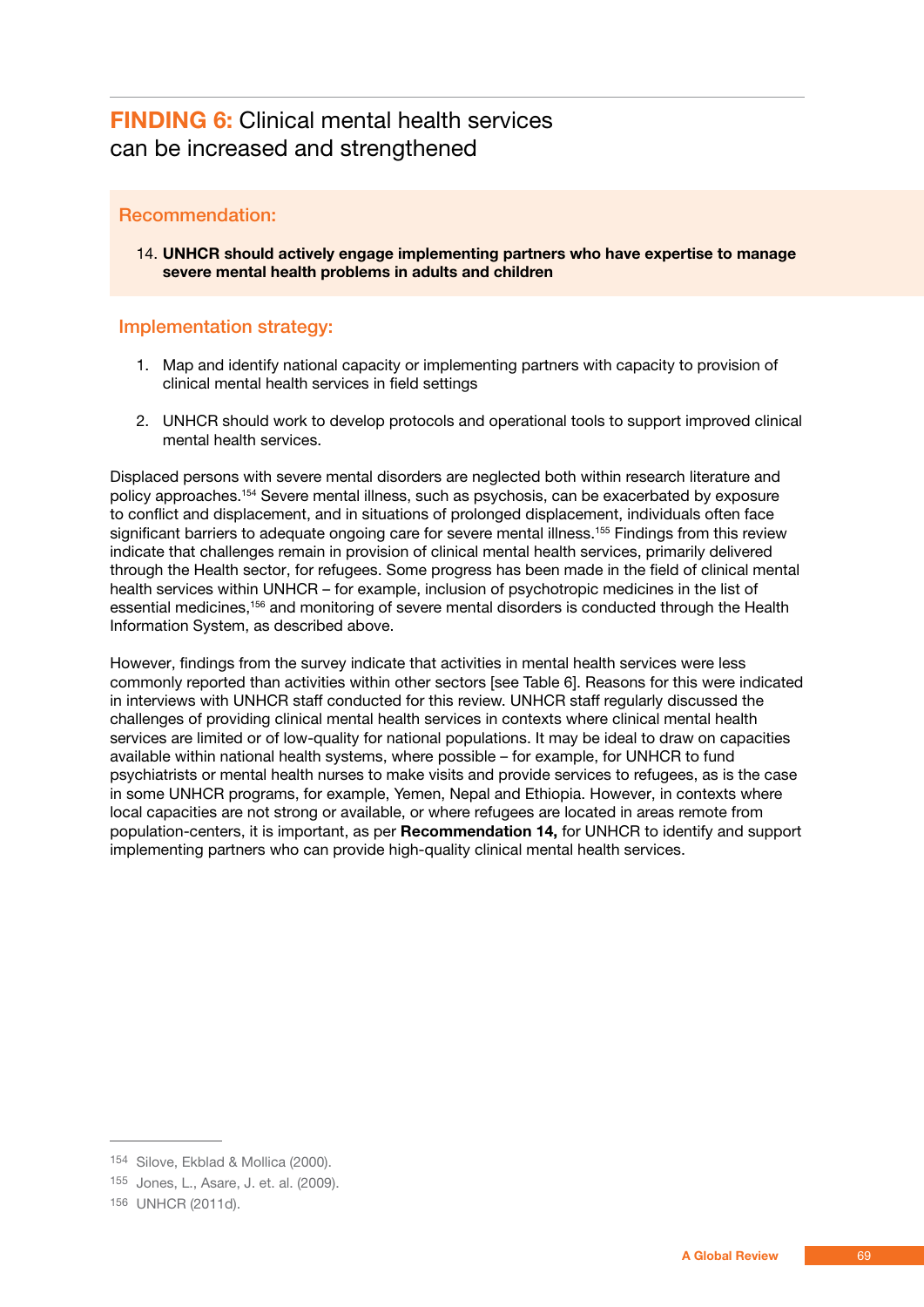## **FINDING 6:** Clinical mental health services can be increased and strengthened

### Recommendation:

14. **UNHCR should actively engage implementing partners who have expertise to manage severe mental health problems in adults and children**

### Implementation strategy:

- 1. Map and identify national capacity or implementing partners with capacity to provision of clinical mental health services in field settings
- 2. UNHCR should work to develop protocols and operational tools to support improved clinical mental health services.

Displaced persons with severe mental disorders are neglected both within research literature and policy approaches.154 Severe mental illness, such as psychosis, can be exacerbated by exposure to conflict and displacement, and in situations of prolonged displacement, individuals often face significant barriers to adequate ongoing care for severe mental illness.<sup>155</sup> Findings from this review indicate that challenges remain in provision of clinical mental health services, primarily delivered through the Health sector, for refugees. Some progress has been made in the field of clinical mental health services within UNHCR – for example, inclusion of psychotropic medicines in the list of essential medicines,<sup>156</sup> and monitoring of severe mental disorders is conducted through the Health Information System, as described above.

However, findings from the survey indicate that activities in mental health services were less commonly reported than activities within other sectors [see Table 6]. Reasons for this were indicated in interviews with UNHCR staff conducted for this review. UNHCR staff regularly discussed the challenges of providing clinical mental health services in contexts where clinical mental health services are limited or of low-quality for national populations. It may be ideal to draw on capacities available within national health systems, where possible – for example, for UNHCR to fund psychiatrists or mental health nurses to make visits and provide services to refugees, as is the case in some UNHCR programs, for example, Yemen, Nepal and Ethiopia. However, in contexts where local capacities are not strong or available, or where refugees are located in areas remote from population-centers, it is important, as per **Recommendation 14,** for UNHCR to identify and support implementing partners who can provide high-quality clinical mental health services.

<sup>154</sup> Silove, Ekblad & Mollica (2000).

<sup>155</sup> Jones, L., Asare, J. et. al. (2009).

<sup>156</sup> UNHCR (2011d).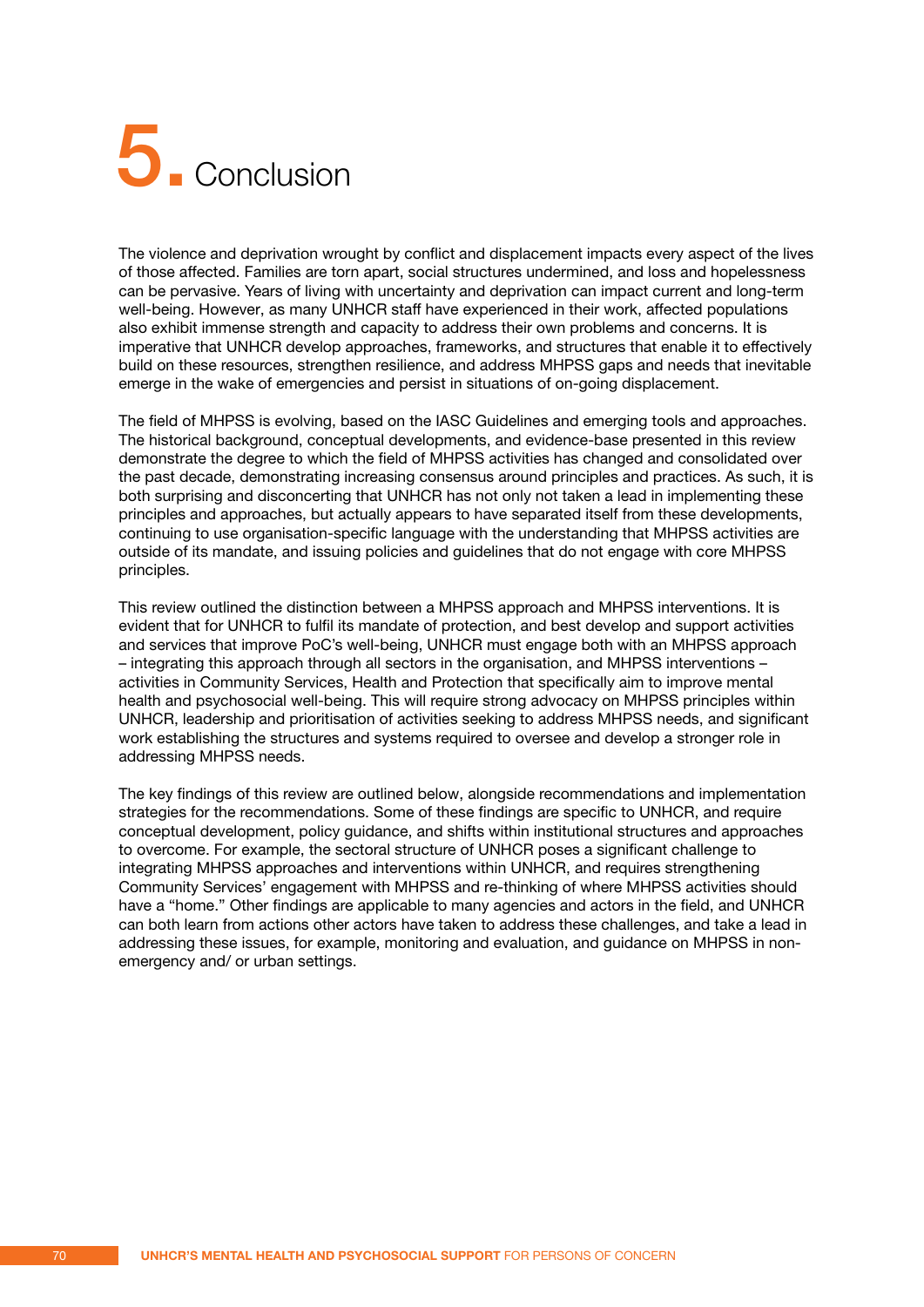# 5. **Conclusion**

The violence and deprivation wrought by conflict and displacement impacts every aspect of the lives of those affected. Families are torn apart, social structures undermined, and loss and hopelessness can be pervasive. Years of living with uncertainty and deprivation can impact current and long-term well-being. However, as many UNHCR staff have experienced in their work, affected populations also exhibit immense strength and capacity to address their own problems and concerns. It is imperative that UNHCR develop approaches, frameworks, and structures that enable it to effectively build on these resources, strengthen resilience, and address MHPSS gaps and needs that inevitable emerge in the wake of emergencies and persist in situations of on-going displacement.

The field of MHPSS is evolving, based on the IASC Guidelines and emerging tools and approaches. The historical background, conceptual developments, and evidence-base presented in this review demonstrate the degree to which the field of MHPSS activities has changed and consolidated over the past decade, demonstrating increasing consensus around principles and practices. As such, it is both surprising and disconcerting that UNHCR has not only not taken a lead in implementing these principles and approaches, but actually appears to have separated itself from these developments, continuing to use organisation-specific language with the understanding that MHPSS activities are outside of its mandate, and issuing policies and guidelines that do not engage with core MHPSS principles.

This review outlined the distinction between a MHPSS approach and MHPSS interventions. It is evident that for UNHCR to fulfil its mandate of protection, and best develop and support activities and services that improve PoC's well-being, UNHCR must engage both with an MHPSS approach – integrating this approach through all sectors in the organisation, and MHPSS interventions – activities in Community Services, Health and Protection that specifically aim to improve mental health and psychosocial well-being. This will require strong advocacy on MHPSS principles within UNHCR, leadership and prioritisation of activities seeking to address MHPSS needs, and significant work establishing the structures and systems required to oversee and develop a stronger role in addressing MHPSS needs.

The key findings of this review are outlined below, alongside recommendations and implementation strategies for the recommendations. Some of these findings are specific to UNHCR, and require conceptual development, policy guidance, and shifts within institutional structures and approaches to overcome. For example, the sectoral structure of UNHCR poses a significant challenge to integrating MHPSS approaches and interventions within UNHCR, and requires strengthening Community Services' engagement with MHPSS and re-thinking of where MHPSS activities should have a "home." Other findings are applicable to many agencies and actors in the field, and UNHCR can both learn from actions other actors have taken to address these challenges, and take a lead in addressing these issues, for example, monitoring and evaluation, and guidance on MHPSS in nonemergency and/ or urban settings.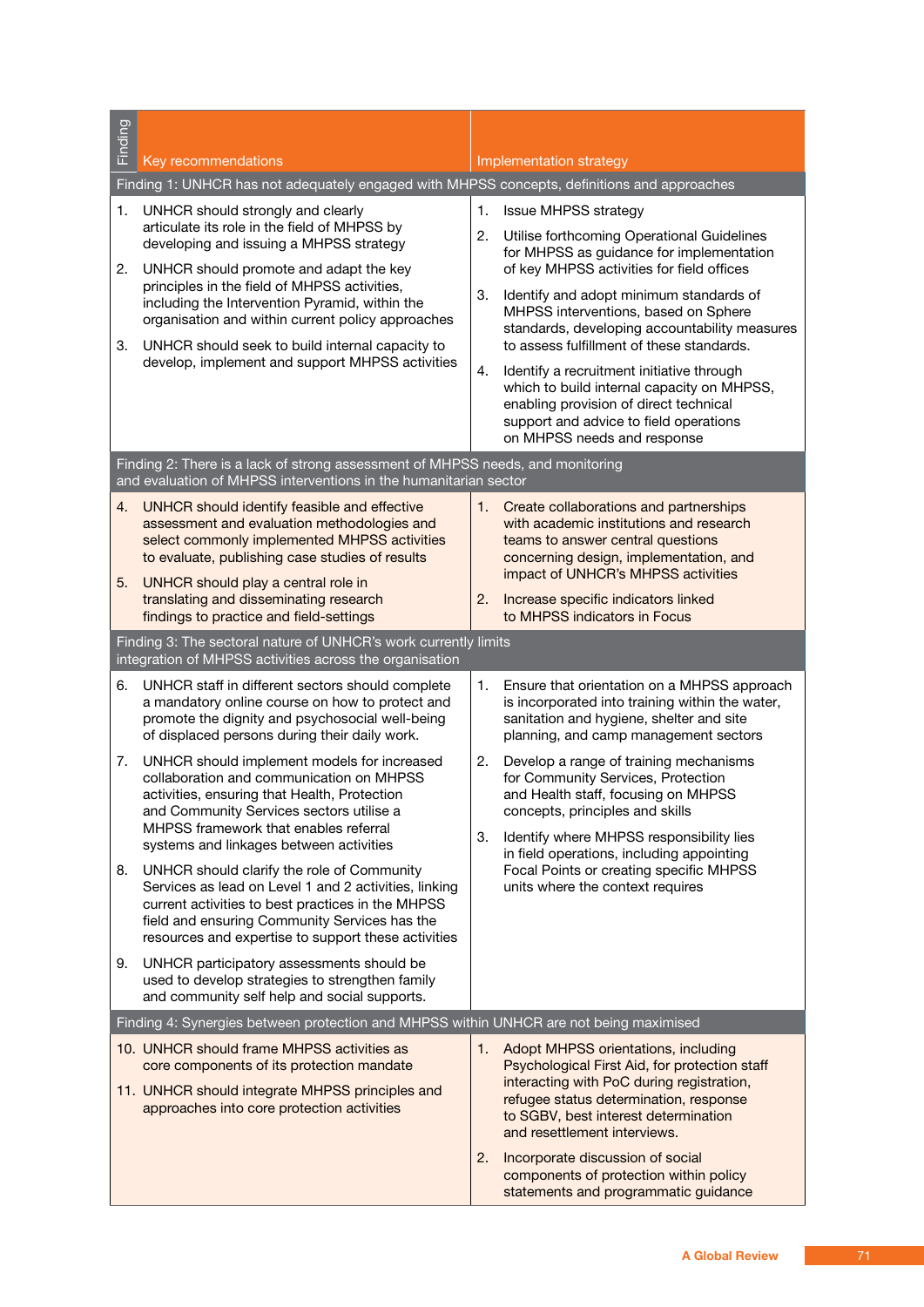| Finding |                                                                                                                                                                                                                                                                  |                                                                                                                                                                                                                                                               |  |  |  |  |  |  |  |
|---------|------------------------------------------------------------------------------------------------------------------------------------------------------------------------------------------------------------------------------------------------------------------|---------------------------------------------------------------------------------------------------------------------------------------------------------------------------------------------------------------------------------------------------------------|--|--|--|--|--|--|--|
|         | Key recommendations                                                                                                                                                                                                                                              | Implementation strategy                                                                                                                                                                                                                                       |  |  |  |  |  |  |  |
|         | Finding 1: UNHCR has not adequately engaged with MHPSS concepts, definitions and approaches                                                                                                                                                                      |                                                                                                                                                                                                                                                               |  |  |  |  |  |  |  |
| 1.      | UNHCR should strongly and clearly<br>articulate its role in the field of MHPSS by<br>developing and issuing a MHPSS strategy                                                                                                                                     | 1.<br><b>Issue MHPSS strategy</b><br>2.<br>Utilise forthcoming Operational Guidelines<br>for MHPSS as guidance for implementation                                                                                                                             |  |  |  |  |  |  |  |
| 2.      | UNHCR should promote and adapt the key<br>principles in the field of MHPSS activities,<br>including the Intervention Pyramid, within the<br>organisation and within current policy approaches                                                                    | of key MHPSS activities for field offices<br>Identify and adopt minimum standards of<br>3.<br>MHPSS interventions, based on Sphere<br>standards, developing accountability measures                                                                           |  |  |  |  |  |  |  |
| 3.      | UNHCR should seek to build internal capacity to<br>develop, implement and support MHPSS activities                                                                                                                                                               | to assess fulfillment of these standards.<br>Identify a recruitment initiative through<br>4.<br>which to build internal capacity on MHPSS,<br>enabling provision of direct technical<br>support and advice to field operations<br>on MHPSS needs and response |  |  |  |  |  |  |  |
|         | Finding 2: There is a lack of strong assessment of MHPSS needs, and monitoring<br>and evaluation of MHPSS interventions in the humanitarian sector                                                                                                               |                                                                                                                                                                                                                                                               |  |  |  |  |  |  |  |
| 4.      | UNHCR should identify feasible and effective<br>assessment and evaluation methodologies and<br>select commonly implemented MHPSS activities<br>to evaluate, publishing case studies of results                                                                   | 1.<br>Create collaborations and partnerships<br>with academic institutions and research<br>teams to answer central questions<br>concerning design, implementation, and<br>impact of UNHCR's MHPSS activities                                                  |  |  |  |  |  |  |  |
| 5.      | UNHCR should play a central role in<br>translating and disseminating research<br>findings to practice and field-settings                                                                                                                                         | 2.<br>Increase specific indicators linked<br>to MHPSS indicators in Focus                                                                                                                                                                                     |  |  |  |  |  |  |  |
|         | Finding 3: The sectoral nature of UNHCR's work currently limits<br>integration of MHPSS activities across the organisation                                                                                                                                       |                                                                                                                                                                                                                                                               |  |  |  |  |  |  |  |
| 6.      | UNHCR staff in different sectors should complete<br>a mandatory online course on how to protect and<br>promote the dignity and psychosocial well-being<br>of displaced persons during their daily work.                                                          | Ensure that orientation on a MHPSS approach<br>1.<br>is incorporated into training within the water,<br>sanitation and hygiene, shelter and site<br>planning, and camp management sectors                                                                     |  |  |  |  |  |  |  |
| 7.      | UNHCR should implement models for increased<br>collaboration and communication on MHPSS<br>activities, ensuring that Health, Protection<br>and Community Services sectors utilise a                                                                              | 2.<br>Develop a range of training mechanisms<br>for Community Services, Protection<br>and Health staff, focusing on MHPSS<br>concepts, principles and skills                                                                                                  |  |  |  |  |  |  |  |
|         | MHPSS framework that enables referral<br>systems and linkages between activities                                                                                                                                                                                 | Identify where MHPSS responsibility lies<br>3.<br>in field operations, including appointing                                                                                                                                                                   |  |  |  |  |  |  |  |
| 8.      | UNHCR should clarify the role of Community<br>Services as lead on Level 1 and 2 activities, linking<br>current activities to best practices in the MHPSS<br>field and ensuring Community Services has the<br>resources and expertise to support these activities | Focal Points or creating specific MHPSS<br>units where the context requires                                                                                                                                                                                   |  |  |  |  |  |  |  |
| 9.      | UNHCR participatory assessments should be<br>used to develop strategies to strengthen family<br>and community self help and social supports.                                                                                                                     |                                                                                                                                                                                                                                                               |  |  |  |  |  |  |  |
|         | Finding 4: Synergies between protection and MHPSS within UNHCR are not being maximised                                                                                                                                                                           |                                                                                                                                                                                                                                                               |  |  |  |  |  |  |  |
|         | 10. UNHCR should frame MHPSS activities as<br>core components of its protection mandate<br>11. UNHCR should integrate MHPSS principles and<br>approaches into core protection activities                                                                         | 1. Adopt MHPSS orientations, including<br>Psychological First Aid, for protection staff<br>interacting with PoC during registration,<br>refugee status determination, response<br>to SGBV, best interest determination<br>and resettlement interviews.        |  |  |  |  |  |  |  |
|         |                                                                                                                                                                                                                                                                  | 2.<br>Incorporate discussion of social<br>components of protection within policy<br>statements and programmatic guidance                                                                                                                                      |  |  |  |  |  |  |  |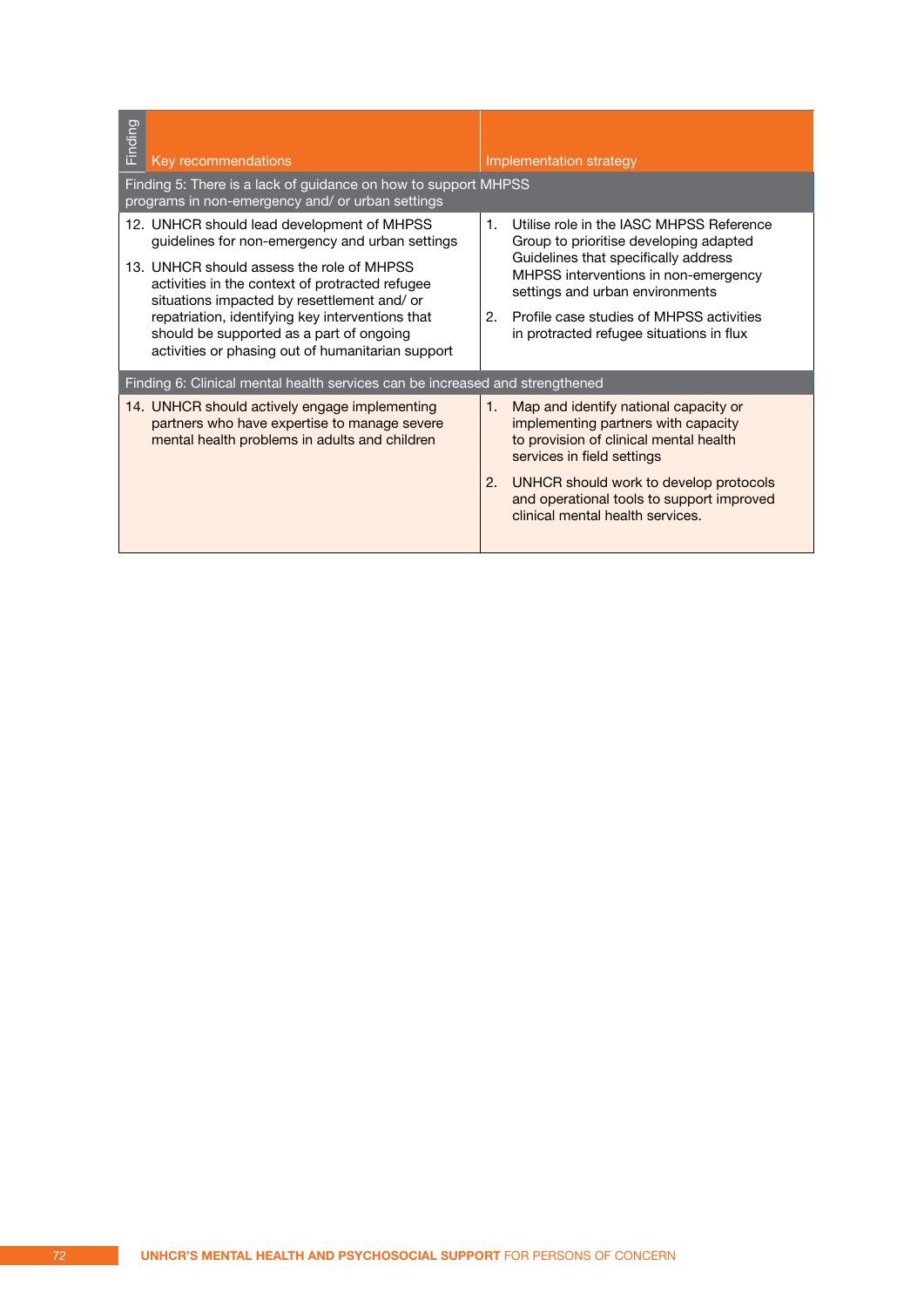| Finding<br>Key recommendations                                                                                                                                                                                                                                                                                                                                                                    | Implementation strategy                                                                                                                                                                                                                                                                                               |
|---------------------------------------------------------------------------------------------------------------------------------------------------------------------------------------------------------------------------------------------------------------------------------------------------------------------------------------------------------------------------------------------------|-----------------------------------------------------------------------------------------------------------------------------------------------------------------------------------------------------------------------------------------------------------------------------------------------------------------------|
| Finding 5: There is a lack of guidance on how to support MHPSS<br>programs in non-emergency and/ or urban settings                                                                                                                                                                                                                                                                                |                                                                                                                                                                                                                                                                                                                       |
| 12. UNHCR should lead development of MHPSS<br>guidelines for non-emergency and urban settings<br>13. UNHCR should assess the role of MHPSS<br>activities in the context of protracted refugee<br>situations impacted by resettlement and/ or<br>repatriation, identifying key interventions that<br>should be supported as a part of ongoing<br>activities or phasing out of humanitarian support | Utilise role in the IASC MHPSS Reference<br>$\mathbf{1}$ .<br>Group to prioritise developing adapted<br>Guidelines that specifically address<br>MHPSS interventions in non-emergency<br>settings and urban environments<br>Profile case studies of MHPSS activities<br>2.<br>in protracted refugee situations in flux |
| Finding 6: Clinical mental health services can be increased and strengthened                                                                                                                                                                                                                                                                                                                      |                                                                                                                                                                                                                                                                                                                       |
| 14. UNHCR should actively engage implementing<br>partners who have expertise to manage severe<br>mental health problems in adults and children                                                                                                                                                                                                                                                    | Map and identify national capacity or<br>1.<br>implementing partners with capacity<br>to provision of clinical mental health<br>services in field settings<br>2.<br>UNHCR should work to develop protocols<br>and operational tools to support improved<br>clinical mental health services.                           |
|                                                                                                                                                                                                                                                                                                                                                                                                   |                                                                                                                                                                                                                                                                                                                       |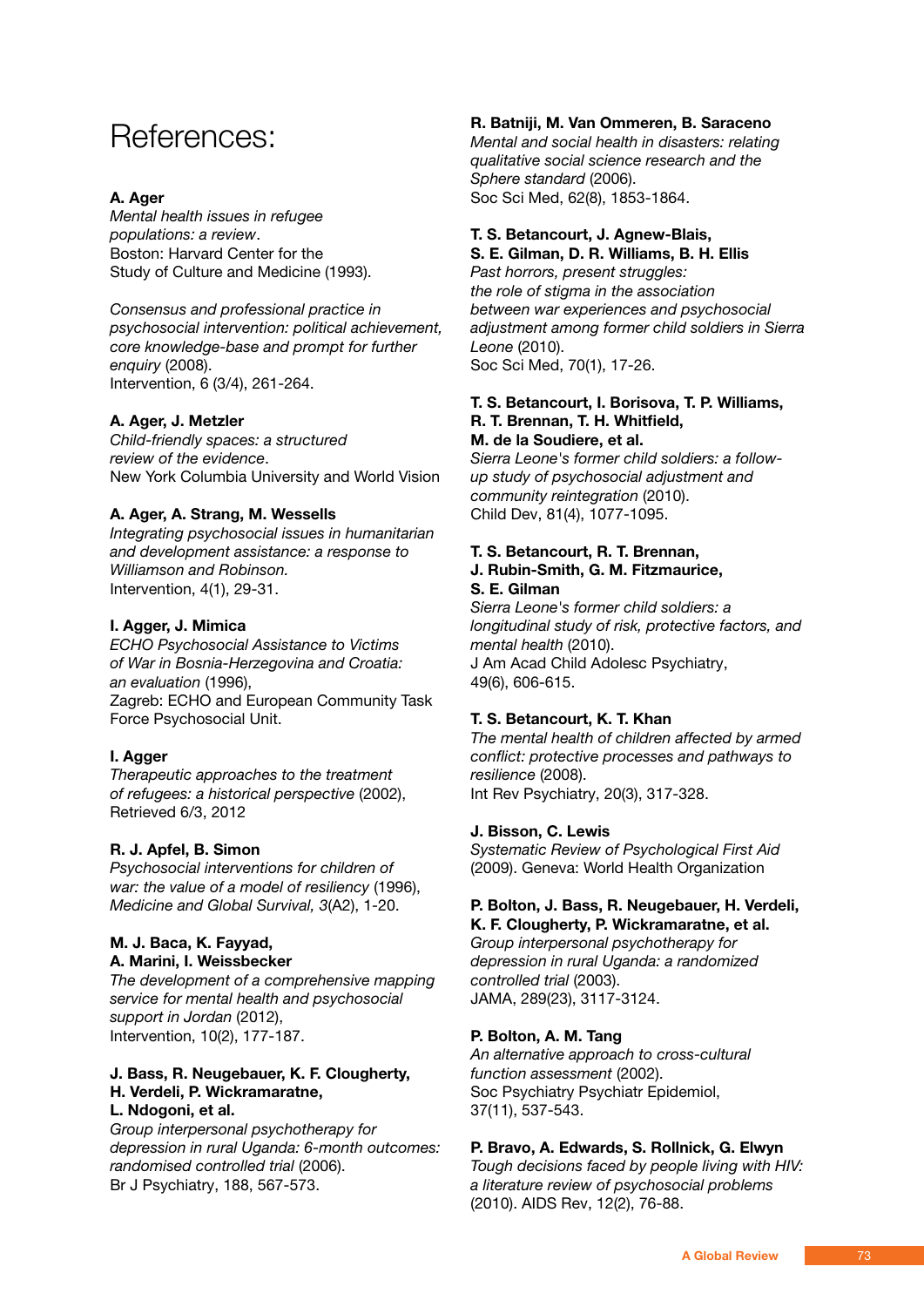# References:

# **A. Ager**

*Mental health issues in refugee populations: a review*. Boston: Harvard Center for the Study of Culture and Medicine (1993).

*Consensus and professional practice in psychosocial intervention: political achievement, core knowledge-base and prompt for further enquiry* (2008). Intervention, 6 (3/4), 261-264.

# **A. Ager, J. Metzler**

*Child-friendly spaces: a structured review of the evidence*. New York Columbia University and World Vision

# **A. Ager, A. Strang, M. Wessells**

*Integrating psychosocial issues in humanitarian and development assistance: a response to Williamson and Robinson.* Intervention, 4(1), 29-31.

### **I. Agger, J. Mimica**

*ECHO Psychosocial Assistance to Victims of War in Bosnia-Herzegovina and Croatia: an evaluation* (1996), Zagreb: ECHO and European Community Task Force Psychosocial Unit.

### **I. Agger**

*Therapeutic approaches to the treatment of refugees: a historical perspective* (2002), Retrieved 6/3, 2012

### **R. J. Apfel, B. Simon**

*Psychosocial interventions for children of war: the value of a model of resiliency* (1996), *Medicine and Global Survival, 3*(A2), 1-20.

### **M. J. Baca, K. Fayyad, A. Marini, I. Weissbecker**

*The development of a comprehensive mapping service for mental health and psychosocial support in Jordan* (2012), Intervention, 10(2), 177-187.

### **J. Bass, R. Neugebauer, K. F. Clougherty, H. Verdeli, P. Wickramaratne,**

# **L. Ndogoni, et al.**

*Group interpersonal psychotherapy for depression in rural Uganda: 6-month outcomes: randomised controlled trial* (2006). Br J Psychiatry, 188, 567-573.

# **R. Batniji, M. Van Ommeren, B. Saraceno**

*Mental and social health in disasters: relating qualitative social science research and the Sphere standard* (2006). Soc Sci Med, 62(8), 1853-1864.

# **T. S. Betancourt, J. Agnew-Blais,**

**S. E. Gilman, D. R. Williams, B. H. Ellis** *Past horrors, present struggles: the role of stigma in the association between war experiences and psychosocial adjustment among former child soldiers in Sierra Leone* (2010). Soc Sci Med, 70(1), 17-26.

### **T. S. Betancourt, I. Borisova, T. P. Williams, R. T. Brennan, T. H. Whitfield, M. de la Soudiere, et al.**

*Sierra Leone's former child soldiers: a followup study of psychosocial adjustment and community reintegration* (2010). Child Dev, 81(4), 1077-1095.

### **T. S. Betancourt, R. T. Brennan, J. Rubin-Smith, G. M. Fitzmaurice, S. E. Gilman**

*Sierra Leone's former child soldiers: a longitudinal study of risk, protective factors, and mental health* (2010). J Am Acad Child Adolesc Psychiatry, 49(6), 606-615.

# **T. S. Betancourt, K. T. Khan**

*The mental health of children affected by armed conflict: protective processes and pathways to resilience* (2008). Int Rev Psychiatry, 20(3), 317-328.

### **J. Bisson, C. Lewis**

*Systematic Review of Psychological First Aid* (2009). Geneva: World Health Organization

# **P. Bolton, J. Bass, R. Neugebauer, H. Verdeli, K. F. Clougherty, P. Wickramaratne, et al.**

*Group interpersonal psychotherapy for depression in rural Uganda: a randomized controlled trial* (2003). JAMA, 289(23), 3117-3124.

# **P. Bolton, A. M. Tang**

*An alternative approach to cross-cultural function assessment* (2002). Soc Psychiatry Psychiatr Epidemiol, 37(11), 537-543.

# **P. Bravo, A. Edwards, S. Rollnick, G. Elwyn**

*Tough decisions faced by people living with HIV: a literature review of psychosocial problems*  (2010). AIDS Rev, 12(2), 76-88.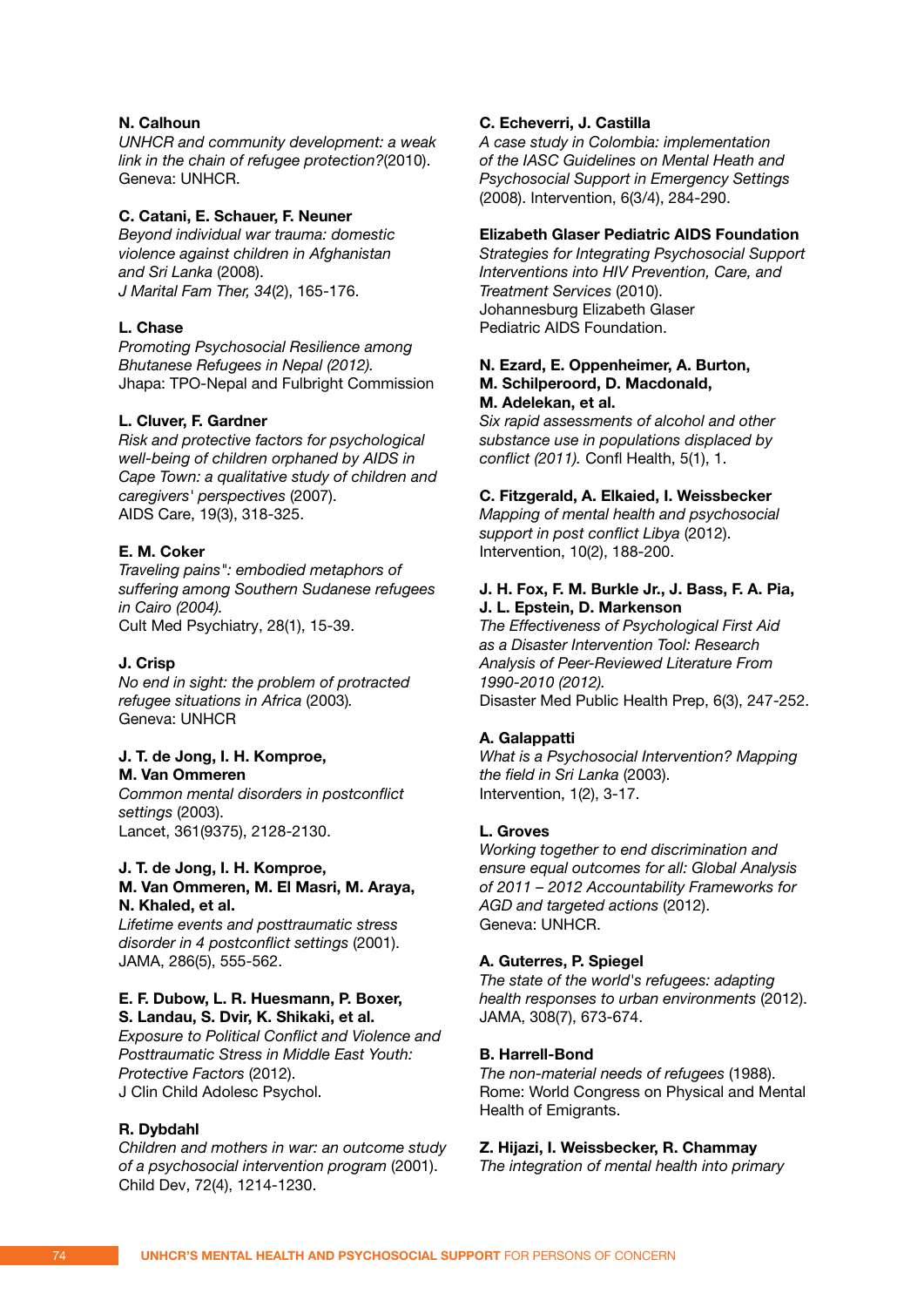## **N. Calhoun**

*UNHCR and community development: a weak link in the chain of refugee protection?*(2010). Geneva: UNHCR.

### **C. Catani, E. Schauer, F. Neuner**

*Beyond individual war trauma: domestic violence against children in Afghanistan and Sri Lanka* (2008). *J Marital Fam Ther, 34*(2), 165-176.

### **L. Chase**

*Promoting Psychosocial Resilience among Bhutanese Refugees in Nepal (2012).*  Jhapa: TPO-Nepal and Fulbright Commission

### **L. Cluver, F. Gardner**

*Risk and protective factors for psychological well-being of children orphaned by AIDS in Cape Town: a qualitative study of children and caregivers' perspectives* (2007). AIDS Care, 19(3), 318-325.

# **E. M. Coker**

*Traveling pains": embodied metaphors of suffering among Southern Sudanese refugees in Cairo (2004).*  Cult Med Psychiatry, 28(1), 15-39.

#### **J. Crisp**

*No end in sight: the problem of protracted refugee situations in Africa* (2003)*.*  Geneva: UNHCR

# **J. T. de Jong, I. H. Komproe,**

**M. Van Ommeren**

*Common mental disorders in postconflict settings* (2003). Lancet, 361(9375), 2128-2130.

### **J. T. de Jong, I. H. Komproe, M. Van Ommeren, M. El Masri, M. Araya, N. Khaled, et al.**

*Lifetime events and posttraumatic stress disorder in 4 postconflict settings* (2001). JAMA, 286(5), 555-562.

### **E. F. Dubow, L. R. Huesmann, P. Boxer, S. Landau, S. Dvir, K. Shikaki, et al.**

*Exposure to Political Conflict and Violence and Posttraumatic Stress in Middle East Youth: Protective Factors* (2012). J Clin Child Adolesc Psychol.

# **R. Dybdahl**

*Children and mothers in war: an outcome study of a psychosocial intervention program* (2001). Child Dev, 72(4), 1214-1230.

### **C. Echeverri, J. Castilla**

*A case study in Colombia: implementation of the IASC Guidelines on Mental Heath and Psychosocial Support in Emergency Settings*  (2008). Intervention, 6(3/4), 284-290.

## **Elizabeth Glaser Pediatric AIDS Foundation**

*Strategies for Integrating Psychosocial Support Interventions into HIV Prevention, Care, and Treatment Services* (2010). Johannesburg Elizabeth Glaser Pediatric AIDS Foundation.

### **N. Ezard, E. Oppenheimer, A. Burton, M. Schilperoord, D. Macdonald, M. Adelekan, et al.**

*Six rapid assessments of alcohol and other substance use in populations displaced by conflict (2011).* Confl Health, 5(1), 1.

### **C. Fitzgerald, A. Elkaied, I. Weissbecker**

*Mapping of mental health and psychosocial support in post conflict Libya* (2012). Intervention, 10(2), 188-200.

### **J. H. Fox, F. M. Burkle Jr., J. Bass, F. A. Pia, J. L. Epstein, D. Markenson**

*The Effectiveness of Psychological First Aid as a Disaster Intervention Tool: Research Analysis of Peer-Reviewed Literature From 1990-2010 (2012).*  Disaster Med Public Health Prep, 6(3), 247-252.

### **A. Galappatti**

*What is a Psychosocial Intervention? Mapping the field in Sri Lanka* (2003). Intervention, 1(2), 3-17.

#### **L. Groves**

*Working together to end discrimination and ensure equal outcomes for all: Global Analysis of 2011 – 2012 Accountability Frameworks for AGD and targeted actions* (2012). Geneva: UNHCR.

### **A. Guterres, P. Spiegel**

*The state of the world's refugees: adapting health responses to urban environments* (2012). JAMA, 308(7), 673-674.

### **B. Harrell-Bond**

*The non-material needs of refugees* (1988). Rome: World Congress on Physical and Mental Health of Emigrants.

### **Z. Hijazi, I. Weissbecker, R. Chammay**

*The integration of mental health into primary*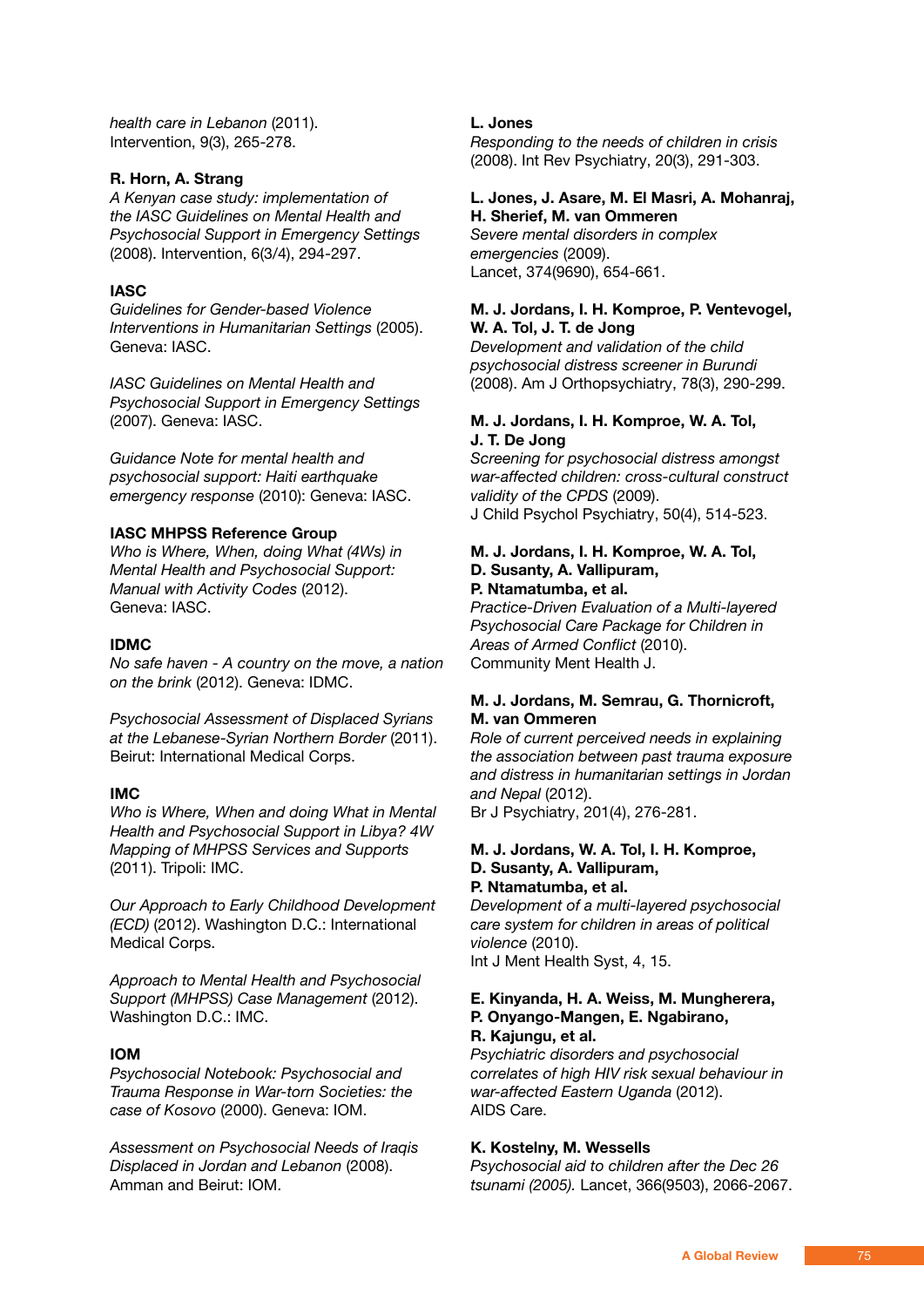*health care in Lebanon* (2011). Intervention, 9(3), 265-278.

# **R. Horn, A. Strang**

*A Kenyan case study: implementation of the IASC Guidelines on Mental Health and Psychosocial Support in Emergency Settings*  (2008). Intervention, 6(3/4), 294-297.

# **IASC**

*Guidelines for Gender-based Violence Interventions in Humanitarian Settings* (2005). Geneva: IASC.

*IASC Guidelines on Mental Health and Psychosocial Support in Emergency Settings*  (2007). Geneva: IASC.

*Guidance Note for mental health and psychosocial support: Haiti earthquake emergency response* (2010): Geneva: IASC.

### **IASC MHPSS Reference Group**

*Who is Where, When, doing What (4Ws) in Mental Health and Psychosocial Support: Manual with Activity Codes* (2012). Geneva: IASC.

### **IDMC**

*No safe haven - A country on the move, a nation on the brink* (2012). Geneva: IDMC.

*Psychosocial Assessment of Displaced Syrians at the Lebanese-Syrian Northern Border* (2011). Beirut: International Medical Corps.

### **IMC**

*Who is Where, When and doing What in Mental Health and Psychosocial Support in Libya? 4W Mapping of MHPSS Services and Supports*  (2011). Tripoli: IMC.

*Our Approach to Early Childhood Development (ECD)* (2012). Washington D.C.: International Medical Corps.

*Approach to Mental Health and Psychosocial Support (MHPSS) Case Management* (2012). Washington D.C.: IMC.

# **IOM**

*Psychosocial Notebook: Psychosocial and Trauma Response in War-torn Societies: the case of Kosovo* (2000). Geneva: IOM.

*Assessment on Psychosocial Needs of Iraqis Displaced in Jordan and Lebanon* (2008). Amman and Beirut: IOM.

### **L. Jones**

*Responding to the needs of children in crisis*  (2008). Int Rev Psychiatry, 20(3), 291-303.

#### **L. Jones, J. Asare, M. El Masri, A. Mohanraj, H. Sherief, M. van Ommeren**

*Severe mental disorders in complex emergencies* (2009). Lancet, 374(9690), 654-661.

### **M. J. Jordans, I. H. Komproe, P. Ventevogel, W. A. Tol, J. T. de Jong**

*Development and validation of the child psychosocial distress screener in Burundi*  (2008). Am J Orthopsychiatry, 78(3), 290-299.

### **M. J. Jordans, I. H. Komproe, W. A. Tol, J. T. De Jong**

*Screening for psychosocial distress amongst war-affected children: cross-cultural construct validity of the CPDS* (2009). J Child Psychol Psychiatry, 50(4), 514-523.

### **M. J. Jordans, I. H. Komproe, W. A. Tol, D. Susanty, A. Vallipuram, P. Ntamatumba, et al.**

*Practice-Driven Evaluation of a Multi-layered Psychosocial Care Package for Children in Areas of Armed Conflict* (2010). Community Ment Health J.

# **M. J. Jordans, M. Semrau, G. Thornicroft, M. van Ommeren**

*Role of current perceived needs in explaining the association between past trauma exposure and distress in humanitarian settings in Jordan and Nepal* (2012).

Br J Psychiatry, 201(4), 276-281.

### **M. J. Jordans, W. A. Tol, I. H. Komproe, D. Susanty, A. Vallipuram, P. Ntamatumba, et al.**

*Development of a multi-layered psychosocial care system for children in areas of political violence* (2010). Int J Ment Health Syst, 4, 15.

### **E. Kinyanda, H. A. Weiss, M. Mungherera, P. Onyango-Mangen, E. Ngabirano, R. Kajungu, et al.**

*Psychiatric disorders and psychosocial correlates of high HIV risk sexual behaviour in war-affected Eastern Uganda* (2012). AIDS Care.

### **K. Kostelny, M. Wessells**

*Psychosocial aid to children after the Dec 26 tsunami (2005).* Lancet, 366(9503), 2066-2067.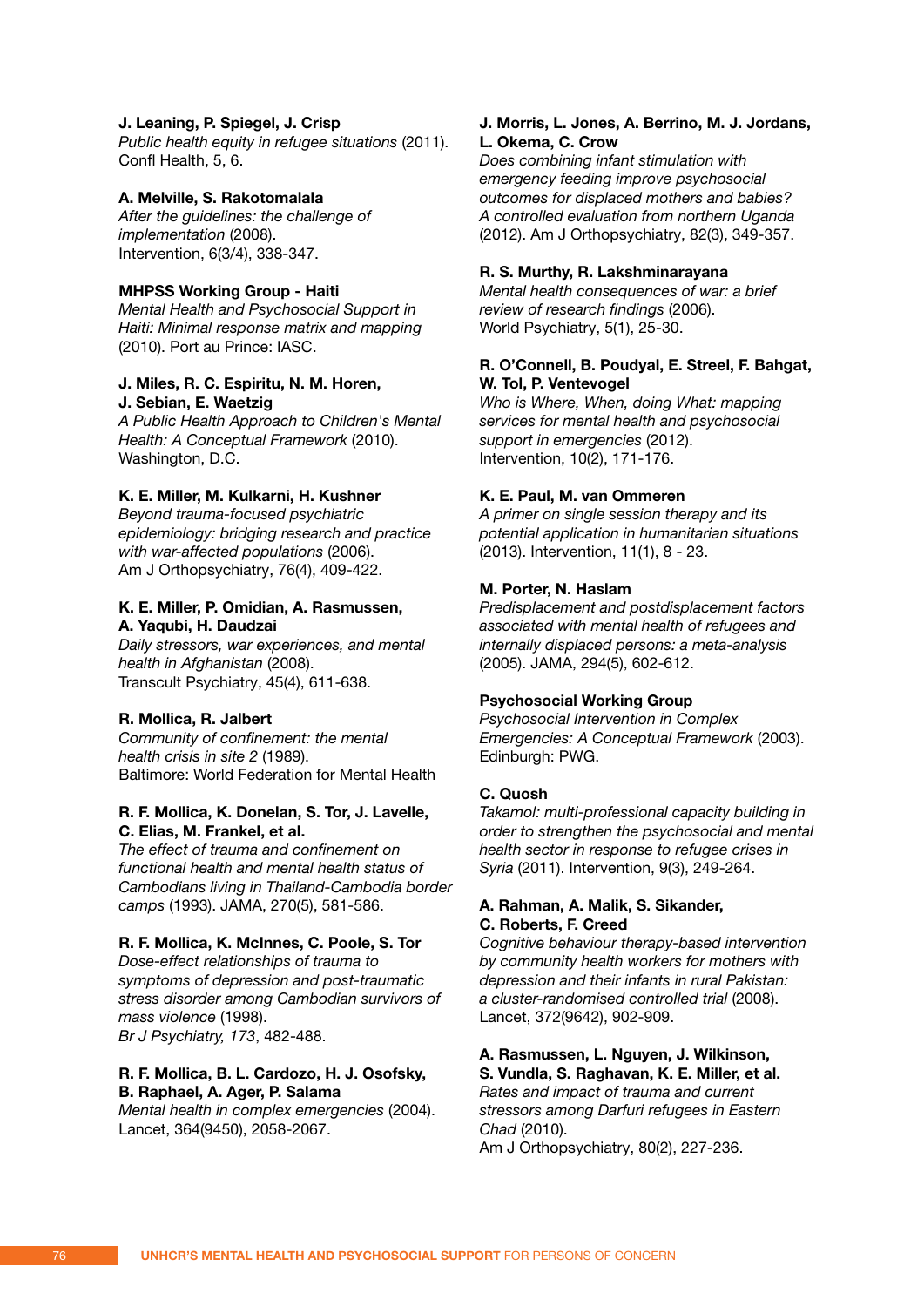### **J. Leaning, P. Spiegel, J. Crisp**

*Public health equity in refugee situations* (2011). Confl Health, 5, 6.

### **A. Melville, S. Rakotomalala**

*After the guidelines: the challenge of implementation* (2008). Intervention, 6(3/4), 338-347.

#### **MHPSS Working Group - Haiti**

*Mental Health and Psychosocial Support in Haiti: Minimal response matrix and mapping*  (2010). Port au Prince: IASC.

### **J. Miles, R. C. Espiritu, N. M. Horen, J. Sebian, E. Waetzig**

*A Public Health Approach to Children's Mental Health: A Conceptual Framework* (2010). Washington, D.C.

### **K. E. Miller, M. Kulkarni, H. Kushner**

*Beyond trauma-focused psychiatric epidemiology: bridging research and practice with war-affected populations* (2006). Am J Orthopsychiatry, 76(4), 409-422.

# **K. E. Miller, P. Omidian, A. Rasmussen, A. Yaqubi, H. Daudzai**

*Daily stressors, war experiences, and mental health in Afghanistan* (2008). Transcult Psychiatry, 45(4), 611-638.

### **R. Mollica, R. Jalbert**

*Community of confinement: the mental health crisis in site 2* (1989). Baltimore: World Federation for Mental Health

### **R. F. Mollica, K. Donelan, S. Tor, J. Lavelle, C. Elias, M. Frankel, et al.**

*The effect of trauma and confinement on functional health and mental health status of Cambodians living in Thailand-Cambodia border camps* (1993). JAMA, 270(5), 581-586.

### **R. F. Mollica, K. McInnes, C. Poole, S. Tor**

*Dose-effect relationships of trauma to symptoms of depression and post-traumatic stress disorder among Cambodian survivors of mass violence* (1998). *Br J Psychiatry, 173*, 482-488.

### **R. F. Mollica, B. L. Cardozo, H. J. Osofsky, B. Raphael, A. Ager, P. Salama**

*Mental health in complex emergencies* (2004). Lancet, 364(9450), 2058-2067.

### **J. Morris, L. Jones, A. Berrino, M. J. Jordans, L. Okema, C. Crow**

*Does combining infant stimulation with emergency feeding improve psychosocial outcomes for displaced mothers and babies? A controlled evaluation from northern Uganda*  (2012). Am J Orthopsychiatry, 82(3), 349-357.

#### **R. S. Murthy, R. Lakshminarayana**

*Mental health consequences of war: a brief review of research findings* (2006). World Psychiatry, 5(1), 25-30.

### **R. O'Connell, B. Poudyal, E. Streel, F. Bahgat, W. Tol, P. Ventevogel**

*Who is Where, When, doing What: mapping services for mental health and psychosocial support in emergencies* (2012). Intervention, 10(2), 171-176.

#### **K. E. Paul, M. van Ommeren**

*A primer on single session therapy and its potential application in humanitarian situations*  (2013). Intervention, 11(1), 8 - 23.

### **M. Porter, N. Haslam**

*Predisplacement and postdisplacement factors associated with mental health of refugees and internally displaced persons: a meta-analysis*  (2005). JAMA, 294(5), 602-612.

#### **Psychosocial Working Group**

*Psychosocial Intervention in Complex Emergencies: A Conceptual Framework* (2003). Edinburgh: PWG.

# **C. Quosh**

*Takamol: multi-professional capacity building in order to strengthen the psychosocial and mental health sector in response to refugee crises in Syria* (2011). Intervention, 9(3), 249-264.

### **A. Rahman, A. Malik, S. Sikander, C. Roberts, F. Creed**

*Cognitive behaviour therapy-based intervention by community health workers for mothers with depression and their infants in rural Pakistan: a cluster-randomised controlled trial* (2008). Lancet, 372(9642), 902-909.

# **A. Rasmussen, L. Nguyen, J. Wilkinson,**

**S. Vundla, S. Raghavan, K. E. Miller, et al.** *Rates and impact of trauma and current stressors among Darfuri refugees in Eastern Chad* (2010).

Am J Orthopsychiatry, 80(2), 227-236.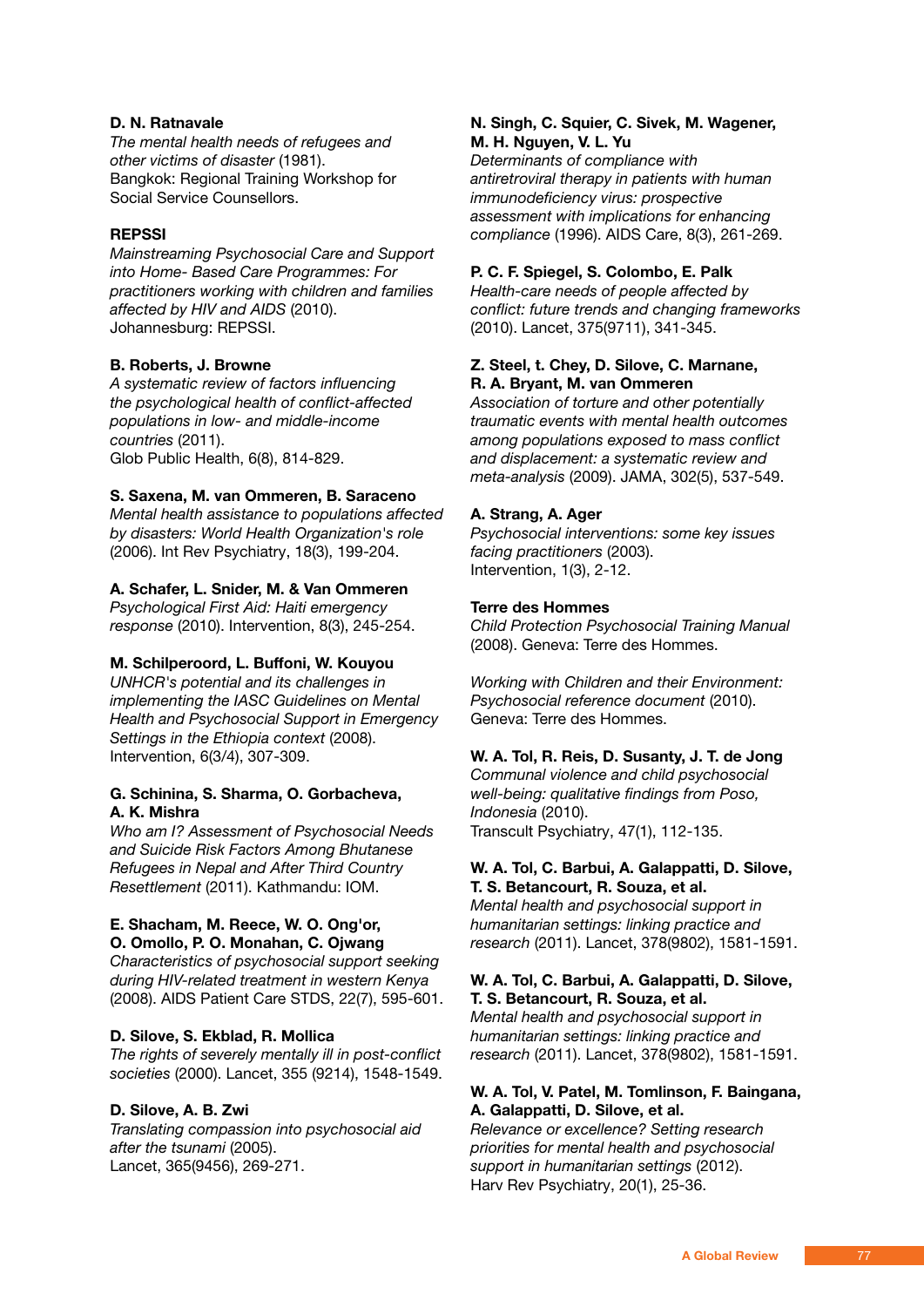# **D. N. Ratnavale**

*The mental health needs of refugees and other victims of disaster* (1981). Bangkok: Regional Training Workshop for Social Service Counsellors.

# **REPSSI**

*Mainstreaming Psychosocial Care and Support into Home- Based Care Programmes: For practitioners working with children and families affected by HIV and AIDS* (2010). Johannesburg: REPSSI.

# **B. Roberts, J. Browne**

*A systematic review of factors influencing the psychological health of conflict-affected populations in low- and middle-income countries* (2011). Glob Public Health, 6(8), 814-829.

# **S. Saxena, M. van Ommeren, B. Saraceno**

*Mental health assistance to populations affected by disasters: World Health Organization's role*  (2006). Int Rev Psychiatry, 18(3), 199-204.

# **A. Schafer, L. Snider, M. & Van Ommeren**

*Psychological First Aid: Haiti emergency response* (2010). Intervention, 8(3), 245-254.

# **M. Schilperoord, L. Buffoni, W. Kouyou**

*UNHCR's potential and its challenges in implementing the IASC Guidelines on Mental Health and Psychosocial Support in Emergency Settings in the Ethiopia context* (2008). Intervention, 6(3/4), 307-309.

# **G. Schinina, S. Sharma, O. Gorbacheva, A. K. Mishra**

*Who am I? Assessment of Psychosocial Needs and Suicide Risk Factors Among Bhutanese Refugees in Nepal and After Third Country Resettlement* (2011). Kathmandu: IOM.

### **E. Shacham, M. Reece, W. O. Ong'or, O. Omollo, P. O. Monahan, C. Ojwang**

*Characteristics of psychosocial support seeking during HIV-related treatment in western Kenya*  (2008). AIDS Patient Care STDS, 22(7), 595-601.

# **D. Silove, S. Ekblad, R. Mollica**

*The rights of severely mentally ill in post-conflict societies* (2000). Lancet, 355 (9214), 1548-1549.

# **D. Silove, A. B. Zwi**

*Translating compassion into psychosocial aid after the tsunami* (2005). Lancet, 365(9456), 269-271.

# **N. Singh, C. Squier, C. Sivek, M. Wagener, M. H. Nguyen, V. L. Yu**

*Determinants of compliance with antiretroviral therapy in patients with human immunodeficiency virus: prospective assessment with implications for enhancing compliance* (1996). AIDS Care, 8(3), 261-269.

# **P. C. F. Spiegel, S. Colombo, E. Palk**

*Health-care needs of people affected by conflict: future trends and changing frameworks*  (2010). Lancet, 375(9711), 341-345.

# **Z. Steel, t. Chey, D. Silove, C. Marnane, R. A. Bryant, M. van Ommeren**

*Association of torture and other potentially traumatic events with mental health outcomes among populations exposed to mass conflict and displacement: a systematic review and meta-analysis* (2009). JAMA, 302(5), 537-549.

# **A. Strang, A. Ager**

*Psychosocial interventions: some key issues facing practitioners* (2003). Intervention, 1(3), 2-12.

# **Terre des Hommes**

*Child Protection Psychosocial Training Manual*  (2008). Geneva: Terre des Hommes.

*Working with Children and their Environment: Psychosocial reference document* (2010). Geneva: Terre des Hommes.

# **W. A. Tol, R. Reis, D. Susanty, J. T. de Jong**

*Communal violence and child psychosocial well-being: qualitative findings from Poso, Indonesia* (2010). Transcult Psychiatry, 47(1), 112-135.

### **W. A. Tol, C. Barbui, A. Galappatti, D. Silove, T. S. Betancourt, R. Souza, et al.**

*Mental health and psychosocial support in humanitarian settings: linking practice and research* (2011). Lancet, 378(9802), 1581-1591.

### **W. A. Tol, C. Barbui, A. Galappatti, D. Silove, T. S. Betancourt, R. Souza, et al.**

*Mental health and psychosocial support in humanitarian settings: linking practice and research* (2011). Lancet, 378(9802), 1581-1591.

# **W. A. Tol, V. Patel, M. Tomlinson, F. Baingana, A. Galappatti, D. Silove, et al.**

*Relevance or excellence? Setting research priorities for mental health and psychosocial support in humanitarian settings* (2012). Harv Rev Psychiatry, 20(1), 25-36.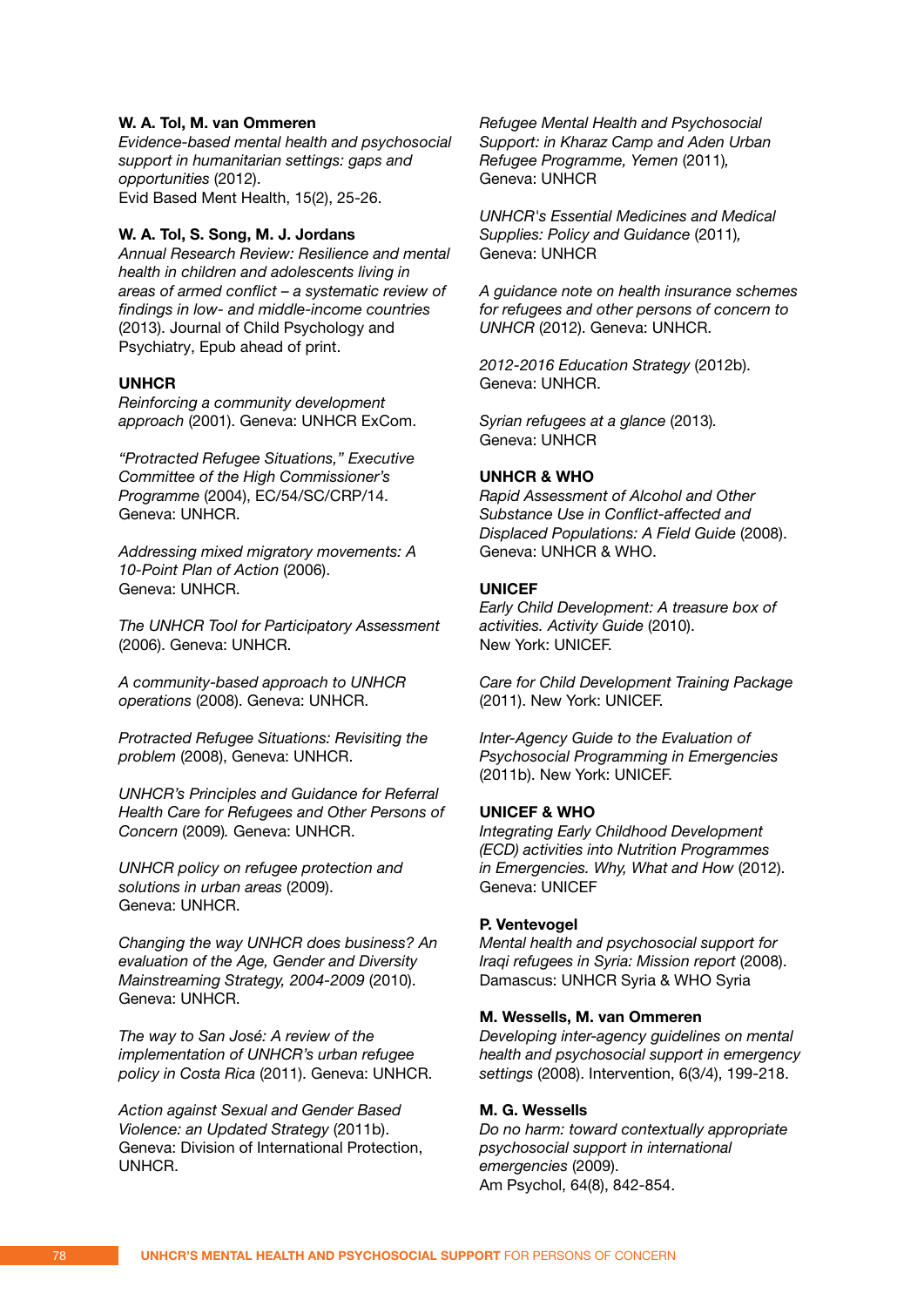### **W. A. Tol, M. van Ommeren**

*Evidence-based mental health and psychosocial support in humanitarian settings: gaps and opportunities* (2012). Evid Based Ment Health, 15(2), 25-26.

### **W. A. Tol, S. Song, M. J. Jordans**

*Annual Research Review: Resilience and mental health in children and adolescents living in areas of armed conflict – a systematic review of findings in low- and middle-income countries*  (2013). Journal of Child Psychology and Psychiatry, Epub ahead of print.

### **UNHCR**

*Reinforcing a community development approach* (2001). Geneva: UNHCR ExCom.

*"Protracted Refugee Situations," Executive Committee of the High Commissioner's Programme* (2004), EC/54/SC/CRP/14. Geneva: UNHCR.

*Addressing mixed migratory movements: A 10-Point Plan of Action* (2006). Geneva: UNHCR.

*The UNHCR Tool for Participatory Assessment*  (2006). Geneva: UNHCR.

*A community-based approach to UNHCR operations* (2008). Geneva: UNHCR.

*Protracted Refugee Situations: Revisiting the problem* (2008), Geneva: UNHCR.

*UNHCR's Principles and Guidance for Referral Health Care for Refugees and Other Persons of Concern* (2009)*.* Geneva: UNHCR.

*UNHCR policy on refugee protection and solutions in urban areas* (2009). Geneva: UNHCR.

*Changing the way UNHCR does business? An evaluation of the Age, Gender and Diversity Mainstreaming Strategy, 2004-2009* (2010). Geneva: UNHCR.

*The way to San José: A review of the implementation of UNHCR's urban refugee policy in Costa Rica* (2011). Geneva: UNHCR.

*Action against Sexual and Gender Based Violence: an Updated Strategy* (2011b). Geneva: Division of International Protection, UNHCR.

*Refugee Mental Health and Psychosocial Support: in Kharaz Camp and Aden Urban Refugee Programme, Yemen* (2011)*,*  Geneva: UNHCR

*UNHCR's Essential Medicines and Medical Supplies: Policy and Guidance* (2011)*,* Geneva: UNHCR

*A guidance note on health insurance schemes for refugees and other persons of concern to UNHCR* (2012). Geneva: UNHCR.

*2012-2016 Education Strategy* (2012b). Geneva: UNHCR.

*Syrian refugees at a glance* (2013)*.*  Geneva: UNHCR

# **UNHCR & WHO**

*Rapid Assessment of Alcohol and Other Substance Use in Conflict-affected and Displaced Populations: A Field Guide* (2008). Geneva: UNHCR & WHO.

### **UNICEF**

*Early Child Development: A treasure box of activities. Activity Guide* (2010). New York: UNICEF.

*Care for Child Development Training Package*  (2011). New York: UNICEF.

*Inter-Agency Guide to the Evaluation of Psychosocial Programming in Emergencies*  (2011b). New York: UNICEF.

### **UNICEF & WHO**

*Integrating Early Childhood Development (ECD) activities into Nutrition Programmes in Emergencies. Why, What and How* (2012). Geneva: UNICEF

### **P. Ventevogel**

*Mental health and psychosocial support for Iraqi refugees in Syria: Mission report* (2008). Damascus: UNHCR Syria & WHO Syria

### **M. Wessells, M. van Ommeren**

*Developing inter-agency guidelines on mental health and psychosocial support in emergency settings* (2008). Intervention, 6(3/4), 199-218.

### **M. G. Wessells**

*Do no harm: toward contextually appropriate psychosocial support in international emergencies* (2009). Am Psychol, 64(8), 842-854.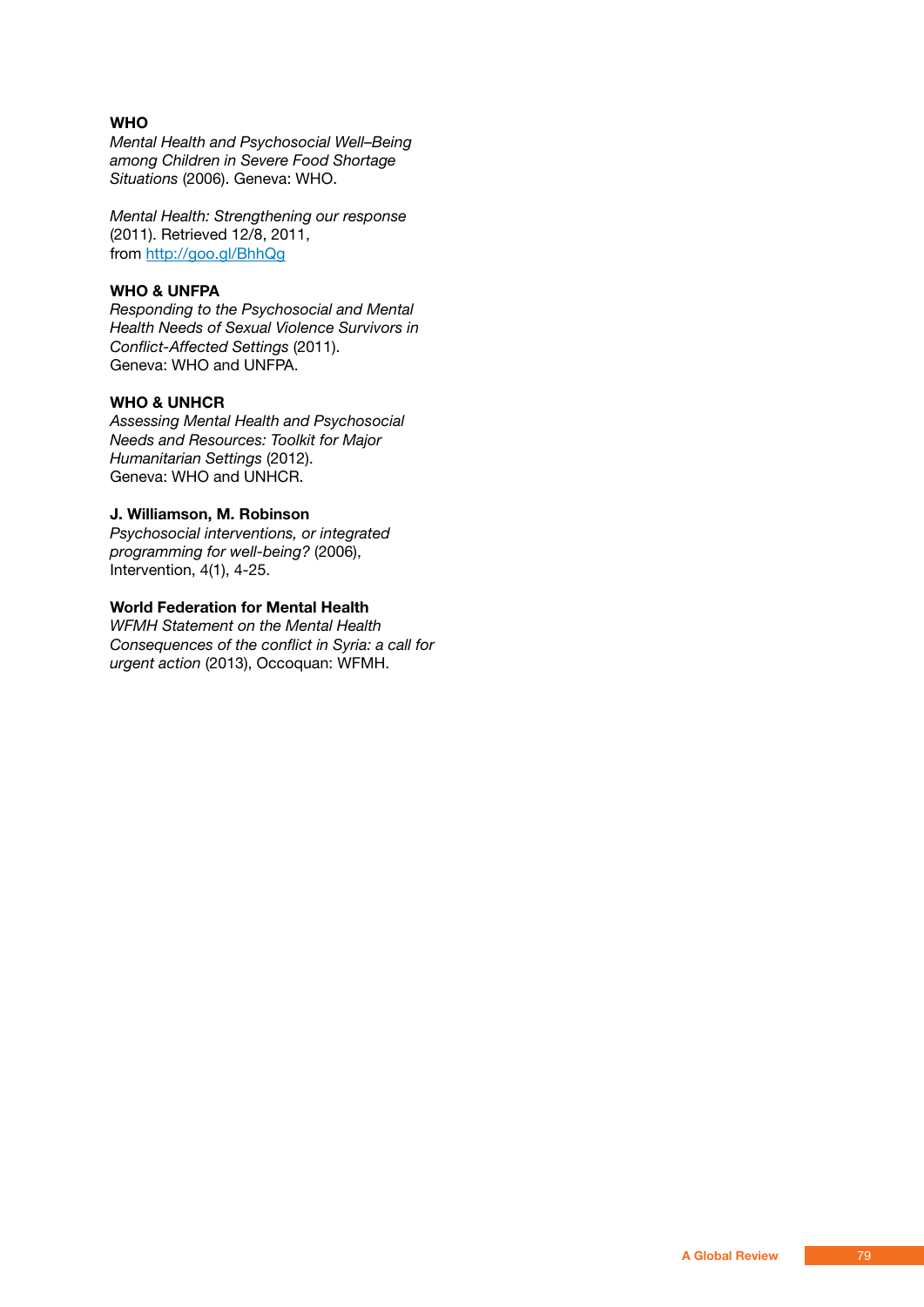# **WHO**

*Mental Health and Psychosocial Well–Being among Children in Severe Food Shortage Situations* (2006). Geneva: WHO.

*Mental Health: Strengthening our response* (2011). Retrieved 12/8, 2011, from http://goo.gl/BhhQg

# **WHO & UNFPA**

*Responding to the Psychosocial and Mental Health Needs of Sexual Violence Survivors in Conflict-Affected Settings* (2011). Geneva: WHO and UNFPA.

# **WHO & UNHCR**

*Assessing Mental Health and Psychosocial Needs and Resources: Toolkit for Major Humanitarian Settings* (2012). Geneva: WHO and UNHCR.

# **J. Williamson, M. Robinson**

*Psychosocial interventions, or integrated programming for well-being?* (2006), Intervention, 4(1), 4-25.

# **World Federation for Mental Health**

*WFMH Statement on the Mental Health Consequences of the conflict in Syria: a call for urgent action* (2013), Occoquan: WFMH.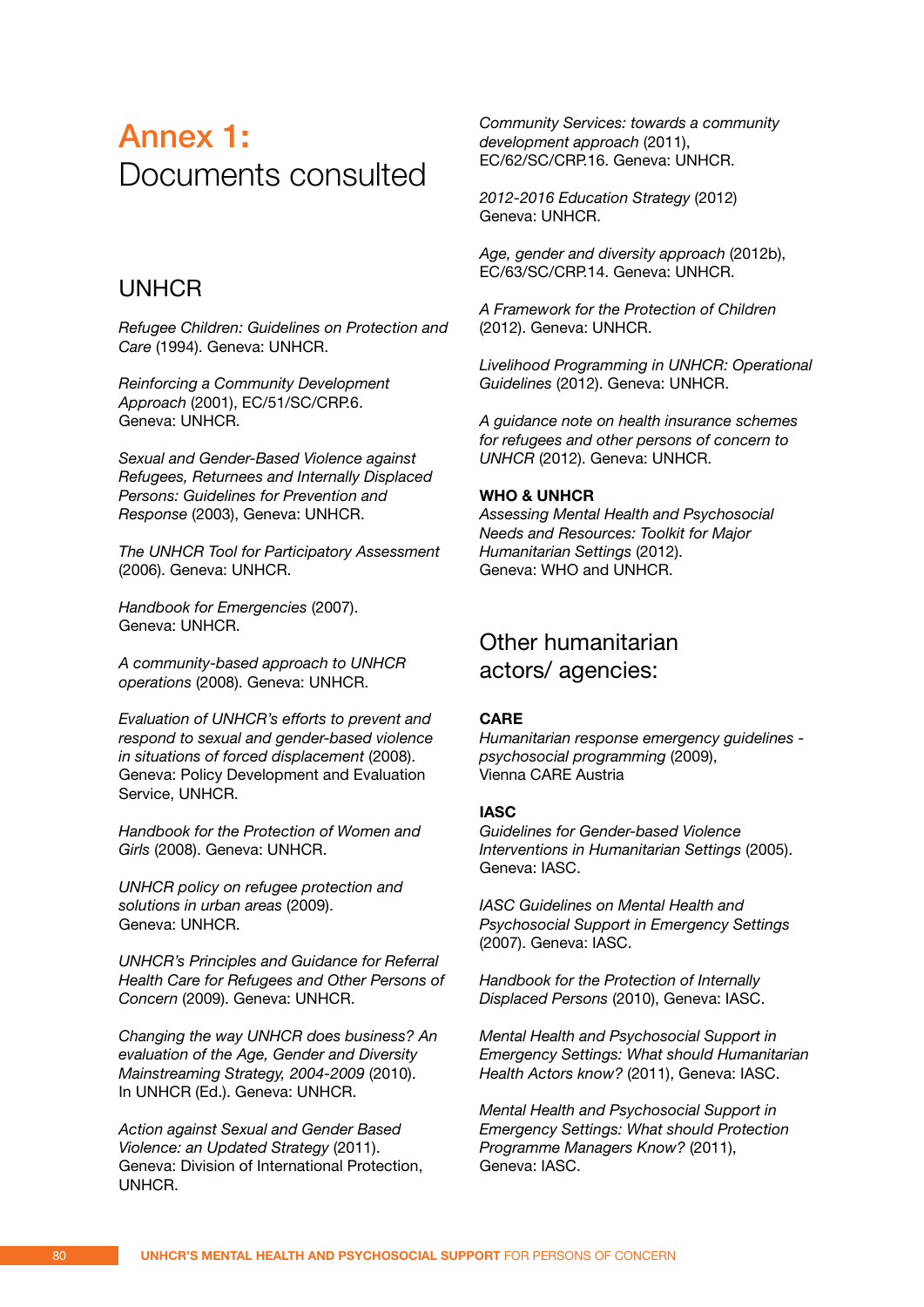# Annex 1**:** Documents consulted

# UNHCR

*Refugee Children: Guidelines on Protection and Care* (1994). Geneva: UNHCR.

*Reinforcing a Community Development Approach* (2001), EC/51/SC/CRP.6. Geneva: UNHCR.

*Sexual and Gender-Based Violence against Refugees, Returnees and Internally Displaced Persons: Guidelines for Prevention and Response* (2003), Geneva: UNHCR.

*The UNHCR Tool for Participatory Assessment*  (2006). Geneva: UNHCR.

*Handbook for Emergencies* (2007). Geneva: UNHCR.

*A community-based approach to UNHCR operations* (2008). Geneva: UNHCR.

*Evaluation of UNHCR's efforts to prevent and respond to sexual and gender-based violence in situations of forced displacement* (2008). Geneva: Policy Development and Evaluation Service, UNHCR.

*Handbook for the Protection of Women and Girls* (2008). Geneva: UNHCR.

*UNHCR policy on refugee protection and solutions in urban areas* (2009). Geneva: UNHCR.

*UNHCR's Principles and Guidance for Referral Health Care for Refugees and Other Persons of Concern* (2009). Geneva: UNHCR.

*Changing the way UNHCR does business? An evaluation of the Age, Gender and Diversity Mainstreaming Strategy, 2004-2009* (2010). In UNHCR (Ed.). Geneva: UNHCR.

*Action against Sexual and Gender Based Violence: an Updated Strategy* (2011). Geneva: Division of International Protection, UNHCR.

*Community Services: towards a community development approach* (2011), EC/62/SC/CRP.16. Geneva: UNHCR.

*2012-2016 Education Strategy* (2012) Geneva: UNHCR.

*Age, gender and diversity approach* (2012b), EC/63/SC/CRP.14. Geneva: UNHCR.

*A Framework for the Protection of Children*  (2012). Geneva: UNHCR.

*Livelihood Programming in UNHCR: Operational Guidelines* (2012). Geneva: UNHCR.

*A guidance note on health insurance schemes for refugees and other persons of concern to UNHCR* (2012). Geneva: UNHCR.

# **WHO & UNHCR**

*Assessing Mental Health and Psychosocial Needs and Resources: Toolkit for Major Humanitarian Settings* (2012). Geneva: WHO and UNHCR.

# Other humanitarian actors/ agencies:

### **CARE**

*Humanitarian response emergency guidelines psychosocial programming* (2009), Vienna CARE Austria

### **IASC**

*Guidelines for Gender-based Violence Interventions in Humanitarian Settings* (2005). Geneva: IASC.

*IASC Guidelines on Mental Health and Psychosocial Support in Emergency Settings*  (2007). Geneva: IASC.

*Handbook for the Protection of Internally Displaced Persons* (2010), Geneva: IASC.

*Mental Health and Psychosocial Support in Emergency Settings: What should Humanitarian Health Actors know?* (2011), Geneva: IASC.

*Mental Health and Psychosocial Support in Emergency Settings: What should Protection Programme Managers Know?* (2011), Geneva: IASC.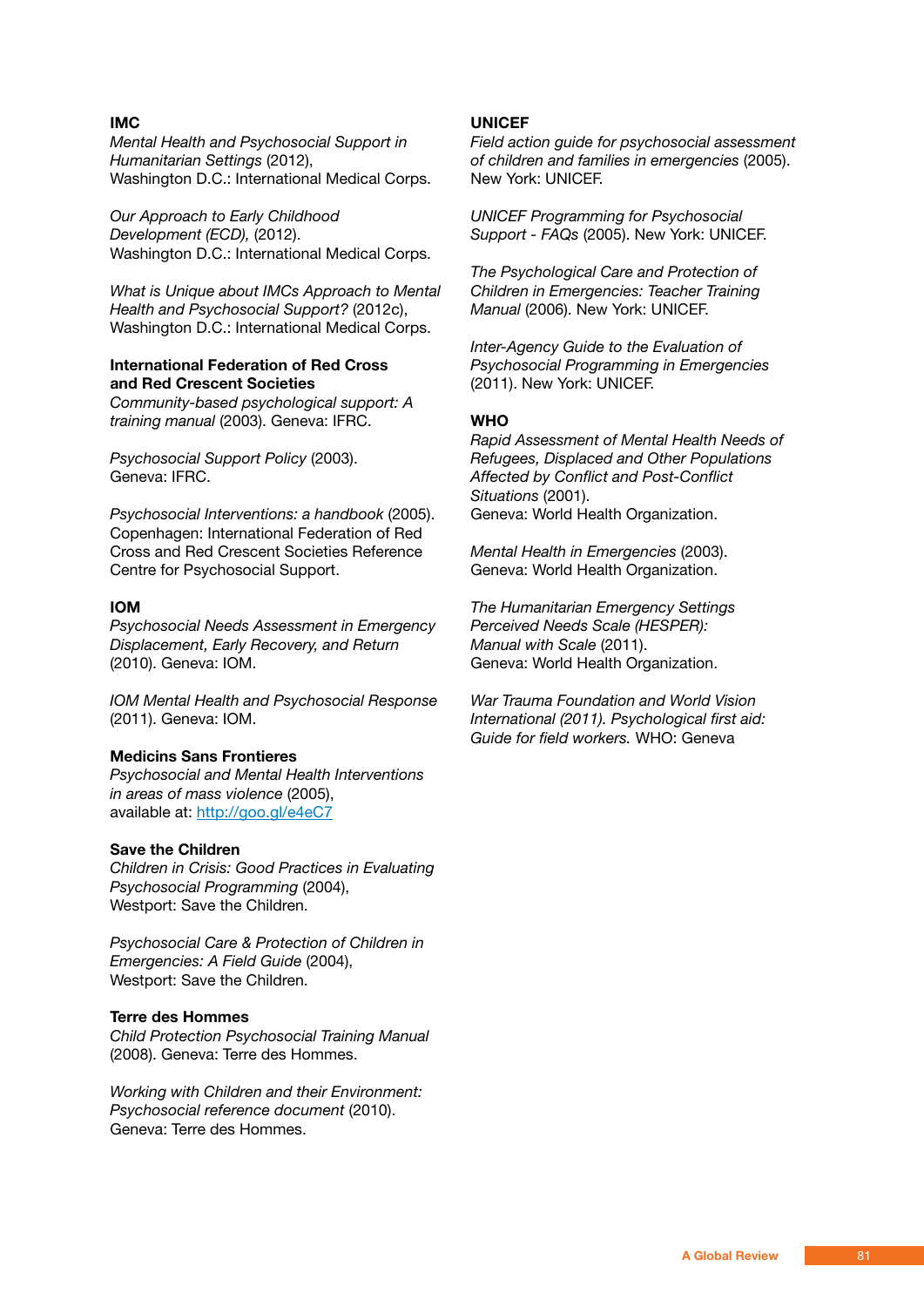# **IMC**

*Mental Health and Psychosocial Support in Humanitarian Settings* (2012), Washington D.C.: International Medical Corps.

*Our Approach to Early Childhood Development (ECD),* (2012). Washington D.C.: International Medical Corps.

*What is Unique about IMCs Approach to Mental Health and Psychosocial Support?* (2012c), Washington D.C.: International Medical Corps.

# **International Federation of Red Cross and Red Crescent Societies**

*Community-based psychological support: A training manual* (2003). Geneva: IFRC.

*Psychosocial Support Policy* (2003). Geneva: IFRC.

*Psychosocial Interventions: a handbook* (2005). Copenhagen: International Federation of Red Cross and Red Crescent Societies Reference Centre for Psychosocial Support.

## **IOM**

*Psychosocial Needs Assessment in Emergency Displacement, Early Recovery, and Return*  (2010). Geneva: IOM.

*IOM Mental Health and Psychosocial Response*  (2011). Geneva: IOM.

### **Medicins Sans Frontieres**

*Psychosocial and Mental Health Interventions in areas of mass violence* (2005), available at: http://goo.gl/e4eC7

### **Save the Children**

*Children in Crisis: Good Practices in Evaluating Psychosocial Programming* (2004), Westport: Save the Children.

*Psychosocial Care & Protection of Children in Emergencies: A Field Guide* (2004), Westport: Save the Children.

# **Terre des Hommes**

*Child Protection Psychosocial Training Manual*  (2008). Geneva: Terre des Hommes.

*Working with Children and their Environment: Psychosocial reference document* (2010). Geneva: Terre des Hommes.

### **UNICEF**

*Field action guide for psychosocial assessment of children and families in emergencies* (2005). New York: UNICEF.

*UNICEF Programming for Psychosocial Support - FAQs* (2005). New York: UNICEF.

*The Psychological Care and Protection of Children in Emergencies: Teacher Training Manual* (2006). New York: UNICEF.

*Inter-Agency Guide to the Evaluation of Psychosocial Programming in Emergencies*  (2011). New York: UNICEF.

# **WHO**

*Rapid Assessment of Mental Health Needs of Refugees, Displaced and Other Populations Affected by Conflict and Post-Conflict Situations* (2001). Geneva: World Health Organization.

*Mental Health in Emergencies* (2003). Geneva: World Health Organization.

*The Humanitarian Emergency Settings Perceived Needs Scale (HESPER): Manual with Scale* (2011). Geneva: World Health Organization.

*War Trauma Foundation and World Vision International (2011). Psychological first aid: Guide for field workers.* WHO: Geneva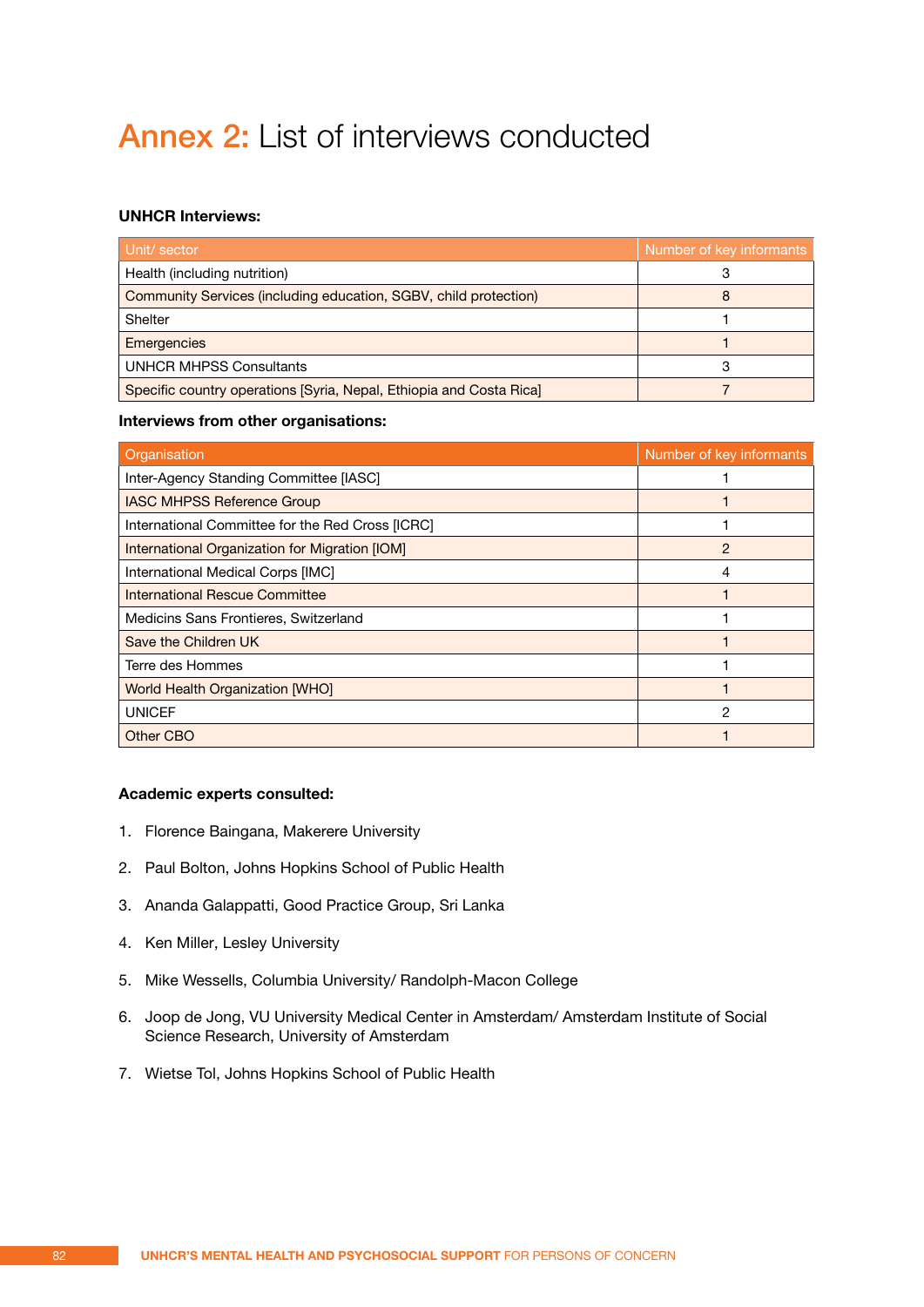# Annex 2: List of interviews conducted

# **UNHCR Interviews:**

| Unit/sector                                                         | Number of key informants |
|---------------------------------------------------------------------|--------------------------|
| Health (including nutrition)                                        |                          |
| Community Services (including education, SGBV, child protection)    |                          |
| <b>Shelter</b>                                                      |                          |
| <b>Emergencies</b>                                                  |                          |
| <b>UNHCR MHPSS Consultants</b>                                      |                          |
| Specific country operations [Syria, Nepal, Ethiopia and Costa Rica] |                          |

### **Interviews from other organisations:**

| Organisation                                     | Number of key informants |
|--------------------------------------------------|--------------------------|
| Inter-Agency Standing Committee [IASC]           |                          |
| <b>IASC MHPSS Reference Group</b>                |                          |
| International Committee for the Red Cross [ICRC] |                          |
| International Organization for Migration [IOM]   | 2                        |
| International Medical Corps [IMC]                | 4                        |
| International Rescue Committee                   |                          |
| Medicins Sans Frontieres, Switzerland            |                          |
| Save the Children UK                             |                          |
| Terre des Hommes                                 |                          |
| <b>World Health Organization [WHO]</b>           |                          |
| <b>UNICEF</b>                                    | 2                        |
| Other CBO                                        |                          |

# **Academic experts consulted:**

- 1. Florence Baingana, Makerere University
- 2. Paul Bolton, Johns Hopkins School of Public Health
- 3. Ananda Galappatti, Good Practice Group, Sri Lanka
- 4. Ken Miller, Lesley University
- 5. Mike Wessells, Columbia University/ Randolph-Macon College
- 6. Joop de Jong, VU University Medical Center in Amsterdam/ Amsterdam Institute of Social Science Research, University of Amsterdam
- 7. Wietse Tol, Johns Hopkins School of Public Health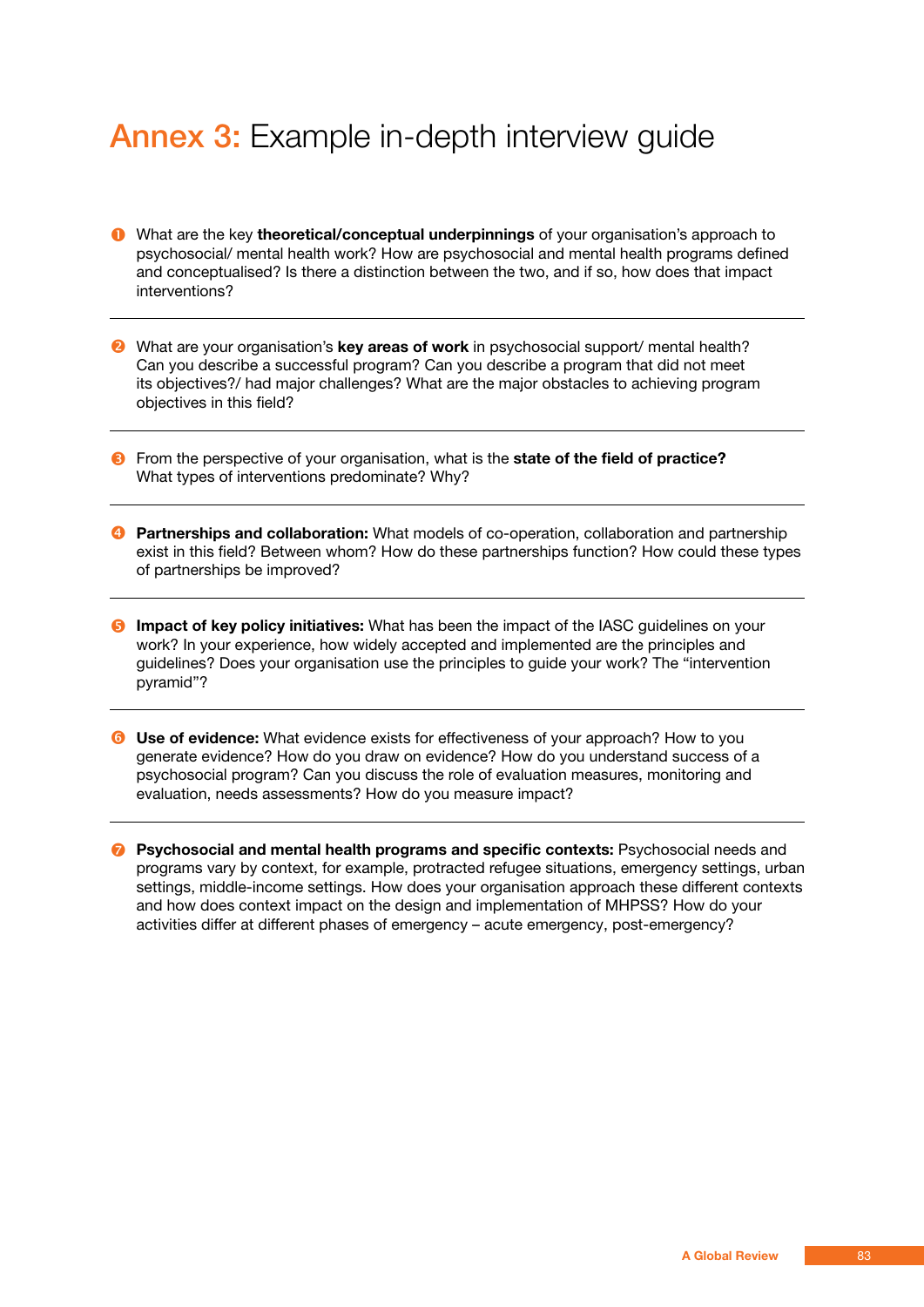# Annex 3: Example in-depth interview guide

- What are the key **theoretical/conceptual underpinnings** of your organisation's approach to psychosocial/ mental health work? How are psychosocial and mental health programs defined and conceptualised? Is there a distinction between the two, and if so, how does that impact interventions?
- **2** What are your organisation's **key areas of work** in psychosocial support/ mental health? Can you describe a successful program? Can you describe a program that did not meet its objectives?/ had major challenges? What are the major obstacles to achieving program objectives in this field?
- From the perspective of your organisation, what is the **state of the field of practice?**  What types of interventions predominate? Why?
- **<sup>4</sup>** Partnerships and collaboration: What models of co-operation, collaboration and partnership exist in this field? Between whom? How do these partnerships function? How could these types of partnerships be improved?
- **6** Impact of key policy initiatives: What has been the impact of the IASC guidelines on your work? In your experience, how widely accepted and implemented are the principles and guidelines? Does your organisation use the principles to guide your work? The "intervention pyramid"?
- **C** Use of evidence: What evidence exists for effectiveness of your approach? How to you generate evidence? How do you draw on evidence? How do you understand success of a psychosocial program? Can you discuss the role of evaluation measures, monitoring and evaluation, needs assessments? How do you measure impact?
- *P* Psychosocial and mental health programs and specific contexts: Psychosocial needs and programs vary by context, for example, protracted refugee situations, emergency settings, urban settings, middle-income settings. How does your organisation approach these different contexts and how does context impact on the design and implementation of MHPSS? How do your activities differ at different phases of emergency – acute emergency, post-emergency?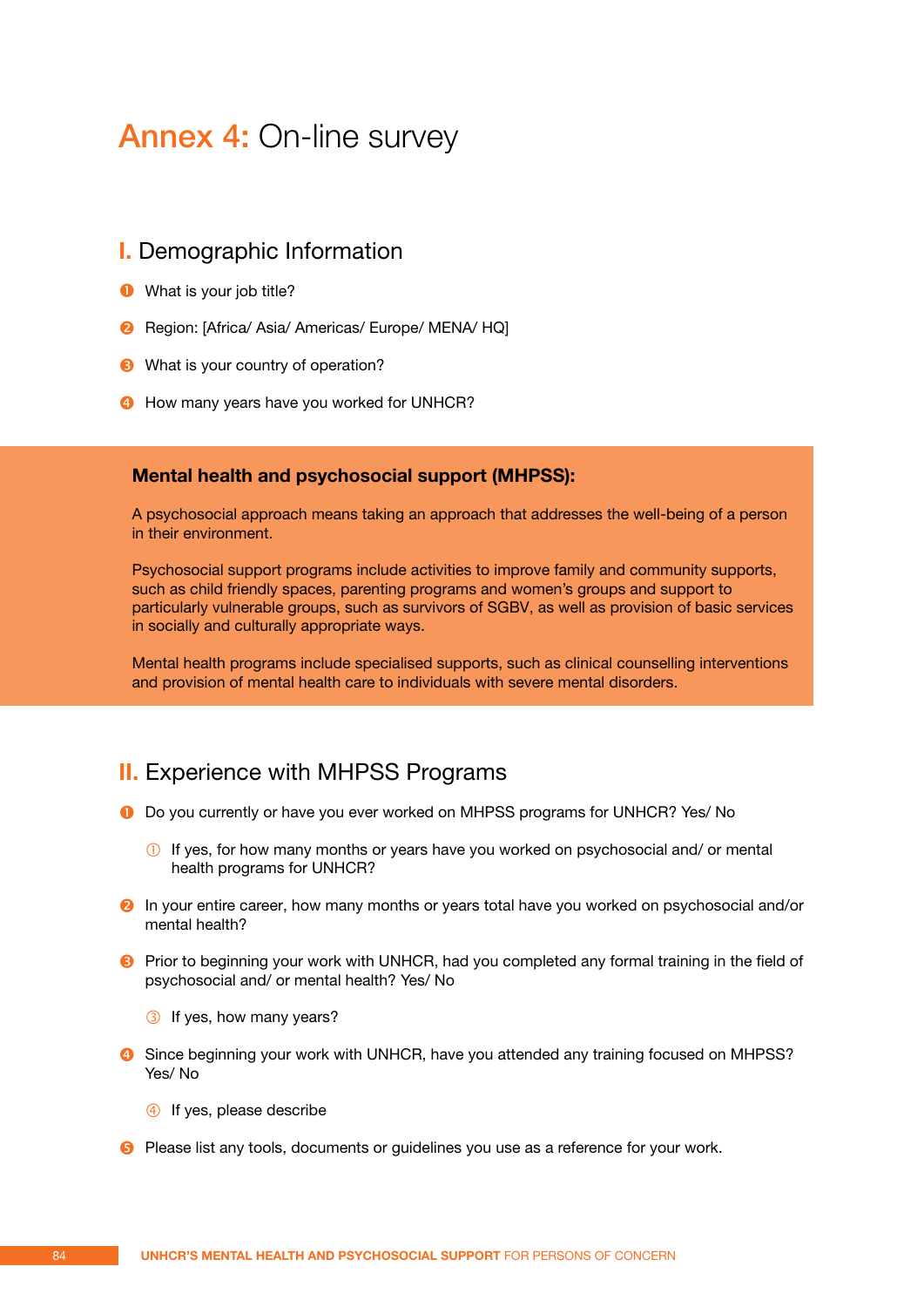# Annex 4: On-line survey

# **I.** Demographic Information

- **O** What is your job title?
- **2** Region: [Africa/ Asia/ Americas/ Europe/ MENA/ HQ]
- **8** What is your country of operation?
- **4** How many years have you worked for UNHCR?

# **Mental health and psychosocial support (MHPSS):**

A psychosocial approach means taking an approach that addresses the well-being of a person in their environment.

Psychosocial support programs include activities to improve family and community supports, such as child friendly spaces, parenting programs and women's groups and support to particularly vulnerable groups, such as survivors of SGBV, as well as provision of basic services in socially and culturally appropriate ways.

Mental health programs include specialised supports, such as clinical counselling interventions and provision of mental health care to individuals with severe mental disorders.

# **II.** Experience with MHPSS Programs

- **D** Do you currently or have you ever worked on MHPSS programs for UNHCR? Yes/ No
	- $\circled{1}$  If yes, for how many months or years have you worked on psychosocial and/ or mental health programs for UNHCR?
- **2** In your entire career, how many months or years total have you worked on psychosocial and/or mental health?
- **P** Prior to beginning your work with UNHCR, had you completed any formal training in the field of psychosocial and/ or mental health? Yes/ No
	- **3** If yes, how many years?
- **G** Since beginning your work with UNHCR, have you attended any training focused on MHPSS? Yes/ No
	- 4 If yes, please describe
- **B** Please list any tools, documents or quidelines you use as a reference for your work.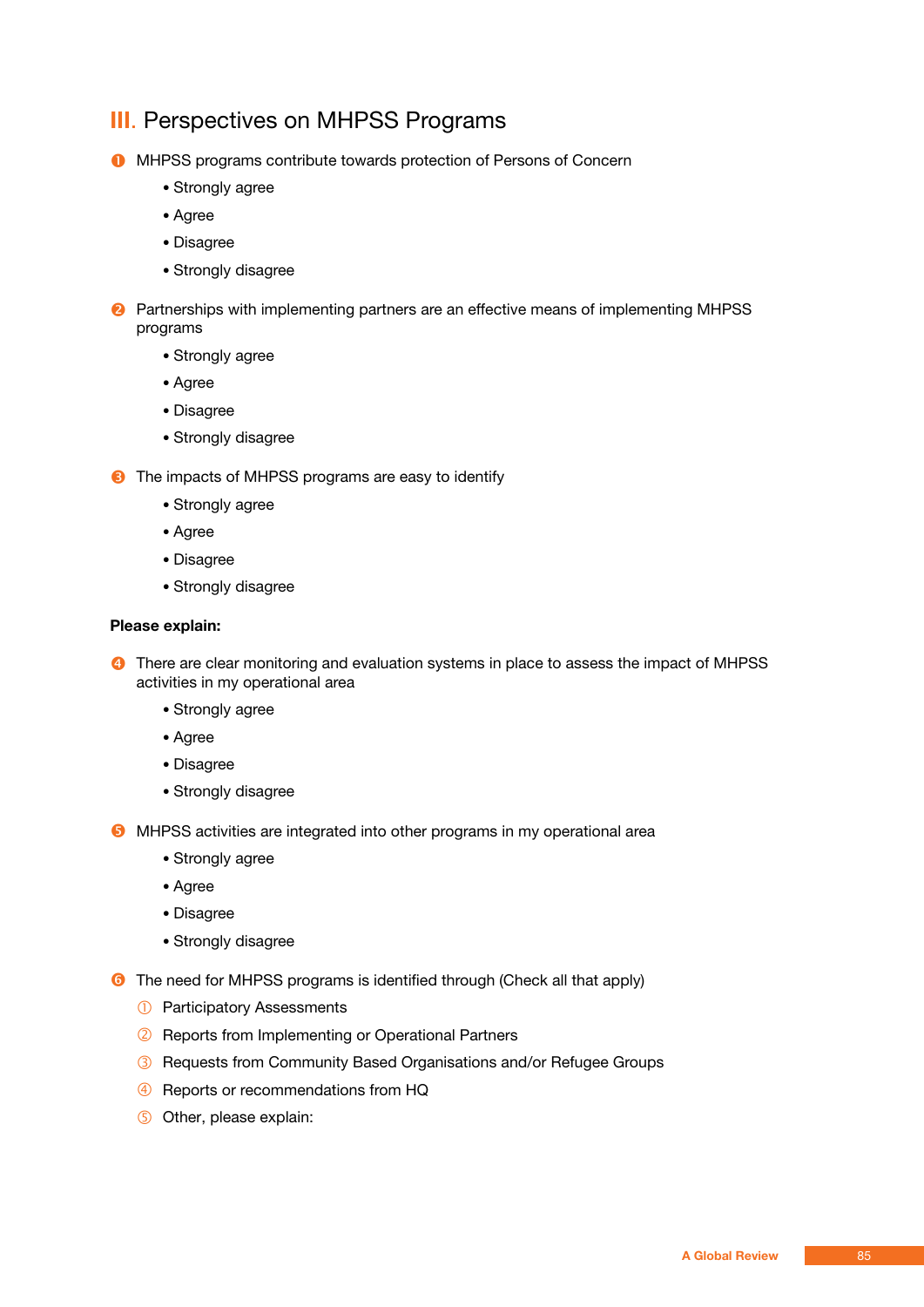# **III**. Perspectives on MHPSS Programs

**O** MHPSS programs contribute towards protection of Persons of Concern

- Strongly agree
- Agree
- Disagree
- Strongly disagree

**2** Partnerships with implementing partners are an effective means of implementing MHPSS programs

- Strongly agree
- Agree
- Disagree
- Strongly disagree

**8** The impacts of MHPSS programs are easy to identify

- Strongly agree
- Agree
- Disagree
- Strongly disagree

### **Please explain:**

**<sup>4</sup>** There are clear monitoring and evaluation systems in place to assess the impact of MHPSS activities in my operational area

- Strongly agree
- Agree
- Disagree
- Strongly disagree

**6** MHPSS activities are integrated into other programs in my operational area

- Strongly agree
- Agree
- Disagree
- Strongly disagree

**6** The need for MHPSS programs is identified through (Check all that apply)

- **1** Participatory Assessments
- <sup>2</sup> Reports from Implementing or Operational Partners
- Requests from Community Based Organisations and/or Refugee Groups
- 4 Reports or recommendations from HQ
- **5** Other, please explain: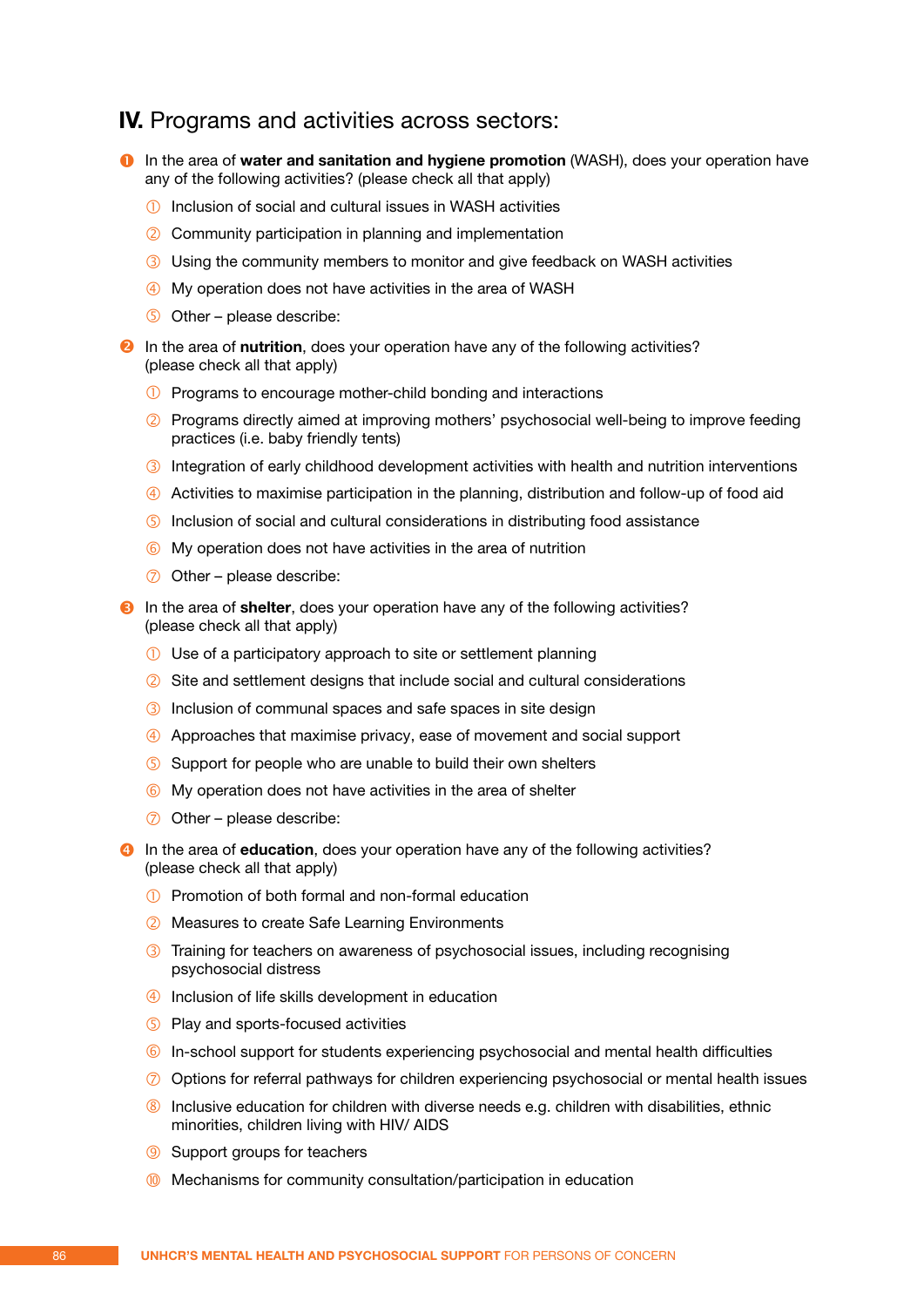# **IV.** Programs and activities across sectors:

- **1** In the area of water and sanitation and hygiene promotion (WASH), does your operation have any of the following activities? (please check all that apply)
	- Inclusion of social and cultural issues in WASH activities
	- Community participation in planning and implementation
	- Using the community members to monitor and give feedback on WASH activities
	- My operation does not have activities in the area of WASH
	- $\circ$  Other please describe:

**2** In the area of **nutrition**, does your operation have any of the following activities? (please check all that apply)

- **1** Programs to encourage mother-child bonding and interactions
- Programs directly aimed at improving mothers' psychosocial well-being to improve feeding practices (i.e. baby friendly tents)
- **3** Integration of early childhood development activities with health and nutrition interventions
- Activities to maximise participation in the planning, distribution and follow-up of food aid
- Inclusion of social and cultural considerations in distributing food assistance
- 6 My operation does not have activities in the area of nutrition
- $\oslash$  Other please describe:
- $\Theta$  In the area of **shelter**, does your operation have any of the following activities? (please check all that apply)
	- Use of a participatory approach to site or settlement planning
	- Site and settlement designs that include social and cultural considerations
	- Inclusion of communal spaces and safe spaces in site design
	- Approaches that maximise privacy, ease of movement and social support
	- Support for people who are unable to build their own shelters
	- 6 My operation does not have activities in the area of shelter
	- $\oslash$  Other please describe:
- **O** In the area of **education**, does your operation have any of the following activities? (please check all that apply)
	- Promotion of both formal and non-formal education
	- Measures to create Safe Learning Environments
	- **3** Training for teachers on awareness of psychosocial issues, including recognising psychosocial distress
	- Inclusion of life skills development in education
	- **S** Play and sports-focused activities
	- In-school support for students experiencing psychosocial and mental health difficulties
	- $\oslash$  Options for referral pathways for children experiencing psychosocial or mental health issues
	- Inclusive education for children with diverse needs e.g. children with disabilities, ethnic minorities, children living with HIV/ AIDS
	- **9** Support groups for teachers
	- Mechanisms for community consultation/participation in education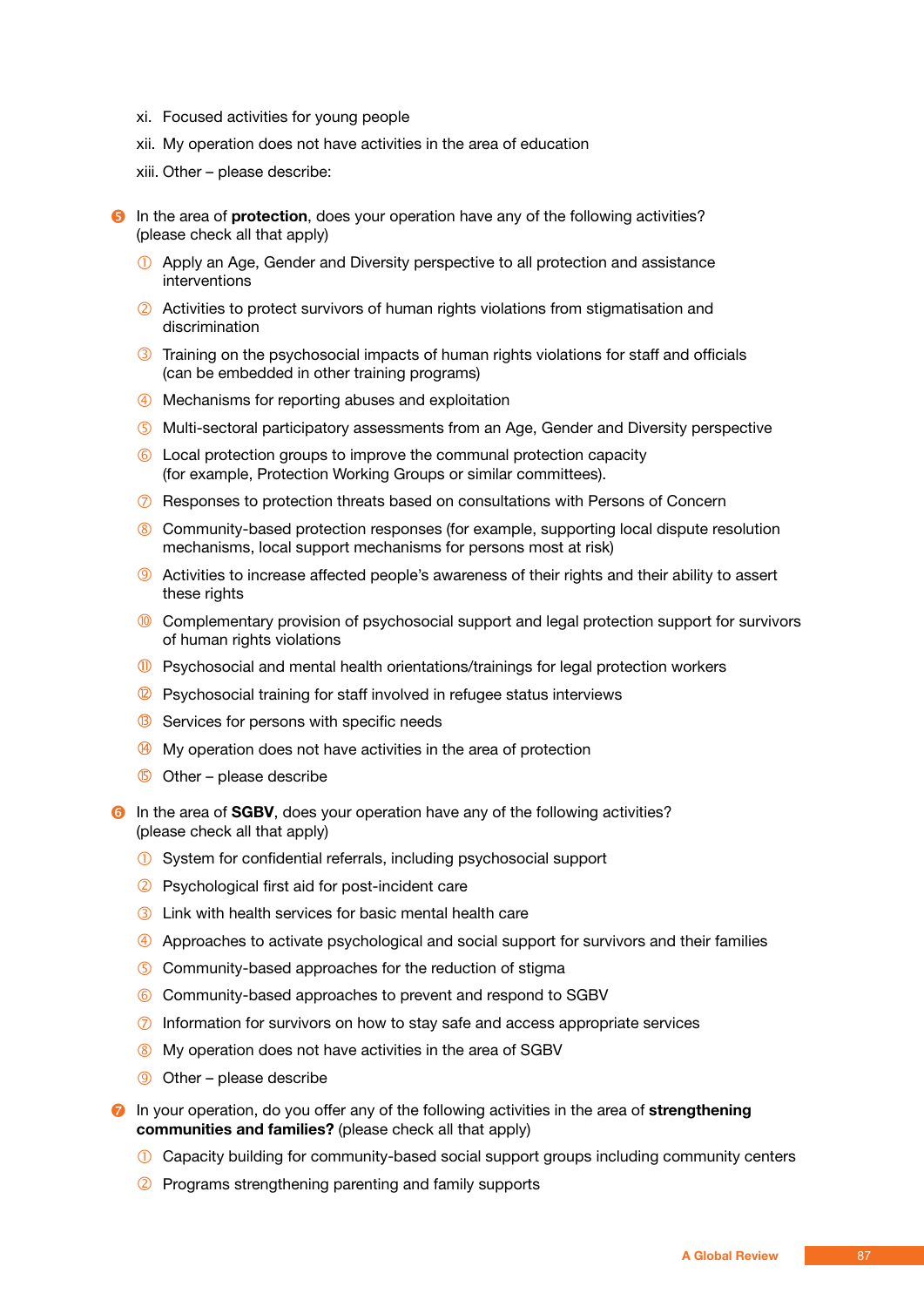- xi. Focused activities for young people
- xii. My operation does not have activities in the area of education
- xiii. Other please describe:

**B** In the area of **protection**, does your operation have any of the following activities? (please check all that apply)

- Apply an Age, Gender and Diversity perspective to all protection and assistance interventions
- Activities to protect survivors of human rights violations from stigmatisation and discrimination
- **3** Training on the psychosocial impacts of human rights violations for staff and officials (can be embedded in other training programs)
- Mechanisms for reporting abuses and exploitation
- Multi-sectoral participatory assessments from an Age, Gender and Diversity perspective
- Local protection groups to improve the communal protection capacity (for example, Protection Working Groups or similar committees).
- $\oslash$  Responses to protection threats based on consultations with Persons of Concern
- Community-based protection responses (for example, supporting local dispute resolution mechanisms, local support mechanisms for persons most at risk)
- Activities to increase affected people's awareness of their rights and their ability to assert these rights
- <sup>6</sup> Complementary provision of psychosocial support and legal protection support for survivors of human rights violations
- $<sup>10</sup>$  Psychosocial and mental health orientations/trainings for legal protection workers</sup>
- $\circledR$  Psychosocial training for staff involved in refugee status interviews
- **B** Services for persons with specific needs
- $\Theta$  My operation does not have activities in the area of protection
- $\circled{b}$  Other please describe
- **In the area of SGBV, does your operation have any of the following activities?** (please check all that apply)
	- System for confidential referrals, including psychosocial support
	- Psychological first aid for post-incident care
	- Link with health services for basic mental health care
	- Approaches to activate psychological and social support for survivors and their families
	- Community-based approaches for the reduction of stigma
	- Community-based approaches to prevent and respond to SGBV
	- $\oslash$  Information for survivors on how to stay safe and access appropriate services
	- My operation does not have activities in the area of SGBV
	- Other please describe
- **a** In your operation, do you offer any of the following activities in the area of **strengthening communities and families?** (please check all that apply)
	- Capacity building for community-based social support groups including community centers
	- Programs strengthening parenting and family supports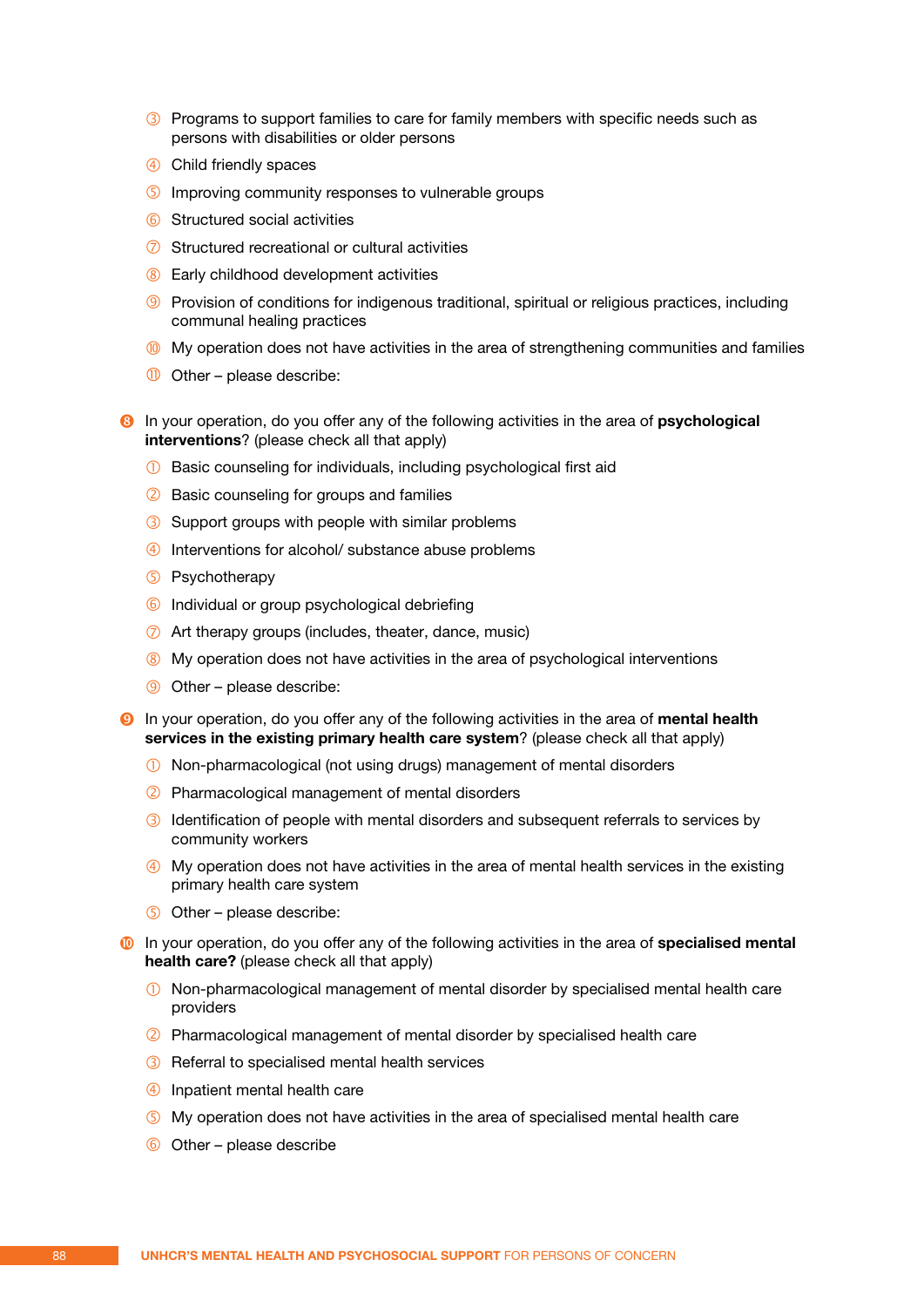- **3** Programs to support families to care for family members with specific needs such as persons with disabilities or older persons
- Child friendly spaces
- **5** Improving community responses to vulnerable groups
- **6** Structured social activities
- $\oslash$  Structured recreational or cultural activities
- **8** Early childhood development activities
- **9** Provision of conditions for indigenous traditional, spiritual or religious practices, including communal healing practices
- **My operation does not have activities in the area of strengthening communities and families**
- $\overline{0}$  Other please describe:
- **8** In your operation, do you offer any of the following activities in the area of **psychological interventions**? (please check all that apply)
	- **1** Basic counseling for individuals, including psychological first aid
	- 2 Basic counseling for groups and families
	- 3 Support groups with people with similar problems
	- Interventions for alcohol/ substance abuse problems
	- Psychotherapy
	- 6 Individual or group psychological debriefing
	- Art therapy groups (includes, theater, dance, music)
	- 8 My operation does not have activities in the area of psychological interventions
	- Other please describe:
- In your operation, do you offer any of the following activities in the area of **mental health services in the existing primary health care system**? (please check all that apply)
	- Non-pharmacological (not using drugs) management of mental disorders
	- Pharmacological management of mental disorders
	- **3** Identification of people with mental disorders and subsequent referrals to services by community workers
	- My operation does not have activities in the area of mental health services in the existing primary health care system
	- Other please describe:
- In your operation, do you offer any of the following activities in the area of **specialised mental health care?** (please check all that apply)
	- Non-pharmacological management of mental disorder by specialised mental health care providers
	- Pharmacological management of mental disorder by specialised health care
	- Referral to specialised mental health services
	- Inpatient mental health care
	- My operation does not have activities in the area of specialised mental health care
	- $\odot$  Other please describe